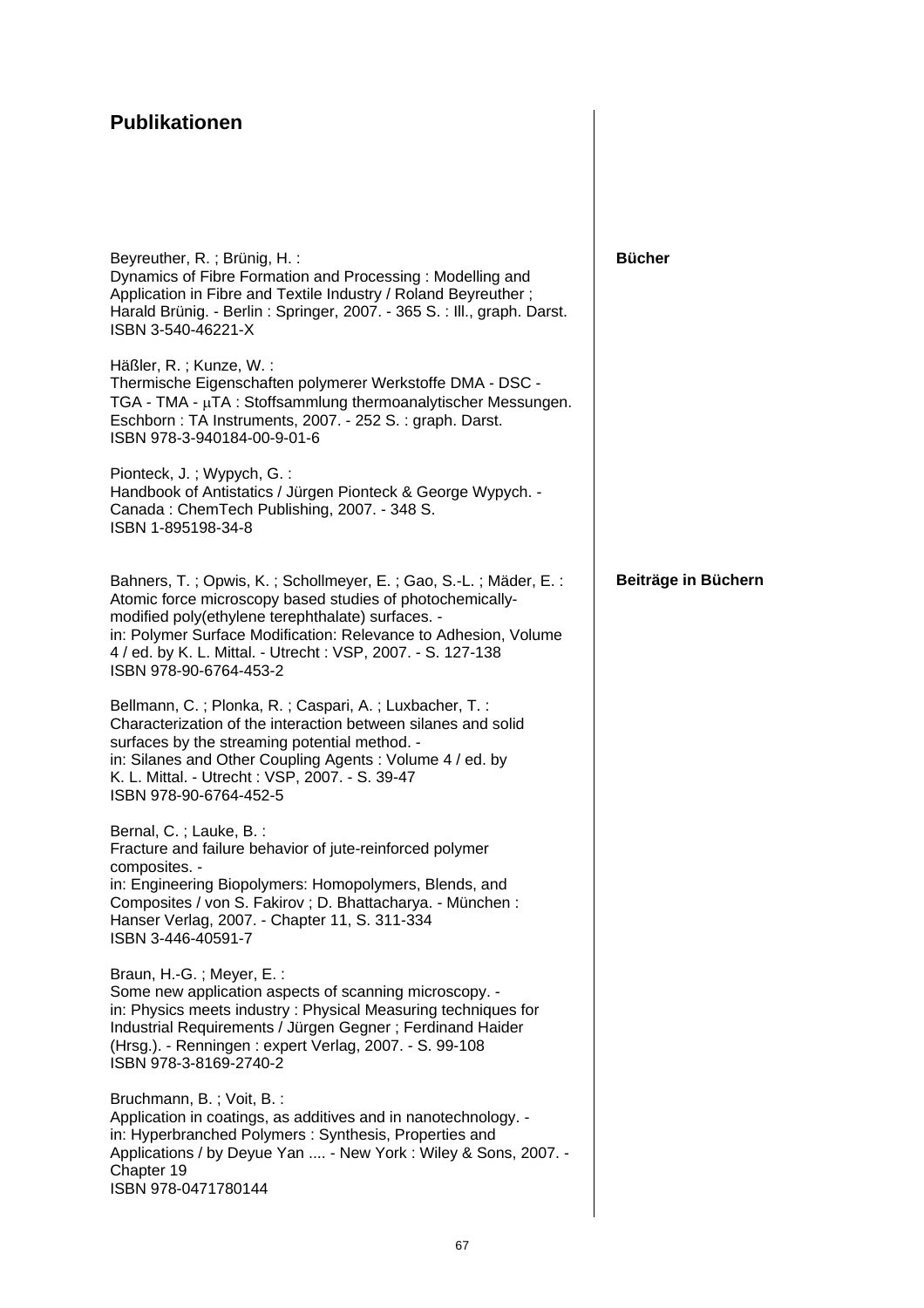## **Publikationen**

| <b>Bücher</b>       |
|---------------------|
|                     |
|                     |
| Beiträge in Büchern |
|                     |
|                     |
|                     |
|                     |
|                     |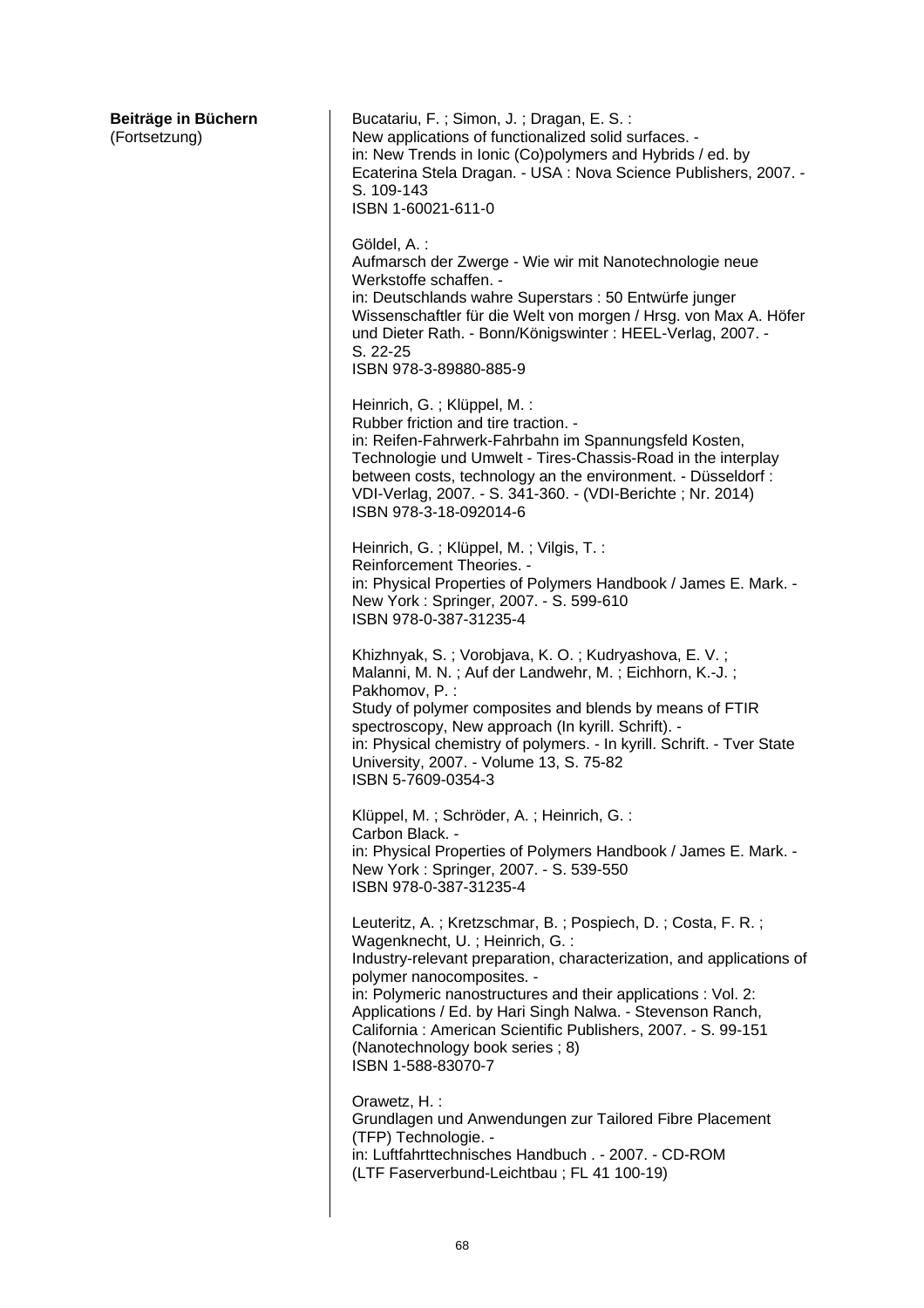**Beiträge in Büchern**  (Fortsetzung) Bucatariu, F. ; Simon, J. ; Dragan, E. S. : New applications of functionalized solid surfaces. in: New Trends in Ionic (Co)polymers and Hybrids / ed. by Ecaterina Stela Dragan. - USA : Nova Science Publishers, 2007. - S. 109-143 ISBN 1-60021-611-0 Göldel, A. : Aufmarsch der Zwerge - Wie wir mit Nanotechnologie neue Werkstoffe schaffen. in: Deutschlands wahre Superstars : 50 Entwürfe junger Wissenschaftler für die Welt von morgen / Hrsg. von Max A. Höfer und Dieter Rath. - Bonn/Königswinter : HEEL-Verlag, 2007. - S. 22-25 ISBN 978-3-89880-885-9 Heinrich, G. ; Klüppel, M. : Rubber friction and tire traction. in: Reifen-Fahrwerk-Fahrbahn im Spannungsfeld Kosten, Technologie und Umwelt - Tires-Chassis-Road in the interplay between costs, technology an the environment. - Düsseldorf : VDI-Verlag, 2007. - S. 341-360. - (VDI-Berichte ; Nr. 2014) ISBN 978-3-18-092014-6 Heinrich, G. ; Klüppel, M. ; Vilgis, T. : Reinforcement Theories. in: Physical Properties of Polymers Handbook / James E. Mark. - New York : Springer, 2007. - S. 599-610 ISBN 978-0-387-31235-4 Khizhnyak, S. ; Vorobjava, K. O. ; Kudryashova, E. V. ; Malanni, M. N. ; Auf der Landwehr, M. ; Eichhorn, K.-J. ; Pakhomov, P. : Study of polymer composites and blends by means of FTIR spectroscopy, New approach (In kyrill. Schrift). in: Physical chemistry of polymers. - In kyrill. Schrift. - Tver State University, 2007. - Volume 13, S. 75-82 ISBN 5-7609-0354-3 Klüppel, M. ; Schröder, A. ; Heinrich, G. : Carbon Black. in: Physical Properties of Polymers Handbook / James E. Mark. - New York : Springer, 2007. - S. 539-550 ISBN 978-0-387-31235-4 Leuteritz, A. ; Kretzschmar, B. ; Pospiech, D. ; Costa, F. R. ; Wagenknecht, U. ; Heinrich, G. : Industry-relevant preparation, characterization, and applications of polymer nanocomposites. in: Polymeric nanostructures and their applications : Vol. 2: Applications / Ed. by Hari Singh Nalwa. - Stevenson Ranch, California : American Scientific Publishers, 2007. - S. 99-151 (Nanotechnology book series ; 8) ISBN 1-588-83070-7 Orawetz, H. : Grundlagen und Anwendungen zur Tailored Fibre Placement (TFP) Technologie. in: Luftfahrttechnisches Handbuch . - 2007. - CD-ROM (LTF Faserverbund-Leichtbau ; FL 41 100-19)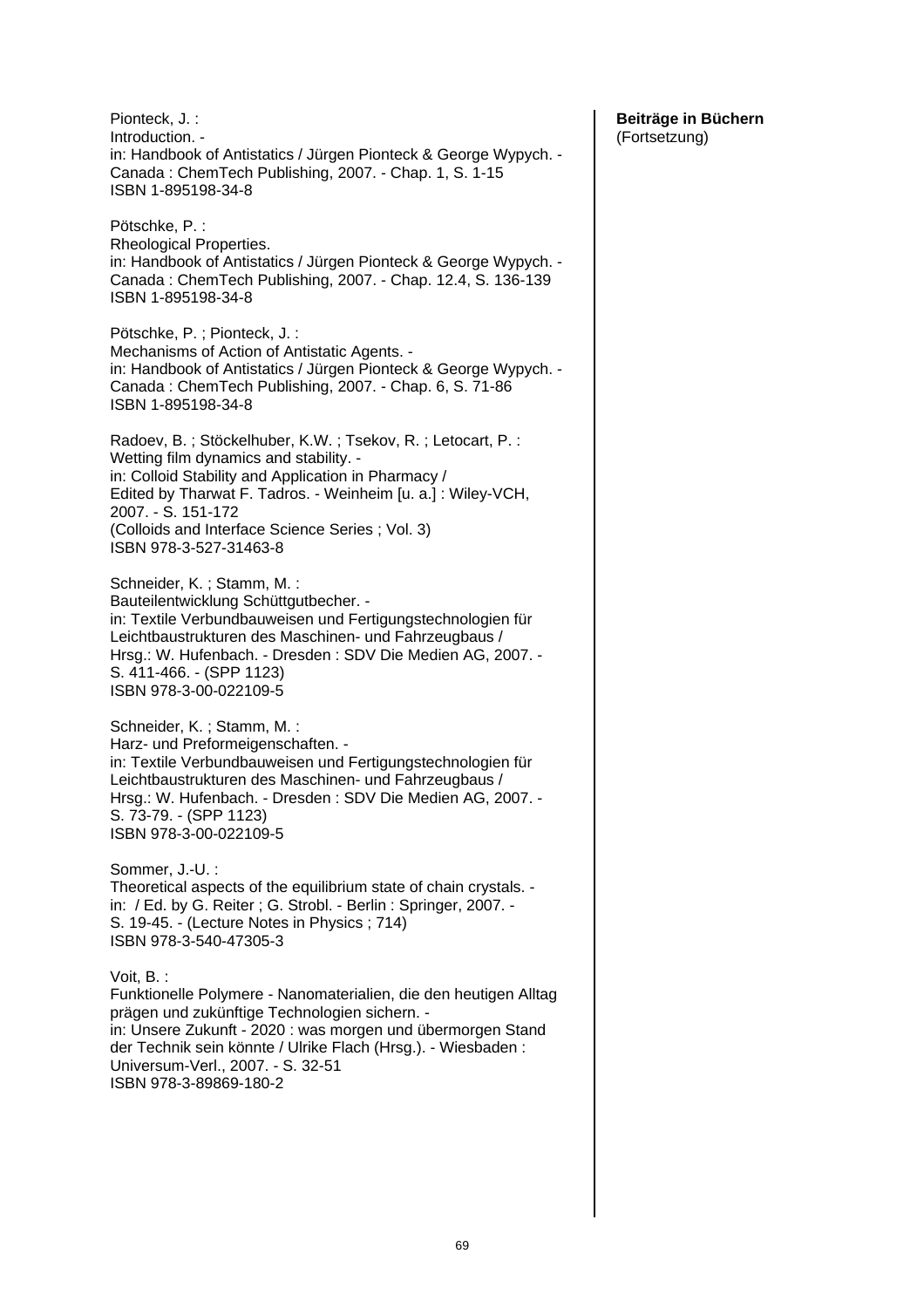| Pötschke, P.:<br>Rheological Properties.<br>in: Handbook of Antistatics / Jürgen Pionteck & George Wypych. -<br>Canada: ChemTech Publishing, 2007. - Chap. 12.4, S. 136-139<br>ISBN 1-895198-34-8                                                                                                                             |
|-------------------------------------------------------------------------------------------------------------------------------------------------------------------------------------------------------------------------------------------------------------------------------------------------------------------------------|
|                                                                                                                                                                                                                                                                                                                               |
| Pötschke, P.; Pionteck, J.:<br>Mechanisms of Action of Antistatic Agents. -<br>in: Handbook of Antistatics / Jürgen Pionteck & George Wypych. -<br>Canada: ChemTech Publishing, 2007. - Chap. 6, S. 71-86<br>ISBN 1-895198-34-8                                                                                               |
| Radoev, B.; Stöckelhuber, K.W.; Tsekov, R.; Letocart, P.:<br>Wetting film dynamics and stability. -<br>in: Colloid Stability and Application in Pharmacy /<br>Edited by Tharwat F. Tadros. - Weinheim [u. a.] : Wiley-VCH,<br>2007. - S. 151-172<br>(Colloids and Interface Science Series; Vol. 3)<br>ISBN 978-3-527-31463-8 |
| Schneider, K.; Stamm, M.:<br>Bauteilentwicklung Schüttgutbecher. -<br>in: Textile Verbundbauweisen und Fertigungstechnologien für<br>Leichtbaustrukturen des Maschinen- und Fahrzeugbaus /<br>Hrsg.: W. Hufenbach. - Dresden : SDV Die Medien AG, 2007. -<br>S. 411-466. - (SPP 1123)<br>ISBN 978-3-00-022109-5               |
| Schneider, K.; Stamm, M.:<br>Harz- und Preformeigenschaften. -<br>in: Textile Verbundbauweisen und Fertigungstechnologien für<br>Leichtbaustrukturen des Maschinen- und Fahrzeugbaus /<br>Hrsg.: W. Hufenbach. - Dresden : SDV Die Medien AG, 2007. -<br>S. 73-79. - (SPP 1123)<br>ISBN 978-3-00-022109-5                     |
| Sommer, J.-U.:<br>Theoretical aspects of the equilibrium state of chain crystals. -<br>in: / Ed. by G. Reiter ; G. Strobl. - Berlin : Springer, 2007. -<br>S. 19-45. - (Lecture Notes in Physics; 714)<br>ISBN 978-3-540-47305-3                                                                                              |
| Voit, B. :<br>Funktionelle Polymere - Nanomaterialien, die den heutigen Alltag<br>prägen und zukünftige Technologien sichern. -<br>in: Unsere Zukunft - 2020 : was morgen und übermorgen Stand<br>der Technik sein könnte / Ulrike Flach (Hrsg.). - Wiesbaden:<br>Universum-Verl., 2007. - S. 32-51<br>ISBN 978-3-89869-180-2 |

### **Beiträge in Büchern**  (Fortsetzung)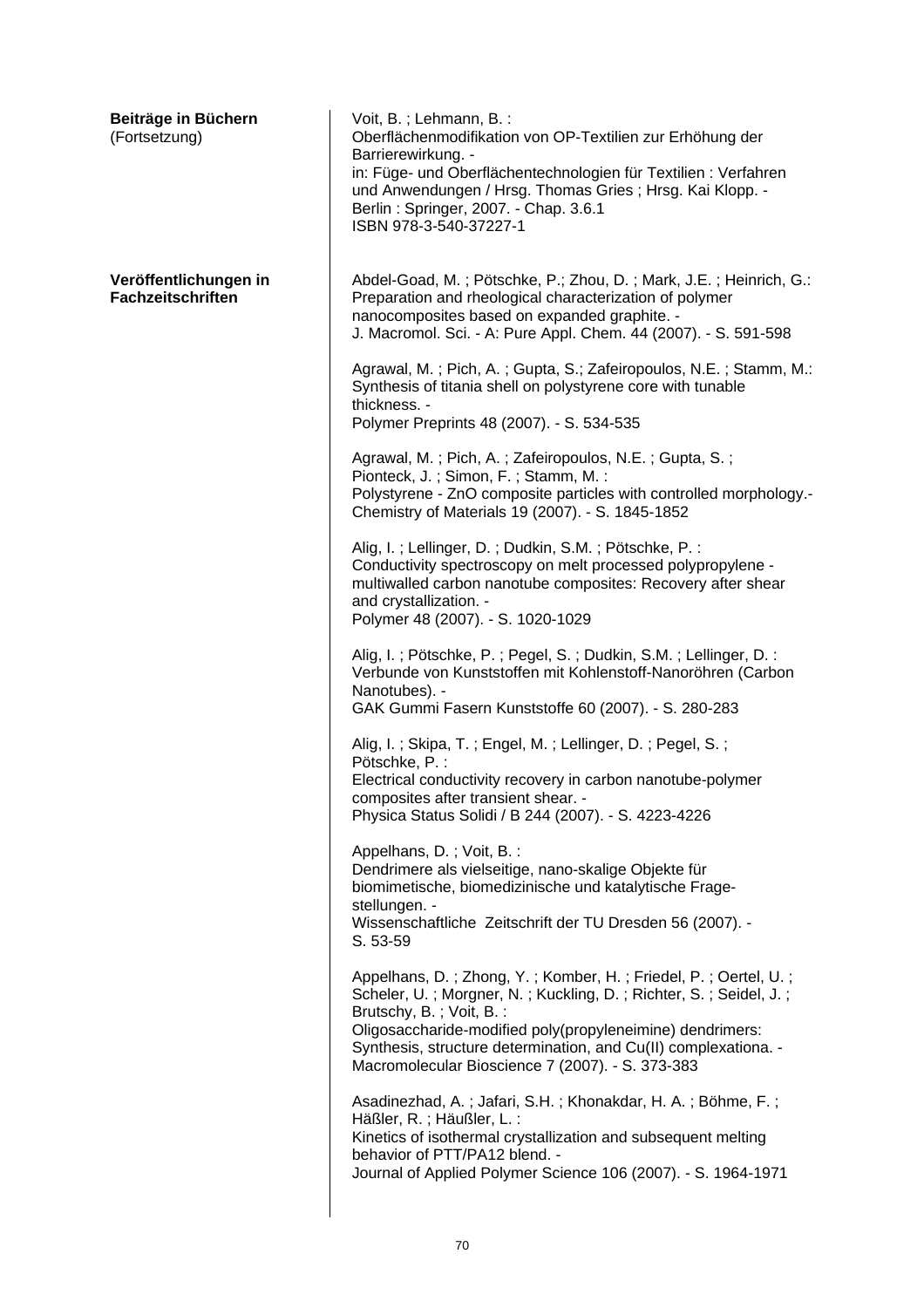| Beiträge in Büchern<br>(Fortsetzung)              | Voit, B.; Lehmann, B.:<br>Oberflächenmodifikation von OP-Textilien zur Erhöhung der<br>Barrierewirkung. -<br>in: Füge- und Oberflächentechnologien für Textilien : Verfahren<br>und Anwendungen / Hrsg. Thomas Gries; Hrsg. Kai Klopp. -<br>Berlin: Springer, 2007. - Chap. 3.6.1<br>ISBN 978-3-540-37227-1                                       |
|---------------------------------------------------|---------------------------------------------------------------------------------------------------------------------------------------------------------------------------------------------------------------------------------------------------------------------------------------------------------------------------------------------------|
| Veröffentlichungen in<br><b>Fachzeitschriften</b> | Abdel-Goad, M.; Pötschke, P.; Zhou, D.; Mark, J.E.; Heinrich, G.:<br>Preparation and rheological characterization of polymer<br>nanocomposites based on expanded graphite. -<br>J. Macromol. Sci. - A: Pure Appl. Chem. 44 (2007). - S. 591-598                                                                                                   |
|                                                   | Agrawal, M.; Pich, A.; Gupta, S.; Zafeiropoulos, N.E.; Stamm, M.:<br>Synthesis of titania shell on polystyrene core with tunable<br>thickness. -<br>Polymer Preprints 48 (2007). - S. 534-535                                                                                                                                                     |
|                                                   | Agrawal, M.; Pich, A.; Zafeiropoulos, N.E.; Gupta, S.;<br>Pionteck, J.; Simon, F.; Stamm, M.:<br>Polystyrene - ZnO composite particles with controlled morphology.-<br>Chemistry of Materials 19 (2007). - S. 1845-1852                                                                                                                           |
|                                                   | Alig, I.; Lellinger, D.; Dudkin, S.M.; Pötschke, P.:<br>Conductivity spectroscopy on melt processed polypropylene -<br>multiwalled carbon nanotube composites: Recovery after shear<br>and crystallization. -<br>Polymer 48 (2007). - S. 1020-1029                                                                                                |
|                                                   | Alig, I.; Pötschke, P.; Pegel, S.; Dudkin, S.M.; Lellinger, D.:<br>Verbunde von Kunststoffen mit Kohlenstoff-Nanoröhren (Carbon<br>Nanotubes). -<br>GAK Gummi Fasern Kunststoffe 60 (2007). - S. 280-283                                                                                                                                          |
|                                                   | Alig, I.; Skipa, T.; Engel, M.; Lellinger, D.; Pegel, S.;<br>Pötschke, P.:<br>Electrical conductivity recovery in carbon nanotube-polymer<br>composites after transient shear. -<br>Physica Status Solidi / B 244 (2007). - S. 4223-4226                                                                                                          |
|                                                   | Appelhans, D.; Voit, B.:<br>Dendrimere als vielseitige, nano-skalige Objekte für<br>biomimetische, biomedizinische und katalytische Frage-<br>stellungen. -<br>Wissenschaftliche Zeitschrift der TU Dresden 56 (2007). -<br>S. 53-59                                                                                                              |
|                                                   | Appelhans, D.; Zhong, Y.; Komber, H.; Friedel, P.; Oertel, U.;<br>Scheler, U.; Morgner, N.; Kuckling, D.; Richter, S.; Seidel, J.;<br>Brutschy, B.; Voit, B.:<br>Oligosaccharide-modified poly(propyleneimine) dendrimers:<br>Synthesis, structure determination, and Cu(II) complexationa. -<br>Macromolecular Bioscience 7 (2007). - S. 373-383 |
|                                                   | Asadinezhad, A.; Jafari, S.H.; Khonakdar, H. A.; Böhme, F.;<br>Häßler, R.; Häußler, L.:<br>Kinetics of isothermal crystallization and subsequent melting<br>behavior of PTT/PA12 blend. -<br>Journal of Applied Polymer Science 106 (2007). - S. 1964-1971                                                                                        |
|                                                   |                                                                                                                                                                                                                                                                                                                                                   |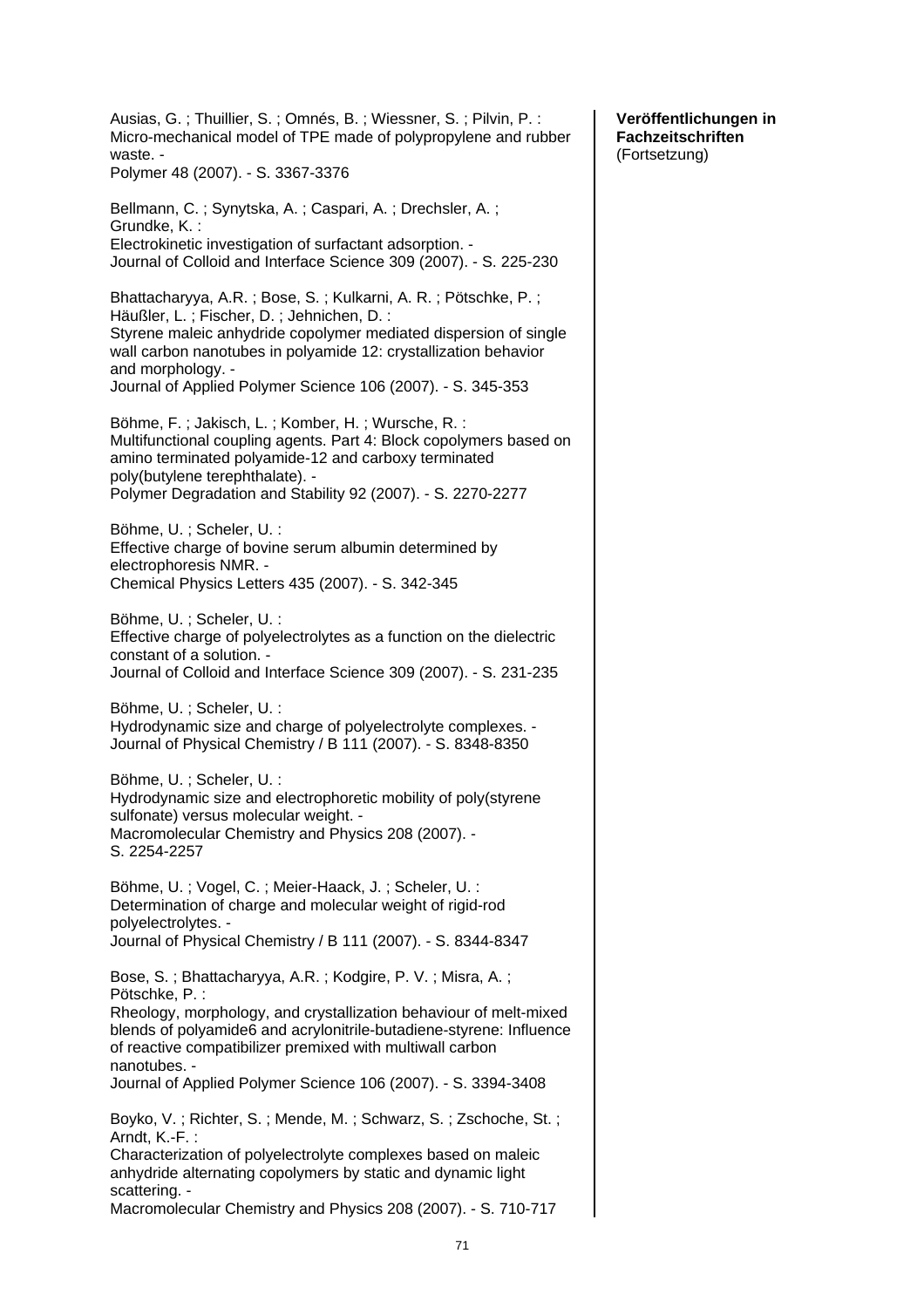Ausias, G. ; Thuillier, S. ; Omnés, B. ; Wiessner, S. ; Pilvin, P. : Micro-mechanical model of TPE made of polypropylene and rubber waste. - Polymer 48 (2007). - S. 3367-3376 Bellmann, C. ; Synytska, A. ; Caspari, A. ; Drechsler, A. ; Grundke, K. : Electrokinetic investigation of surfactant adsorption. - Journal of Colloid and Interface Science 309 (2007). - S. 225-230 Bhattacharyya, A.R. ; Bose, S. ; Kulkarni, A. R. ; Pötschke, P. ; Häußler, L. ; Fischer, D. ; Jehnichen, D. : Styrene maleic anhydride copolymer mediated dispersion of single wall carbon nanotubes in polyamide 12: crystallization behavior and morphology. - Journal of Applied Polymer Science 106 (2007). - S. 345-353 Böhme, F. ; Jakisch, L. ; Komber, H. ; Wursche, R. : Multifunctional coupling agents. Part 4: Block copolymers based on amino terminated polyamide-12 and carboxy terminated poly(butylene terephthalate). - Polymer Degradation and Stability 92 (2007). - S. 2270-2277 Böhme, U. ; Scheler, U. : Effective charge of bovine serum albumin determined by electrophoresis NMR. - Chemical Physics Letters 435 (2007). - S. 342-345 Böhme, U. ; Scheler, U. : Effective charge of polyelectrolytes as a function on the dielectric constant of a solution. - Journal of Colloid and Interface Science 309 (2007). - S. 231-235 Böhme, U. ; Scheler, U. : Hydrodynamic size and charge of polyelectrolyte complexes. - Journal of Physical Chemistry / B 111 (2007). - S. 8348-8350 Böhme, U. ; Scheler, U. : Hydrodynamic size and electrophoretic mobility of poly(styrene sulfonate) versus molecular weight. - Macromolecular Chemistry and Physics 208 (2007). - S. 2254-2257 Böhme, U. ; Vogel, C. ; Meier-Haack, J. ; Scheler, U. : Determination of charge and molecular weight of rigid-rod polyelectrolytes. - Journal of Physical Chemistry / B 111 (2007). - S. 8344-8347 Bose, S. ; Bhattacharyya, A.R. ; Kodgire, P. V. ; Misra, A. ; Pötschke, P. : Rheology, morphology, and crystallization behaviour of melt-mixed blends of polyamide6 and acrylonitrile-butadiene-styrene: Influence of reactive compatibilizer premixed with multiwall carbon nanotubes. - Journal of Applied Polymer Science 106 (2007). - S. 3394-3408 Boyko, V. ; Richter, S. ; Mende, M. ; Schwarz, S. ; Zschoche, St. ; Arndt, K.-F. : Characterization of polyelectrolyte complexes based on maleic anhydride alternating copolymers by static and dynamic light scattering. - Macromolecular Chemistry and Physics 208 (2007). - S. 710-717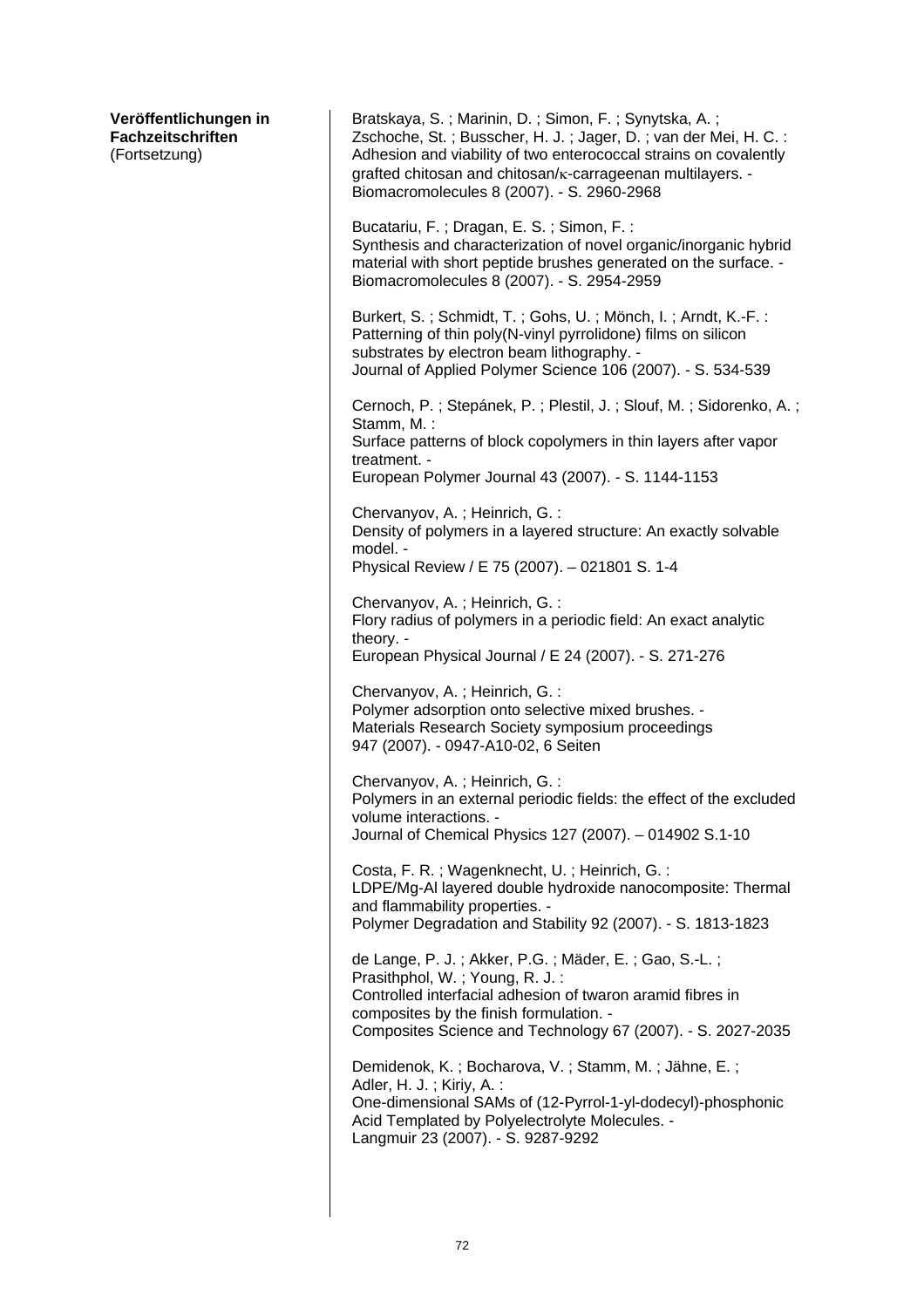| Veröffentlichungen in    |  |
|--------------------------|--|
| <b>Fachzeitschriften</b> |  |
| (Fortsetzung)            |  |

Bratskaya, S. ; Marinin, D. ; Simon, F. ; Synytska, A. ; Zschoche, St. ; Busscher, H. J. ; Jager, D. ; van der Mei, H. C. : Adhesion and viability of two enterococcal strains on covalently grafted chitosan and chitosan/κ-carrageenan multilayers. - Biomacromolecules 8 (2007). - S. 2960-2968 Bucatariu, F. ; Dragan, E. S. ; Simon, F. : Synthesis and characterization of novel organic/inorganic hybrid material with short peptide brushes generated on the surface. - Biomacromolecules 8 (2007). - S. 2954-2959 Burkert, S. ; Schmidt, T. ; Gohs, U. ; Mönch, I. ; Arndt, K.-F. : Patterning of thin poly(N-vinyl pyrrolidone) films on silicon substrates by electron beam lithography. - Journal of Applied Polymer Science 106 (2007). - S. 534-539 Cernoch, P. ; Stepánek, P. ; Plestil, J. ; Slouf, M. ; Sidorenko, A. ; Stamm, M. : Surface patterns of block copolymers in thin layers after vapor treatment. - European Polymer Journal 43 (2007). - S. 1144-1153 Chervanyov, A. ; Heinrich, G. : Density of polymers in a layered structure: An exactly solvable model. - Physical Review / E 75 (2007). – 021801 S. 1-4 Chervanyov, A. ; Heinrich, G. : Flory radius of polymers in a periodic field: An exact analytic theory. - European Physical Journal / E 24 (2007). - S. 271-276 Chervanyov, A. ; Heinrich, G. : Polymer adsorption onto selective mixed brushes. - Materials Research Society symposium proceedings 947 (2007). - 0947-A10-02, 6 Seiten Chervanyov, A. ; Heinrich, G. : Polymers in an external periodic fields: the effect of the excluded volume interactions. - Journal of Chemical Physics 127 (2007). – 014902 S.1-10 Costa, F. R. ; Wagenknecht, U. ; Heinrich, G. : LDPE/Mg-Al layered double hydroxide nanocomposite: Thermal and flammability properties. - Polymer Degradation and Stability 92 (2007). - S. 1813-1823 de Lange, P. J. ; Akker, P.G. ; Mäder, E. ; Gao, S.-L. ; Prasithphol, W. ; Young, R. J. : Controlled interfacial adhesion of twaron aramid fibres in composites by the finish formulation. - Composites Science and Technology 67 (2007). - S. 2027-2035 Demidenok, K. ; Bocharova, V. ; Stamm, M. ; Jähne, E. ; Adler, H. J. ; Kiriy, A. : One-dimensional SAMs of (12-Pyrrol-1-yl-dodecyl)-phosphonic Acid Templated by Polyelectrolyte Molecules. - Langmuir 23 (2007). - S. 9287-9292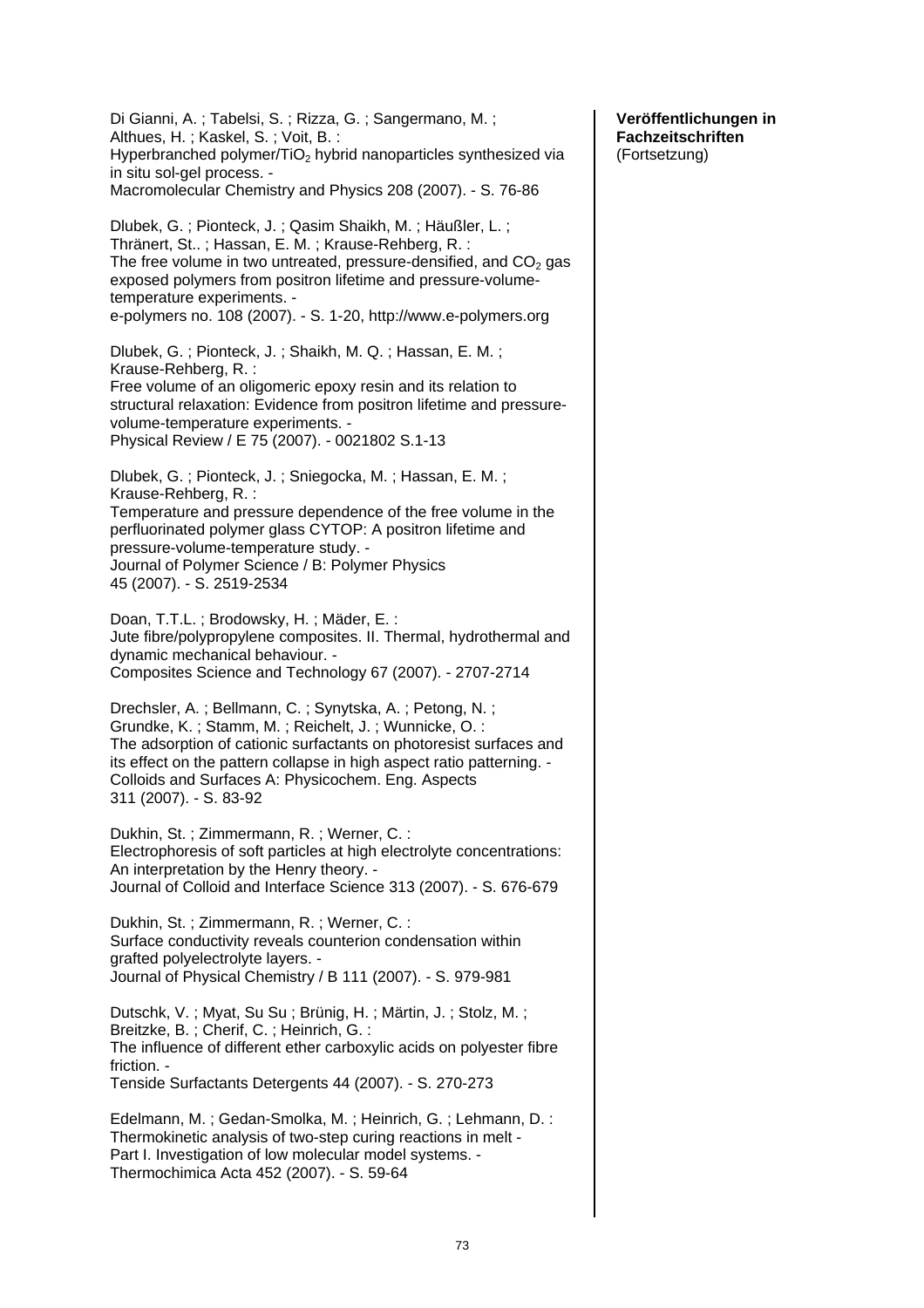Di Gianni, A. ; Tabelsi, S. ; Rizza, G. ; Sangermano, M. ; Althues, H. ; Kaskel, S. ; Voit, B. : Hyperbranched polymer/ $TiO<sub>2</sub>$  hybrid nanoparticles synthesized via in situ sol-gel process. - Macromolecular Chemistry and Physics 208 (2007). - S. 76-86 Dlubek, G. ; Pionteck, J. ; Qasim Shaikh, M. ; Häußler, L. ; Thränert, St.. ; Hassan, E. M. ; Krause-Rehberg, R. : The free volume in two untreated, pressure-densified, and  $CO<sub>2</sub>$  gas exposed polymers from positron lifetime and pressure-volumetemperature experiments. e-polymers no. 108 (2007). - S. 1-20, http://www.e-polymers.org Dlubek, G. ; Pionteck, J. ; Shaikh, M. Q. ; Hassan, E. M. ; Krause-Rehberg, R. : Free volume of an oligomeric epoxy resin and its relation to structural relaxation: Evidence from positron lifetime and pressurevolume-temperature experiments. - Physical Review / E 75 (2007). - 0021802 S.1-13 Dlubek, G. ; Pionteck, J. ; Sniegocka, M. ; Hassan, E. M. ; Krause-Rehberg, R. : Temperature and pressure dependence of the free volume in the perfluorinated polymer glass CYTOP: A positron lifetime and pressure-volume-temperature study. - Journal of Polymer Science / B: Polymer Physics 45 (2007). - S. 2519-2534 Doan, T.T.L. ; Brodowsky, H. ; Mäder, E. : Jute fibre/polypropylene composites. II. Thermal, hydrothermal and dynamic mechanical behaviour. - Composites Science and Technology 67 (2007). - 2707-2714 Drechsler, A. ; Bellmann, C. ; Synytska, A. ; Petong, N. ; Grundke, K. ; Stamm, M. ; Reichelt, J. ; Wunnicke, O. : The adsorption of cationic surfactants on photoresist surfaces and its effect on the pattern collapse in high aspect ratio patterning. - Colloids and Surfaces A: Physicochem. Eng. Aspects 311 (2007). - S. 83-92 Dukhin, St. ; Zimmermann, R. ; Werner, C. : Electrophoresis of soft particles at high electrolyte concentrations: An interpretation by the Henry theory. - Journal of Colloid and Interface Science 313 (2007). - S. 676-679 Dukhin, St. ; Zimmermann, R. ; Werner, C. : Surface conductivity reveals counterion condensation within grafted polyelectrolyte layers. - Journal of Physical Chemistry / B 111 (2007). - S. 979-981 Dutschk, V. ; Myat, Su Su ; Brünig, H. ; Märtin, J. ; Stolz, M. ; Breitzke, B. ; Cherif, C. ; Heinrich, G. : The influence of different ether carboxylic acids on polyester fibre friction. - Tenside Surfactants Detergents 44 (2007). - S. 270-273 Edelmann, M. ; Gedan-Smolka, M. ; Heinrich, G. ; Lehmann, D. : Thermokinetic analysis of two-step curing reactions in melt - Part I. Investigation of low molecular model systems. - Thermochimica Acta 452 (2007). - S. 59-64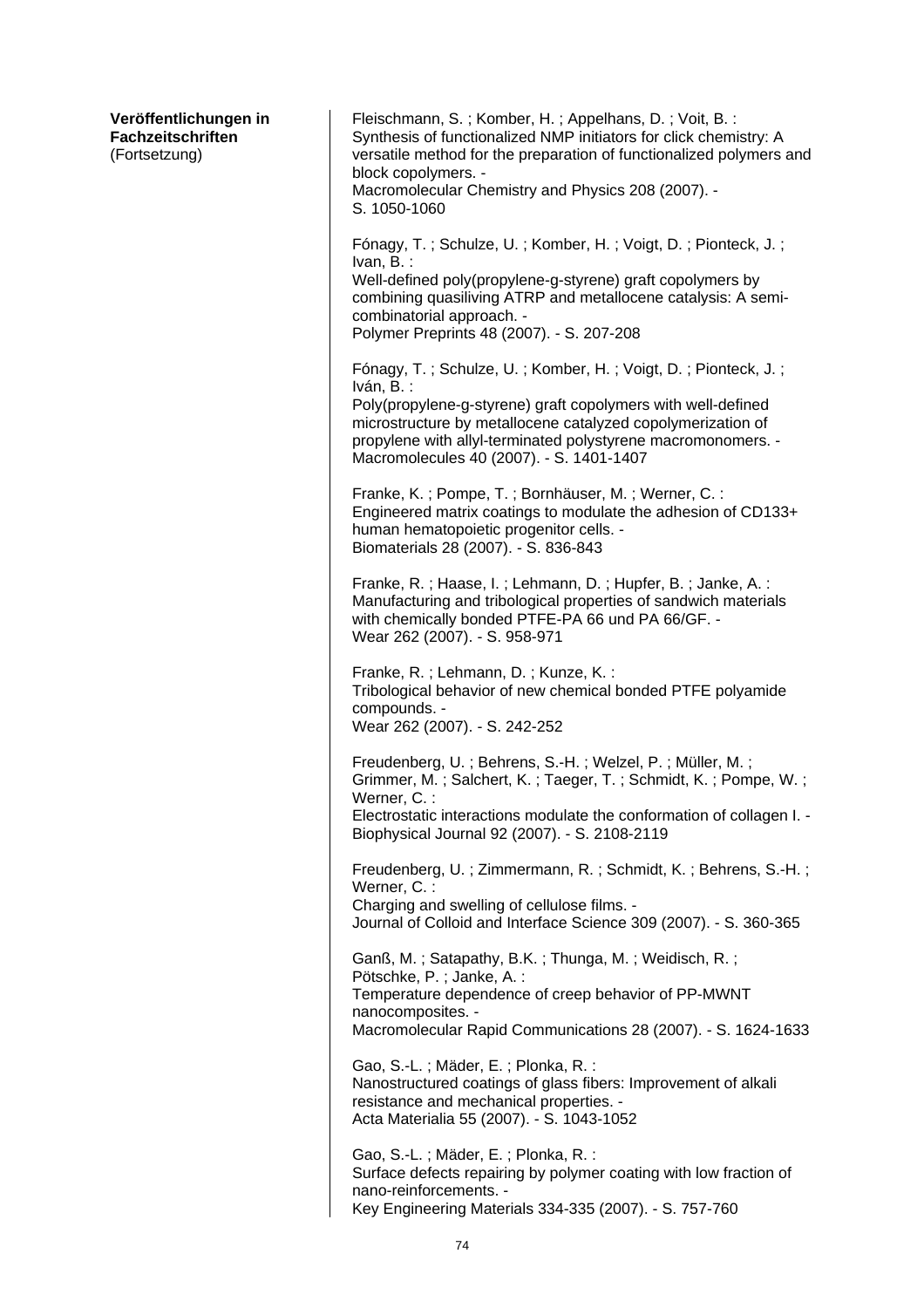| Veröffentlichungen in<br>Fachzeitschriften<br>(Fortsetzung) | Fleischmann, S.; Komber, H.; Appelhans, D.; Voit, B.:<br>Synthesis of functionalized NMP initiators for click chemistry: A<br>versatile method for the preparation of functionalized polymers and<br>block copolymers. -<br>Macromolecular Chemistry and Physics 208 (2007). -<br>S. 1050-1060                        |
|-------------------------------------------------------------|-----------------------------------------------------------------------------------------------------------------------------------------------------------------------------------------------------------------------------------------------------------------------------------------------------------------------|
|                                                             | Fónagy, T.; Schulze, U.; Komber, H.; Voigt, D.; Pionteck, J.;<br>Ivan, B. :<br>Well-defined poly(propylene-g-styrene) graft copolymers by<br>combining quasiliving ATRP and metallocene catalysis: A semi-<br>combinatorial approach. -<br>Polymer Preprints 48 (2007). - S. 207-208                                  |
|                                                             | Fónagy, T.; Schulze, U.; Komber, H.; Voigt, D.; Pionteck, J.;<br>Iván, B.:<br>Poly(propylene-g-styrene) graft copolymers with well-defined<br>microstructure by metallocene catalyzed copolymerization of<br>propylene with allyl-terminated polystyrene macromonomers. -<br>Macromolecules 40 (2007). - S. 1401-1407 |
|                                                             | Franke, K.; Pompe, T.; Bornhäuser, M.; Werner, C.:<br>Engineered matrix coatings to modulate the adhesion of CD133+<br>human hematopoietic progenitor cells. -<br>Biomaterials 28 (2007). - S. 836-843                                                                                                                |
|                                                             | Franke, R.; Haase, I.; Lehmann, D.; Hupfer, B.; Janke, A.:<br>Manufacturing and tribological properties of sandwich materials<br>with chemically bonded PTFE-PA 66 und PA 66/GF. -<br>Wear 262 (2007). - S. 958-971                                                                                                   |
|                                                             | Franke, R.; Lehmann, D.; Kunze, K.:<br>Tribological behavior of new chemical bonded PTFE polyamide<br>compounds. -<br>Wear 262 (2007). - S. 242-252                                                                                                                                                                   |
|                                                             | Freudenberg, U.; Behrens, S.-H.; Welzel, P.; Müller, M.;<br>Grimmer, M.; Salchert, K.; Taeger, T.; Schmidt, K.; Pompe, W.;<br>Werner, C.:<br>Electrostatic interactions modulate the conformation of collagen I. -<br>Biophysical Journal 92 (2007). - S. 2108-2119                                                   |
|                                                             | Freudenberg, U.; Zimmermann, R.; Schmidt, K.; Behrens, S.-H.;<br>Werner, C.:<br>Charging and swelling of cellulose films. -<br>Journal of Colloid and Interface Science 309 (2007). - S. 360-365                                                                                                                      |
|                                                             | Ganß, M.; Satapathy, B.K.; Thunga, M.; Weidisch, R.;<br>Pötschke, P.; Janke, A.:<br>Temperature dependence of creep behavior of PP-MWNT<br>nanocomposites. -<br>Macromolecular Rapid Communications 28 (2007). - S. 1624-1633                                                                                         |
|                                                             | Gao, S.-L.; Mäder, E.; Plonka, R.:<br>Nanostructured coatings of glass fibers: Improvement of alkali<br>resistance and mechanical properties. -<br>Acta Materialia 55 (2007). - S. 1043-1052                                                                                                                          |
|                                                             | Gao, S.-L.; Mäder, E.; Plonka, R.:<br>Surface defects repairing by polymer coating with low fraction of<br>nano-reinforcements. -<br>Key Engineering Materials 334-335 (2007). - S. 757-760                                                                                                                           |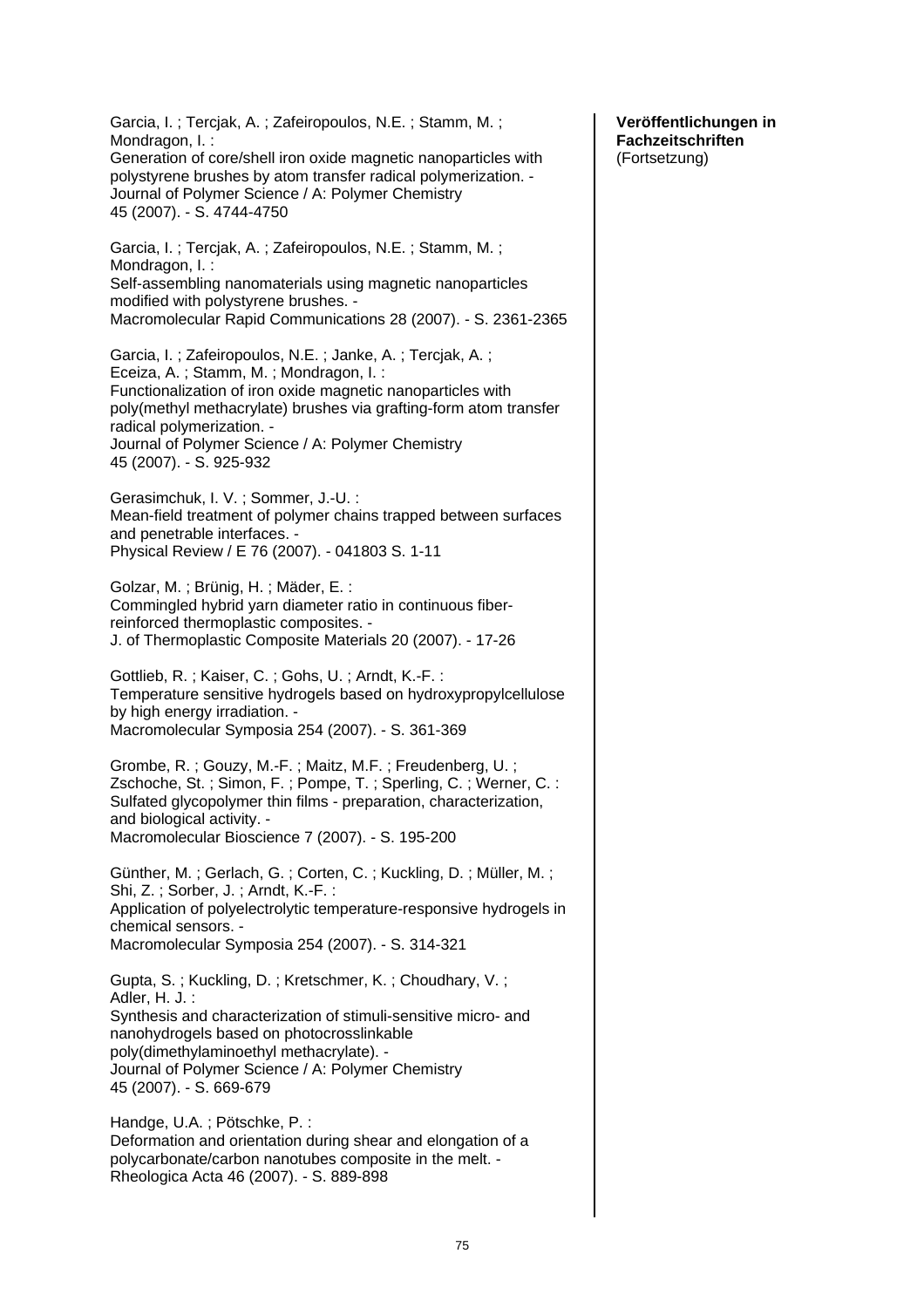Garcia, I. ; Tercjak, A. ; Zafeiropoulos, N.E. ; Stamm, M. ; Mondragon, I. : Generation of core/shell iron oxide magnetic nanoparticles with polystyrene brushes by atom transfer radical polymerization. - Journal of Polymer Science / A: Polymer Chemistry 45 (2007). - S. 4744-4750 Garcia, I. ; Tercjak, A. ; Zafeiropoulos, N.E. ; Stamm, M. ; Mondragon, I. : Self-assembling nanomaterials using magnetic nanoparticles modified with polystyrene brushes. - Macromolecular Rapid Communications 28 (2007). - S. 2361-2365 Garcia, I. ; Zafeiropoulos, N.E. ; Janke, A. ; Tercjak, A. ; Eceiza, A. ; Stamm, M. ; Mondragon, I. : Functionalization of iron oxide magnetic nanoparticles with poly(methyl methacrylate) brushes via grafting-form atom transfer radical polymerization. - Journal of Polymer Science / A: Polymer Chemistry 45 (2007). - S. 925-932 Gerasimchuk, I. V. ; Sommer, J.-U. : Mean-field treatment of polymer chains trapped between surfaces and penetrable interfaces. - Physical Review / E 76 (2007). - 041803 S. 1-11 Golzar, M. ; Brünig, H. ; Mäder, E. : Commingled hybrid yarn diameter ratio in continuous fiberreinforced thermoplastic composites. - J. of Thermoplastic Composite Materials 20 (2007). - 17-26 Gottlieb, R. ; Kaiser, C. ; Gohs, U. ; Arndt, K.-F. : Temperature sensitive hydrogels based on hydroxypropylcellulose by high energy irradiation. - Macromolecular Symposia 254 (2007). - S. 361-369 Grombe, R. ; Gouzy, M.-F. ; Maitz, M.F. ; Freudenberg, U. ; Zschoche, St. ; Simon, F. ; Pompe, T. ; Sperling, C. ; Werner, C. : Sulfated glycopolymer thin films - preparation, characterization, and biological activity. - Macromolecular Bioscience 7 (2007). - S. 195-200 Günther, M. ; Gerlach, G. ; Corten, C. ; Kuckling, D. ; Müller, M. ; Shi, Z. ; Sorber, J. ; Arndt, K.-F. : Application of polyelectrolytic temperature-responsive hydrogels in chemical sensors. - Macromolecular Symposia 254 (2007). - S. 314-321 Gupta, S. ; Kuckling, D. ; Kretschmer, K. ; Choudhary, V. ; Adler, H. J. : Synthesis and characterization of stimuli-sensitive micro- and nanohydrogels based on photocrosslinkable poly(dimethylaminoethyl methacrylate). - Journal of Polymer Science / A: Polymer Chemistry 45 (2007). - S. 669-679 Handge, U.A. ; Pötschke, P. : Deformation and orientation during shear and elongation of a polycarbonate/carbon nanotubes composite in the melt. - Rheologica Acta 46 (2007). - S. 889-898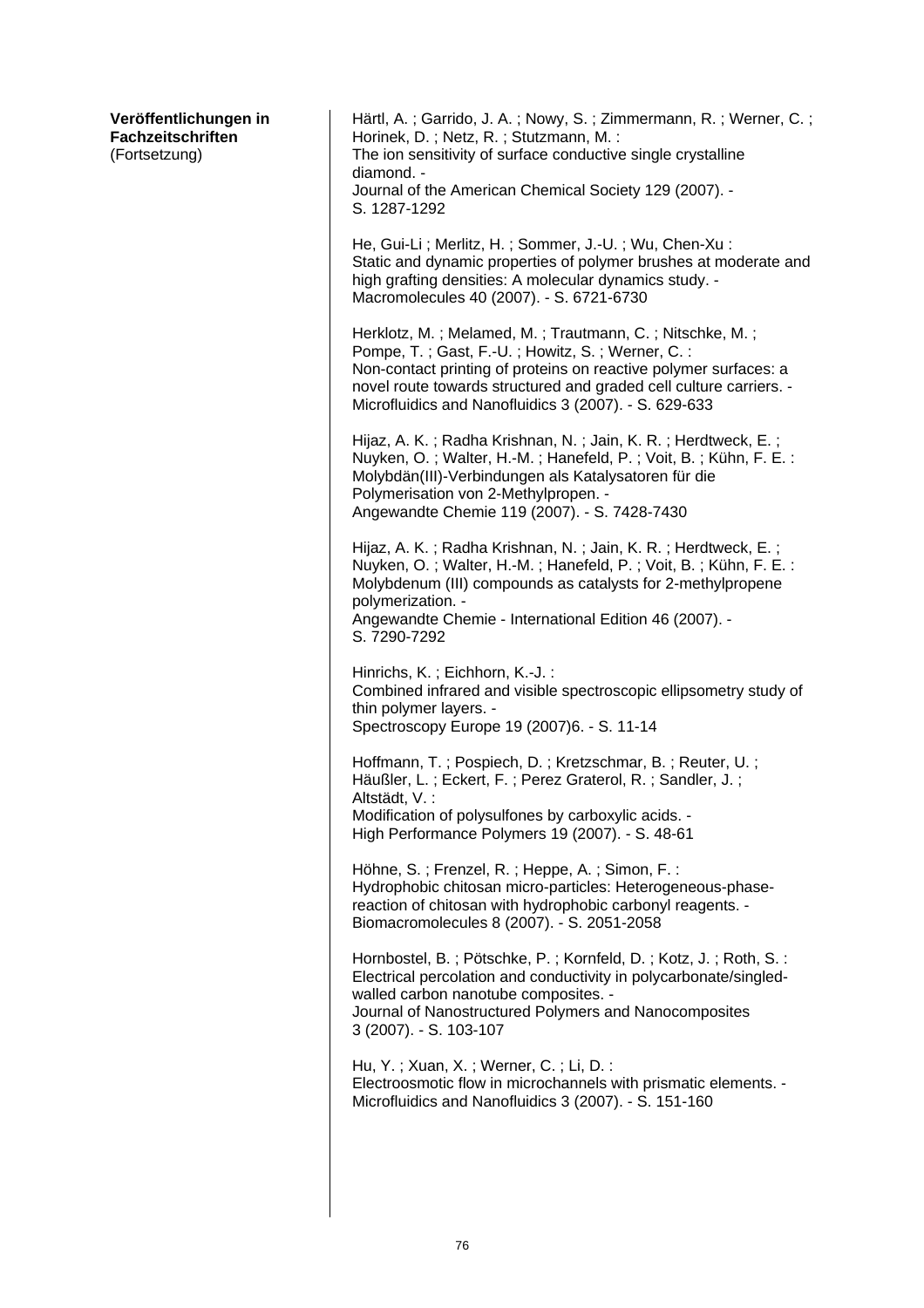| Veröffentlichungen in<br>Fachzeitschriften<br>(Fortsetzung) | Härtl, A.; Garrido, J. A.; Nowy, S.; Zimmermann, R.; Werner, C.;<br>Horinek, D.; Netz, R.; Stutzmann, M.:<br>The ion sensitivity of surface conductive single crystalline<br>diamond. -<br>Journal of the American Chemical Society 129 (2007). -<br>S. 1287-1292                                             |
|-------------------------------------------------------------|---------------------------------------------------------------------------------------------------------------------------------------------------------------------------------------------------------------------------------------------------------------------------------------------------------------|
|                                                             | He, Gui-Li; Merlitz, H.; Sommer, J.-U.; Wu, Chen-Xu:<br>Static and dynamic properties of polymer brushes at moderate and<br>high grafting densities: A molecular dynamics study. -<br>Macromolecules 40 (2007). - S. 6721-6730                                                                                |
|                                                             | Herklotz, M.; Melamed, M.; Trautmann, C.; Nitschke, M.;<br>Pompe, T.; Gast, F.-U.; Howitz, S.; Werner, C.:<br>Non-contact printing of proteins on reactive polymer surfaces: a<br>novel route towards structured and graded cell culture carriers. -<br>Microfluidics and Nanofluidics 3 (2007). - S. 629-633 |
|                                                             | Hijaz, A. K.; Radha Krishnan, N.; Jain, K. R.; Herdtweck, E.;<br>Nuyken, O.; Walter, H.-M.; Hanefeld, P.; Voit, B.; Kühn, F. E.:<br>Molybdän(III)-Verbindungen als Katalysatoren für die<br>Polymerisation von 2-Methylpropen. -<br>Angewandte Chemie 119 (2007). - S. 7428-7430                              |
|                                                             | Hijaz, A. K.; Radha Krishnan, N.; Jain, K. R.; Herdtweck, E.;<br>Nuyken, O.; Walter, H.-M.; Hanefeld, P.; Voit, B.; Kühn, F. E.:<br>Molybdenum (III) compounds as catalysts for 2-methylpropene<br>polymerization. -<br>Angewandte Chemie - International Edition 46 (2007). -<br>S. 7290-7292                |
|                                                             | Hinrichs, K.; Eichhorn, K.-J.:<br>Combined infrared and visible spectroscopic ellipsometry study of<br>thin polymer layers. -<br>Spectroscopy Europe 19 (2007)6. - S. 11-14                                                                                                                                   |
|                                                             | Hoffmann, T.; Pospiech, D.; Kretzschmar, B.; Reuter, U.;<br>Häußler, L.; Eckert, F.; Perez Graterol, R.; Sandler, J.;<br>Altstädt, V.:<br>Modification of polysulfones by carboxylic acids. -<br>High Performance Polymers 19 (2007). - S. 48-61                                                              |
|                                                             | Höhne, S.; Frenzel, R.; Heppe, A.; Simon, F.:<br>Hydrophobic chitosan micro-particles: Heterogeneous-phase-<br>reaction of chitosan with hydrophobic carbonyl reagents. -<br>Biomacromolecules 8 (2007). - S. 2051-2058                                                                                       |
|                                                             | Hornbostel, B.; Pötschke, P.; Kornfeld, D.; Kotz, J.; Roth, S.:<br>Electrical percolation and conductivity in polycarbonate/singled-<br>walled carbon nanotube composites. -<br>Journal of Nanostructured Polymers and Nanocomposites<br>3 (2007). - S. 103-107                                               |
|                                                             | Hu, Y.; Xuan, X.; Werner, C.; Li, D.:<br>Electroosmotic flow in microchannels with prismatic elements. -<br>Microfluidics and Nanofluidics 3 (2007). - S. 151-160                                                                                                                                             |
|                                                             |                                                                                                                                                                                                                                                                                                               |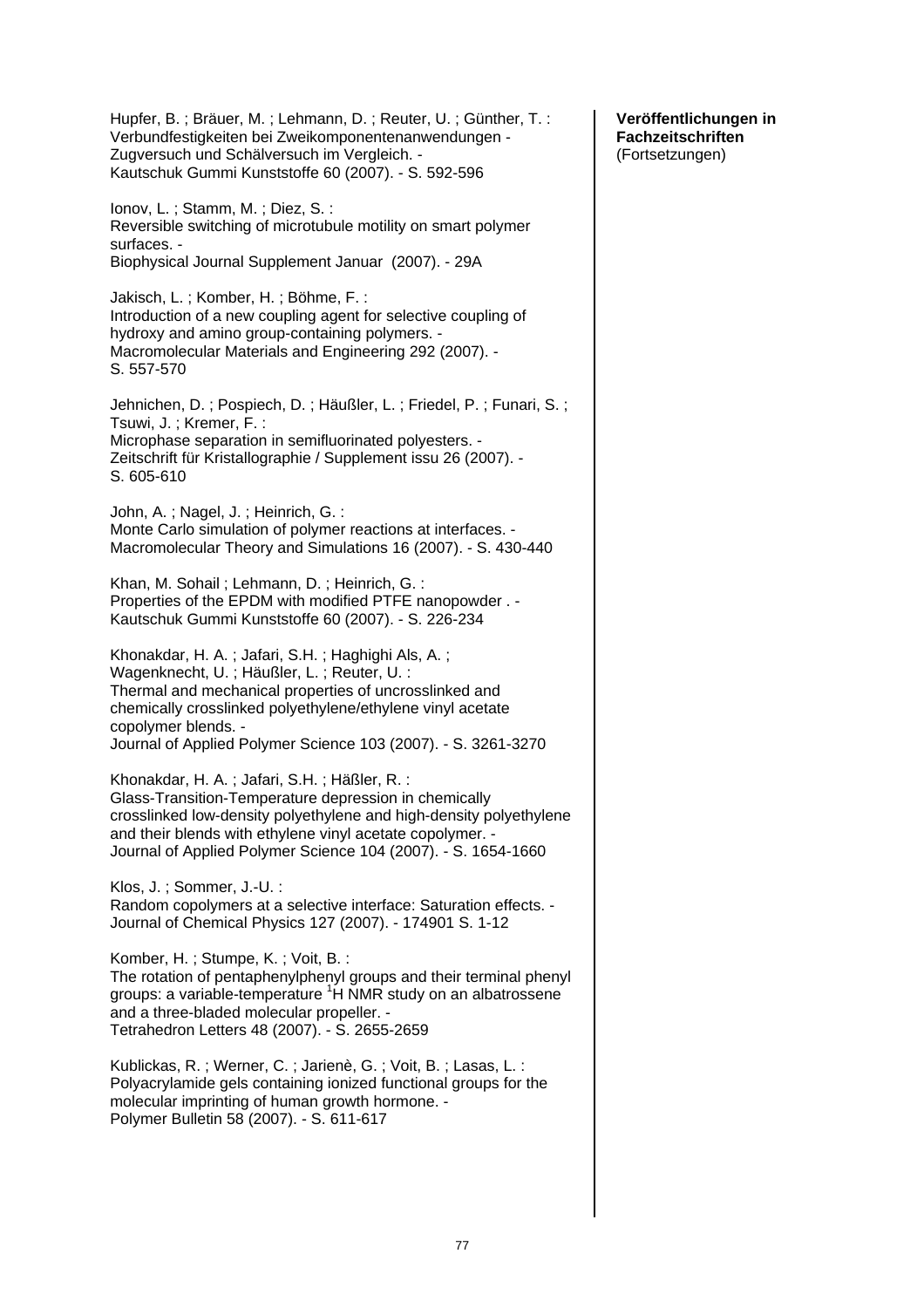Hupfer, B. ; Bräuer, M. ; Lehmann, D. ; Reuter, U. ; Günther, T. : Verbundfestigkeiten bei Zweikomponentenanwendungen - Zugversuch und Schälversuch im Vergleich. - Kautschuk Gummi Kunststoffe 60 (2007). - S. 592-596 Ionov, L. ; Stamm, M. ; Diez, S. : Reversible switching of microtubule motility on smart polymer surfaces. - Biophysical Journal Supplement Januar (2007). - 29A Jakisch, L. ; Komber, H. ; Böhme, F. : Introduction of a new coupling agent for selective coupling of hydroxy and amino group-containing polymers. - Macromolecular Materials and Engineering 292 (2007). - S. 557-570 Jehnichen, D. ; Pospiech, D. ; Häußler, L. ; Friedel, P. ; Funari, S. ; Tsuwi, J. ; Kremer, F. : Microphase separation in semifluorinated polyesters. - Zeitschrift für Kristallographie / Supplement issu 26 (2007). - S. 605-610 John, A. ; Nagel, J. ; Heinrich, G. : Monte Carlo simulation of polymer reactions at interfaces. - Macromolecular Theory and Simulations 16 (2007). - S. 430-440 Khan, M. Sohail ; Lehmann, D. ; Heinrich, G. : Properties of the EPDM with modified PTFE nanopowder . - Kautschuk Gummi Kunststoffe 60 (2007). - S. 226-234 Khonakdar, H. A. ; Jafari, S.H. ; Haghighi Als, A. ; Wagenknecht, U. ; Häußler, L. ; Reuter, U. : Thermal and mechanical properties of uncrosslinked and chemically crosslinked polyethylene/ethylene vinyl acetate copolymer blends. - Journal of Applied Polymer Science 103 (2007). - S. 3261-3270 Khonakdar, H. A. ; Jafari, S.H. ; Häßler, R. : Glass-Transition-Temperature depression in chemically crosslinked low-density polyethylene and high-density polyethylene and their blends with ethylene vinyl acetate copolymer. - Journal of Applied Polymer Science 104 (2007). - S. 1654-1660 Klos, J. ; Sommer, J.-U. : Random copolymers at a selective interface: Saturation effects. - Journal of Chemical Physics 127 (2007). - 174901 S. 1-12 Komber, H. ; Stumpe, K. ; Voit, B. : The rotation of pentaphenylphenyl groups and their terminal phenyl groups: a variable-temperature <sup>1</sup>H NMR study on an albatrossene and a three-bladed molecular propeller. - Tetrahedron Letters 48 (2007). - S. 2655-2659 Kublickas, R. ; Werner, C. ; Jarienè, G. ; Voit, B. ; Lasas, L. : Polyacrylamide gels containing ionized functional groups for the molecular imprinting of human growth hormone. - Polymer Bulletin 58 (2007). - S. 611-617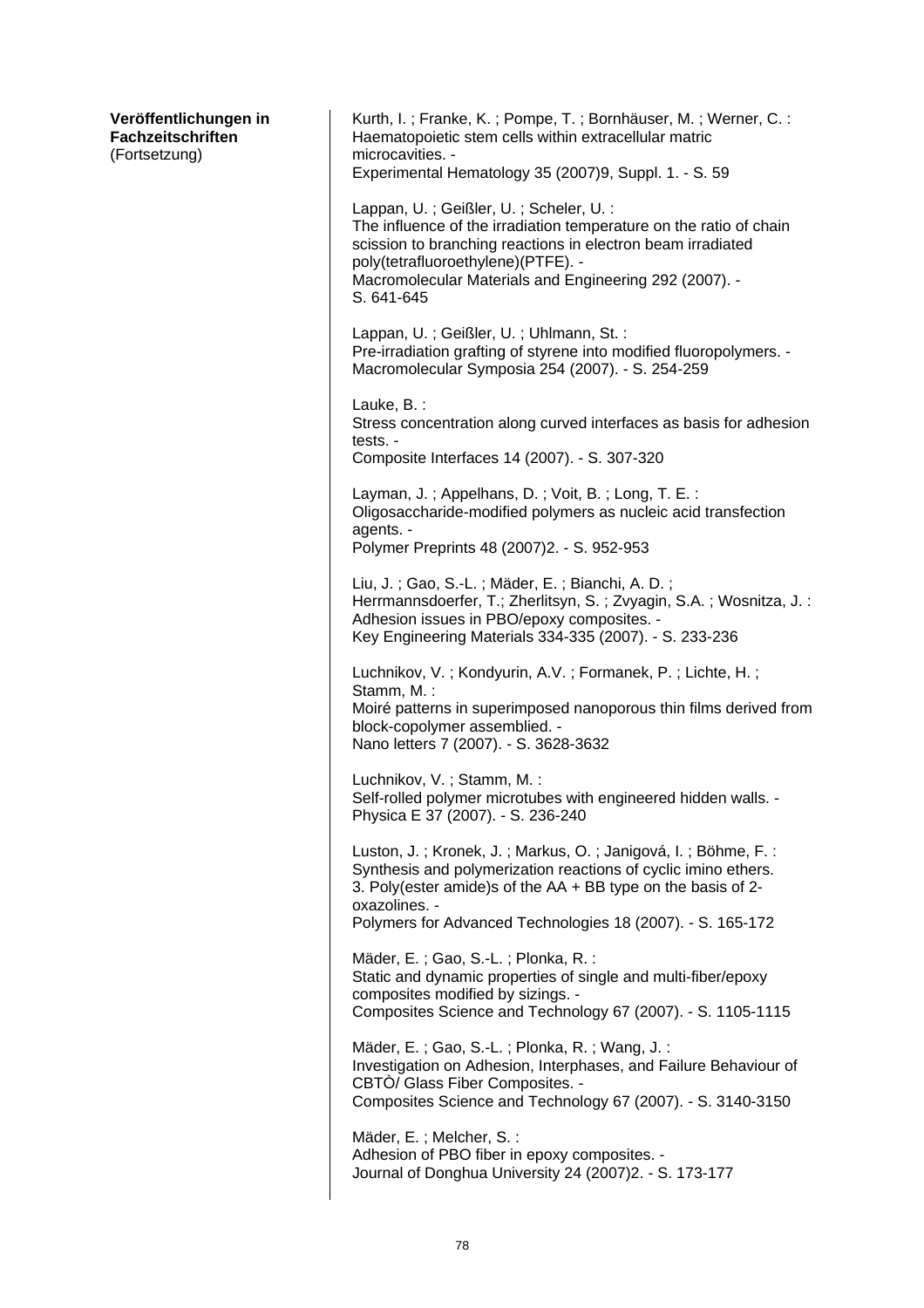| Veröffentlichungen in<br>Fachzeitschriften<br>(Fortsetzung) | Kurth, I.; Franke, K.; Pompe, T.; Bornhäuser, M.; Werner, C.:<br>Haematopoietic stem cells within extracellular matric<br>microcavities. -                                                                                                                                               |
|-------------------------------------------------------------|------------------------------------------------------------------------------------------------------------------------------------------------------------------------------------------------------------------------------------------------------------------------------------------|
|                                                             | Experimental Hematology 35 (2007)9, Suppl. 1. - S. 59                                                                                                                                                                                                                                    |
|                                                             | Lappan, U.; Geißler, U.; Scheler, U.:<br>The influence of the irradiation temperature on the ratio of chain<br>scission to branching reactions in electron beam irradiated<br>poly(tetrafluoroethylene)(PTFE). -<br>Macromolecular Materials and Engineering 292 (2007). -<br>S. 641-645 |
|                                                             | Lappan, U.; Geißler, U.; Uhlmann, St.:<br>Pre-irradiation grafting of styrene into modified fluoropolymers. -<br>Macromolecular Symposia 254 (2007). - S. 254-259                                                                                                                        |
|                                                             | Lauke, B.:<br>Stress concentration along curved interfaces as basis for adhesion<br>tests. -<br>Composite Interfaces 14 (2007). - S. 307-320                                                                                                                                             |
|                                                             | Layman, J.; Appelhans, D.; Voit, B.; Long, T. E.:<br>Oligosaccharide-modified polymers as nucleic acid transfection<br>agents. -<br>Polymer Preprints 48 (2007) 2. - S. 952-953                                                                                                          |
|                                                             | Liu, J.; Gao, S.-L.; Mäder, E.; Bianchi, A. D.;<br>Herrmannsdoerfer, T.; Zherlitsyn, S.; Zvyagin, S.A.; Wosnitza, J.:<br>Adhesion issues in PBO/epoxy composites. -<br>Key Engineering Materials 334-335 (2007). - S. 233-236                                                            |
|                                                             | Luchnikov, V.; Kondyurin, A.V.; Formanek, P.; Lichte, H.;<br>Stamm, M. :<br>Moiré patterns in superimposed nanoporous thin films derived from<br>block-copolymer assemblied. -<br>Nano letters 7 (2007). - S. 3628-3632                                                                  |
|                                                             | Luchnikov, V.; Stamm, M.:<br>Self-rolled polymer microtubes with engineered hidden walls. -<br>Physica E 37 (2007). - S. 236-240                                                                                                                                                         |
|                                                             | Luston, J.; Kronek, J.; Markus, O.; Janigová, I.; Böhme, F.:<br>Synthesis and polymerization reactions of cyclic imino ethers.<br>3. Poly(ester amide)s of the AA + BB type on the basis of 2-<br>oxazolines. -                                                                          |
|                                                             | Polymers for Advanced Technologies 18 (2007). - S. 165-172                                                                                                                                                                                                                               |
|                                                             | Mäder, E.; Gao, S.-L.; Plonka, R.:<br>Static and dynamic properties of single and multi-fiber/epoxy<br>composites modified by sizings. -<br>Composites Science and Technology 67 (2007). - S. 1105-1115                                                                                  |
|                                                             | Mäder, E.; Gao, S.-L.; Plonka, R.; Wang, J.:<br>Investigation on Adhesion, Interphases, and Failure Behaviour of<br>CBTO/ Glass Fiber Composites. -<br>Composites Science and Technology 67 (2007). - S. 3140-3150                                                                       |
|                                                             | Mäder, E.; Melcher, S.:<br>Adhesion of PBO fiber in epoxy composites. -<br>Journal of Donghua University 24 (2007) 2. - S. 173-177                                                                                                                                                       |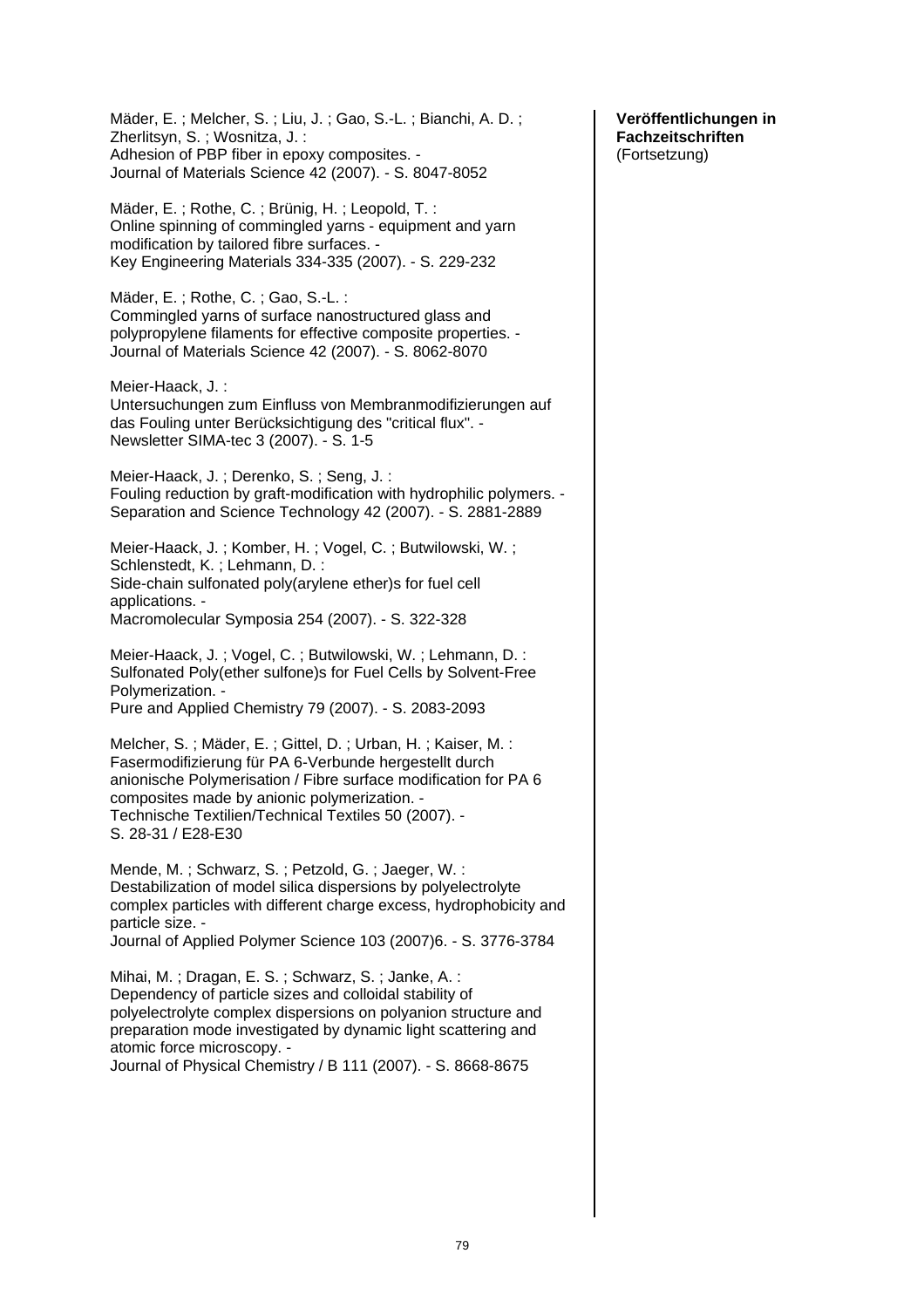Mäder, E. ; Melcher, S. ; Liu, J. ; Gao, S.-L. ; Bianchi, A. D. ; Zherlitsyn, S. ; Wosnitza, J. : Adhesion of PBP fiber in epoxy composites. - Journal of Materials Science 42 (2007). - S. 8047-8052 Mäder, E. ; Rothe, C. ; Brünig, H. ; Leopold, T. : Online spinning of commingled yarns - equipment and yarn modification by tailored fibre surfaces. - Key Engineering Materials 334-335 (2007). - S. 229-232 Mäder, E. ; Rothe, C. ; Gao, S.-L. : Commingled yarns of surface nanostructured glass and polypropylene filaments for effective composite properties. - Journal of Materials Science 42 (2007). - S. 8062-8070 Meier-Haack, J. : Untersuchungen zum Einfluss von Membranmodifizierungen auf das Fouling unter Berücksichtigung des "critical flux". - Newsletter SIMA-tec 3 (2007). - S. 1-5 Meier-Haack, J. ; Derenko, S. ; Seng, J. : Fouling reduction by graft-modification with hydrophilic polymers. - Separation and Science Technology 42 (2007). - S. 2881-2889 Meier-Haack, J. ; Komber, H. ; Vogel, C. ; Butwilowski, W. ; Schlenstedt, K. ; Lehmann, D. : Side-chain sulfonated poly(arylene ether)s for fuel cell applications. - Macromolecular Symposia 254 (2007). - S. 322-328 Meier-Haack, J. ; Vogel, C. ; Butwilowski, W. ; Lehmann, D. : Sulfonated Poly(ether sulfone)s for Fuel Cells by Solvent-Free Polymerization. - Pure and Applied Chemistry 79 (2007). - S. 2083-2093 Melcher, S. ; Mäder, E. ; Gittel, D. ; Urban, H. ; Kaiser, M. : Fasermodifizierung für PA 6-Verbunde hergestellt durch anionische Polymerisation / Fibre surface modification for PA 6 composites made by anionic polymerization. - Technische Textilien/Technical Textiles 50 (2007). - S. 28-31 / E28-E30 Mende, M. ; Schwarz, S. ; Petzold, G. ; Jaeger, W. : Destabilization of model silica dispersions by polyelectrolyte complex particles with different charge excess, hydrophobicity and particle size. - Journal of Applied Polymer Science 103 (2007)6. - S. 3776-3784 Mihai, M. ; Dragan, E. S. ; Schwarz, S. ; Janke, A. : Dependency of particle sizes and colloidal stability of polyelectrolyte complex dispersions on polyanion structure and preparation mode investigated by dynamic light scattering and atomic force microscopy. - Journal of Physical Chemistry / B 111 (2007). - S. 8668-8675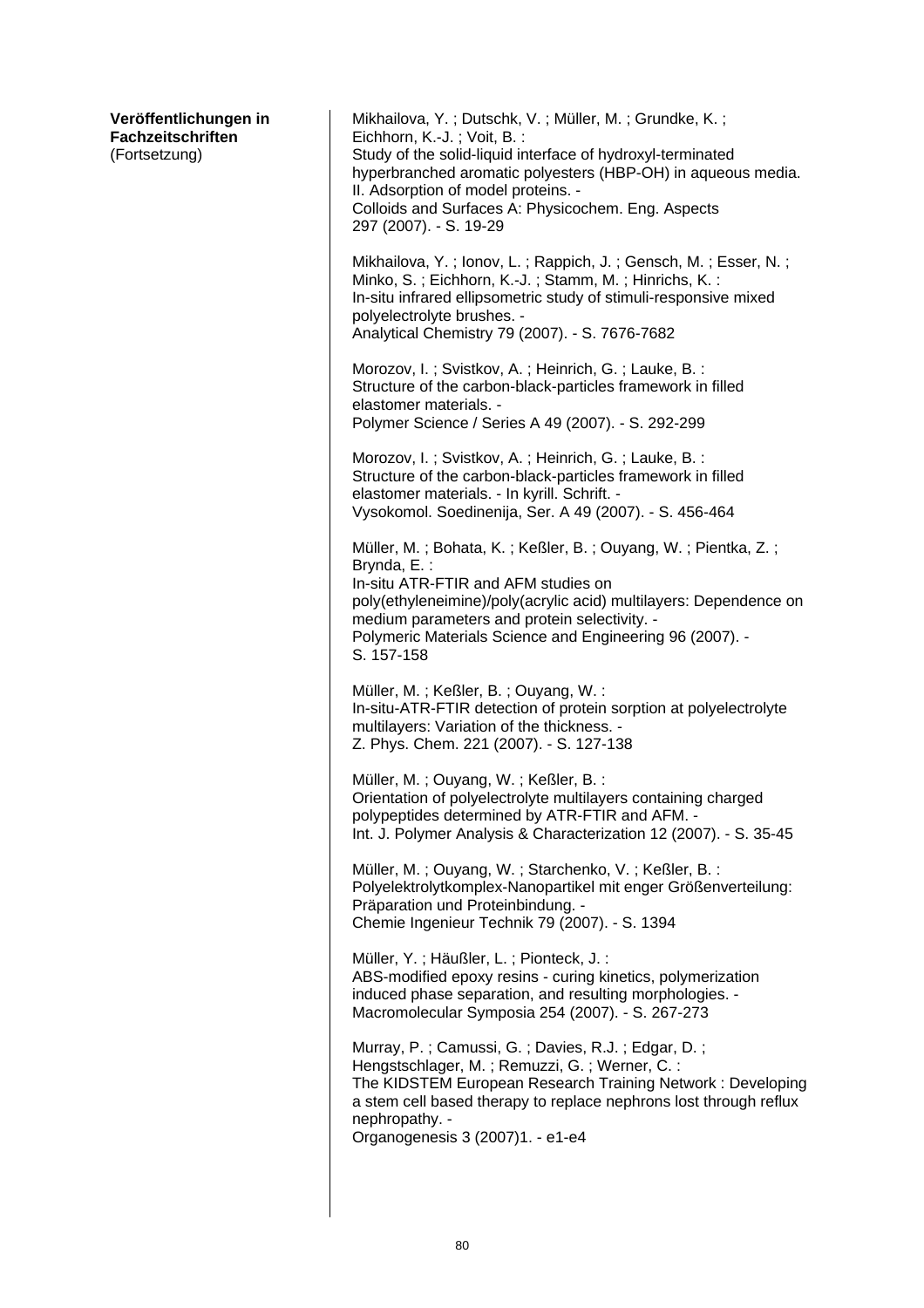| Veröffentlichungen in<br><b>Fachzeitschriften</b><br>(Fortsetzung) | Mikhailova, Y.; Dutschk, V.; Müller, M.; Grundke, K.;<br>Eichhorn, K.-J.; Voit, B.:<br>Study of the solid-liquid interface of hydroxyl-terminated<br>hyperbranched aromatic polyesters (HBP-OH) in aqueous media.<br>II. Adsorption of model proteins. -<br>Colloids and Surfaces A: Physicochem. Eng. Aspects<br>297 (2007). - S. 19-29 |
|--------------------------------------------------------------------|------------------------------------------------------------------------------------------------------------------------------------------------------------------------------------------------------------------------------------------------------------------------------------------------------------------------------------------|
|                                                                    | Mikhailova, Y.; lonov, L.; Rappich, J.; Gensch, M.; Esser, N.;<br>Minko, S.; Eichhorn, K.-J.; Stamm, M.; Hinrichs, K.:<br>In-situ infrared ellipsometric study of stimuli-responsive mixed<br>polyelectrolyte brushes. -<br>Analytical Chemistry 79 (2007). - S. 7676-7682                                                               |
|                                                                    | Morozov, I.; Svistkov, A.; Heinrich, G.; Lauke, B.:<br>Structure of the carbon-black-particles framework in filled<br>elastomer materials. -<br>Polymer Science / Series A 49 (2007). - S. 292-299                                                                                                                                       |
|                                                                    | Morozov, I.; Svistkov, A.; Heinrich, G.; Lauke, B.:<br>Structure of the carbon-black-particles framework in filled<br>elastomer materials. - In kyrill. Schrift. -<br>Vysokomol. Soedinenija, Ser. A 49 (2007). - S. 456-464                                                                                                             |
|                                                                    | Müller, M.; Bohata, K.; Keßler, B.; Ouyang, W.; Pientka, Z.;<br>Brynda, E.:<br>In-situ ATR-FTIR and AFM studies on<br>poly(ethyleneimine)/poly(acrylic acid) multilayers: Dependence on<br>medium parameters and protein selectivity. -<br>Polymeric Materials Science and Engineering 96 (2007). -<br>S. 157-158                        |
|                                                                    | Müller, M.; Keßler, B.; Ouyang, W.:<br>In-situ-ATR-FTIR detection of protein sorption at polyelectrolyte<br>multilayers: Variation of the thickness. -<br>Z. Phys. Chem. 221 (2007). - S. 127-138                                                                                                                                        |
|                                                                    | Müller, M.; Ouyang, W.; Keßler, B.:<br>Orientation of polyelectrolyte multilayers containing charged<br>polypeptides determined by ATR-FTIR and AFM. -<br>Int. J. Polymer Analysis & Characterization 12 (2007). - S. 35-45                                                                                                              |
|                                                                    | Müller, M.; Ouyang, W.; Starchenko, V.; Keßler, B.:<br>Polyelektrolytkomplex-Nanopartikel mit enger Größenverteilung:<br>Präparation und Proteinbindung. -<br>Chemie Ingenieur Technik 79 (2007). - S. 1394                                                                                                                              |
|                                                                    | Müller, Y.; Häußler, L.; Pionteck, J.:<br>ABS-modified epoxy resins - curing kinetics, polymerization<br>induced phase separation, and resulting morphologies. -<br>Macromolecular Symposia 254 (2007). - S. 267-273                                                                                                                     |
|                                                                    | Murray, P.; Camussi, G.; Davies, R.J.; Edgar, D.;<br>Hengstschlager, M.; Remuzzi, G.; Werner, C.:<br>The KIDSTEM European Research Training Network: Developing<br>a stem cell based therapy to replace nephrons lost through reflux<br>nephropathy. -<br>Organogenesis 3 (2007)1. - e1-e4                                               |
|                                                                    |                                                                                                                                                                                                                                                                                                                                          |

 $\overline{\phantom{a}}$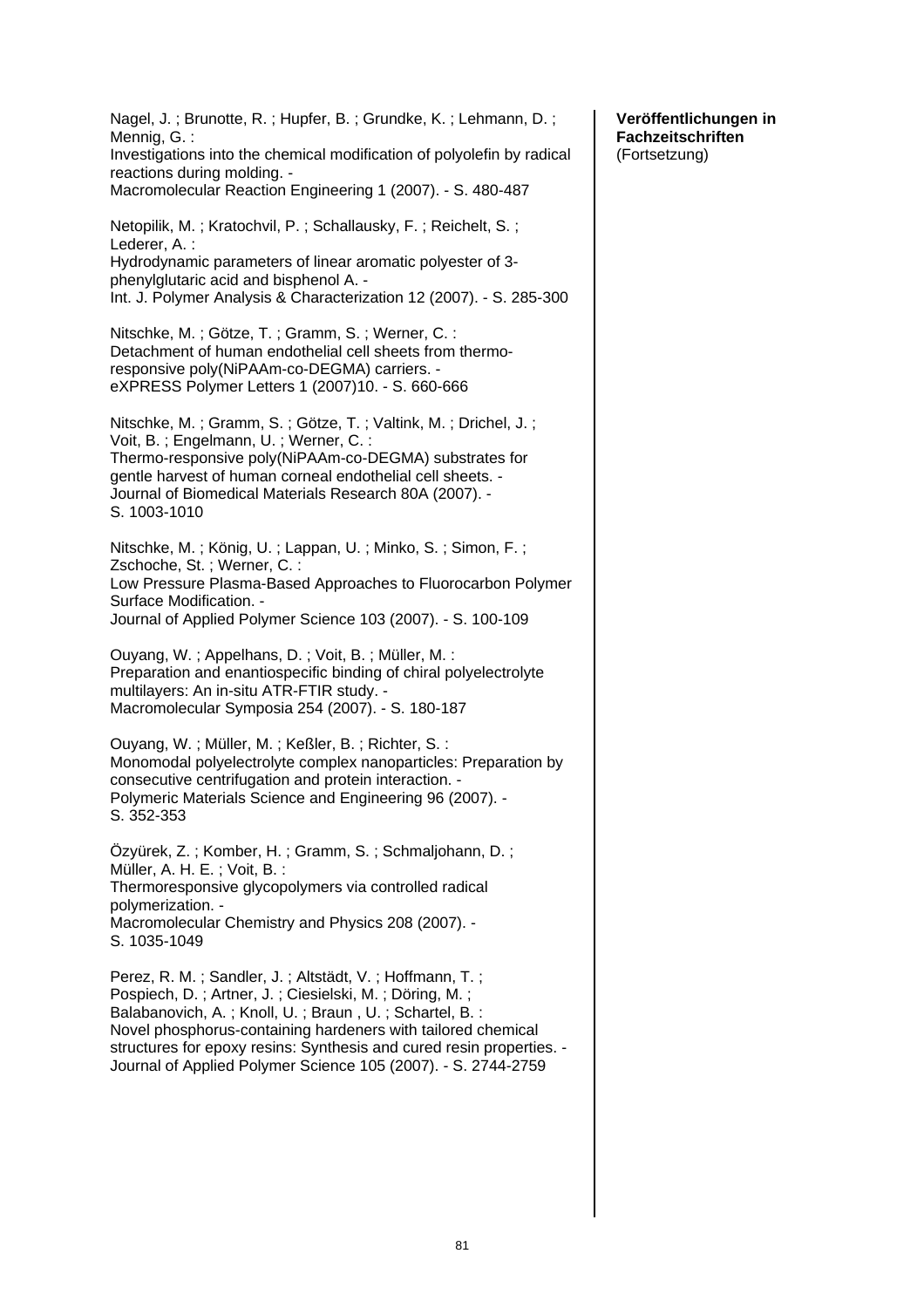Nagel, J. ; Brunotte, R. ; Hupfer, B. ; Grundke, K. ; Lehmann, D. ; Mennig, G. : Investigations into the chemical modification of polyolefin by radical reactions during molding. - Macromolecular Reaction Engineering 1 (2007). - S. 480-487 Netopilik, M. ; Kratochvil, P. ; Schallausky, F. ; Reichelt, S. ; Lederer, A. : Hydrodynamic parameters of linear aromatic polyester of 3 phenylglutaric acid and bisphenol A. - Int. J. Polymer Analysis & Characterization 12 (2007). - S. 285-300 Nitschke, M. ; Götze, T. ; Gramm, S. ; Werner, C. : Detachment of human endothelial cell sheets from thermoresponsive poly(NiPAAm-co-DEGMA) carriers. eXPRESS Polymer Letters 1 (2007)10. - S. 660-666 Nitschke, M. ; Gramm, S. ; Götze, T. ; Valtink, M. ; Drichel, J. ; Voit, B. ; Engelmann, U. ; Werner, C. : Thermo-responsive poly(NiPAAm-co-DEGMA) substrates for gentle harvest of human corneal endothelial cell sheets. - Journal of Biomedical Materials Research 80A (2007). - S. 1003-1010 Nitschke, M. ; König, U. ; Lappan, U. ; Minko, S. ; Simon, F. ; Zschoche, St. ; Werner, C. : Low Pressure Plasma-Based Approaches to Fluorocarbon Polymer Surface Modification. - Journal of Applied Polymer Science 103 (2007). - S. 100-109 Ouyang, W. ; Appelhans, D. ; Voit, B. ; Müller, M. : Preparation and enantiospecific binding of chiral polyelectrolyte multilayers: An in-situ ATR-FTIR study. - Macromolecular Symposia 254 (2007). - S. 180-187 Ouyang, W. ; Müller, M. ; Keßler, B. ; Richter, S. : Monomodal polyelectrolyte complex nanoparticles: Preparation by consecutive centrifugation and protein interaction. - Polymeric Materials Science and Engineering 96 (2007). - S. 352-353 Özyürek, Z. ; Komber, H. ; Gramm, S. ; Schmaljohann, D. ; Müller, A. H. E. ; Voit, B. : Thermoresponsive glycopolymers via controlled radical polymerization. - Macromolecular Chemistry and Physics 208 (2007). - S. 1035-1049 Perez, R. M. ; Sandler, J. ; Altstädt, V. ; Hoffmann, T. ; Pospiech, D. ; Artner, J. ; Ciesielski, M. ; Döring, M. ; Balabanovich, A. ; Knoll, U. ; Braun , U. ; Schartel, B. : Novel phosphorus-containing hardeners with tailored chemical structures for epoxy resins: Synthesis and cured resin properties. - Journal of Applied Polymer Science 105 (2007). - S. 2744-2759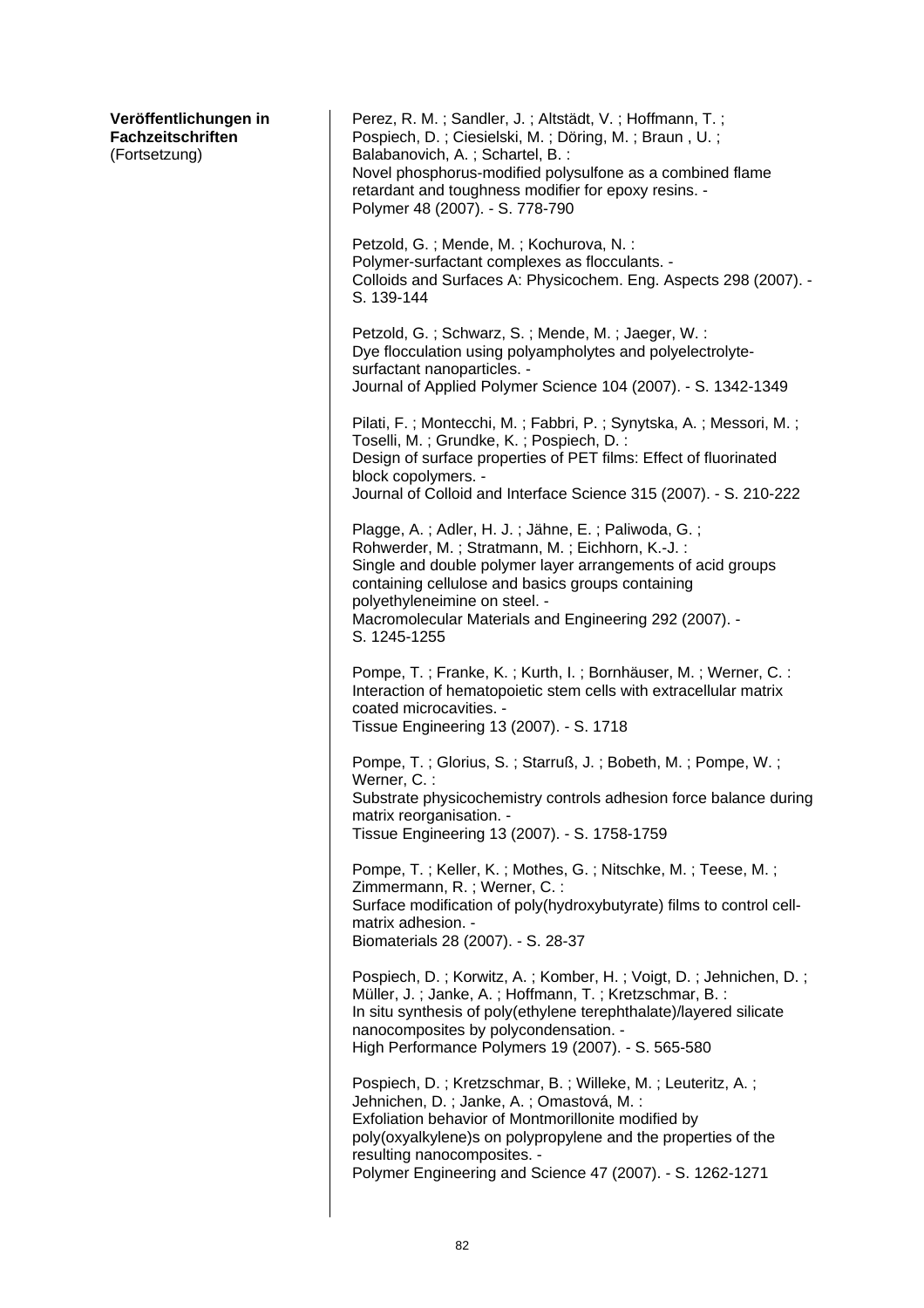| Veröffentlichungen in<br>Fachzeitschriften<br>(Fortsetzung) | Perez, R. M.; Sandler, J.; Altstädt, V.; Hoffmann, T.;<br>Pospiech, D.; Ciesielski, M.; Döring, M.; Braun, U.;<br>Balabanovich, A.; Schartel, B.:<br>Novel phosphorus-modified polysulfone as a combined flame<br>retardant and toughness modifier for epoxy resins. -<br>Polymer 48 (2007). - S. 778-790                           |
|-------------------------------------------------------------|-------------------------------------------------------------------------------------------------------------------------------------------------------------------------------------------------------------------------------------------------------------------------------------------------------------------------------------|
|                                                             | Petzold, G.; Mende, M.; Kochurova, N.:<br>Polymer-surfactant complexes as flocculants. -<br>Colloids and Surfaces A: Physicochem. Eng. Aspects 298 (2007). -<br>S. 139-144                                                                                                                                                          |
|                                                             | Petzold, G.; Schwarz, S.; Mende, M.; Jaeger, W.:<br>Dye flocculation using polyampholytes and polyelectrolyte-<br>surfactant nanoparticles. -<br>Journal of Applied Polymer Science 104 (2007). - S. 1342-1349                                                                                                                      |
|                                                             | Pilati, F.; Montecchi, M.; Fabbri, P.; Synytska, A.; Messori, M.;<br>Toselli, M.; Grundke, K.; Pospiech, D.:<br>Design of surface properties of PET films: Effect of fluorinated<br>block copolymers. -<br>Journal of Colloid and Interface Science 315 (2007). - S. 210-222                                                        |
|                                                             | Plagge, A.; Adler, H. J.; Jähne, E.; Paliwoda, G.;<br>Rohwerder, M.; Stratmann, M.; Eichhorn, K.-J.:<br>Single and double polymer layer arrangements of acid groups<br>containing cellulose and basics groups containing<br>polyethyleneimine on steel. -<br>Macromolecular Materials and Engineering 292 (2007). -<br>S. 1245-1255 |
|                                                             | Pompe, T.; Franke, K.; Kurth, I.; Bornhäuser, M.; Werner, C.:<br>Interaction of hematopoietic stem cells with extracellular matrix<br>coated microcavities. -<br>Tissue Engineering 13 (2007). - S. 1718                                                                                                                            |
|                                                             | Pompe, T.; Glorius, S.; Starruß, J.; Bobeth, M.; Pompe, W.;<br>Werner, C.:<br>Substrate physicochemistry controls adhesion force balance during<br>matrix reorganisation. -<br>Tissue Engineering 13 (2007). - S. 1758-1759                                                                                                         |
|                                                             | Pompe, T.; Keller, K.; Mothes, G.; Nitschke, M.; Teese, M.;<br>Zimmermann, R.; Werner, C.:<br>Surface modification of poly(hydroxybutyrate) films to control cell-<br>matrix adhesion. -<br>Biomaterials 28 (2007). - S. 28-37                                                                                                      |
|                                                             | Pospiech, D.; Korwitz, A.; Komber, H.; Voigt, D.; Jehnichen, D.;<br>Müller, J.; Janke, A.; Hoffmann, T.; Kretzschmar, B.:<br>In situ synthesis of poly(ethylene terephthalate)/layered silicate<br>nanocomposites by polycondensation. -<br>High Performance Polymers 19 (2007). - S. 565-580                                       |
|                                                             | Pospiech, D.; Kretzschmar, B.; Willeke, M.; Leuteritz, A.;<br>Jehnichen, D.; Janke, A.; Omastová, M.:<br>Exfoliation behavior of Montmorillonite modified by<br>poly(oxyalkylene)s on polypropylene and the properties of the<br>resulting nanocomposites. -<br>Polymer Engineering and Science 47 (2007). - S. 1262-1271           |
|                                                             |                                                                                                                                                                                                                                                                                                                                     |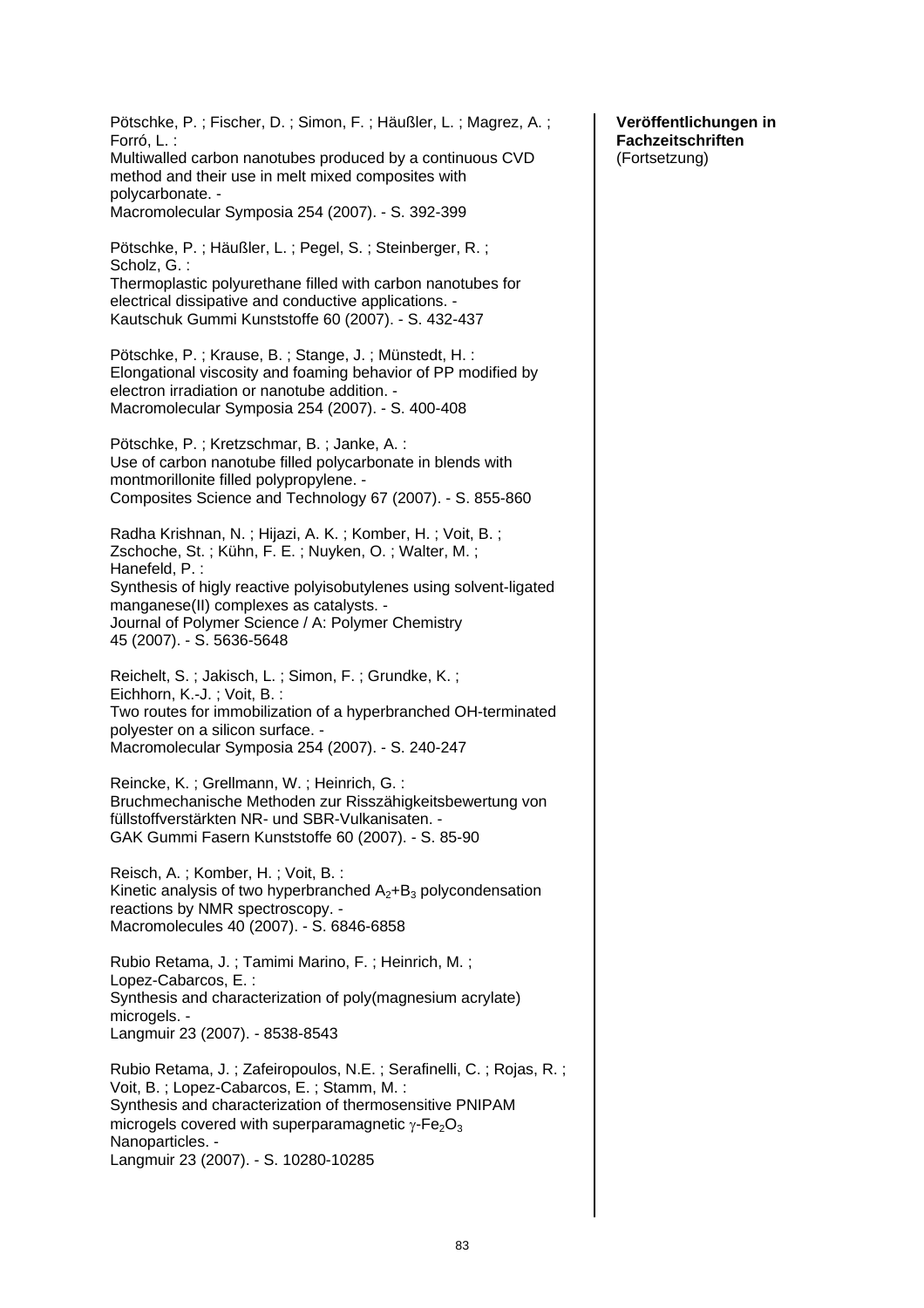Pötschke, P. ; Fischer, D. ; Simon, F. ; Häußler, L. ; Magrez, A. ; Forró, L. : Multiwalled carbon nanotubes produced by a continuous CVD method and their use in melt mixed composites with polycarbonate. - Macromolecular Symposia 254 (2007). - S. 392-399 Pötschke, P. ; Häußler, L. ; Pegel, S. ; Steinberger, R. ; Scholz, G. : Thermoplastic polyurethane filled with carbon nanotubes for electrical dissipative and conductive applications. - Kautschuk Gummi Kunststoffe 60 (2007). - S. 432-437 Pötschke, P. ; Krause, B. ; Stange, J. ; Münstedt, H. : Elongational viscosity and foaming behavior of PP modified by electron irradiation or nanotube addition. - Macromolecular Symposia 254 (2007). - S. 400-408 Pötschke, P. ; Kretzschmar, B. ; Janke, A. : Use of carbon nanotube filled polycarbonate in blends with montmorillonite filled polypropylene. - Composites Science and Technology 67 (2007). - S. 855-860 Radha Krishnan, N. ; Hijazi, A. K. ; Komber, H. ; Voit, B. ; Zschoche, St. ; Kühn, F. E. ; Nuyken, O. ; Walter, M. ; Hanefeld, P. : Synthesis of higly reactive polyisobutylenes using solvent-ligated manganese(II) complexes as catalysts. - Journal of Polymer Science / A: Polymer Chemistry 45 (2007). - S. 5636-5648 Reichelt, S. ; Jakisch, L. ; Simon, F. ; Grundke, K. ; Eichhorn, K.-J. ; Voit, B. : Two routes for immobilization of a hyperbranched OH-terminated polyester on a silicon surface. - Macromolecular Symposia 254 (2007). - S. 240-247 Reincke, K. ; Grellmann, W. ; Heinrich, G. : Bruchmechanische Methoden zur Risszähigkeitsbewertung von füllstoffverstärkten NR- und SBR-Vulkanisaten. - GAK Gummi Fasern Kunststoffe 60 (2007). - S. 85-90 Reisch, A. ; Komber, H. ; Voit, B. : Kinetic analysis of two hyperbranched  $A_2 + B_3$  polycondensation reactions by NMR spectroscopy. - Macromolecules 40 (2007). - S. 6846-6858 Rubio Retama, J. ; Tamimi Marino, F. ; Heinrich, M. ; Lopez-Cabarcos, E. : Synthesis and characterization of poly(magnesium acrylate) microgels. -Langmuir 23 (2007). - 8538-8543 Rubio Retama, J. ; Zafeiropoulos, N.E. ; Serafinelli, C. ; Rojas, R. ; Voit, B. ; Lopez-Cabarcos, E. ; Stamm, M. : Synthesis and characterization of thermosensitive PNIPAM microgels covered with superparamagnetic  $\gamma$ -Fe<sub>2</sub>O<sub>3</sub> Nanoparticles. - Langmuir 23 (2007). - S. 10280-10285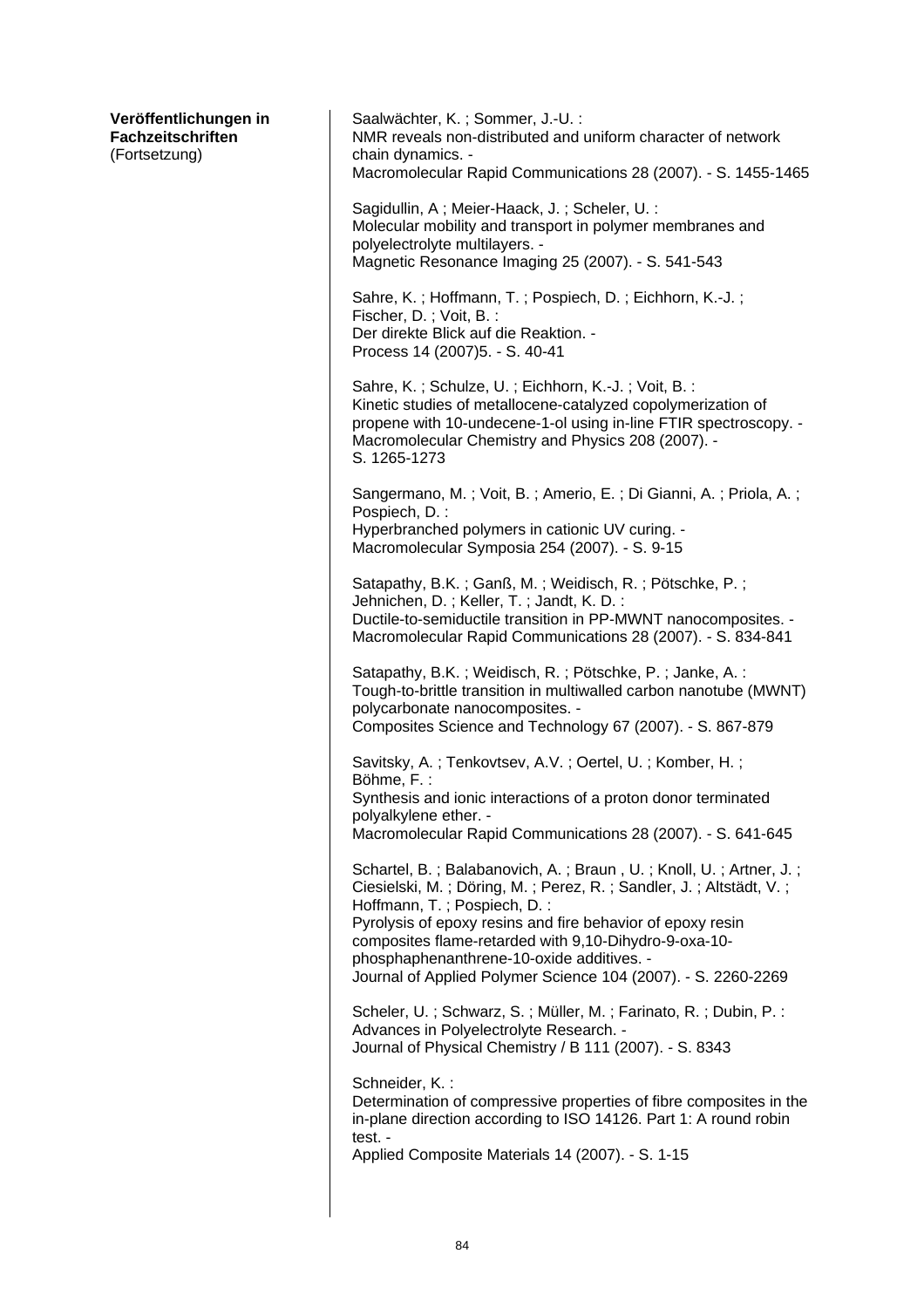| Veröffentlichungen in<br><b>Fachzeitschriften</b><br>(Fortsetzung) | Saalwächter, K.; Sommer, J.-U.:<br>NMR reveals non-distributed and uniform character of network<br>chain dynamics. -<br>Macromolecular Rapid Communications 28 (2007). - S. 1455-1465                                                                                                                                                                                                                      |
|--------------------------------------------------------------------|------------------------------------------------------------------------------------------------------------------------------------------------------------------------------------------------------------------------------------------------------------------------------------------------------------------------------------------------------------------------------------------------------------|
|                                                                    | Sagidullin, A; Meier-Haack, J.; Scheler, U.:<br>Molecular mobility and transport in polymer membranes and<br>polyelectrolyte multilayers. -<br>Magnetic Resonance Imaging 25 (2007). - S. 541-543                                                                                                                                                                                                          |
|                                                                    | Sahre, K.; Hoffmann, T.; Pospiech, D.; Eichhorn, K.-J.;<br>Fischer, D.; Voit, B.:<br>Der direkte Blick auf die Reaktion. -<br>Process 14 (2007) 5. - S. 40-41                                                                                                                                                                                                                                              |
|                                                                    | Sahre, K.; Schulze, U.; Eichhorn, K.-J.; Voit, B.:<br>Kinetic studies of metallocene-catalyzed copolymerization of<br>propene with 10-undecene-1-ol using in-line FTIR spectroscopy. -<br>Macromolecular Chemistry and Physics 208 (2007). -<br>S. 1265-1273                                                                                                                                               |
|                                                                    | Sangermano, M.; Voit, B.; Amerio, E.; Di Gianni, A.; Priola, A.;<br>Pospiech, D. :<br>Hyperbranched polymers in cationic UV curing. -<br>Macromolecular Symposia 254 (2007). - S. 9-15                                                                                                                                                                                                                     |
|                                                                    | Satapathy, B.K.; Ganß, M.; Weidisch, R.; Pötschke, P.;<br>Jehnichen, D.; Keller, T.; Jandt, K. D.:<br>Ductile-to-semiductile transition in PP-MWNT nanocomposites. -<br>Macromolecular Rapid Communications 28 (2007). - S. 834-841                                                                                                                                                                        |
|                                                                    | Satapathy, B.K.; Weidisch, R.; Pötschke, P.; Janke, A.:<br>Tough-to-brittle transition in multiwalled carbon nanotube (MWNT)<br>polycarbonate nanocomposites. -<br>Composites Science and Technology 67 (2007). - S. 867-879                                                                                                                                                                               |
|                                                                    | Savitsky, A.; Tenkovtsev, A.V.; Oertel, U.; Komber, H.;<br>Böhme, F.:<br>Synthesis and ionic interactions of a proton donor terminated<br>polyalkylene ether. -<br>Macromolecular Rapid Communications 28 (2007). - S. 641-645                                                                                                                                                                             |
|                                                                    | Schartel, B.; Balabanovich, A.; Braun, U.; Knoll, U.; Artner, J.;<br>Ciesielski, M.; Döring, M.; Perez, R.; Sandler, J.; Altstädt, V.;<br>Hoffmann, T.; Pospiech, D.:<br>Pyrolysis of epoxy resins and fire behavior of epoxy resin<br>composites flame-retarded with 9,10-Dihydro-9-oxa-10-<br>phosphaphenanthrene-10-oxide additives. -<br>Journal of Applied Polymer Science 104 (2007). - S. 2260-2269 |
|                                                                    | Scheler, U.; Schwarz, S.; Müller, M.; Farinato, R.; Dubin, P.:<br>Advances in Polyelectrolyte Research. -<br>Journal of Physical Chemistry / B 111 (2007). - S. 8343                                                                                                                                                                                                                                       |
|                                                                    | Schneider, K.:<br>Determination of compressive properties of fibre composites in the<br>in-plane direction according to ISO 14126. Part 1: A round robin<br>test. -<br>Applied Composite Materials 14 (2007). - S. 1-15                                                                                                                                                                                    |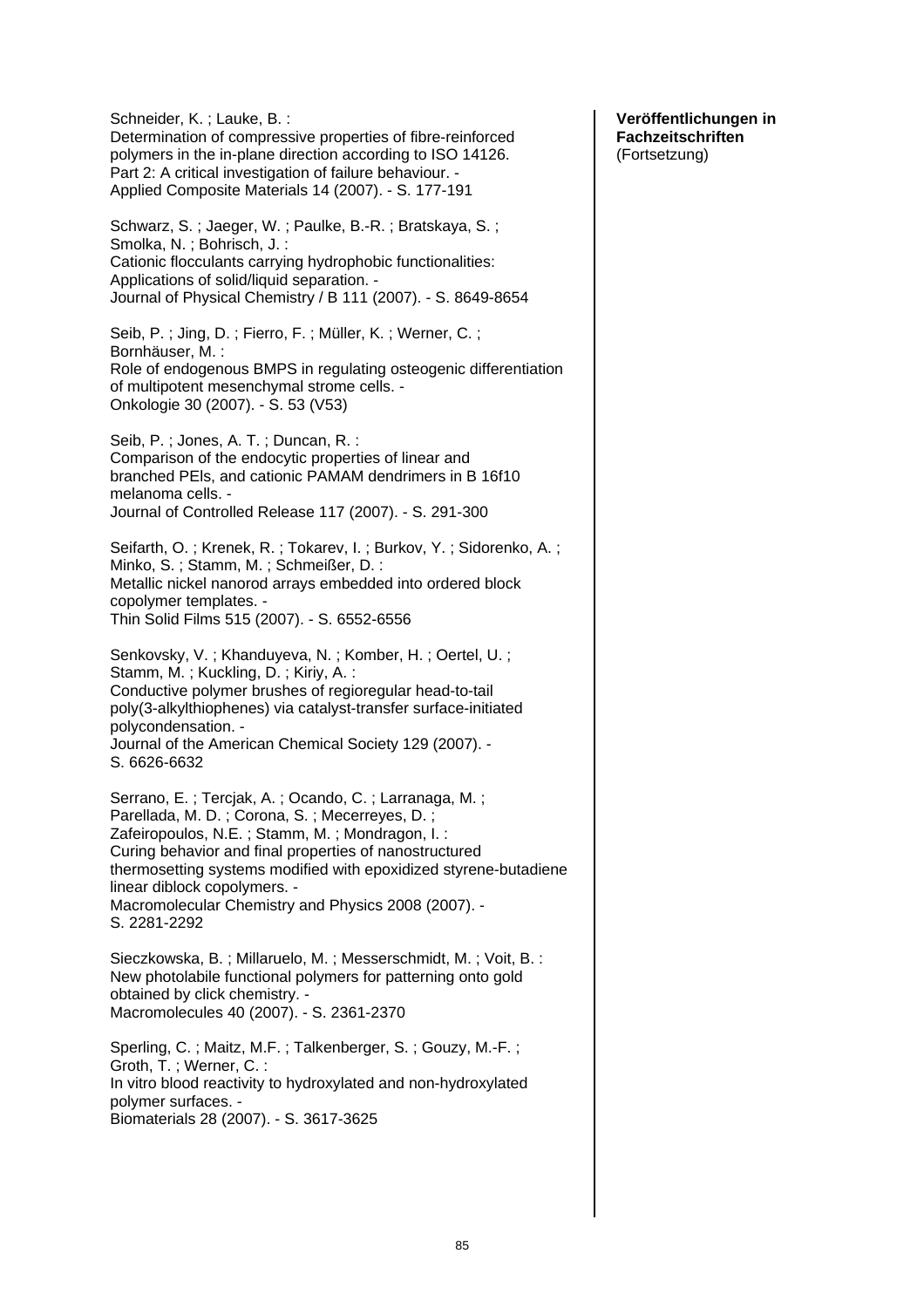Schneider, K. ; Lauke, B. : Determination of compressive properties of fibre-reinforced polymers in the in-plane direction according to ISO 14126. Part 2: A critical investigation of failure behaviour. - Applied Composite Materials 14 (2007). - S. 177-191 Schwarz, S. ; Jaeger, W. ; Paulke, B.-R. ; Bratskaya, S. ; Smolka, N. ; Bohrisch, J. : Cationic flocculants carrying hydrophobic functionalities: Applications of solid/liquid separation. - Journal of Physical Chemistry / B 111 (2007). - S. 8649-8654 Seib, P.; Jing, D.; Fierro, F.; Müller, K.; Werner, C.; Bornhäuser, M. : Role of endogenous BMPS in regulating osteogenic differentiation of multipotent mesenchymal strome cells. - Onkologie 30 (2007). - S. 53 (V53) Seib, P. ; Jones, A. T. ; Duncan, R. : Comparison of the endocytic properties of linear and branched PEls, and cationic PAMAM dendrimers in B 16f10 melanoma cells. - Journal of Controlled Release 117 (2007). - S. 291-300 Seifarth, O. ; Krenek, R. ; Tokarev, I. ; Burkov, Y. ; Sidorenko, A. ; Minko, S. ; Stamm, M. ; Schmeißer, D. : Metallic nickel nanorod arrays embedded into ordered block copolymer templates. - Thin Solid Films 515 (2007). - S. 6552-6556 Senkovsky, V. ; Khanduyeva, N. ; Komber, H. ; Oertel, U. ; Stamm, M. ; Kuckling, D. ; Kiriy, A. : Conductive polymer brushes of regioregular head-to-tail poly(3-alkylthiophenes) via catalyst-transfer surface-initiated polycondensation. - Journal of the American Chemical Society 129 (2007). - S. 6626-6632 Serrano, E. ; Tercjak, A. ; Ocando, C. ; Larranaga, M. ; Parellada, M. D. ; Corona, S. ; Mecerreyes, D. ; Zafeiropoulos, N.E. ; Stamm, M. ; Mondragon, I. : Curing behavior and final properties of nanostructured thermosetting systems modified with epoxidized styrene-butadiene linear diblock copolymers. - Macromolecular Chemistry and Physics 2008 (2007). - S. 2281-2292 Sieczkowska, B. ; Millaruelo, M. ; Messerschmidt, M. ; Voit, B. : New photolabile functional polymers for patterning onto gold obtained by click chemistry. - Macromolecules 40 (2007). - S. 2361-2370 Sperling, C. ; Maitz, M.F. ; Talkenberger, S. ; Gouzy, M.-F. ; Groth, T. ; Werner, C. : In vitro blood reactivity to hydroxylated and non-hydroxylated polymer surfaces. - Biomaterials 28 (2007). - S. 3617-3625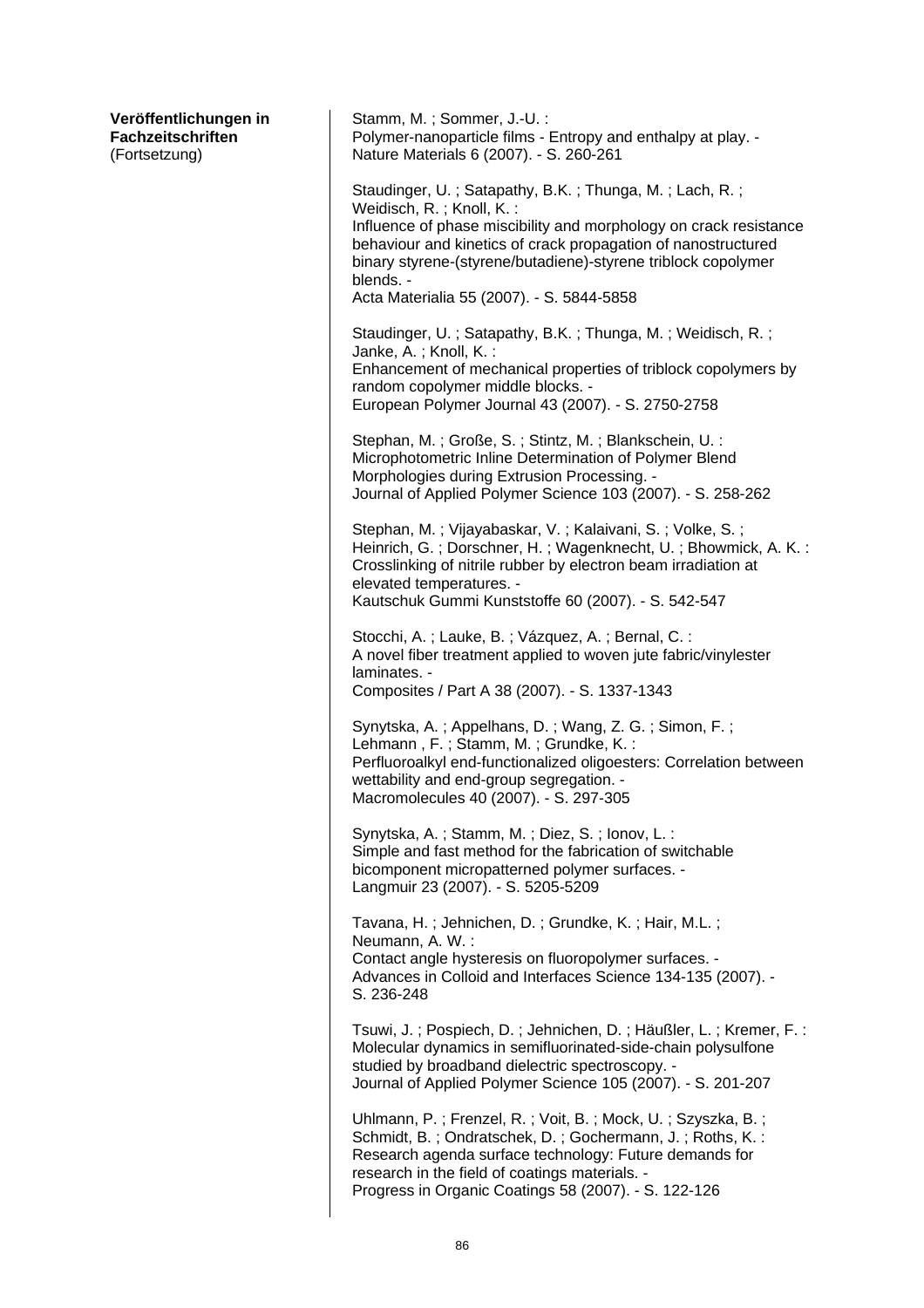| Veröffentlichungen in<br>Fachzeitschriften<br>(Fortsetzung) | Stamm, M.; Sommer, J.-U.:<br>Polymer-nanoparticle films - Entropy and enthalpy at play. -<br>Nature Materials 6 (2007). - S. 260-261                                                                                                                                                                                                                |
|-------------------------------------------------------------|-----------------------------------------------------------------------------------------------------------------------------------------------------------------------------------------------------------------------------------------------------------------------------------------------------------------------------------------------------|
|                                                             | Staudinger, U.; Satapathy, B.K.; Thunga, M.; Lach, R.;<br>Weidisch, R.; Knoll, K.:<br>Influence of phase miscibility and morphology on crack resistance<br>behaviour and kinetics of crack propagation of nanostructured<br>binary styrene-(styrene/butadiene)-styrene triblock copolymer<br>blends. -<br>Acta Materialia 55 (2007). - S. 5844-5858 |
|                                                             | Staudinger, U.; Satapathy, B.K.; Thunga, M.; Weidisch, R.;<br>Janke, A.; Knoll, K.:<br>Enhancement of mechanical properties of triblock copolymers by<br>random copolymer middle blocks. -<br>European Polymer Journal 43 (2007). - S. 2750-2758                                                                                                    |
|                                                             | Stephan, M.; Große, S.; Stintz, M.; Blankschein, U.:<br>Microphotometric Inline Determination of Polymer Blend<br>Morphologies during Extrusion Processing. -<br>Journal of Applied Polymer Science 103 (2007). - S. 258-262                                                                                                                        |
|                                                             | Stephan, M.; Vijayabaskar, V.; Kalaivani, S.; Volke, S.;<br>Heinrich, G.; Dorschner, H.; Wagenknecht, U.; Bhowmick, A. K.:<br>Crosslinking of nitrile rubber by electron beam irradiation at<br>elevated temperatures. -<br>Kautschuk Gummi Kunststoffe 60 (2007). - S. 542-547                                                                     |
|                                                             | Stocchi, A.; Lauke, B.; Vázquez, A.; Bernal, C.:<br>A novel fiber treatment applied to woven jute fabric/vinylester<br>laminates. -<br>Composites / Part A 38 (2007). - S. 1337-1343                                                                                                                                                                |
|                                                             | Synytska, A.; Appelhans, D.; Wang, Z. G.; Simon, F.;<br>Lehmann, F.; Stamm, M.; Grundke, K.:<br>Perfluoroalkyl end-functionalized oligoesters: Correlation between<br>wettability and end-group segregation. -<br>Macromolecules 40 (2007). - S. 297-305                                                                                            |
|                                                             | Synytska, A.; Stamm, M.; Diez, S.; Ionov, L.:<br>Simple and fast method for the fabrication of switchable<br>bicomponent micropatterned polymer surfaces. -<br>Langmuir 23 (2007). - S. 5205-5209                                                                                                                                                   |
|                                                             | Tavana, H.; Jehnichen, D.; Grundke, K.; Hair, M.L.;<br>Neumann, A. W.:<br>Contact angle hysteresis on fluoropolymer surfaces. -<br>Advances in Colloid and Interfaces Science 134-135 (2007). -<br>S. 236-248                                                                                                                                       |
|                                                             | Tsuwi, J.; Pospiech, D.; Jehnichen, D.; Häußler, L.; Kremer, F.:<br>Molecular dynamics in semifluorinated-side-chain polysulfone<br>studied by broadband dielectric spectroscopy. -<br>Journal of Applied Polymer Science 105 (2007). - S. 201-207                                                                                                  |
|                                                             | Uhlmann, P.; Frenzel, R.; Voit, B.; Mock, U.; Szyszka, B.;<br>Schmidt, B.; Ondratschek, D.; Gochermann, J.; Roths, K.:<br>Research agenda surface technology: Future demands for<br>research in the field of coatings materials. -<br>Progress in Organic Coatings 58 (2007). - S. 122-126                                                          |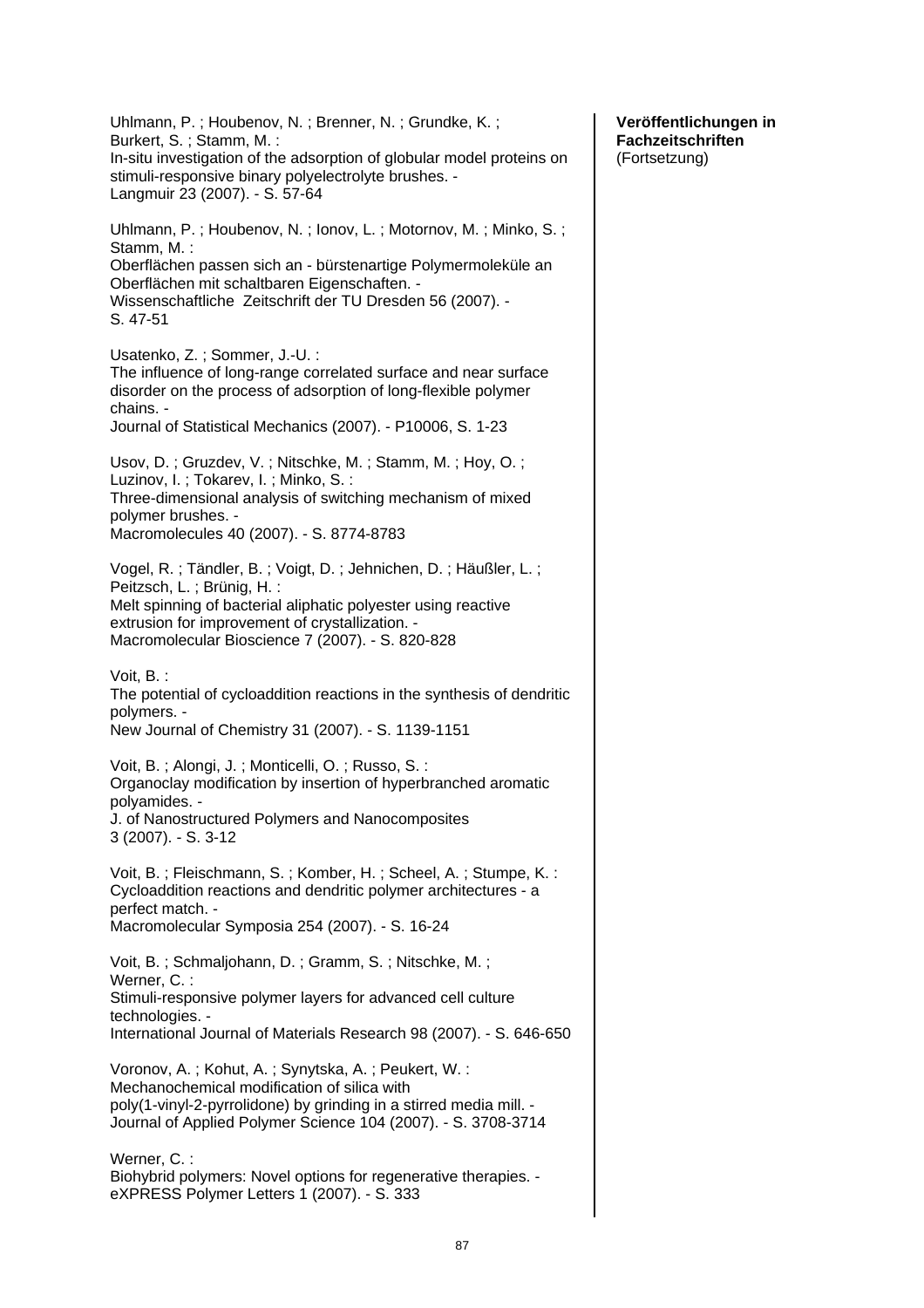| Uhlmann, P.; Houbenov, N.; Brenner, N.; Grundke, K.;<br>Burkert, S.; Stamm, M.:<br>In-situ investigation of the adsorption of globular model proteins on<br>stimuli-responsive binary polyelectrolyte brushes. -<br>Langmuir 23 (2007). - S. 57-64                     |
|------------------------------------------------------------------------------------------------------------------------------------------------------------------------------------------------------------------------------------------------------------------------|
| Uhlmann, P.; Houbenov, N.; Ionov, L.; Motornov, M.; Minko, S.;<br>Stamm, M.:<br>Oberflächen passen sich an - bürstenartige Polymermoleküle an<br>Oberflächen mit schaltbaren Eigenschaften. -<br>Wissenschaftliche Zeitschrift der TU Dresden 56 (2007). -<br>S. 47-51 |
| Usatenko, Z.; Sommer, J.-U.:<br>The influence of long-range correlated surface and near surface<br>disorder on the process of adsorption of long-flexible polymer<br>chains. -<br>Journal of Statistical Mechanics (2007). - P10006, S. 1-23                           |
| Usov, D.; Gruzdev, V.; Nitschke, M.; Stamm, M.; Hoy, O.;<br>Luzinov, I.; Tokarev, I.; Minko, S.:<br>Three-dimensional analysis of switching mechanism of mixed<br>polymer brushes. -<br>Macromolecules 40 (2007). - S. 8774-8783                                       |
| Vogel, R.; Tändler, B.; Voigt, D.; Jehnichen, D.; Häußler, L.;<br>Peitzsch, L.; Brünig, H.:<br>Melt spinning of bacterial aliphatic polyester using reactive<br>extrusion for improvement of crystallization. -<br>Macromolecular Bioscience 7 (2007). - S. 820-828    |
| Voit, B.:<br>The potential of cycloaddition reactions in the synthesis of dendritic<br>polymers. -<br>New Journal of Chemistry 31 (2007). - S. 1139-1151                                                                                                               |
| Voit, B.; Alongi, J.; Monticelli, O.; Russo, S.:<br>Organoclay modification by insertion of hyperbranched aromatic<br>polyamides. -<br>J. of Nanostructured Polymers and Nanocomposites<br>3 (2007). - S. 3-12                                                         |
| Voit, B.; Fleischmann, S.; Komber, H.; Scheel, A.; Stumpe, K.:<br>Cycloaddition reactions and dendritic polymer architectures - a<br>perfect match. -<br>Macromolecular Symposia 254 (2007). - S. 16-24                                                                |
| Voit, B.; Schmaljohann, D.; Gramm, S.; Nitschke, M.;<br>Werner, C.:<br>Stimuli-responsive polymer layers for advanced cell culture<br>technologies. -<br>International Journal of Materials Research 98 (2007). - S. 646-650                                           |
| Voronov, A.; Kohut, A.; Synytska, A.; Peukert, W.:<br>Mechanochemical modification of silica with<br>poly(1-vinyl-2-pyrrolidone) by grinding in a stirred media mill. -<br>Journal of Applied Polymer Science 104 (2007). - S. 3708-3714                               |
| Werner, C.:<br>Biohybrid polymers: Novel options for regenerative therapies. -<br>eXPRESS Polymer Letters 1 (2007). - S. 333                                                                                                                                           |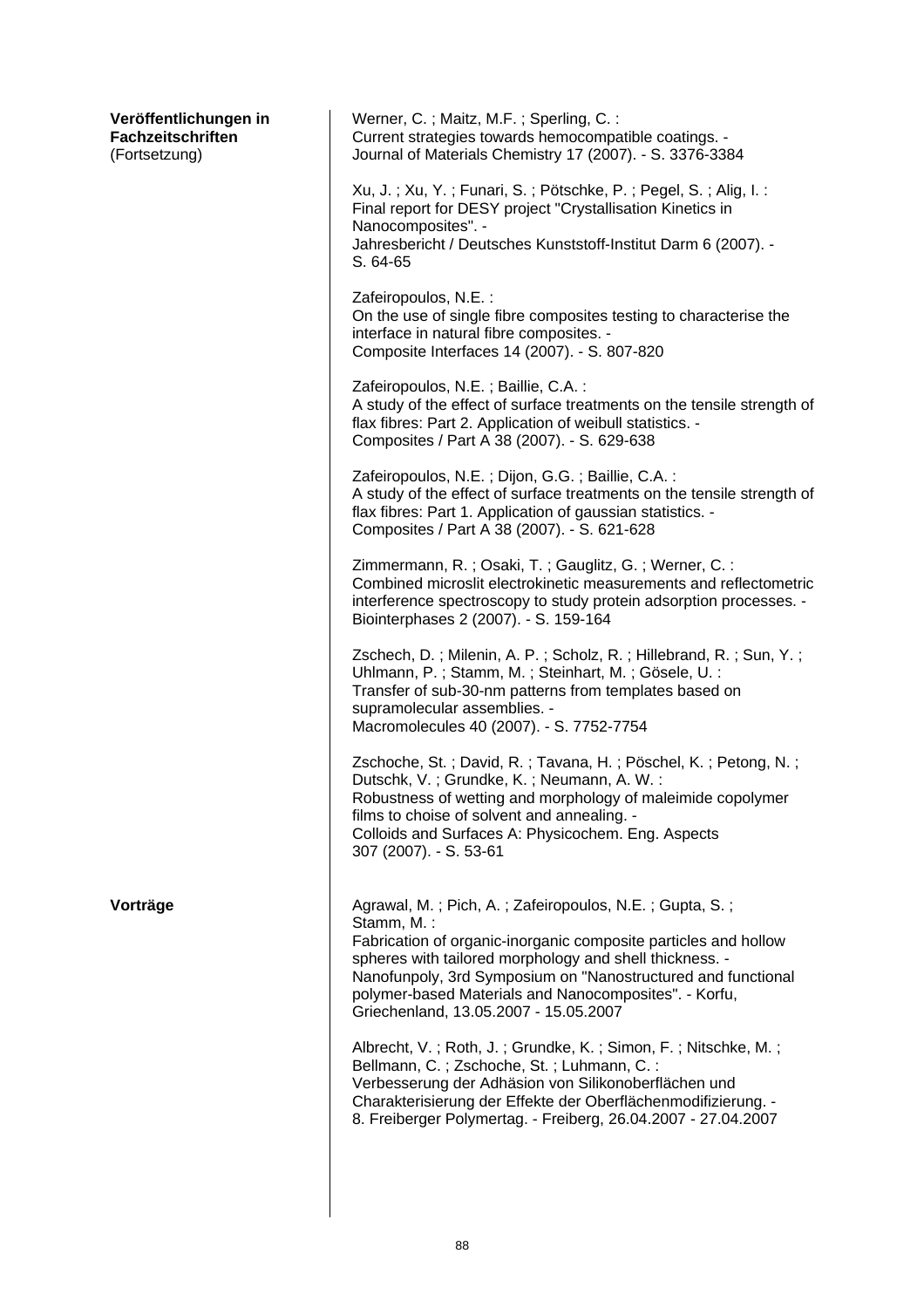| Veröffentlichungen in<br>Fachzeitschriften<br>(Fortsetzung) | Werner, C.; Maitz, M.F.; Sperling, C.:<br>Current strategies towards hemocompatible coatings. -<br>Journal of Materials Chemistry 17 (2007). - S. 3376-3384                                                                                                                                                                                                          |
|-------------------------------------------------------------|----------------------------------------------------------------------------------------------------------------------------------------------------------------------------------------------------------------------------------------------------------------------------------------------------------------------------------------------------------------------|
|                                                             | Xu, J.; Xu, Y.; Funari, S.; Pötschke, P.; Pegel, S.; Alig, I.:<br>Final report for DESY project "Crystallisation Kinetics in<br>Nanocomposites". -<br>Jahresbericht / Deutsches Kunststoff-Institut Darm 6 (2007). -<br>S. 64-65                                                                                                                                     |
|                                                             | Zafeiropoulos, N.E.:<br>On the use of single fibre composites testing to characterise the<br>interface in natural fibre composites. -<br>Composite Interfaces 14 (2007). - S. 807-820                                                                                                                                                                                |
|                                                             | Zafeiropoulos, N.E.; Baillie, C.A.:<br>A study of the effect of surface treatments on the tensile strength of<br>flax fibres: Part 2. Application of weibull statistics. -<br>Composites / Part A 38 (2007). - S. 629-638                                                                                                                                            |
|                                                             | Zafeiropoulos, N.E.; Dijon, G.G.; Baillie, C.A.:<br>A study of the effect of surface treatments on the tensile strength of<br>flax fibres: Part 1. Application of gaussian statistics. -<br>Composites / Part A 38 (2007). - S. 621-628                                                                                                                              |
|                                                             | Zimmermann, R.; Osaki, T.; Gauglitz, G.; Werner, C.:<br>Combined microslit electrokinetic measurements and reflectometric<br>interference spectroscopy to study protein adsorption processes. -<br>Biointerphases 2 (2007). - S. 159-164                                                                                                                             |
|                                                             | Zschech, D.; Milenin, A. P.; Scholz, R.; Hillebrand, R.; Sun, Y.;<br>Uhlmann, P.; Stamm, M.; Steinhart, M.; Gösele, U.:<br>Transfer of sub-30-nm patterns from templates based on<br>supramolecular assemblies. -<br>Macromolecules 40 (2007). - S. 7752-7754                                                                                                        |
|                                                             | Zschoche, St.; David, R.; Tavana, H.; Pöschel, K.; Petong, N.;<br>Dutschk, V.; Grundke, K.; Neumann, A. W.:<br>Robustness of wetting and morphology of maleimide copolymer<br>films to choise of solvent and annealing. -<br>Colloids and Surfaces A: Physicochem. Eng. Aspects<br>307 (2007). - S. 53-61                                                            |
| Vorträge                                                    | Agrawal, M.; Pich, A.; Zafeiropoulos, N.E.; Gupta, S.;<br>Stamm, M.:<br>Fabrication of organic-inorganic composite particles and hollow<br>spheres with tailored morphology and shell thickness. -<br>Nanofunpoly, 3rd Symposium on "Nanostructured and functional<br>polymer-based Materials and Nanocomposites". - Korfu,<br>Griechenland, 13.05.2007 - 15.05.2007 |
|                                                             | Albrecht, V.; Roth, J.; Grundke, K.; Simon, F.; Nitschke, M.;<br>Bellmann, C.; Zschoche, St.; Luhmann, C.:<br>Verbesserung der Adhäsion von Silikonoberflächen und<br>Charakterisierung der Effekte der Oberflächenmodifizierung. -<br>8. Freiberger Polymertag. - Freiberg, 26.04.2007 - 27.04.2007                                                                 |
|                                                             |                                                                                                                                                                                                                                                                                                                                                                      |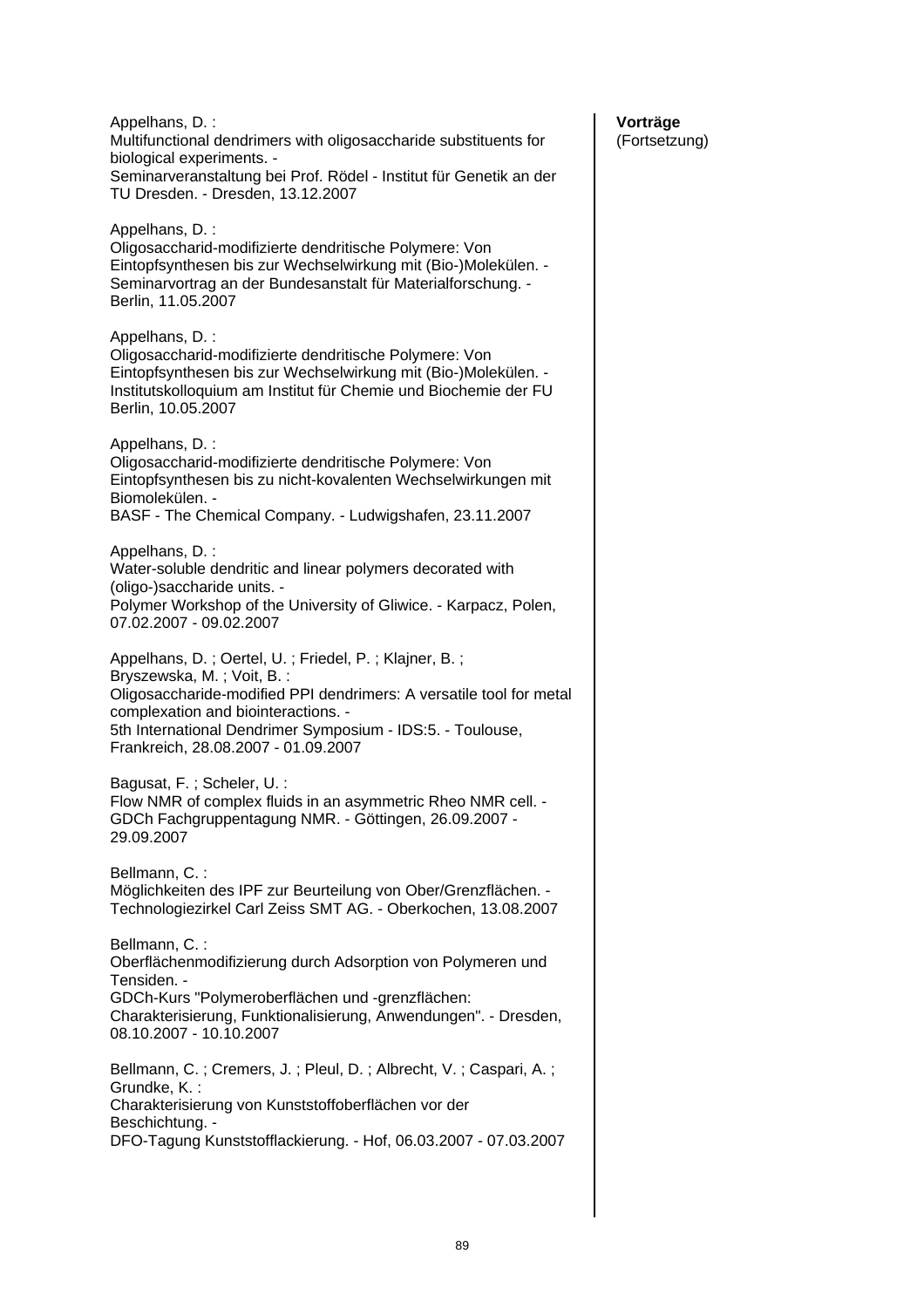| Appelhans, D.:<br>Multifunctional dendrimers with oligosaccharide substituents for<br>biological experiments. -<br>Seminarveranstaltung bei Prof. Rödel - Institut für Genetik an der<br>TU Dresden. - Dresden, 13.12.2007                                                                           |
|------------------------------------------------------------------------------------------------------------------------------------------------------------------------------------------------------------------------------------------------------------------------------------------------------|
| Appelhans, D.:<br>Oligosaccharid-modifizierte dendritische Polymere: Von<br>Eintopfsynthesen bis zur Wechselwirkung mit (Bio-)Molekülen. -<br>Seminarvortrag an der Bundesanstalt für Materialforschung. -<br>Berlin, 11.05.2007                                                                     |
| Appelhans, D.:<br>Oligosaccharid-modifizierte dendritische Polymere: Von<br>Eintopfsynthesen bis zur Wechselwirkung mit (Bio-)Molekülen. -<br>Institutskolloquium am Institut für Chemie und Biochemie der FU<br>Berlin, 10.05.2007                                                                  |
| Appelhans, D.:<br>Oligosaccharid-modifizierte dendritische Polymere: Von<br>Eintopfsynthesen bis zu nicht-kovalenten Wechselwirkungen mit<br>Biomolekülen. -<br>BASF - The Chemical Company. - Ludwigshafen, 23.11.2007                                                                              |
| Appelhans, D.:<br>Water-soluble dendritic and linear polymers decorated with<br>(oligo-)saccharide units. -<br>Polymer Workshop of the University of Gliwice. - Karpacz, Polen,<br>07.02.2007 - 09.02.2007                                                                                           |
| Appelhans, D.; Oertel, U.; Friedel, P.; Klajner, B.;<br>Bryszewska, M.; Voit, B.:<br>Oligosaccharide-modified PPI dendrimers: A versatile tool for metal<br>complexation and biointeractions. -<br>5th International Dendrimer Symposium - IDS:5. - Toulouse,<br>Frankreich, 28.08.2007 - 01.09.2007 |
| Bagusat, F.; Scheler, U.:<br>Flow NMR of complex fluids in an asymmetric Rheo NMR cell. -<br>GDCh Fachgruppentagung NMR. - Göttingen, 26.09.2007 -<br>29.09.2007                                                                                                                                     |
| Bellmann, C.:<br>Möglichkeiten des IPF zur Beurteilung von Ober/Grenzflächen. -<br>Technologiezirkel Carl Zeiss SMT AG. - Oberkochen, 13.08.2007                                                                                                                                                     |
| Bellmann, C.:<br>Oberflächenmodifizierung durch Adsorption von Polymeren und<br>Tensiden. -<br>GDCh-Kurs "Polymeroberflächen und -grenzflächen:<br>Charakterisierung, Funktionalisierung, Anwendungen". - Dresden,<br>08.10.2007 - 10.10.2007                                                        |
| Bellmann, C.; Cremers, J.; Pleul, D.; Albrecht, V.; Caspari, A.;<br>Grundke, K.:<br>Charakterisierung von Kunststoffoberflächen vor der<br>Beschichtung. -<br>DFO-Tagung Kunststofflackierung. - Hof, 06.03.2007 - 07.03.2007                                                                        |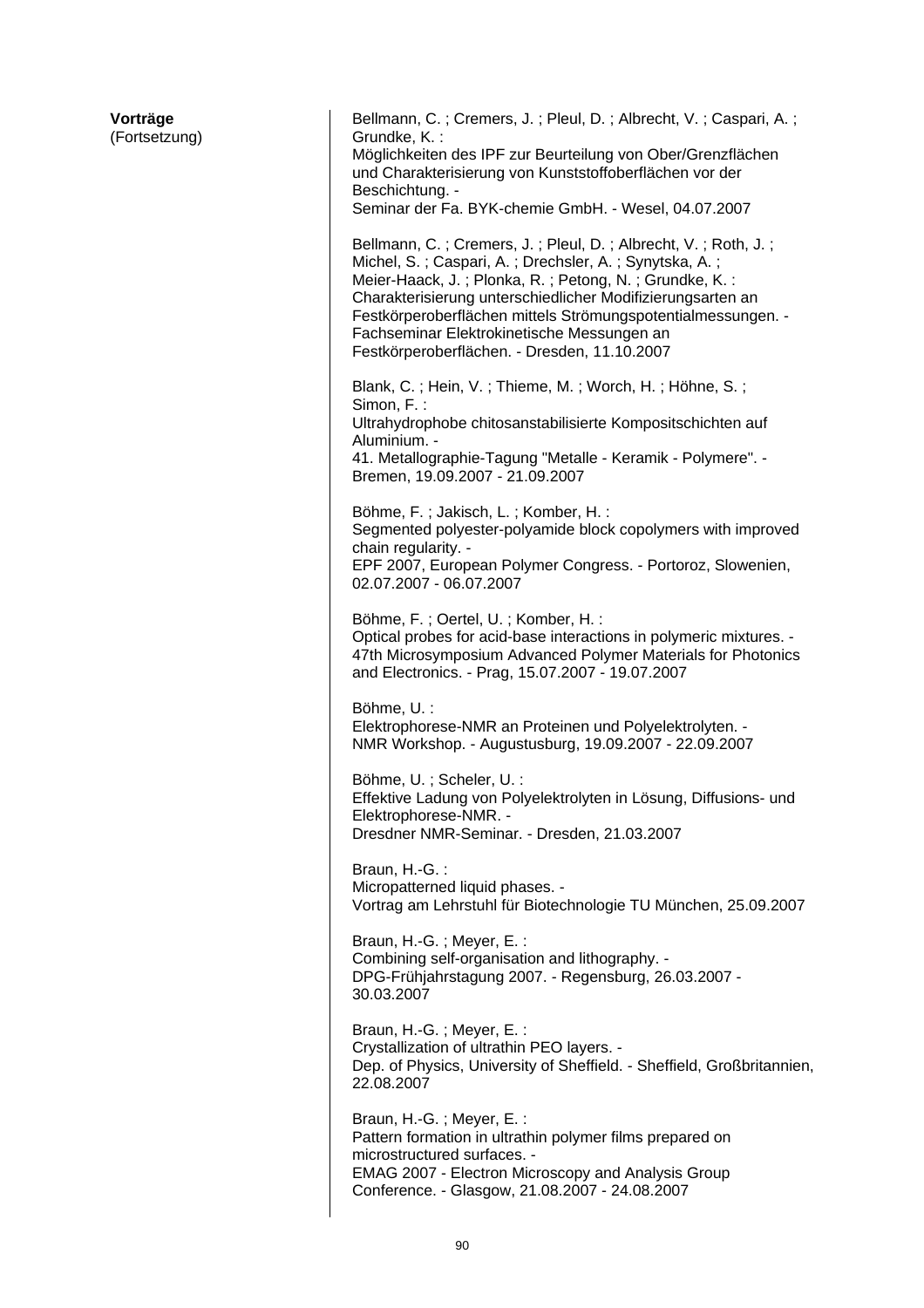| Vorträge<br>(Fortsetzung) | Bellmann, C.; Cremers, J.; Pleul, D.; Albrecht, V.; Caspari, A.;<br>Grundke, K.:<br>Möglichkeiten des IPF zur Beurteilung von Ober/Grenzflächen<br>und Charakterisierung von Kunststoffoberflächen vor der<br>Beschichtung. -<br>Seminar der Fa. BYK-chemie GmbH. - Wesel, 04.07.2007                                                                                                                       |
|---------------------------|-------------------------------------------------------------------------------------------------------------------------------------------------------------------------------------------------------------------------------------------------------------------------------------------------------------------------------------------------------------------------------------------------------------|
|                           | Bellmann, C.; Cremers, J.; Pleul, D.; Albrecht, V.; Roth, J.;<br>Michel, S.; Caspari, A.; Drechsler, A.; Synytska, A.;<br>Meier-Haack, J.; Plonka, R.; Petong, N.; Grundke, K.:<br>Charakterisierung unterschiedlicher Modifizierungsarten an<br>Festkörperoberflächen mittels Strömungspotentialmessungen. -<br>Fachseminar Elektrokinetische Messungen an<br>Festkörperoberflächen. - Dresden, 11.10.2007 |
|                           | Blank, C.; Hein, V.; Thieme, M.; Worch, H.; Höhne, S.;<br>Simon, F.:<br>Ultrahydrophobe chitosanstabilisierte Kompositschichten auf<br>Aluminium. -<br>41. Metallographie-Tagung "Metalle - Keramik - Polymere". -<br>Bremen, 19.09.2007 - 21.09.2007                                                                                                                                                       |
|                           | Böhme, F.; Jakisch, L.; Komber, H.:<br>Segmented polyester-polyamide block copolymers with improved<br>chain regularity. -<br>EPF 2007, European Polymer Congress. - Portoroz, Slowenien,<br>02.07.2007 - 06.07.2007                                                                                                                                                                                        |
|                           | Böhme, F.; Oertel, U.; Komber, H.:<br>Optical probes for acid-base interactions in polymeric mixtures. -<br>47th Microsymposium Advanced Polymer Materials for Photonics<br>and Electronics. - Prag, 15.07.2007 - 19.07.2007                                                                                                                                                                                |
|                           | Böhme, U.:<br>Elektrophorese-NMR an Proteinen und Polyelektrolyten. -<br>NMR Workshop. - Augustusburg, 19.09.2007 - 22.09.2007                                                                                                                                                                                                                                                                              |
|                           | Böhme, U.; Scheler, U.:<br>Effektive Ladung von Polyelektrolyten in Lösung, Diffusions- und<br>Elektrophorese-NMR. -<br>Dresdner NMR-Seminar. - Dresden, 21.03.2007                                                                                                                                                                                                                                         |
|                           | Braun, H.-G.:<br>Micropatterned liquid phases. -<br>Vortrag am Lehrstuhl für Biotechnologie TU München, 25.09.2007                                                                                                                                                                                                                                                                                          |
|                           | Braun, H.-G.; Meyer, E.:<br>Combining self-organisation and lithography. -<br>DPG-Frühjahrstagung 2007. - Regensburg, 26.03.2007 -<br>30.03.2007                                                                                                                                                                                                                                                            |
|                           | Braun, H.-G.; Meyer, E.:<br>Crystallization of ultrathin PEO layers. -<br>Dep. of Physics, University of Sheffield. - Sheffield, Großbritannien,<br>22.08.2007                                                                                                                                                                                                                                              |
|                           | Braun, H.-G.; Meyer, E.:<br>Pattern formation in ultrathin polymer films prepared on<br>microstructured surfaces. -<br>EMAG 2007 - Electron Microscopy and Analysis Group<br>Conference. - Glasgow, 21.08.2007 - 24.08.2007                                                                                                                                                                                 |
|                           |                                                                                                                                                                                                                                                                                                                                                                                                             |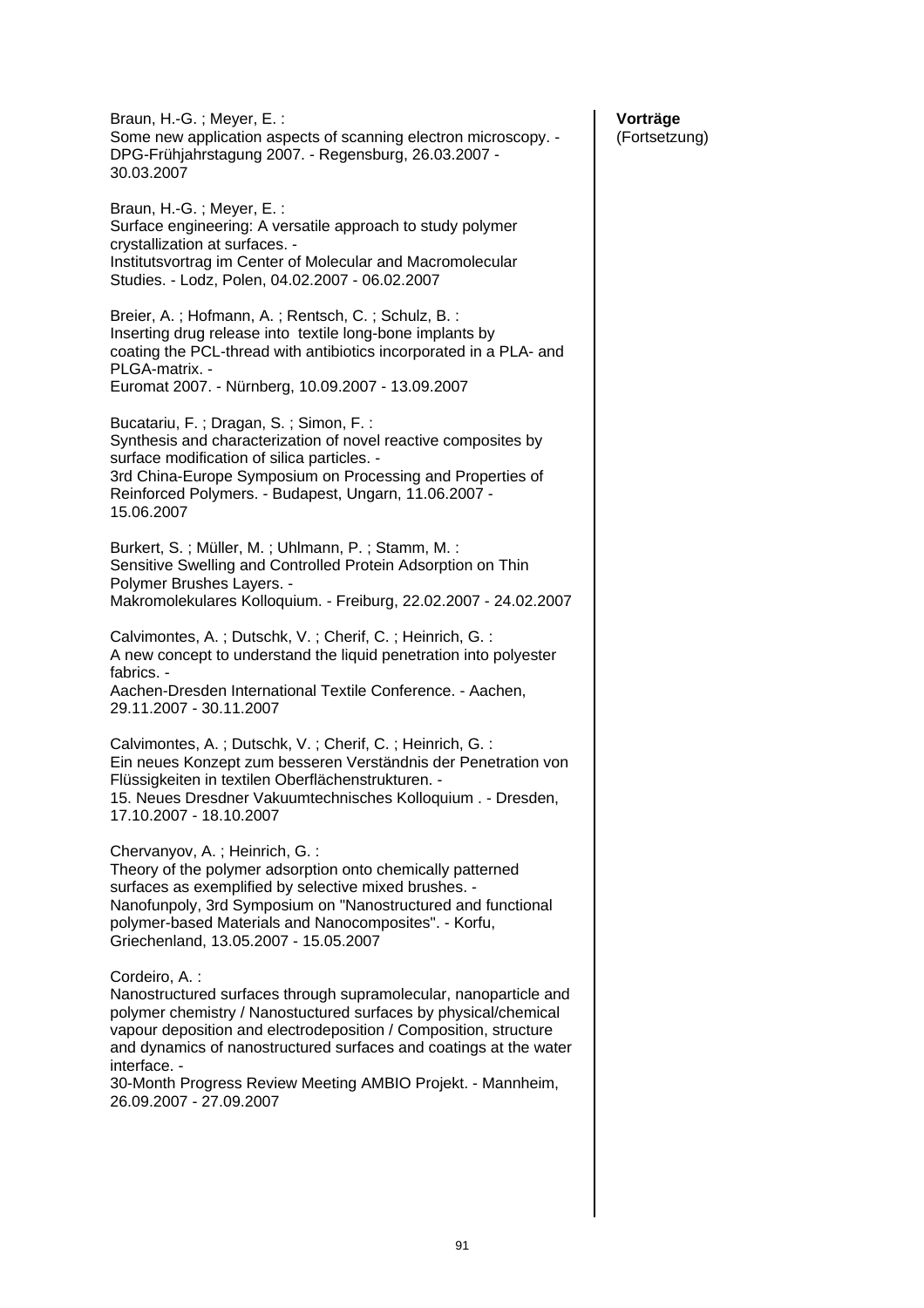Braun, H.-G. ; Meyer, E. : Some new application aspects of scanning electron microscopy. - DPG-Frühjahrstagung 2007. - Regensburg, 26.03.2007 - 30.03.2007 Braun, H.-G. ; Meyer, E. : Surface engineering: A versatile approach to study polymer crystallization at surfaces. - Institutsvortrag im Center of Molecular and Macromolecular Studies. - Lodz, Polen, 04.02.2007 - 06.02.2007 Breier, A. ; Hofmann, A. ; Rentsch, C. ; Schulz, B. : Inserting drug release into textile long-bone implants by coating the PCL-thread with antibiotics incorporated in a PLA- and PLGA-matrix. - Euromat 2007. - Nürnberg, 10.09.2007 - 13.09.2007 Bucatariu, F. ; Dragan, S. ; Simon, F. : Synthesis and characterization of novel reactive composites by surface modification of silica particles. - 3rd China-Europe Symposium on Processing and Properties of Reinforced Polymers. - Budapest, Ungarn, 11.06.2007 - 15.06.2007 Burkert, S. ; Müller, M. ; Uhlmann, P. ; Stamm, M. : Sensitive Swelling and Controlled Protein Adsorption on Thin Polymer Brushes Layers. - Makromolekulares Kolloquium. - Freiburg, 22.02.2007 - 24.02.2007 Calvimontes, A. ; Dutschk, V. ; Cherif, C. ; Heinrich, G. : A new concept to understand the liquid penetration into polyester fabrics. - Aachen-Dresden International Textile Conference. - Aachen, 29.11.2007 - 30.11.2007 Calvimontes, A. ; Dutschk, V. ; Cherif, C. ; Heinrich, G. : Ein neues Konzept zum besseren Verständnis der Penetration von Flüssigkeiten in textilen Oberflächenstrukturen. - 15. Neues Dresdner Vakuumtechnisches Kolloquium . - Dresden, 17.10.2007 - 18.10.2007 Chervanyov, A. ; Heinrich, G. : Theory of the polymer adsorption onto chemically patterned surfaces as exemplified by selective mixed brushes. - Nanofunpoly, 3rd Symposium on "Nanostructured and functional polymer-based Materials and Nanocomposites". - Korfu, Griechenland, 13.05.2007 - 15.05.2007 Cordeiro, A. : Nanostructured surfaces through supramolecular, nanoparticle and polymer chemistry / Nanostuctured surfaces by physical/chemical vapour deposition and electrodeposition / Composition, structure and dynamics of nanostructured surfaces and coatings at the water interface. - 30-Month Progress Review Meeting AMBIO Projekt. - Mannheim, 26.09.2007 - 27.09.2007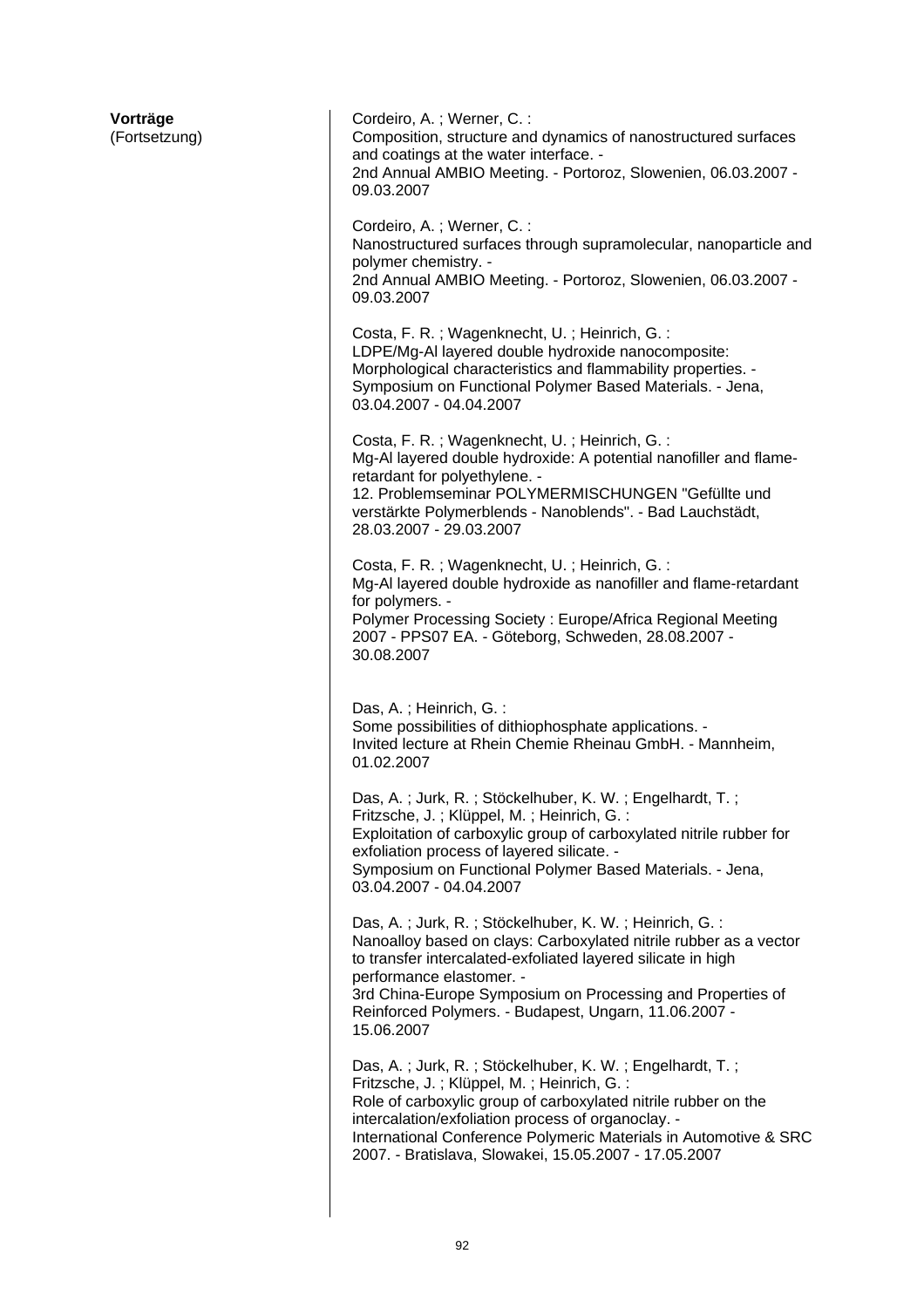| Vorträge<br>(Fortsetzung) | Cordeiro, A.; Werner, C.:<br>Composition, structure and dynamics of nanostructured surfaces<br>and coatings at the water interface. -<br>2nd Annual AMBIO Meeting. - Portoroz, Slowenien, 06.03.2007 -<br>09.03.2007                                                                                                                                        |
|---------------------------|-------------------------------------------------------------------------------------------------------------------------------------------------------------------------------------------------------------------------------------------------------------------------------------------------------------------------------------------------------------|
|                           | Cordeiro, A.; Werner, C.:<br>Nanostructured surfaces through supramolecular, nanoparticle and<br>polymer chemistry. -<br>2nd Annual AMBIO Meeting. - Portoroz, Slowenien, 06.03.2007 -<br>09.03.2007                                                                                                                                                        |
|                           | Costa, F. R.; Wagenknecht, U.; Heinrich, G.:<br>LDPE/Mg-AI layered double hydroxide nanocomposite:<br>Morphological characteristics and flammability properties. -<br>Symposium on Functional Polymer Based Materials. - Jena,<br>03.04.2007 - 04.04.2007                                                                                                   |
|                           | Costa, F. R.; Wagenknecht, U.; Heinrich, G.:<br>Mg-Al layered double hydroxide: A potential nanofiller and flame-<br>retardant for polyethylene. -<br>12. Problemseminar POLYMERMISCHUNGEN "Gefüllte und<br>verstärkte Polymerblends - Nanoblends". - Bad Lauchstädt,<br>28.03.2007 - 29.03.2007                                                            |
|                           | Costa, F. R.; Wagenknecht, U.; Heinrich, G.:<br>Mg-Al layered double hydroxide as nanofiller and flame-retardant<br>for polymers. -<br>Polymer Processing Society: Europe/Africa Regional Meeting<br>2007 - PPS07 EA. - Göteborg, Schweden, 28.08.2007 -<br>30.08.2007                                                                                      |
|                           | Das, A.; Heinrich, G.:<br>Some possibilities of dithiophosphate applications. -<br>Invited lecture at Rhein Chemie Rheinau GmbH. - Mannheim,<br>01.02.2007                                                                                                                                                                                                  |
|                           | Das, A.; Jurk, R.; Stöckelhuber, K. W.; Engelhardt, T.;<br>Fritzsche, J.; Klüppel, M.; Heinrich, G.:<br>Exploitation of carboxylic group of carboxylated nitrile rubber for<br>exfoliation process of layered silicate. -<br>Symposium on Functional Polymer Based Materials. - Jena,<br>03.04.2007 - 04.04.2007                                            |
|                           | Das, A.; Jurk, R.; Stöckelhuber, K. W.; Heinrich, G.:<br>Nanoalloy based on clays: Carboxylated nitrile rubber as a vector<br>to transfer intercalated-exfoliated layered silicate in high<br>performance elastomer. -<br>3rd China-Europe Symposium on Processing and Properties of<br>Reinforced Polymers. - Budapest, Ungarn, 11.06.2007 -<br>15.06.2007 |
|                           | Das, A.; Jurk, R.; Stöckelhuber, K. W.; Engelhardt, T.;<br>Fritzsche, J.; Klüppel, M.; Heinrich, G.:<br>Role of carboxylic group of carboxylated nitrile rubber on the<br>intercalation/exfoliation process of organoclay. -<br>International Conference Polymeric Materials in Automotive & SRC<br>2007. - Bratislava, Slowakei, 15.05.2007 - 17.05.2007   |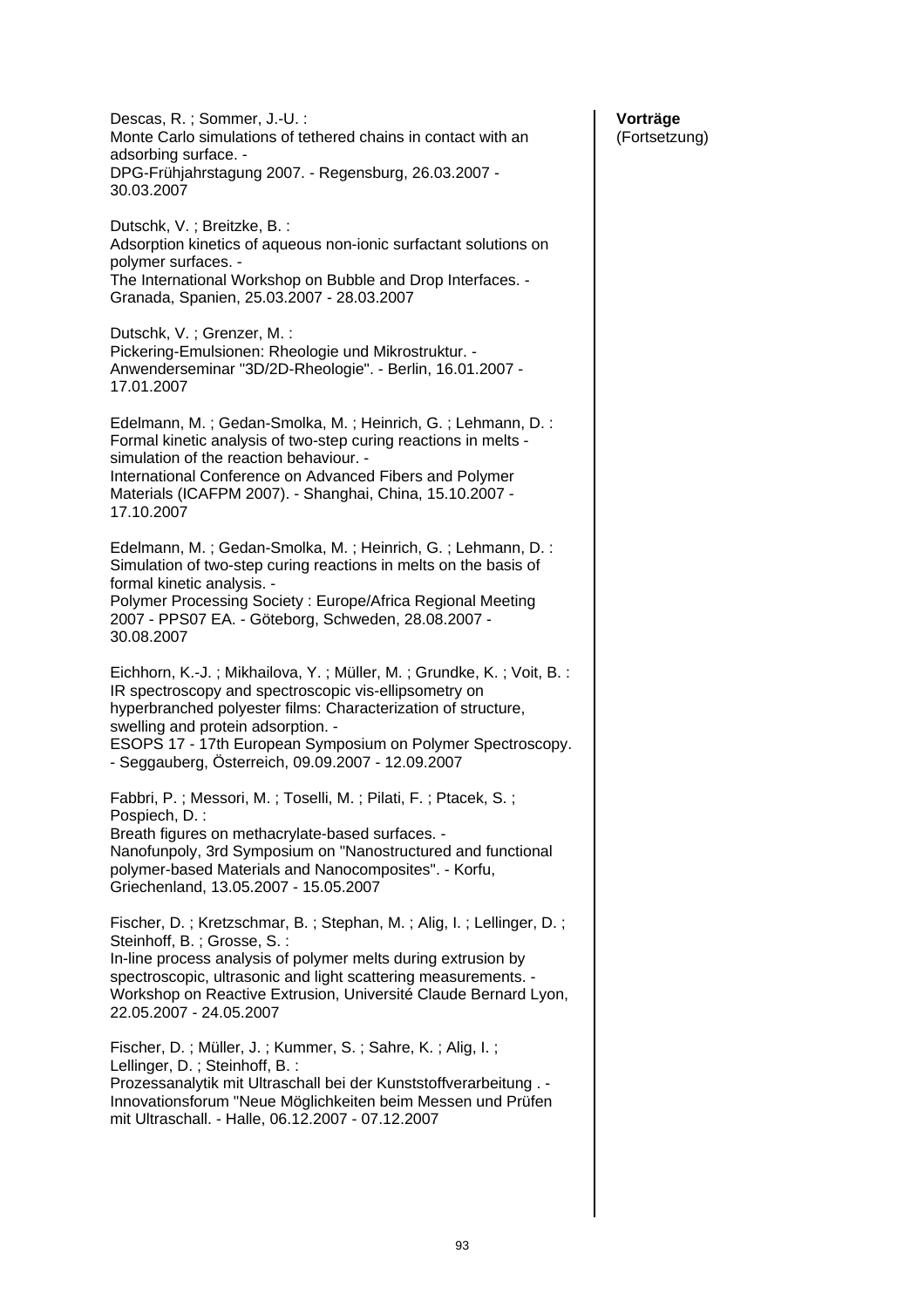Descas, R. ; Sommer, J.-U. : Monte Carlo simulations of tethered chains in contact with an adsorbing surface. - DPG-Frühjahrstagung 2007. - Regensburg, 26.03.2007 - 30.03.2007 Dutschk, V. ; Breitzke, B. : Adsorption kinetics of aqueous non-ionic surfactant solutions on polymer surfaces. - The International Workshop on Bubble and Drop Interfaces. - Granada, Spanien, 25.03.2007 - 28.03.2007 Dutschk, V. ; Grenzer, M. : Pickering-Emulsionen: Rheologie und Mikrostruktur. - Anwenderseminar "3D/2D-Rheologie". - Berlin, 16.01.2007 - 17.01.2007 Edelmann, M. ; Gedan-Smolka, M. ; Heinrich, G. ; Lehmann, D. : Formal kinetic analysis of two-step curing reactions in melts simulation of the reaction behaviour. - International Conference on Advanced Fibers and Polymer Materials (ICAFPM 2007). - Shanghai, China, 15.10.2007 - 17.10.2007 Edelmann, M. ; Gedan-Smolka, M. ; Heinrich, G. ; Lehmann, D. : Simulation of two-step curing reactions in melts on the basis of formal kinetic analysis. - Polymer Processing Society : Europe/Africa Regional Meeting 2007 - PPS07 EA. - Göteborg, Schweden, 28.08.2007 - 30.08.2007 Eichhorn, K.-J. ; Mikhailova, Y. ; Müller, M. ; Grundke, K. ; Voit, B. : IR spectroscopy and spectroscopic vis-ellipsometry on hyperbranched polyester films: Characterization of structure, swelling and protein adsorption. - ESOPS 17 - 17th European Symposium on Polymer Spectroscopy. - Seggauberg, Österreich, 09.09.2007 - 12.09.2007 Fabbri, P. ; Messori, M. ; Toselli, M. ; Pilati, F. ; Ptacek, S. ; Pospiech, D. : Breath figures on methacrylate-based surfaces. - Nanofunpoly, 3rd Symposium on "Nanostructured and functional polymer-based Materials and Nanocomposites". - Korfu, Griechenland, 13.05.2007 - 15.05.2007 Fischer, D. ; Kretzschmar, B. ; Stephan, M. ; Alig, I. ; Lellinger, D. ; Steinhoff, B. ; Grosse, S. : In-line process analysis of polymer melts during extrusion by spectroscopic, ultrasonic and light scattering measurements. - Workshop on Reactive Extrusion, Université Claude Bernard Lyon, 22.05.2007 - 24.05.2007 Fischer, D. ; Müller, J. ; Kummer, S. ; Sahre, K. ; Alig, I. ; Lellinger, D. ; Steinhoff, B. : Prozessanalytik mit Ultraschall bei der Kunststoffverarbeitung . - Innovationsforum "Neue Möglichkeiten beim Messen und Prüfen mit Ultraschall. - Halle, 06.12.2007 - 07.12.2007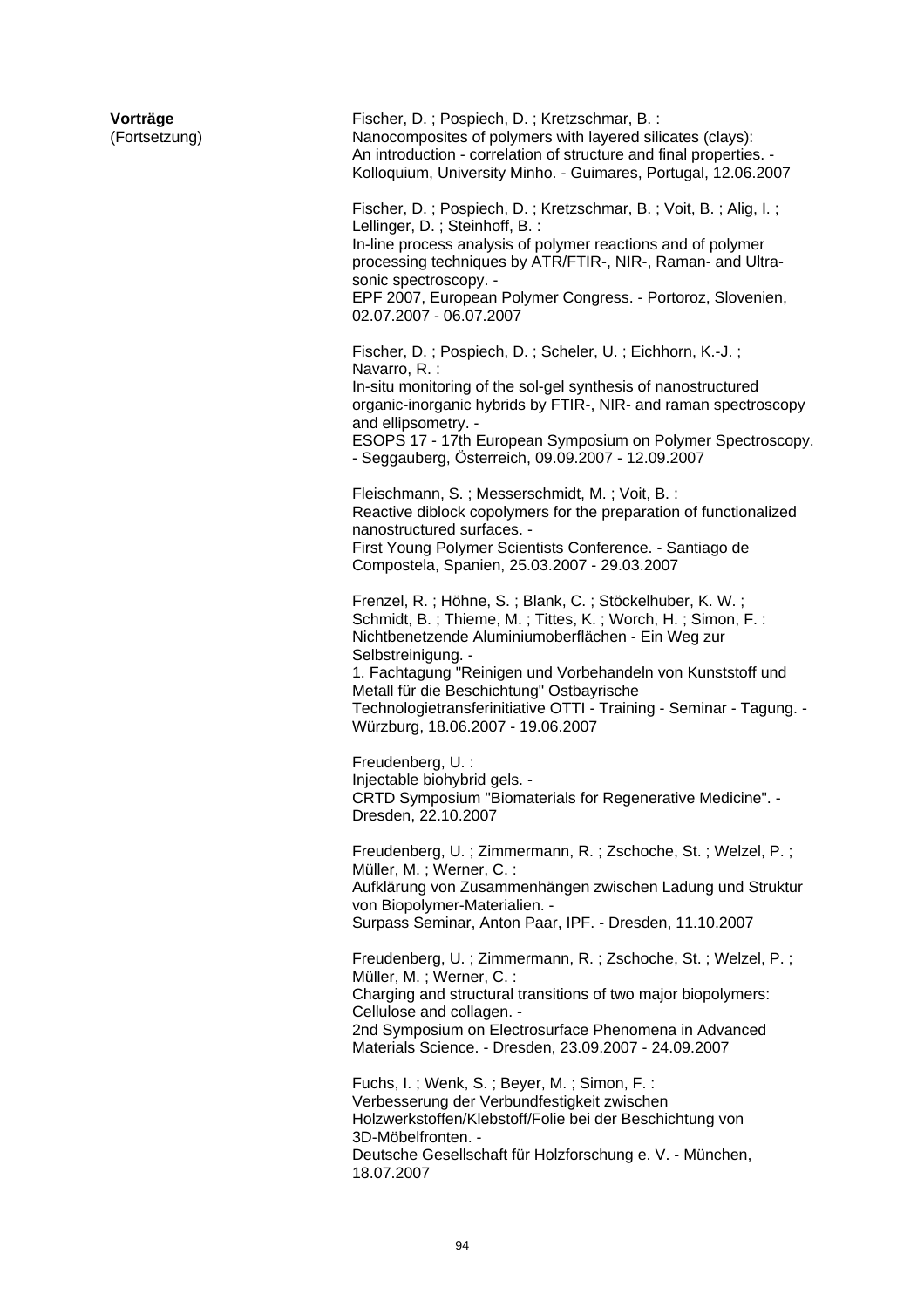| Vorträge<br>(Fortsetzung) | Fischer, D.; Pospiech, D.; Kretzschmar, B.:<br>Nanocomposites of polymers with layered silicates (clays):<br>An introduction - correlation of structure and final properties. -<br>Kolloquium, University Minho. - Guimares, Portugal, 12.06.2007<br>Fischer, D.; Pospiech, D.; Kretzschmar, B.; Voit, B.; Alig, I.;                                                                                                      |
|---------------------------|---------------------------------------------------------------------------------------------------------------------------------------------------------------------------------------------------------------------------------------------------------------------------------------------------------------------------------------------------------------------------------------------------------------------------|
|                           | Lellinger, D.; Steinhoff, B.:<br>In-line process analysis of polymer reactions and of polymer<br>processing techniques by ATR/FTIR-, NIR-, Raman- and Ultra-<br>sonic spectroscopy. -<br>EPF 2007, European Polymer Congress. - Portoroz, Slovenien,<br>02.07.2007 - 06.07.2007                                                                                                                                           |
|                           | Fischer, D.; Pospiech, D.; Scheler, U.; Eichhorn, K.-J.;<br>Navarro, R. :<br>In-situ monitoring of the sol-gel synthesis of nanostructured<br>organic-inorganic hybrids by FTIR-, NIR- and raman spectroscopy<br>and ellipsometry. -<br>ESOPS 17 - 17th European Symposium on Polymer Spectroscopy.<br>- Seggauberg, Österreich, 09.09.2007 - 12.09.2007                                                                  |
|                           | Fleischmann, S.; Messerschmidt, M.; Voit, B.:<br>Reactive diblock copolymers for the preparation of functionalized<br>nanostructured surfaces. -<br>First Young Polymer Scientists Conference. - Santiago de<br>Compostela, Spanien, 25.03.2007 - 29.03.2007                                                                                                                                                              |
|                           | Frenzel, R.; Höhne, S.; Blank, C.; Stöckelhuber, K. W.;<br>Schmidt, B.; Thieme, M.; Tittes, K.; Worch, H.; Simon, F.:<br>Nichtbenetzende Aluminiumoberflächen - Ein Weg zur<br>Selbstreinigung. -<br>1. Fachtagung "Reinigen und Vorbehandeln von Kunststoff und<br>Metall für die Beschichtung" Ostbayrische<br>Technologietransferinitiative OTTI - Training - Seminar - Tagung. -<br>Würzburg, 18.06.2007 - 19.06.2007 |
|                           | Freudenberg, U. :<br>Injectable biohybrid gels. -<br>CRTD Symposium "Biomaterials for Regenerative Medicine". -<br>Dresden, 22.10.2007                                                                                                                                                                                                                                                                                    |
|                           | Freudenberg, U.; Zimmermann, R.; Zschoche, St.; Welzel, P.;<br>Müller, M.; Werner, C.:<br>Aufklärung von Zusammenhängen zwischen Ladung und Struktur<br>von Biopolymer-Materialien. -<br>Surpass Seminar, Anton Paar, IPF. - Dresden, 11.10.2007                                                                                                                                                                          |
|                           | Freudenberg, U.; Zimmermann, R.; Zschoche, St.; Welzel, P.;<br>Müller, M.; Werner, C.:<br>Charging and structural transitions of two major biopolymers:<br>Cellulose and collagen. -<br>2nd Symposium on Electrosurface Phenomena in Advanced<br>Materials Science. - Dresden, 23.09.2007 - 24.09.2007                                                                                                                    |
|                           | Fuchs, I.; Wenk, S.; Beyer, M.; Simon, F.:<br>Verbesserung der Verbundfestigkeit zwischen<br>Holzwerkstoffen/Klebstoff/Folie bei der Beschichtung von<br>3D-Möbelfronten. -<br>Deutsche Gesellschaft für Holzforschung e. V. - München,<br>18.07.2007                                                                                                                                                                     |

 $\overline{\phantom{a}}$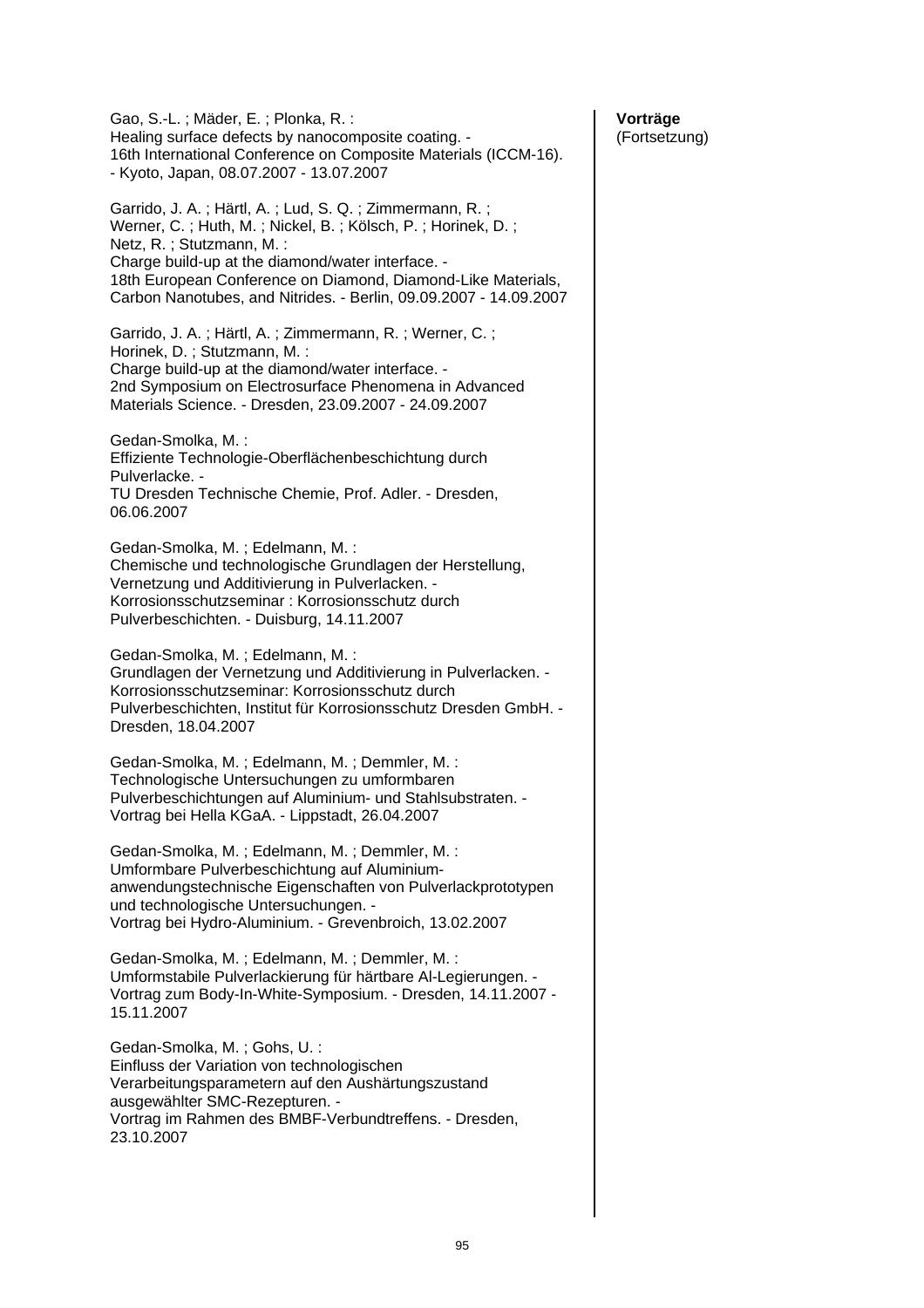Gao, S.-L. ; Mäder, E. ; Plonka, R. : Healing surface defects by nanocomposite coating. - 16th International Conference on Composite Materials (ICCM-16). - Kyoto, Japan, 08.07.2007 - 13.07.2007 Garrido, J. A. ; Härtl, A. ; Lud, S. Q. ; Zimmermann, R. ; Werner, C. ; Huth, M. ; Nickel, B. ; Kölsch, P. ; Horinek, D. ; Netz, R. ; Stutzmann, M. : Charge build-up at the diamond/water interface. - 18th European Conference on Diamond, Diamond-Like Materials, Carbon Nanotubes, and Nitrides. - Berlin, 09.09.2007 - 14.09.2007 Garrido, J. A. ; Härtl, A. ; Zimmermann, R. ; Werner, C. ; Horinek, D. ; Stutzmann, M. : Charge build-up at the diamond/water interface. - 2nd Symposium on Electrosurface Phenomena in Advanced Materials Science. - Dresden, 23.09.2007 - 24.09.2007 Gedan-Smolka, M. : Effiziente Technologie-Oberflächenbeschichtung durch Pulverlacke. - TU Dresden Technische Chemie, Prof. Adler. - Dresden, 06.06.2007 Gedan-Smolka, M. ; Edelmann, M. : Chemische und technologische Grundlagen der Herstellung, Vernetzung und Additivierung in Pulverlacken. - Korrosionsschutzseminar : Korrosionsschutz durch Pulverbeschichten. - Duisburg, 14.11.2007 Gedan-Smolka, M. ; Edelmann, M. : Grundlagen der Vernetzung und Additivierung in Pulverlacken. - Korrosionsschutzseminar: Korrosionsschutz durch Pulverbeschichten, Institut für Korrosionsschutz Dresden GmbH. - Dresden, 18.04.2007 Gedan-Smolka, M. ; Edelmann, M. ; Demmler, M. : Technologische Untersuchungen zu umformbaren Pulverbeschichtungen auf Aluminium- und Stahlsubstraten. - Vortrag bei Hella KGaA. - Lippstadt, 26.04.2007 Gedan-Smolka, M. ; Edelmann, M. ; Demmler, M. : Umformbare Pulverbeschichtung auf Aluminiumanwendungstechnische Eigenschaften von Pulverlackprototypen und technologische Untersuchungen. - Vortrag bei Hydro-Aluminium. - Grevenbroich, 13.02.2007 Gedan-Smolka, M. ; Edelmann, M. ; Demmler, M. : Umformstabile Pulverlackierung für härtbare Al-Legierungen. - Vortrag zum Body-In-White-Symposium. - Dresden, 14.11.2007 - 15.11.2007 Gedan-Smolka, M. ; Gohs, U. : Einfluss der Variation von technologischen Verarbeitungsparametern auf den Aushärtungszustand ausgewählter SMC-Rezepturen. - Vortrag im Rahmen des BMBF-Verbundtreffens. - Dresden, 23.10.2007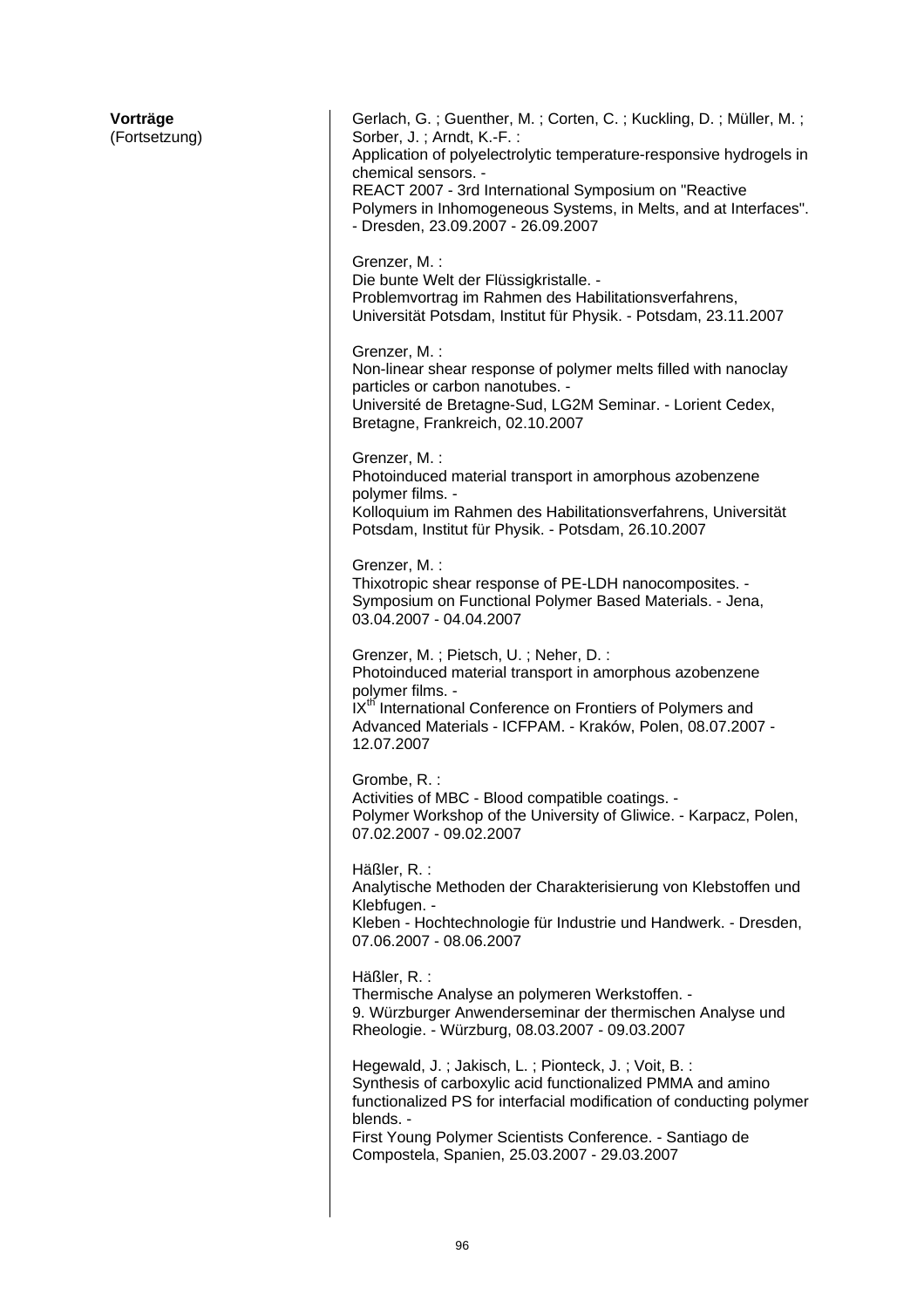| Vorträge<br>(Fortsetzung) | Gerlach, G.; Guenther, M.; Corten, C.; Kuckling, D.; Müller, M.;<br>Sorber, J.; Arndt, K.-F.:<br>Application of polyelectrolytic temperature-responsive hydrogels in<br>chemical sensors. -<br>REACT 2007 - 3rd International Symposium on "Reactive<br>Polymers in Inhomogeneous Systems, in Melts, and at Interfaces".<br>- Dresden, 23.09.2007 - 26.09.2007 |
|---------------------------|----------------------------------------------------------------------------------------------------------------------------------------------------------------------------------------------------------------------------------------------------------------------------------------------------------------------------------------------------------------|
|                           | Grenzer, M. :<br>Die bunte Welt der Flüssigkristalle. -<br>Problemvortrag im Rahmen des Habilitationsverfahrens,<br>Universität Potsdam, Institut für Physik. - Potsdam, 23.11.2007                                                                                                                                                                            |
|                           | Grenzer, M. :<br>Non-linear shear response of polymer melts filled with nanoclay<br>particles or carbon nanotubes. -<br>Université de Bretagne-Sud, LG2M Seminar. - Lorient Cedex,<br>Bretagne, Frankreich, 02.10.2007                                                                                                                                         |
|                           | Grenzer, M. :<br>Photoinduced material transport in amorphous azobenzene<br>polymer films. -<br>Kolloquium im Rahmen des Habilitationsverfahrens, Universität<br>Potsdam, Institut für Physik. - Potsdam, 26.10.2007                                                                                                                                           |
|                           | Grenzer, M. :<br>Thixotropic shear response of PE-LDH nanocomposites. -<br>Symposium on Functional Polymer Based Materials. - Jena,<br>03.04.2007 - 04.04.2007                                                                                                                                                                                                 |
|                           | Grenzer, M.; Pietsch, U.; Neher, D.:<br>Photoinduced material transport in amorphous azobenzene<br>polymer films. -<br>IX <sup>th</sup> International Conference on Frontiers of Polymers and<br>Advanced Materials - ICFPAM. - Kraków, Polen, 08.07.2007 -<br>12.07.2007                                                                                      |
|                           | Grombe, R. :<br>Activities of MBC - Blood compatible coatings. -<br>Polymer Workshop of the University of Gliwice. - Karpacz, Polen,<br>07.02.2007 - 09.02.2007                                                                                                                                                                                                |
|                           | Häßler, R.:<br>Analytische Methoden der Charakterisierung von Klebstoffen und<br>Klebfugen. -<br>Kleben - Hochtechnologie für Industrie und Handwerk. - Dresden,<br>07.06.2007 - 08.06.2007                                                                                                                                                                    |
|                           | Häßler, R.:<br>Thermische Analyse an polymeren Werkstoffen. -<br>9. Würzburger Anwenderseminar der thermischen Analyse und<br>Rheologie. - Würzburg, 08.03.2007 - 09.03.2007                                                                                                                                                                                   |
|                           | Hegewald, J.; Jakisch, L.; Pionteck, J.; Voit, B.:<br>Synthesis of carboxylic acid functionalized PMMA and amino<br>functionalized PS for interfacial modification of conducting polymer<br>blends. -<br>First Young Polymer Scientists Conference. - Santiago de<br>Compostela, Spanien, 25.03.2007 - 29.03.2007                                              |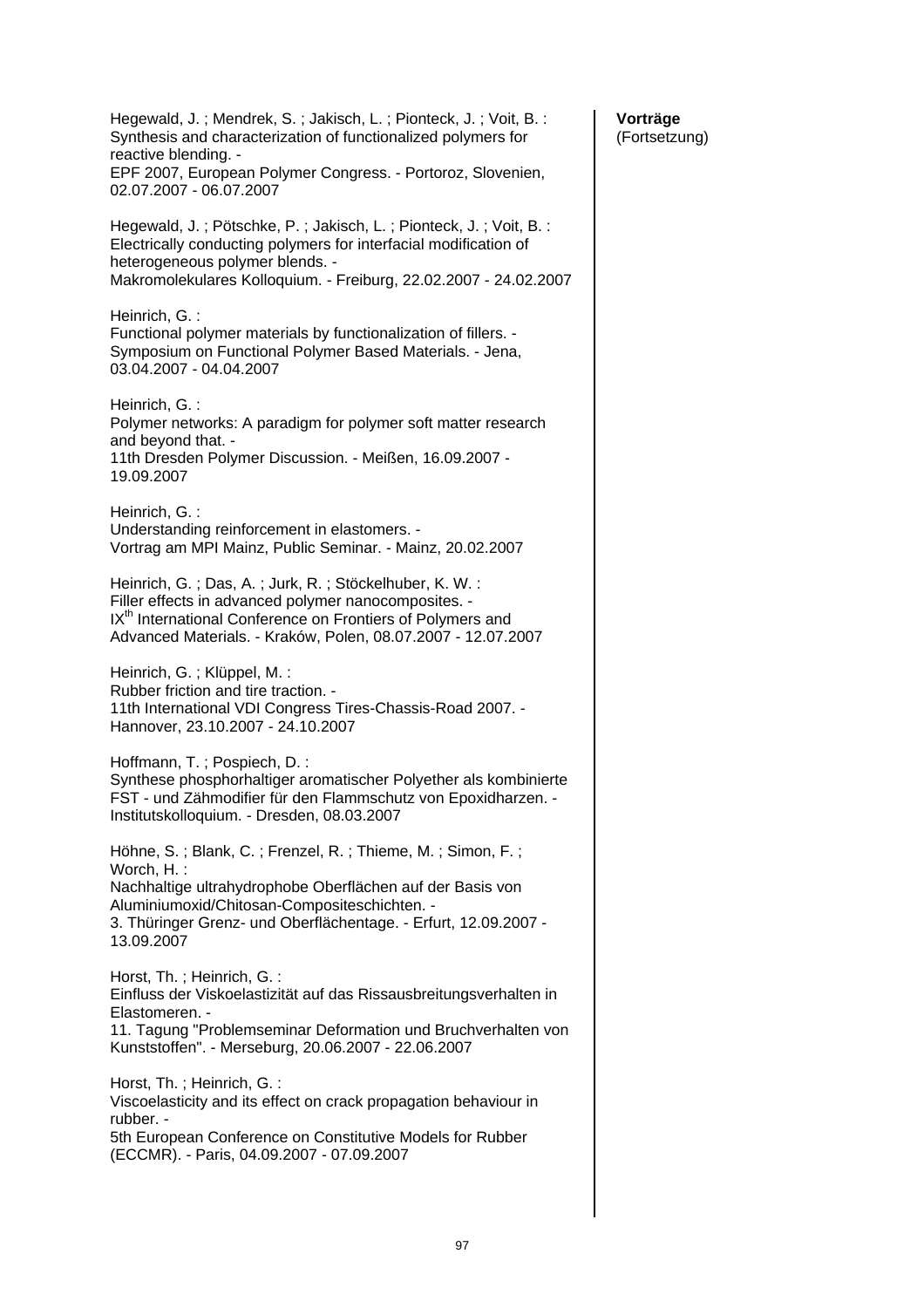| Hegewald, J.; Mendrek, S.; Jakisch, L.; Pionteck, J.; Voit, B.:<br>Synthesis and characterization of functionalized polymers for<br>reactive blending. -<br>EPF 2007, European Polymer Congress. - Portoroz, Slovenien,<br>02.07.2007 - 06.07.2007      |
|---------------------------------------------------------------------------------------------------------------------------------------------------------------------------------------------------------------------------------------------------------|
| Hegewald, J.; Pötschke, P.; Jakisch, L.; Pionteck, J.; Voit, B.:<br>Electrically conducting polymers for interfacial modification of<br>heterogeneous polymer blends. -<br>Makromolekulares Kolloquium. - Freiburg, 22.02.2007 - 24.02.2007             |
| Heinrich, G.:<br>Functional polymer materials by functionalization of fillers. -<br>Symposium on Functional Polymer Based Materials. - Jena,<br>03.04.2007 - 04.04.2007                                                                                 |
| Heinrich, G.:<br>Polymer networks: A paradigm for polymer soft matter research<br>and beyond that. -<br>11th Dresden Polymer Discussion. - Meißen, 16.09.2007 -<br>19.09.2007                                                                           |
| Heinrich, G.:<br>Understanding reinforcement in elastomers. -<br>Vortrag am MPI Mainz, Public Seminar. - Mainz, 20.02.2007                                                                                                                              |
| Heinrich, G.; Das, A.; Jurk, R.; Stöckelhuber, K. W.:<br>Filler effects in advanced polymer nanocomposites. -<br>IX <sup>th</sup> International Conference on Frontiers of Polymers and<br>Advanced Materials. - Kraków, Polen, 08.07.2007 - 12.07.2007 |
| Heinrich, G.; Klüppel, M.:<br>Rubber friction and tire traction. -<br>11th International VDI Congress Tires-Chassis-Road 2007. -<br>Hannover, 23.10.2007 - 24.10.2007                                                                                   |
| Hoffmann, T.; Pospiech, D.:<br>Synthese phosphorhaltiger aromatischer Polyether als kombinierte<br>FST - und Zähmodifier für den Flammschutz von Epoxidharzen. -<br>Institutskolloquium. - Dresden, 08.03.2007                                          |
| Höhne, S.; Blank, C.; Frenzel, R.; Thieme, M.; Simon, F.;                                                                                                                                                                                               |
| Worch, H.:<br>Nachhaltige ultrahydrophobe Oberflächen auf der Basis von<br>Aluminiumoxid/Chitosan-Compositeschichten. -<br>3. Thüringer Grenz- und Oberflächentage. - Erfurt, 12.09.2007 -<br>13.09.2007                                                |
| Horst, Th.; Heinrich, G.:<br>Einfluss der Viskoelastizität auf das Rissausbreitungsverhalten in<br>Elastomeren. -                                                                                                                                       |
| 11. Tagung "Problemseminar Deformation und Bruchverhalten von<br>Kunststoffen". - Merseburg, 20.06.2007 - 22.06.2007                                                                                                                                    |
| Horst, Th.; Heinrich, G.:<br>Viscoelasticity and its effect on crack propagation behaviour in<br>rubber. -<br>5th European Conference on Constitutive Models for Rubber                                                                                 |
| (ECCMR). - Paris, 04.09.2007 - 07.09.2007                                                                                                                                                                                                               |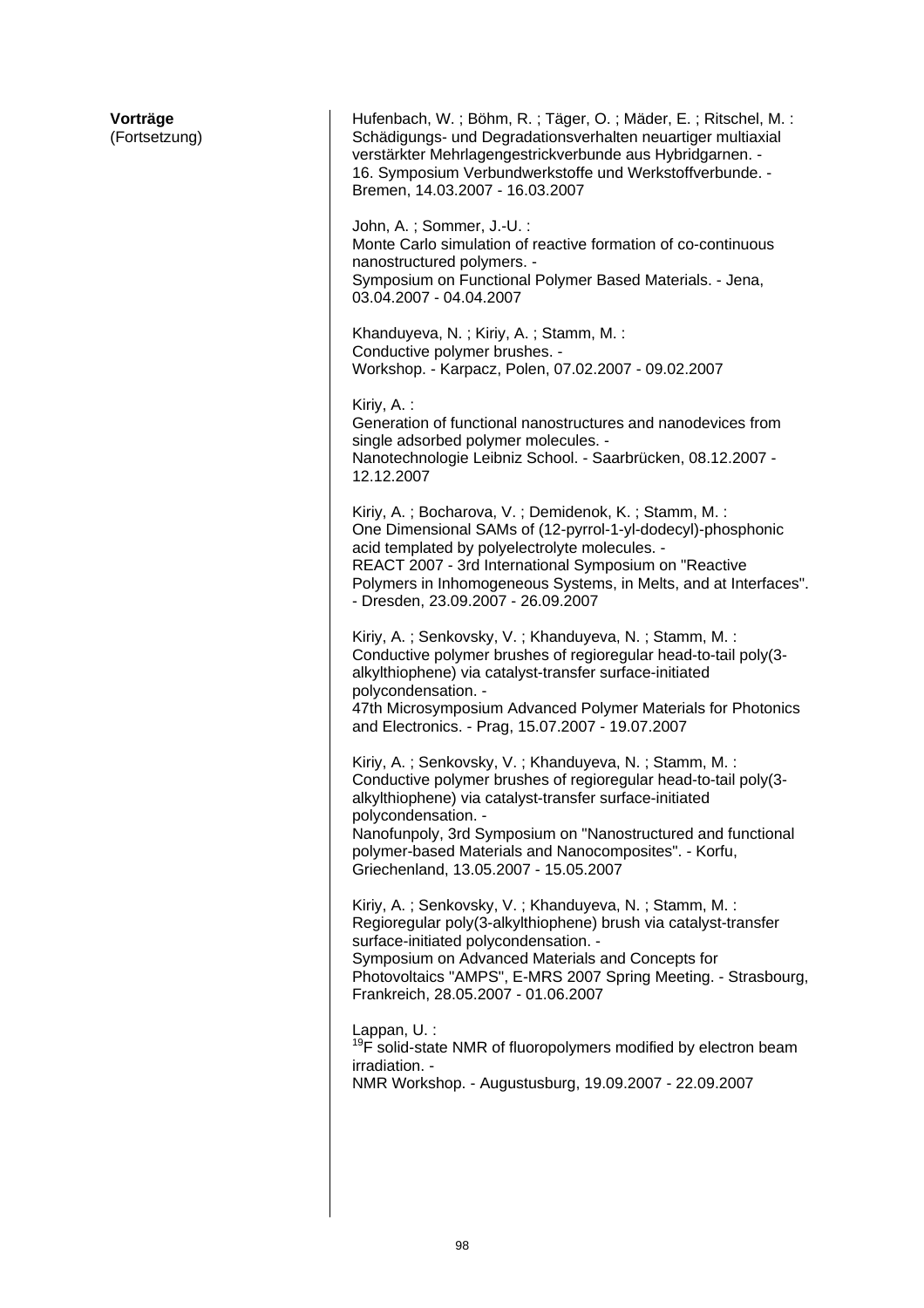| Vorträge<br>(Fortsetzung) | Hufenbach, W.; Böhm, R.; Täger, O.; Mäder, E.; Ritschel, M.:<br>Schädigungs- und Degradationsverhalten neuartiger multiaxial<br>verstärkter Mehrlagengestrickverbunde aus Hybridgarnen. -<br>16. Symposium Verbundwerkstoffe und Werkstoffverbunde. -<br>Bremen, 14.03.2007 - 16.03.2007<br>John, A.; Sommer, J.-U.:<br>Monte Carlo simulation of reactive formation of co-continuous<br>nanostructured polymers. -<br>Symposium on Functional Polymer Based Materials. - Jena,<br>03.04.2007 - 04.04.2007<br>Khanduyeva, N.; Kiriy, A.; Stamm, M.:<br>Conductive polymer brushes. -<br>Workshop. - Karpacz, Polen, 07.02.2007 - 09.02.2007<br>Kiriy, A.:<br>Generation of functional nanostructures and nanodevices from<br>single adsorbed polymer molecules. -<br>Nanotechnologie Leibniz School. - Saarbrücken, 08.12.2007 -<br>12.12.2007<br>Kiriy, A.; Bocharova, V.; Demidenok, K.; Stamm, M.:<br>One Dimensional SAMs of (12-pyrrol-1-yl-dodecyl)-phosphonic<br>acid templated by polyelectrolyte molecules. -<br>REACT 2007 - 3rd International Symposium on "Reactive<br>Polymers in Inhomogeneous Systems, in Melts, and at Interfaces".<br>- Dresden, 23.09.2007 - 26.09.2007<br>Kiriy, A.; Senkovsky, V.; Khanduyeva, N.; Stamm, M.:<br>Conductive polymer brushes of regioregular head-to-tail poly(3-<br>alkylthiophene) via catalyst-transfer surface-initiated<br>polycondensation. -<br>47th Microsymposium Advanced Polymer Materials for Photonics<br>and Electronics. - Prag, 15.07.2007 - 19.07.2007<br>Kiriy, A.; Senkovsky, V.; Khanduyeva, N.; Stamm, M.:<br>Conductive polymer brushes of regioregular head-to-tail poly(3-<br>alkylthiophene) via catalyst-transfer surface-initiated<br>polycondensation. -<br>Nanofunpoly, 3rd Symposium on "Nanostructured and functional<br>polymer-based Materials and Nanocomposites". - Korfu,<br>Griechenland, 13.05.2007 - 15.05.2007<br>Kiriy, A.; Senkovsky, V.; Khanduyeva, N.; Stamm, M.:<br>Regioregular poly(3-alkylthiophene) brush via catalyst-transfer<br>surface-initiated polycondensation. -<br>Symposium on Advanced Materials and Concepts for |
|---------------------------|-----------------------------------------------------------------------------------------------------------------------------------------------------------------------------------------------------------------------------------------------------------------------------------------------------------------------------------------------------------------------------------------------------------------------------------------------------------------------------------------------------------------------------------------------------------------------------------------------------------------------------------------------------------------------------------------------------------------------------------------------------------------------------------------------------------------------------------------------------------------------------------------------------------------------------------------------------------------------------------------------------------------------------------------------------------------------------------------------------------------------------------------------------------------------------------------------------------------------------------------------------------------------------------------------------------------------------------------------------------------------------------------------------------------------------------------------------------------------------------------------------------------------------------------------------------------------------------------------------------------------------------------------------------------------------------------------------------------------------------------------------------------------------------------------------------------------------------------------------------------------------------------------------------------------------------------------------------------------------------------------------------------------------------------------------------------------------------------------------------------------------------|
|                           | Photovoltaics "AMPS", E-MRS 2007 Spring Meeting. - Strasbourg,<br>Frankreich, 28.05.2007 - 01.06.2007<br>Lappan, U. :<br><sup>19</sup> F solid-state NMR of fluoropolymers modified by electron beam                                                                                                                                                                                                                                                                                                                                                                                                                                                                                                                                                                                                                                                                                                                                                                                                                                                                                                                                                                                                                                                                                                                                                                                                                                                                                                                                                                                                                                                                                                                                                                                                                                                                                                                                                                                                                                                                                                                              |
|                           | irradiation. -<br>NMR Workshop. - Augustusburg, 19.09.2007 - 22.09.2007                                                                                                                                                                                                                                                                                                                                                                                                                                                                                                                                                                                                                                                                                                                                                                                                                                                                                                                                                                                                                                                                                                                                                                                                                                                                                                                                                                                                                                                                                                                                                                                                                                                                                                                                                                                                                                                                                                                                                                                                                                                           |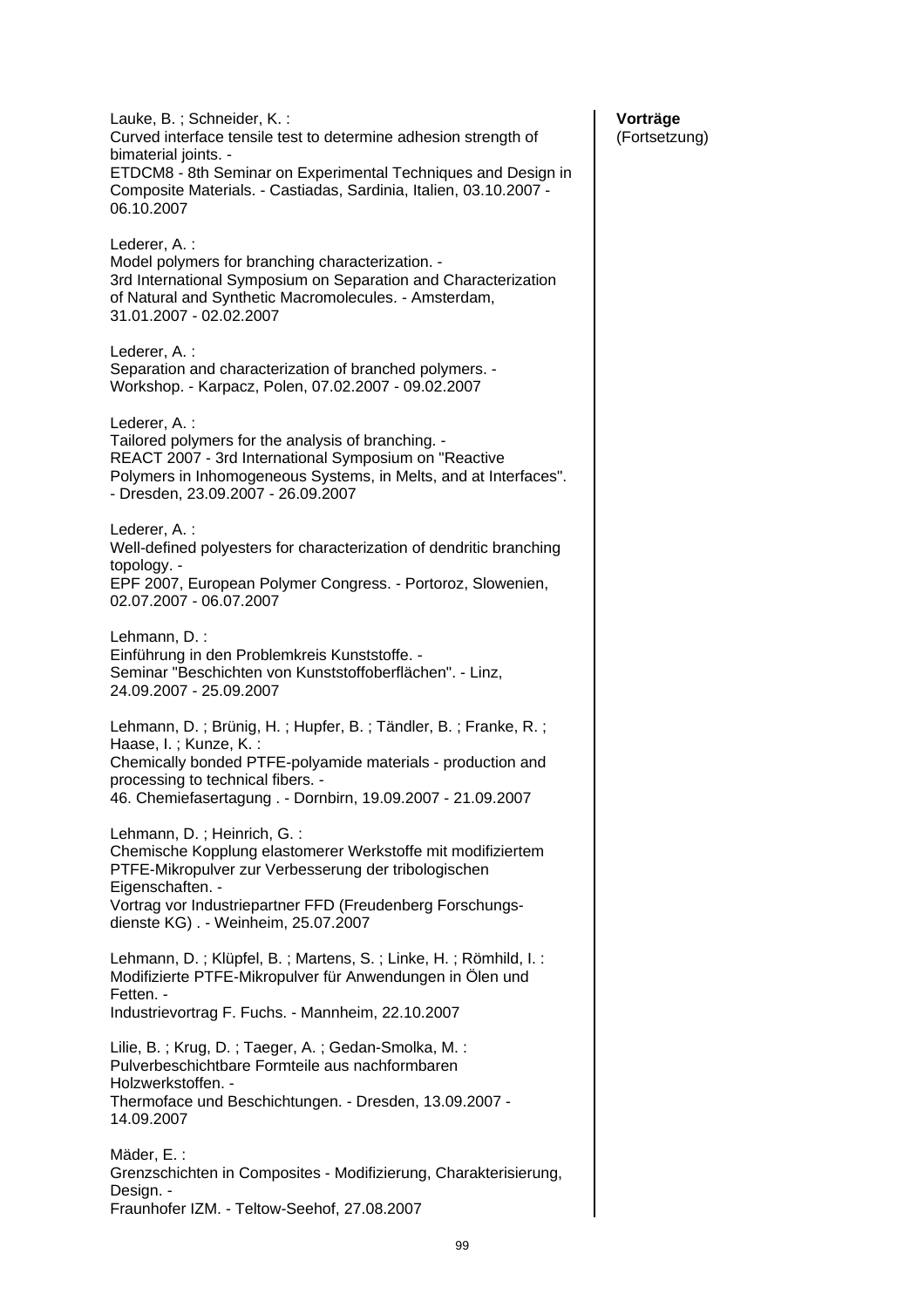Lauke, B. ; Schneider, K. : Curved interface tensile test to determine adhesion strength of bimaterial joints. - ETDCM8 - 8th Seminar on Experimental Techniques and Design in Composite Materials. - Castiadas, Sardinia, Italien, 03.10.2007 - 06.10.2007 Lederer, A. : Model polymers for branching characterization. - 3rd International Symposium on Separation and Characterization of Natural and Synthetic Macromolecules. - Amsterdam, 31.01.2007 - 02.02.2007 Lederer, A. : Separation and characterization of branched polymers. - Workshop. - Karpacz, Polen, 07.02.2007 - 09.02.2007 Lederer, A. : Tailored polymers for the analysis of branching. - REACT 2007 - 3rd International Symposium on "Reactive Polymers in Inhomogeneous Systems, in Melts, and at Interfaces". - Dresden, 23.09.2007 - 26.09.2007 Lederer, A. : Well-defined polyesters for characterization of dendritic branching topology. - EPF 2007, European Polymer Congress. - Portoroz, Slowenien, 02.07.2007 - 06.07.2007 Lehmann, D. : Einführung in den Problemkreis Kunststoffe. - Seminar "Beschichten von Kunststoffoberflächen". - Linz, 24.09.2007 - 25.09.2007 Lehmann, D. ; Brünig, H. ; Hupfer, B. ; Tändler, B. ; Franke, R. ; Haase, I. ; Kunze, K. : Chemically bonded PTFE-polyamide materials - production and processing to technical fibers. - 46. Chemiefasertagung . - Dornbirn, 19.09.2007 - 21.09.2007 Lehmann, D. ; Heinrich. G. : Chemische Kopplung elastomerer Werkstoffe mit modifiziertem PTFE-Mikropulver zur Verbesserung der tribologischen Eigenschaften. - Vortrag vor Industriepartner FFD (Freudenberg Forschungsdienste KG) . - Weinheim, 25.07.2007 Lehmann, D. ; Klüpfel, B. ; Martens, S. ; Linke, H. ; Römhild, I. : Modifizierte PTFE-Mikropulver für Anwendungen in Ölen und Fetten. - Industrievortrag F. Fuchs. - Mannheim, 22.10.2007 Lilie, B. ; Krug, D. ; Taeger, A. ; Gedan-Smolka, M. : Pulverbeschichtbare Formteile aus nachformbaren Holzwerkstoffen. - Thermoface und Beschichtungen. - Dresden, 13.09.2007 - 14.09.2007 Mäder, E. : Grenzschichten in Composites - Modifizierung, Charakterisierung, Design. -Fraunhofer IZM. - Teltow-Seehof, 27.08.2007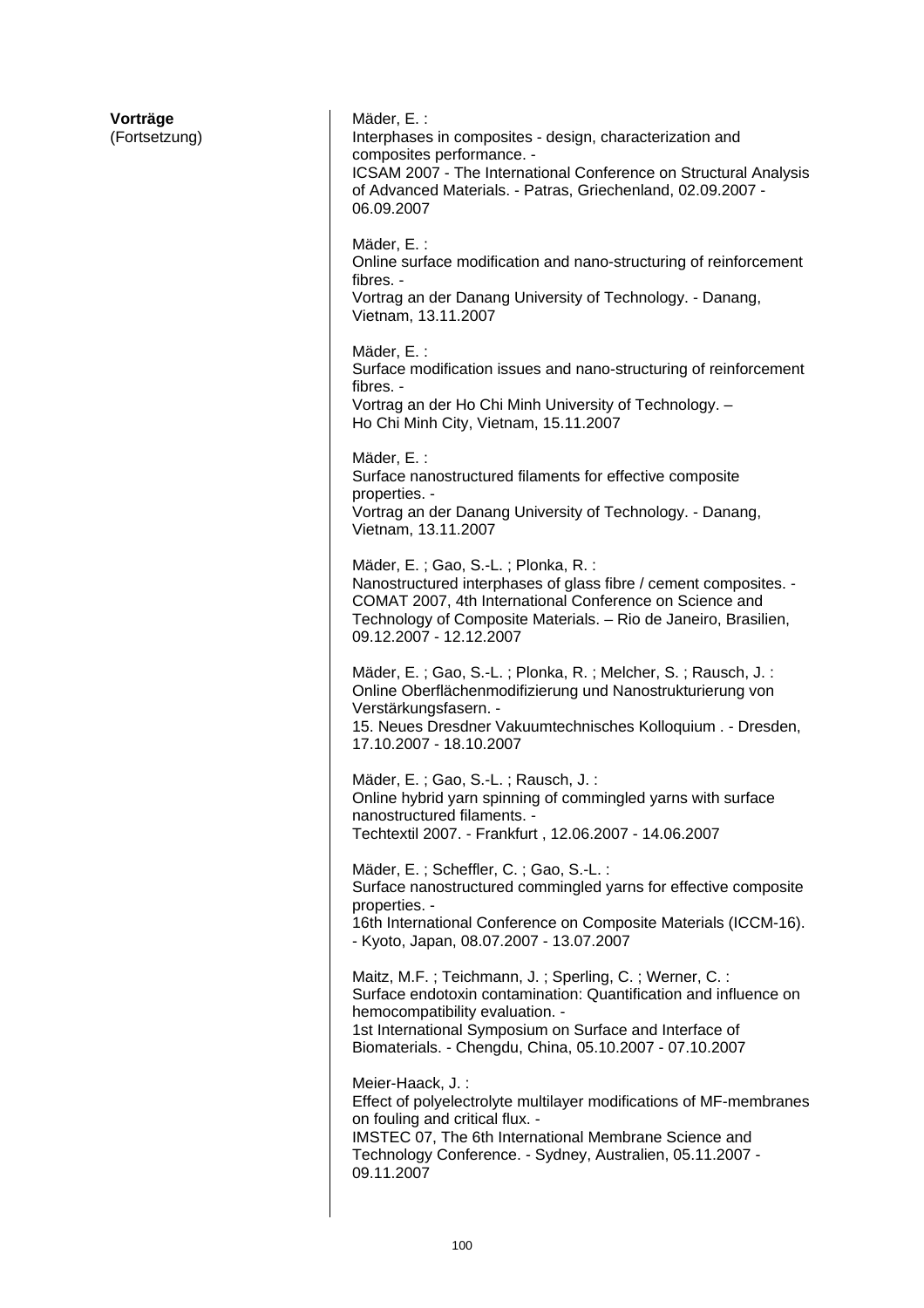| Vorträge<br>(Fortsetzung) | Mäder, E.:<br>Interphases in composites - design, characterization and<br>composites performance. -<br>ICSAM 2007 - The International Conference on Structural Analysis<br>of Advanced Materials. - Patras, Griechenland, 02.09.2007 -<br>06.09.2007                               |
|---------------------------|------------------------------------------------------------------------------------------------------------------------------------------------------------------------------------------------------------------------------------------------------------------------------------|
|                           | Mäder, E.:<br>Online surface modification and nano-structuring of reinforcement<br>fibres. -<br>Vortrag an der Danang University of Technology. - Danang,<br>Vietnam, 13.11.2007                                                                                                   |
|                           | Mäder, E.:<br>Surface modification issues and nano-structuring of reinforcement<br>fibres. -<br>Vortrag an der Ho Chi Minh University of Technology. -<br>Ho Chi Minh City, Vietnam, 15.11.2007                                                                                    |
|                           | Mäder, E.:<br>Surface nanostructured filaments for effective composite<br>properties. -<br>Vortrag an der Danang University of Technology. - Danang,<br>Vietnam, 13.11.2007                                                                                                        |
|                           | Mäder, E.; Gao, S.-L.; Plonka, R.:<br>Nanostructured interphases of glass fibre / cement composites. -<br>COMAT 2007, 4th International Conference on Science and<br>Technology of Composite Materials. - Rio de Janeiro, Brasilien,<br>09.12.2007 - 12.12.2007                    |
|                           | Mäder, E.; Gao, S.-L.; Plonka, R.; Melcher, S.; Rausch, J.:<br>Online Oberflächenmodifizierung und Nanostrukturierung von<br>Verstärkungsfasern. -<br>15. Neues Dresdner Vakuumtechnisches Kolloquium. - Dresden,<br>17.10.2007 - 18.10.2007                                       |
|                           | Mäder, E.; Gao, S.-L.; Rausch, J.:<br>Online hybrid yarn spinning of commingled yarns with surface<br>nanostructured filaments. -<br>Techtextil 2007. - Frankfurt, 12.06.2007 - 14.06.2007                                                                                         |
|                           | Mäder, E.; Scheffler, C.; Gao, S.-L.:<br>Surface nanostructured commingled yarns for effective composite<br>properties. -<br>16th International Conference on Composite Materials (ICCM-16).<br>- Kyoto, Japan, 08.07.2007 - 13.07.2007                                            |
|                           | Maitz, M.F.; Teichmann, J.; Sperling, C.; Werner, C.:<br>Surface endotoxin contamination: Quantification and influence on<br>hemocompatibility evaluation. -<br>1st International Symposium on Surface and Interface of<br>Biomaterials. - Chengdu, China, 05.10.2007 - 07.10.2007 |
|                           | Meier-Haack, J.:<br>Effect of polyelectrolyte multilayer modifications of MF-membranes<br>on fouling and critical flux. -<br>IMSTEC 07, The 6th International Membrane Science and<br>Technology Conference. - Sydney, Australien, 05.11.2007 -<br>09.11.2007                      |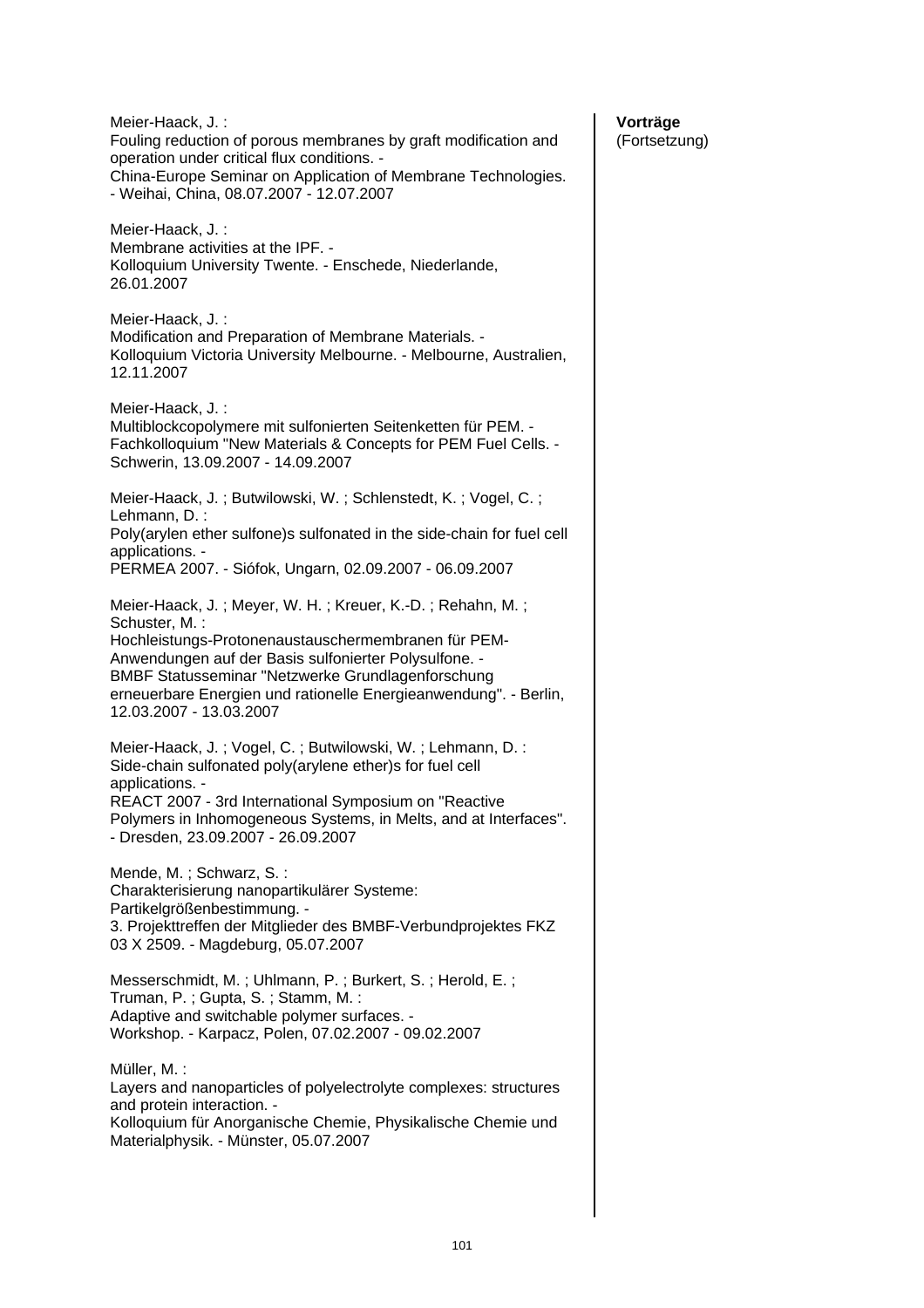| Meier-Haack, J.:<br>Fouling reduction of porous membranes by graft modification and<br>operation under critical flux conditions. -<br>China-Europe Seminar on Application of Membrane Technologies.<br>- Weihai, China, 08.07.2007 - 12.07.2007                         |
|-------------------------------------------------------------------------------------------------------------------------------------------------------------------------------------------------------------------------------------------------------------------------|
| Meier-Haack, J.:<br>Membrane activities at the IPF. -<br>Kolloquium University Twente. - Enschede, Niederlande,<br>26.01.2007                                                                                                                                           |
| Meier-Haack, J.:<br>Modification and Preparation of Membrane Materials. -<br>Kolloquium Victoria University Melbourne. - Melbourne, Australien,<br>12.11.2007                                                                                                           |
| Meier-Haack, J.:<br>Multiblockcopolymere mit sulfonierten Seitenketten für PEM. -<br>Fachkolloquium "New Materials & Concepts for PEM Fuel Cells. -<br>Schwerin, 13.09.2007 - 14.09.2007                                                                                |
| Meier-Haack, J.; Butwilowski, W.; Schlenstedt, K.; Vogel, C.;                                                                                                                                                                                                           |
| Lehmann, D.:<br>Poly(arylen ether sulfone)s sulfonated in the side-chain for fuel cell                                                                                                                                                                                  |
| applications. -<br>PERMEA 2007. - Siófok, Ungarn, 02.09.2007 - 06.09.2007                                                                                                                                                                                               |
| Meier-Haack, J.; Meyer, W. H.; Kreuer, K.-D.; Rehahn, M.;<br>Schuster, M.:                                                                                                                                                                                              |
| Hochleistungs-Protonenaustauschermembranen für PEM-<br>Anwendungen auf der Basis sulfonierter Polysulfone. -<br><b>BMBF Statusseminar "Netzwerke Grundlagenforschung</b><br>erneuerbare Energien und rationelle Energieanwendung". - Berlin,<br>12.03.2007 - 13.03.2007 |
| Meier-Haack, J.; Vogel, C.; Butwilowski, W.; Lehmann, D.:<br>Side-chain sulfonated poly(arylene ether)s for fuel cell<br>applications. -                                                                                                                                |
| REACT 2007 - 3rd International Symposium on "Reactive<br>Polymers in Inhomogeneous Systems, in Melts, and at Interfaces".<br>- Dresden, 23.09.2007 - 26.09.2007                                                                                                         |
| Mende, M.; Schwarz, S.:                                                                                                                                                                                                                                                 |
| Charakterisierung nanopartikulärer Systeme:<br>Partikelgrößenbestimmung. -                                                                                                                                                                                              |
| 3. Projekttreffen der Mitglieder des BMBF-Verbundprojektes FKZ<br>03 X 2509. - Magdeburg, 05.07.2007                                                                                                                                                                    |
| Messerschmidt, M.; Uhlmann, P.; Burkert, S.; Herold, E.;<br>Truman, P.; Gupta, S.; Stamm, M.:                                                                                                                                                                           |
| Adaptive and switchable polymer surfaces. -<br>Workshop. - Karpacz, Polen, 07.02.2007 - 09.02.2007                                                                                                                                                                      |
| Müller, M. :<br>Layers and nanoparticles of polyelectrolyte complexes: structures<br>and protein interaction. -                                                                                                                                                         |
| Kolloquium für Anorganische Chemie, Physikalische Chemie und<br>Materialphysik. - Münster, 05.07.2007                                                                                                                                                                   |
|                                                                                                                                                                                                                                                                         |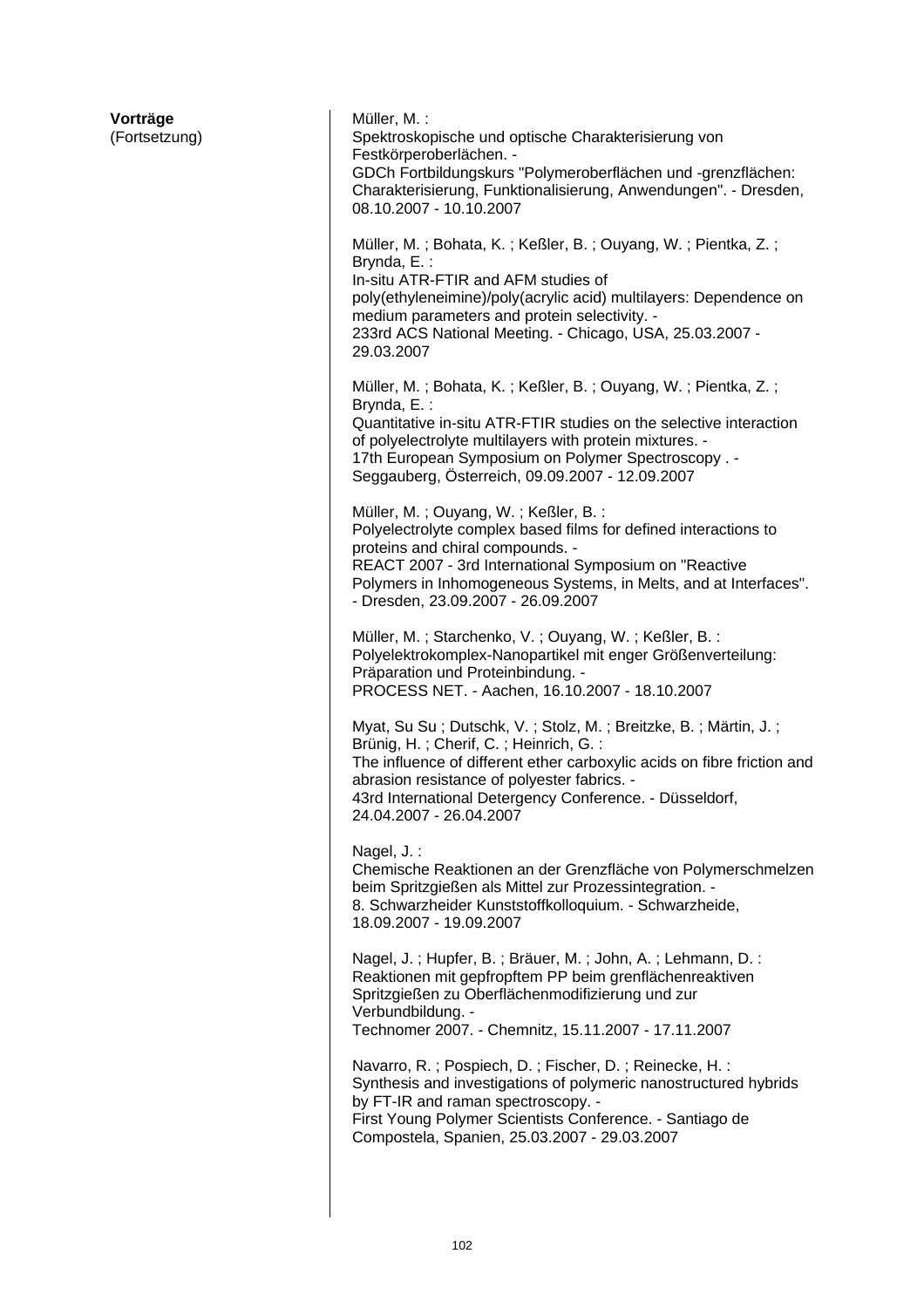| Vorträge<br>(Fortsetzung) | Müller, M. :<br>Spektroskopische und optische Charakterisierung von<br>Festkörperoberlächen. -<br>GDCh Fortbildungskurs "Polymeroberflächen und -grenzflächen:<br>Charakterisierung, Funktionalisierung, Anwendungen". - Dresden,<br>08.10.2007 - 10.10.2007                                                            |
|---------------------------|-------------------------------------------------------------------------------------------------------------------------------------------------------------------------------------------------------------------------------------------------------------------------------------------------------------------------|
|                           | Müller, M.; Bohata, K.; Keßler, B.; Ouyang, W.; Pientka, Z.;<br>Brynda, E.:<br>In-situ ATR-FTIR and AFM studies of<br>poly(ethyleneimine)/poly(acrylic acid) multilayers: Dependence on<br>medium parameters and protein selectivity. -<br>233rd ACS National Meeting. - Chicago, USA, 25.03.2007 -<br>29.03.2007       |
|                           | Müller, M.; Bohata, K.; Keßler, B.; Ouyang, W.; Pientka, Z.;<br>Brynda, E.:<br>Quantitative in-situ ATR-FTIR studies on the selective interaction<br>of polyelectrolyte multilayers with protein mixtures. -<br>17th European Symposium on Polymer Spectroscopy. -<br>Seggauberg, Österreich, 09.09.2007 - 12.09.2007   |
|                           | Müller, M.; Ouyang, W.; Keßler, B.:<br>Polyelectrolyte complex based films for defined interactions to<br>proteins and chiral compounds. -<br>REACT 2007 - 3rd International Symposium on "Reactive<br>Polymers in Inhomogeneous Systems, in Melts, and at Interfaces".<br>- Dresden, 23.09.2007 - 26.09.2007           |
|                           | Müller, M.; Starchenko, V.; Ouyang, W.; Keßler, B.:<br>Polyelektrokomplex-Nanopartikel mit enger Größenverteilung:<br>Präparation und Proteinbindung. -<br>PROCESS NET. - Aachen, 16.10.2007 - 18.10.2007                                                                                                               |
|                           | Myat, Su Su; Dutschk, V.; Stolz, M.; Breitzke, B.; Märtin, J.;<br>Brünig, H.; Cherif, C.; Heinrich, G.:<br>The influence of different ether carboxylic acids on fibre friction and<br>abrasion resistance of polyester fabrics. -<br>43rd International Detergency Conference. - Düsseldorf,<br>24.04.2007 - 26.04.2007 |
|                           | Nagel, J.:<br>Chemische Reaktionen an der Grenzfläche von Polymerschmelzen<br>beim Spritzgießen als Mittel zur Prozessintegration. -<br>8. Schwarzheider Kunststoffkolloquium. - Schwarzheide,<br>18.09.2007 - 19.09.2007                                                                                               |
|                           | Nagel, J.; Hupfer, B.; Bräuer, M.; John, A.; Lehmann, D.:<br>Reaktionen mit gepfropftem PP beim grenflächenreaktiven<br>Spritzgießen zu Oberflächenmodifizierung und zur<br>Verbundbildung. -<br>Technomer 2007. - Chemnitz, 15.11.2007 - 17.11.2007                                                                    |
|                           | Navarro, R.; Pospiech, D.; Fischer, D.; Reinecke, H.:<br>Synthesis and investigations of polymeric nanostructured hybrids<br>by FT-IR and raman spectroscopy. -<br>First Young Polymer Scientists Conference. - Santiago de<br>Compostela, Spanien, 25.03.2007 - 29.03.2007                                             |
|                           |                                                                                                                                                                                                                                                                                                                         |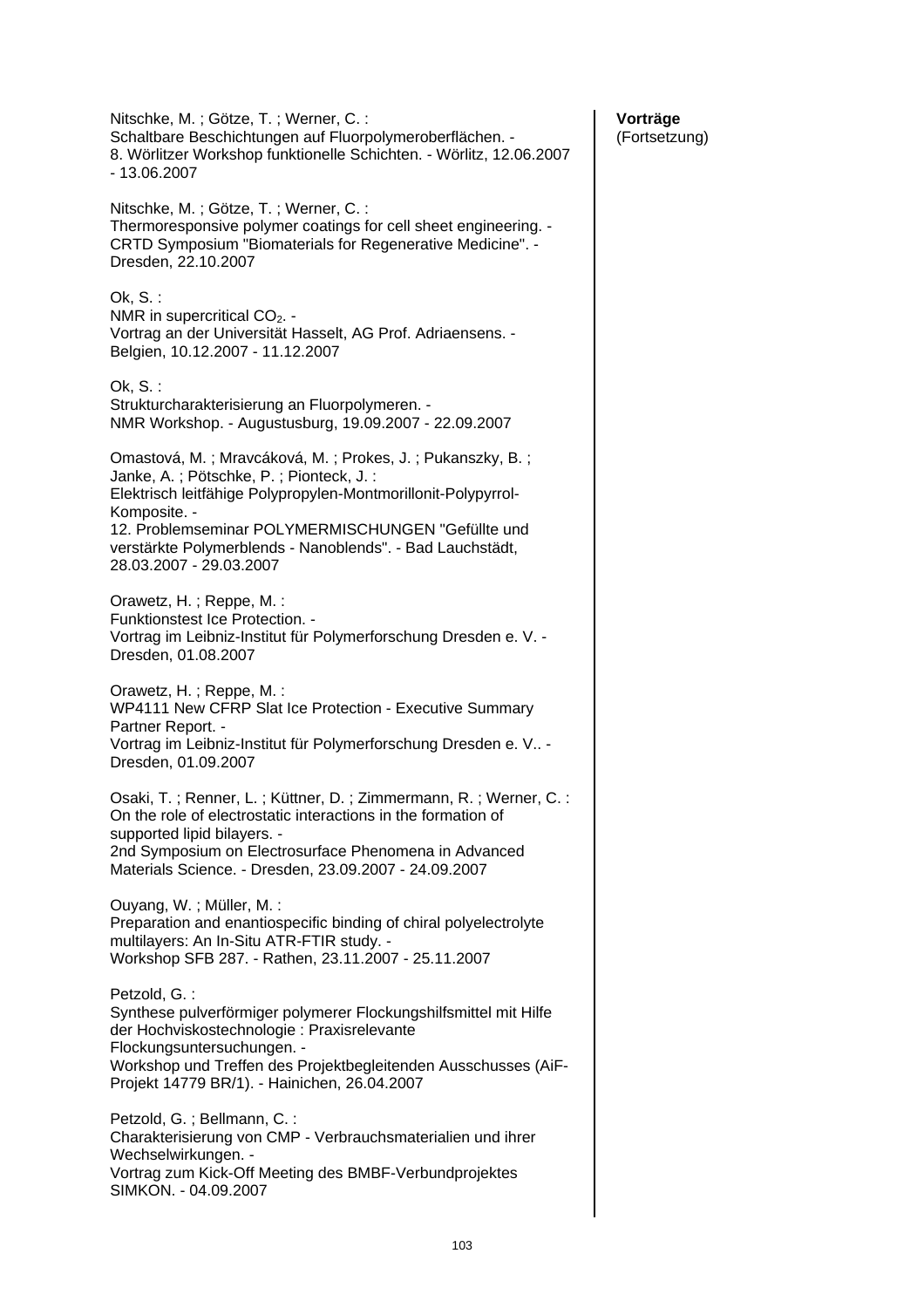# **Vorträge**

(Fortsetzung)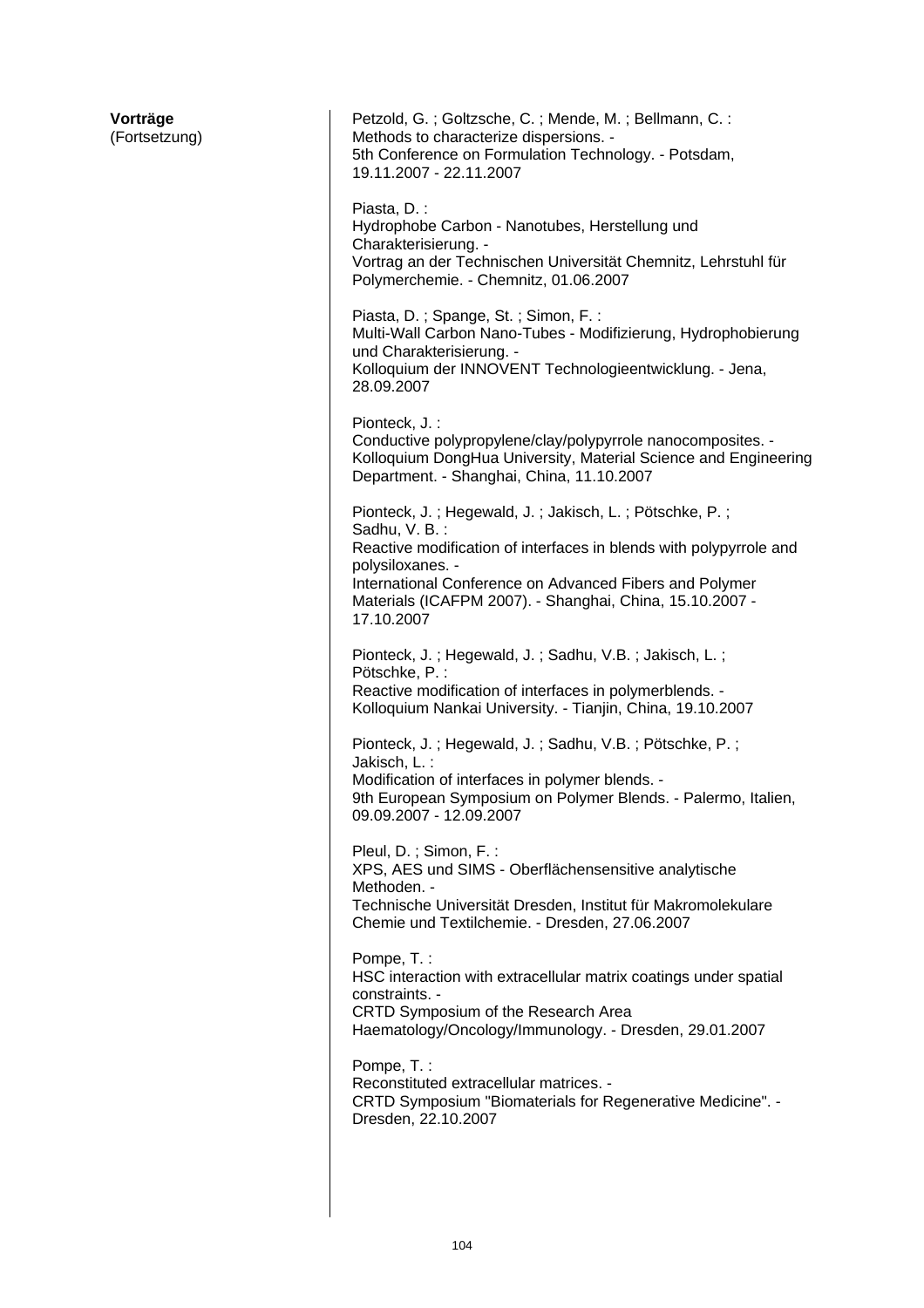| Vorträge<br>(Fortsetzung) | Petzold, G.; Goltzsche, C.; Mende, M.; Bellmann, C.:<br>Methods to characterize dispersions. -<br>5th Conference on Formulation Technology. - Potsdam,<br>19.11.2007 - 22.11.2007                                                                                                                      |
|---------------------------|--------------------------------------------------------------------------------------------------------------------------------------------------------------------------------------------------------------------------------------------------------------------------------------------------------|
|                           | Piasta, D. :<br>Hydrophobe Carbon - Nanotubes, Herstellung und<br>Charakterisierung. -<br>Vortrag an der Technischen Universität Chemnitz, Lehrstuhl für<br>Polymerchemie. - Chemnitz, 01.06.2007                                                                                                      |
|                           | Piasta, D.; Spange, St.; Simon, F.:<br>Multi-Wall Carbon Nano-Tubes - Modifizierung, Hydrophobierung<br>und Charakterisierung. -<br>Kolloquium der INNOVENT Technologieentwicklung. - Jena,<br>28.09.2007                                                                                              |
|                           | Pionteck, J.:<br>Conductive polypropylene/clay/polypyrrole nanocomposites. -<br>Kolloquium DongHua University, Material Science and Engineering<br>Department. - Shanghai, China, 11.10.2007                                                                                                           |
|                           | Pionteck, J.; Hegewald, J.; Jakisch, L.; Pötschke, P.;<br>Sadhu, V. B.:<br>Reactive modification of interfaces in blends with polypyrrole and<br>polysiloxanes. -<br>International Conference on Advanced Fibers and Polymer<br>Materials (ICAFPM 2007). - Shanghai, China, 15.10.2007 -<br>17.10.2007 |
|                           | Pionteck, J.; Hegewald, J.; Sadhu, V.B.; Jakisch, L.;<br>Pötschke, P.:<br>Reactive modification of interfaces in polymerblends. -<br>Kolloquium Nankai University. - Tianjin, China, 19.10.2007                                                                                                        |
|                           | Pionteck, J.; Hegewald, J.; Sadhu, V.B.; Pötschke, P.;<br>Jakisch, L.:<br>Modification of interfaces in polymer blends. -<br>9th European Symposium on Polymer Blends. - Palermo, Italien,<br>09.09.2007 - 12.09.2007                                                                                  |
|                           | Pleul, D.; Simon, F.:<br>XPS, AES und SIMS - Oberflächensensitive analytische<br>Methoden. -<br>Technische Universität Dresden, Institut für Makromolekulare<br>Chemie und Textilchemie. - Dresden, 27.06.2007                                                                                         |
|                           | Pompe, T.:<br>HSC interaction with extracellular matrix coatings under spatial<br>constraints. -<br>CRTD Symposium of the Research Area<br>Haematology/Oncology/Immunology. - Dresden, 29.01.2007                                                                                                      |
|                           | Pompe, T.:<br>Reconstituted extracellular matrices. -<br>CRTD Symposium "Biomaterials for Regenerative Medicine". -<br>Dresden, 22.10.2007                                                                                                                                                             |
|                           |                                                                                                                                                                                                                                                                                                        |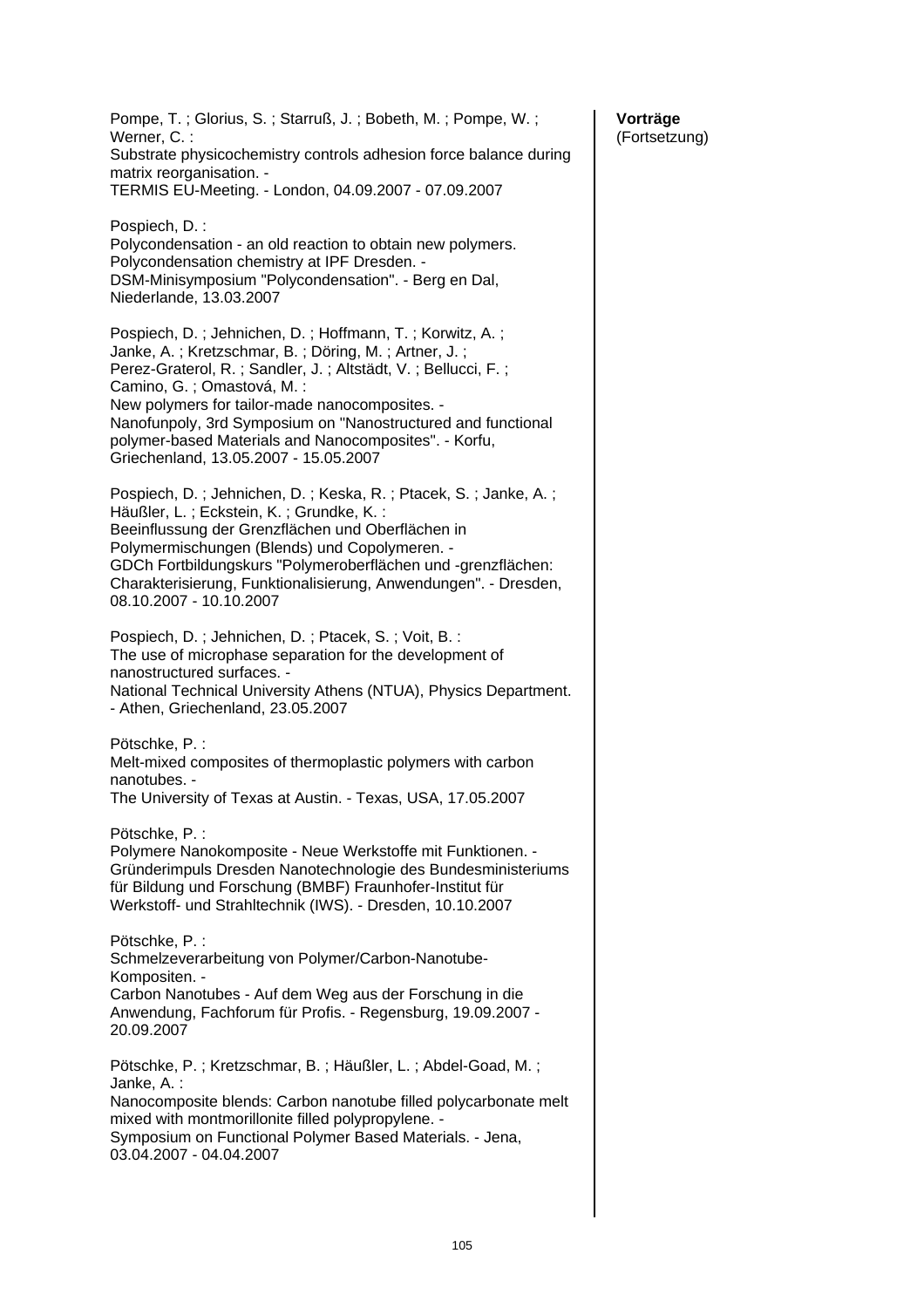Pompe, T. ; Glorius, S. ; Starruß, J. ; Bobeth, M. ; Pompe, W. ; Werner, C. : Substrate physicochemistry controls adhesion force balance during matrix reorganisation. - TERMIS EU-Meeting. - London, 04.09.2007 - 07.09.2007 Pospiech, D. : Polycondensation - an old reaction to obtain new polymers. Polycondensation chemistry at IPF Dresden. - DSM-Minisymposium "Polycondensation". - Berg en Dal, Niederlande, 13.03.2007 Pospiech, D. ; Jehnichen, D. ; Hoffmann, T. ; Korwitz, A. ; Janke, A. ; Kretzschmar, B. ; Döring, M. ; Artner, J. ; Perez-Graterol, R. ; Sandler, J. ; Altstädt, V. ; Bellucci, F. ; Camino, G. ; Omastová, M. : New polymers for tailor-made nanocomposites. - Nanofunpoly, 3rd Symposium on "Nanostructured and functional polymer-based Materials and Nanocomposites". - Korfu, Griechenland, 13.05.2007 - 15.05.2007 Pospiech, D. ; Jehnichen, D. ; Keska, R. ; Ptacek, S. ; Janke, A. ; Häußler, L. ; Eckstein, K. ; Grundke, K. : Beeinflussung der Grenzflächen und Oberflächen in Polymermischungen (Blends) und Copolymeren. - GDCh Fortbildungskurs "Polymeroberflächen und -grenzflächen: Charakterisierung, Funktionalisierung, Anwendungen". - Dresden, 08.10.2007 - 10.10.2007 Pospiech, D. ; Jehnichen, D. ; Ptacek, S. ; Voit, B. : The use of microphase separation for the development of nanostructured surfaces. - National Technical University Athens (NTUA), Physics Department. - Athen, Griechenland, 23.05.2007 Pötschke, P. : Melt-mixed composites of thermoplastic polymers with carbon nanotubes. - The University of Texas at Austin. - Texas, USA, 17.05.2007 Pötschke, P. : Polymere Nanokomposite - Neue Werkstoffe mit Funktionen. - Gründerimpuls Dresden Nanotechnologie des Bundesministeriums für Bildung und Forschung (BMBF) Fraunhofer-Institut für Werkstoff- und Strahltechnik (IWS). - Dresden, 10.10.2007 Pötschke, P. : Schmelzeverarbeitung von Polymer/Carbon-Nanotube-Kompositen. - Carbon Nanotubes - Auf dem Weg aus der Forschung in die Anwendung, Fachforum für Profis. - Regensburg, 19.09.2007 - 20.09.2007 Pötschke, P. ; Kretzschmar, B. ; Häußler, L. ; Abdel-Goad, M. ; Janke, A. : Nanocomposite blends: Carbon nanotube filled polycarbonate melt mixed with montmorillonite filled polypropylene. - Symposium on Functional Polymer Based Materials. - Jena, 03.04.2007 - 04.04.2007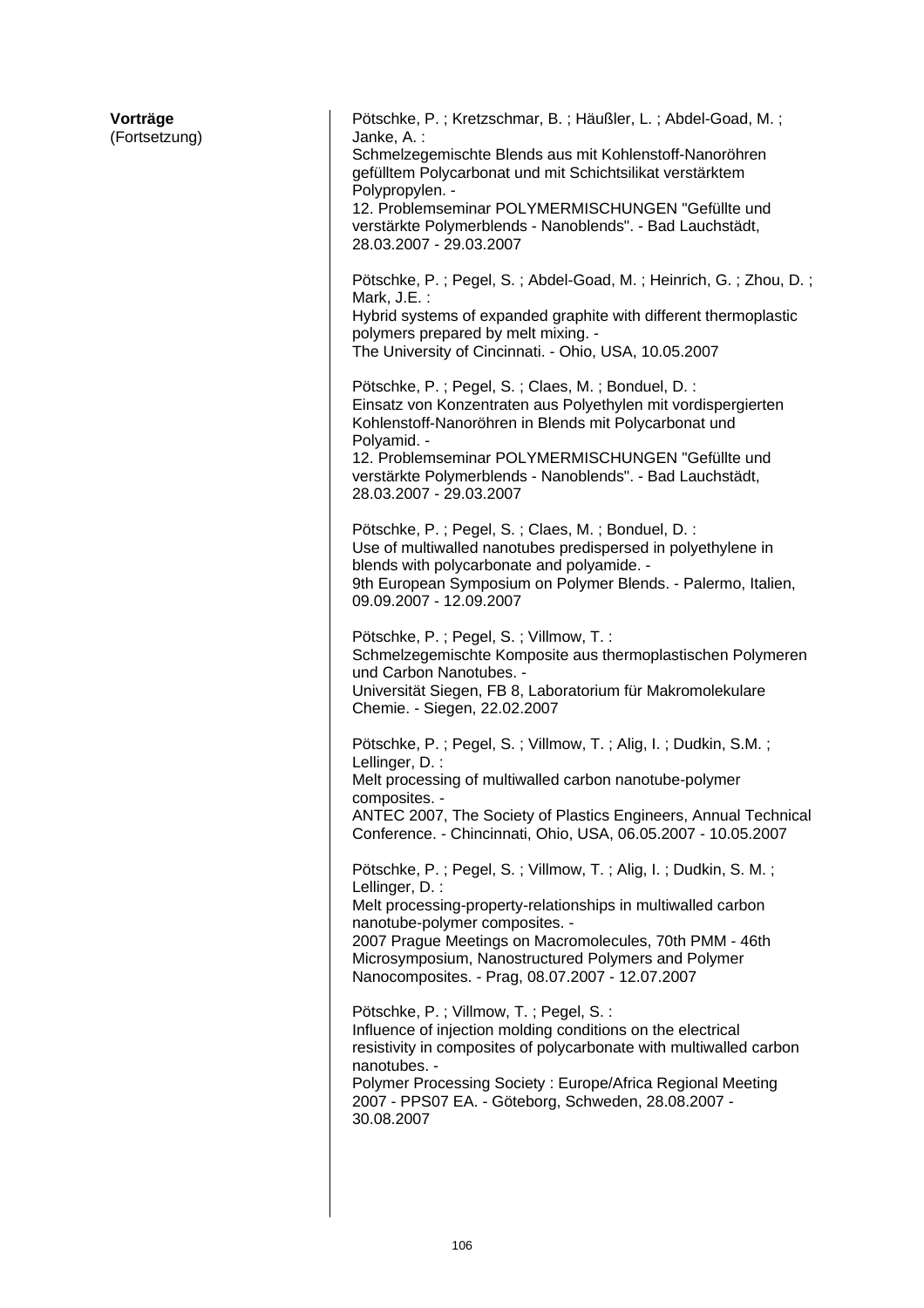| Vorträge<br>(Fortsetzung) | Pötschke, P.; Kretzschmar, B.; Häußler, L.; Abdel-Goad, M.;<br>Janke, A.:<br>Schmelzegemischte Blends aus mit Kohlenstoff-Nanoröhren<br>gefülltem Polycarbonat und mit Schichtsilikat verstärktem<br>Polypropylen. -<br>12. Problemseminar POLYMERMISCHUNGEN "Gefüllte und<br>verstärkte Polymerblends - Nanoblends". - Bad Lauchstädt,<br>28.03.2007 - 29.03.2007<br>Pötschke, P.; Pegel, S.; Abdel-Goad, M.; Heinrich, G.; Zhou, D.;<br>Mark, J.E.:<br>Hybrid systems of expanded graphite with different thermoplastic<br>polymers prepared by melt mixing. -<br>The University of Cincinnati. - Ohio, USA, 10.05.2007<br>Pötschke, P.; Pegel, S.; Claes, M.; Bonduel, D.:<br>Einsatz von Konzentraten aus Polyethylen mit vordispergierten<br>Kohlenstoff-Nanoröhren in Blends mit Polycarbonat und<br>Polyamid. -<br>12. Problemseminar POLYMERMISCHUNGEN "Gefüllte und<br>verstärkte Polymerblends - Nanoblends". - Bad Lauchstädt,<br>28.03.2007 - 29.03.2007<br>Pötschke, P.; Pegel, S.; Claes, M.; Bonduel, D.:<br>Use of multiwalled nanotubes predispersed in polyethylene in<br>blends with polycarbonate and polyamide. - |
|---------------------------|----------------------------------------------------------------------------------------------------------------------------------------------------------------------------------------------------------------------------------------------------------------------------------------------------------------------------------------------------------------------------------------------------------------------------------------------------------------------------------------------------------------------------------------------------------------------------------------------------------------------------------------------------------------------------------------------------------------------------------------------------------------------------------------------------------------------------------------------------------------------------------------------------------------------------------------------------------------------------------------------------------------------------------------------------------------------------------------------------------------------------------------|
|                           | 9th European Symposium on Polymer Blends. - Palermo, Italien,<br>09.09.2007 - 12.09.2007<br>Pötschke, P.; Pegel, S.; Villmow, T.:<br>Schmelzegemischte Komposite aus thermoplastischen Polymeren<br>und Carbon Nanotubes. -<br>Universität Siegen, FB 8, Laboratorium für Makromolekulare<br>Chemie. - Siegen, 22.02.2007                                                                                                                                                                                                                                                                                                                                                                                                                                                                                                                                                                                                                                                                                                                                                                                                              |
|                           | Pötschke, P.; Pegel, S.; Villmow, T.; Alig, I.; Dudkin, S.M.;<br>Lellinger, D. :<br>Melt processing of multiwalled carbon nanotube-polymer<br>composites. -<br>ANTEC 2007, The Society of Plastics Engineers, Annual Technical<br>Conference. - Chincinnati, Ohio, USA, 06.05.2007 - 10.05.2007<br>Pötschke, P.; Pegel, S.; Villmow, T.; Alig, I.; Dudkin, S. M.;<br>Lellinger, D. :                                                                                                                                                                                                                                                                                                                                                                                                                                                                                                                                                                                                                                                                                                                                                   |
|                           | Melt processing-property-relationships in multiwalled carbon<br>nanotube-polymer composites. -<br>2007 Prague Meetings on Macromolecules, 70th PMM - 46th<br>Microsymposium, Nanostructured Polymers and Polymer<br>Nanocomposites. - Prag, 08.07.2007 - 12.07.2007<br>Pötschke, P.; Villmow, T.; Pegel, S.:<br>Influence of injection molding conditions on the electrical<br>resistivity in composites of polycarbonate with multiwalled carbon<br>nanotubes. -<br>Polymer Processing Society: Europe/Africa Regional Meeting<br>2007 - PPS07 EA. - Göteborg, Schweden, 28.08.2007 -                                                                                                                                                                                                                                                                                                                                                                                                                                                                                                                                                 |
|                           | 30.08.2007                                                                                                                                                                                                                                                                                                                                                                                                                                                                                                                                                                                                                                                                                                                                                                                                                                                                                                                                                                                                                                                                                                                             |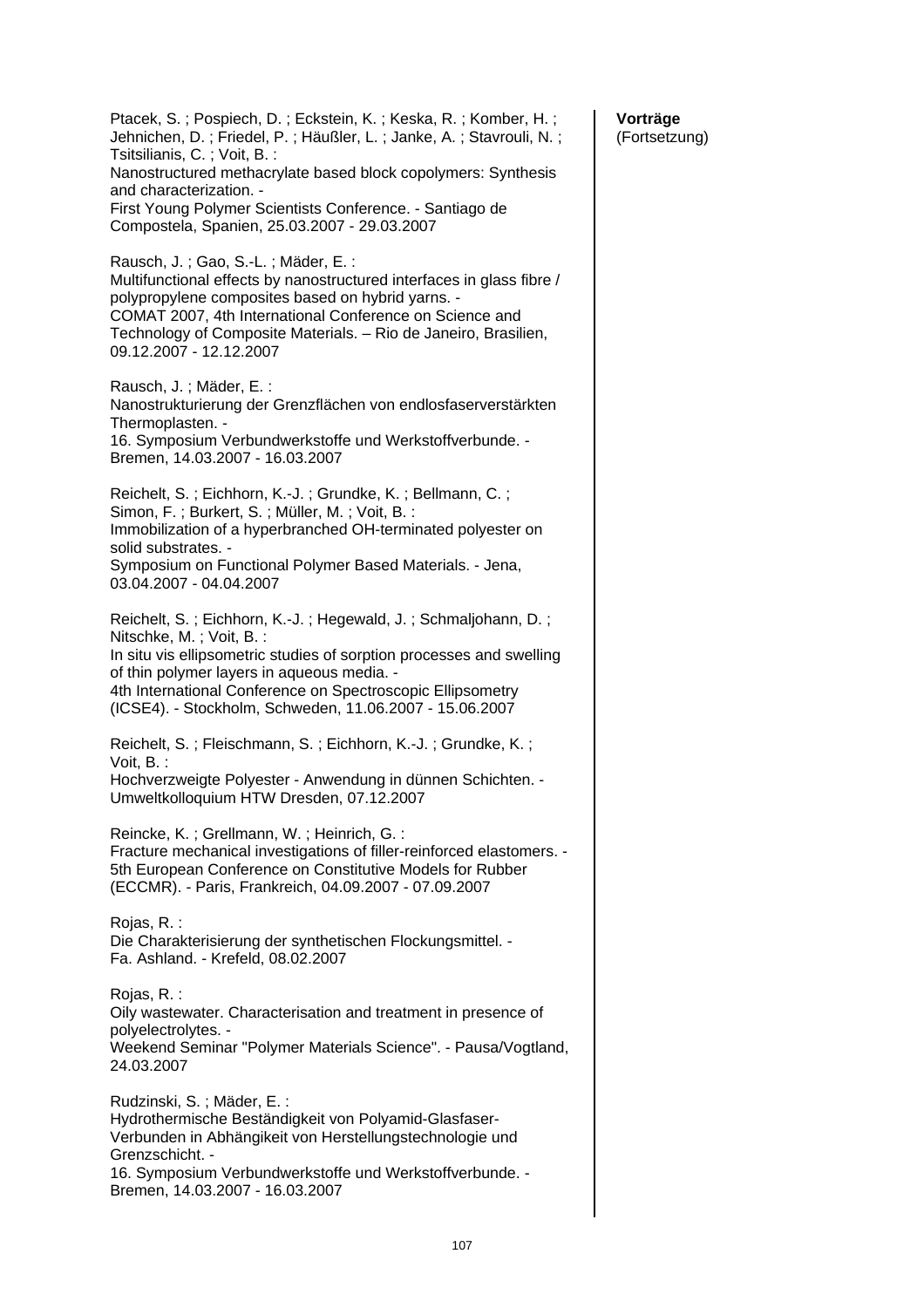| Ptacek, S.; Pospiech, D.; Eckstein, K.; Keska, R.; Komber, H.;<br>Jehnichen, D.; Friedel, P.; Häußler, L.; Janke, A.; Stavrouli, N.;<br>Tsitsilianis, C.; Voit, B.:<br>Nanostructured methacrylate based block copolymers: Synthesis<br>and characterization. -<br>First Young Polymer Scientists Conference. - Santiago de<br>Compostela, Spanien, 25.03.2007 - 29.03.2007 |
|-----------------------------------------------------------------------------------------------------------------------------------------------------------------------------------------------------------------------------------------------------------------------------------------------------------------------------------------------------------------------------|
| Rausch, J.; Gao, S.-L.; Mäder, E.:<br>Multifunctional effects by nanostructured interfaces in glass fibre /<br>polypropylene composites based on hybrid yarns. -<br>COMAT 2007, 4th International Conference on Science and<br>Technology of Composite Materials. - Rio de Janeiro, Brasilien,<br>09.12.2007 - 12.12.2007                                                   |
| Rausch, J.; Mäder, E.:<br>Nanostrukturierung der Grenzflächen von endlosfaserverstärkten<br>Thermoplasten. -<br>16. Symposium Verbundwerkstoffe und Werkstoffverbunde. -<br>Bremen, 14.03.2007 - 16.03.2007                                                                                                                                                                 |
| Reichelt, S.; Eichhorn, K.-J.; Grundke, K.; Bellmann, C.;<br>Simon, F.; Burkert, S.; Müller, M.; Voit, B.:<br>Immobilization of a hyperbranched OH-terminated polyester on<br>solid substrates. -<br>Symposium on Functional Polymer Based Materials. - Jena,<br>03.04.2007 - 04.04.2007                                                                                    |
| Reichelt, S.; Eichhorn, K.-J.; Hegewald, J.; Schmaljohann, D.;<br>Nitschke, M.; Voit, B.:<br>In situ vis ellipsometric studies of sorption processes and swelling<br>of thin polymer layers in aqueous media. -<br>4th International Conference on Spectroscopic Ellipsometry<br>(ICSE4). - Stockholm, Schweden, 11.06.2007 - 15.06.2007                                    |
| Reichelt, S.; Fleischmann, S.; Eichhorn, K.-J.; Grundke, K.;<br>Voit, B.:<br>Hochverzweigte Polyester - Anwendung in dünnen Schichten. -<br>Umweltkolloquium HTW Dresden, 07.12.2007                                                                                                                                                                                        |
| Reincke, K.; Grellmann, W.; Heinrich, G.:<br>Fracture mechanical investigations of filler-reinforced elastomers. -<br>5th European Conference on Constitutive Models for Rubber<br>(ECCMR). - Paris, Frankreich, 04.09.2007 - 07.09.2007                                                                                                                                    |
| Rojas, R. :<br>Die Charakterisierung der synthetischen Flockungsmittel. -<br>Fa. Ashland. - Krefeld, 08.02.2007                                                                                                                                                                                                                                                             |
| Rojas, R. :<br>Oily wastewater. Characterisation and treatment in presence of<br>polyelectrolytes. -<br>Weekend Seminar "Polymer Materials Science". - Pausa/Vogtland,<br>24.03.2007                                                                                                                                                                                        |
| Rudzinski, S.; Mäder, E.:<br>Hydrothermische Beständigkeit von Polyamid-Glasfaser-<br>Verbunden in Abhängikeit von Herstellungstechnologie und<br>Grenzschicht. -<br>16. Symposium Verbundwerkstoffe und Werkstoffverbunde. -<br>Bremen, 14.03.2007 - 16.03.2007                                                                                                            |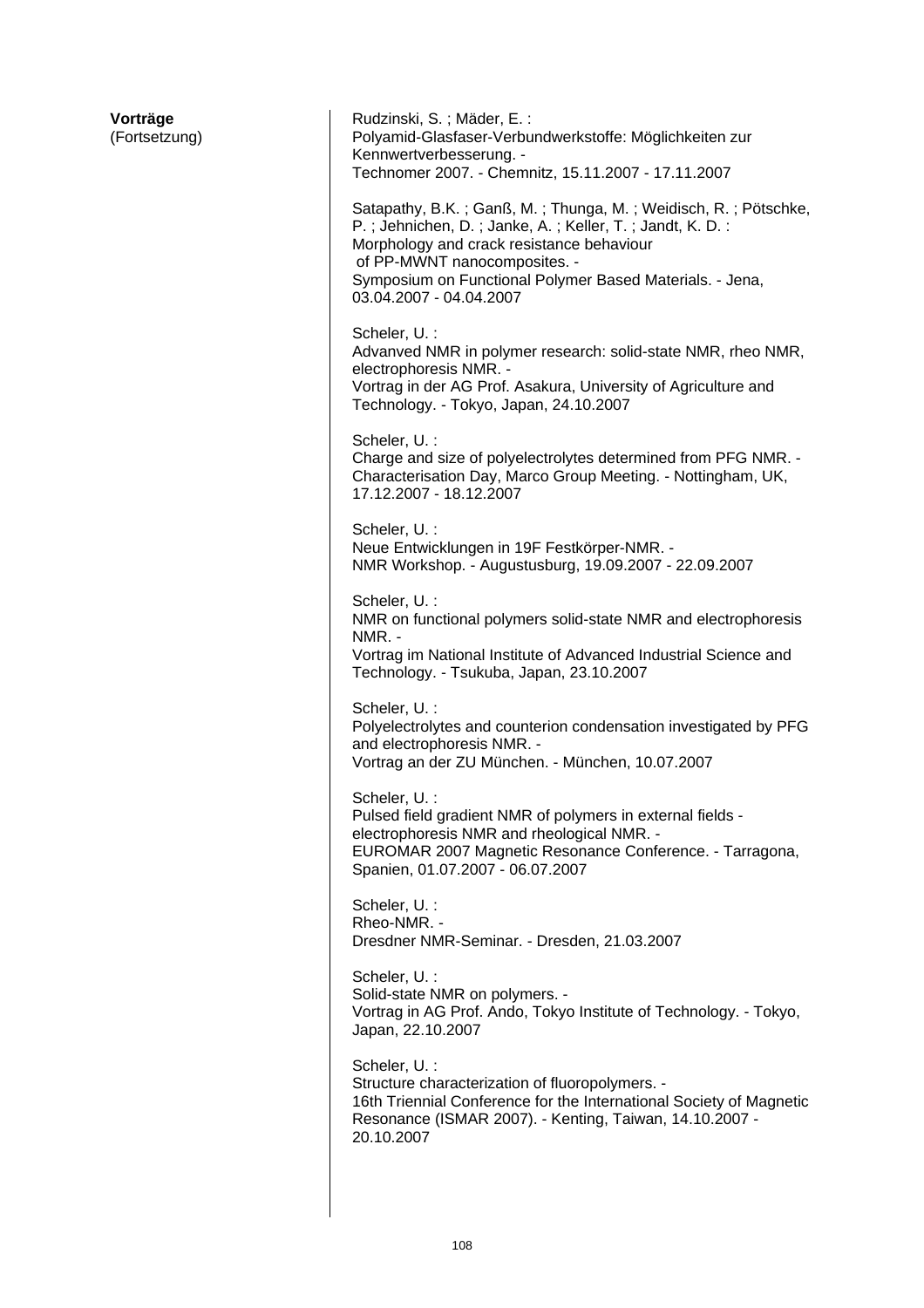| Vorträge<br>(Fortsetzung) | Rudzinski, S.; Mäder, E.:<br>Polyamid-Glasfaser-Verbundwerkstoffe: Möglichkeiten zur<br>Kennwertverbesserung. -<br>Technomer 2007. - Chemnitz, 15.11.2007 - 17.11.2007                                                                                                                        |
|---------------------------|-----------------------------------------------------------------------------------------------------------------------------------------------------------------------------------------------------------------------------------------------------------------------------------------------|
|                           | Satapathy, B.K.; Ganß, M.; Thunga, M.; Weidisch, R.; Pötschke,<br>P.; Jehnichen, D.; Janke, A.; Keller, T.; Jandt, K. D.:<br>Morphology and crack resistance behaviour<br>of PP-MWNT nanocomposites. -<br>Symposium on Functional Polymer Based Materials. - Jena,<br>03.04.2007 - 04.04.2007 |
|                           | Scheler, U. :<br>Advanved NMR in polymer research: solid-state NMR, rheo NMR,<br>electrophoresis NMR. -<br>Vortrag in der AG Prof. Asakura, University of Agriculture and<br>Technology. - Tokyo, Japan, 24.10.2007                                                                           |
|                           | Scheler, U. :<br>Charge and size of polyelectrolytes determined from PFG NMR. -<br>Characterisation Day, Marco Group Meeting. - Nottingham, UK,<br>17.12.2007 - 18.12.2007                                                                                                                    |
|                           | Scheler, U. :<br>Neue Entwicklungen in 19F Festkörper-NMR. -<br>NMR Workshop. - Augustusburg, 19.09.2007 - 22.09.2007                                                                                                                                                                         |
|                           | Scheler, U. :<br>NMR on functional polymers solid-state NMR and electrophoresis<br>NMR. -<br>Vortrag im National Institute of Advanced Industrial Science and<br>Technology. - Tsukuba, Japan, 23.10.2007                                                                                     |
|                           | Scheler, U. :<br>Polyelectrolytes and counterion condensation investigated by PFG<br>and electrophoresis NMR. -<br>Vortrag an der ZU München. - München, 10.07.2007                                                                                                                           |
|                           | Scheler, U. :<br>Pulsed field gradient NMR of polymers in external fields -<br>electrophoresis NMR and rheological NMR. -<br>EUROMAR 2007 Magnetic Resonance Conference. - Tarragona,<br>Spanien, 01.07.2007 - 06.07.2007                                                                     |
|                           | Scheler, U. :<br>Rheo-NMR. -<br>Dresdner NMR-Seminar. - Dresden, 21.03.2007                                                                                                                                                                                                                   |
|                           | Scheler, U. :<br>Solid-state NMR on polymers. -<br>Vortrag in AG Prof. Ando, Tokyo Institute of Technology. - Tokyo,<br>Japan, 22.10.2007                                                                                                                                                     |
|                           | Scheler, U. :<br>Structure characterization of fluoropolymers. -<br>16th Triennial Conference for the International Society of Magnetic<br>Resonance (ISMAR 2007). - Kenting, Taiwan, 14.10.2007 -<br>20.10.2007                                                                              |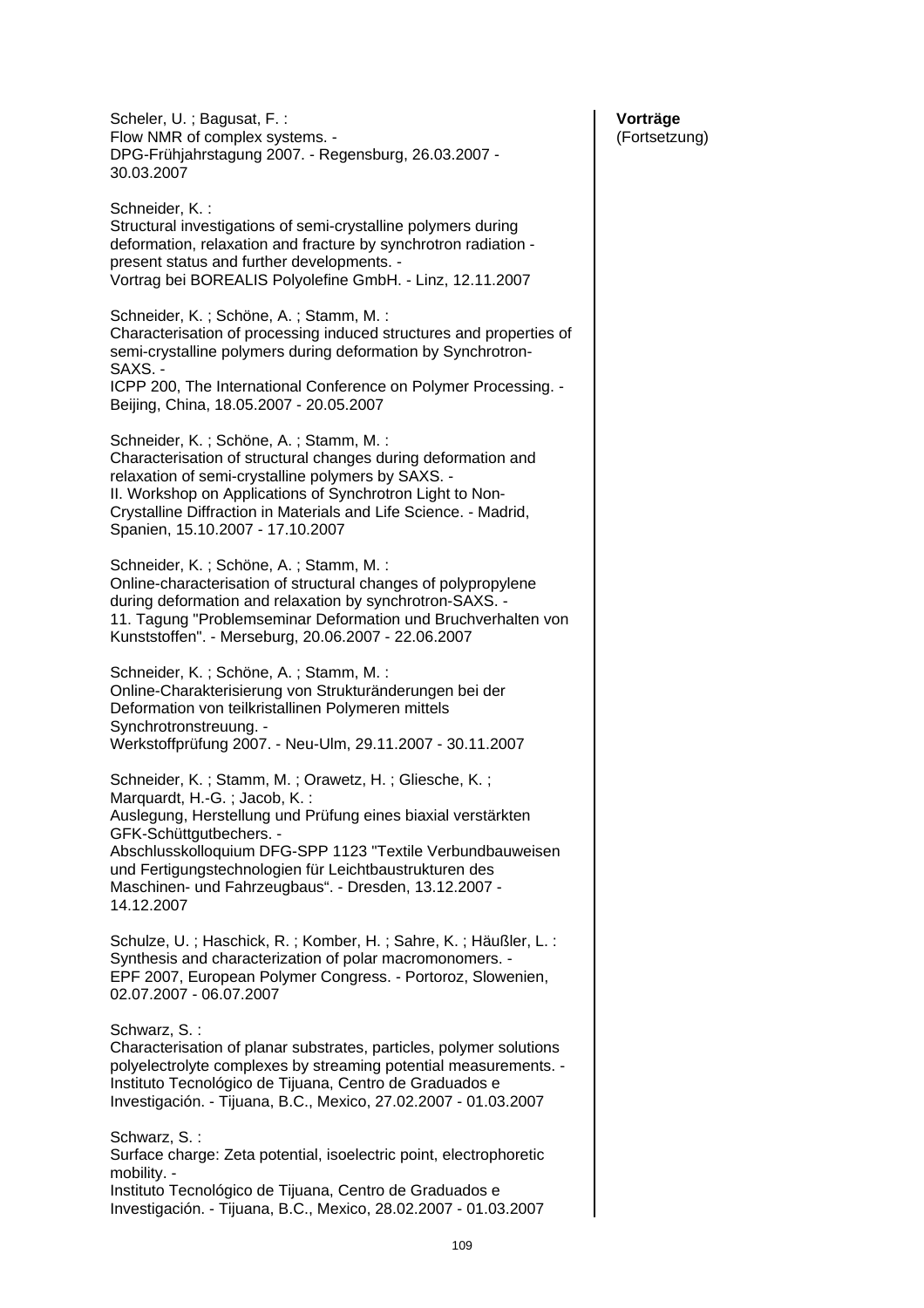Scheler, U. ; Bagusat, F. : Flow NMR of complex systems. - DPG-Frühjahrstagung 2007. - Regensburg, 26.03.2007 - 30.03.2007

Schneider, K. : Structural investigations of semi-crystalline polymers during deformation, relaxation and fracture by synchrotron radiation present status and further developments. - Vortrag bei BOREALIS Polyolefine GmbH. - Linz, 12.11.2007

Schneider, K. ; Schöne, A. ; Stamm, M. : Characterisation of processing induced structures and properties of semi-crystalline polymers during deformation by Synchrotron-SAXS. - ICPP 200, The International Conference on Polymer Processing. -

Beijing, China, 18.05.2007 - 20.05.2007

Schneider, K. ; Schöne, A. ; Stamm, M. : Characterisation of structural changes during deformation and relaxation of semi-crystalline polymers by SAXS. - II. Workshop on Applications of Synchrotron Light to Non-Crystalline Diffraction in Materials and Life Science. - Madrid, Spanien, 15.10.2007 - 17.10.2007

Schneider, K. ; Schöne, A. ; Stamm, M. : Online-characterisation of structural changes of polypropylene during deformation and relaxation by synchrotron-SAXS. - 11. Tagung "Problemseminar Deformation und Bruchverhalten von Kunststoffen". - Merseburg, 20.06.2007 - 22.06.2007

Schneider, K. ; Schöne, A. ; Stamm, M. : Online-Charakterisierung von Strukturänderungen bei der Deformation von teilkristallinen Polymeren mittels Synchrotronstreuung. - Werkstoffprüfung 2007. - Neu-Ulm, 29.11.2007 - 30.11.2007

Schneider, K. ; Stamm, M. ; Orawetz, H. ; Gliesche, K. ; Marquardt, H.-G. ; Jacob, K. ; Auslegung, Herstellung und Prüfung eines biaxial verstärkten GFK-Schüttgutbechers. - Abschlusskolloquium DFG-SPP 1123 "Textile Verbundbauweisen und Fertigungstechnologien für Leichtbaustrukturen des Maschinen- und Fahrzeugbaus". - Dresden, 13.12.2007 -

14.12.2007

Schulze, U. ; Haschick, R. ; Komber, H. ; Sahre, K. ; Häußler, L. : Synthesis and characterization of polar macromonomers. - EPF 2007, European Polymer Congress. - Portoroz, Slowenien, 02.07.2007 - 06.07.2007

Schwarz, S.:

Characterisation of planar substrates, particles, polymer solutions polyelectrolyte complexes by streaming potential measurements. - Instituto Tecnológico de Tijuana, Centro de Graduados e Investigación. - Tijuana, B.C., Mexico, 27.02.2007 - 01.03.2007

Schwarz, S. : Surface charge: Zeta potential, isoelectric point, electrophoretic mobility. - Instituto Tecnológico de Tijuana, Centro de Graduados e Investigación. - Tijuana, B.C., Mexico, 28.02.2007 - 01.03.2007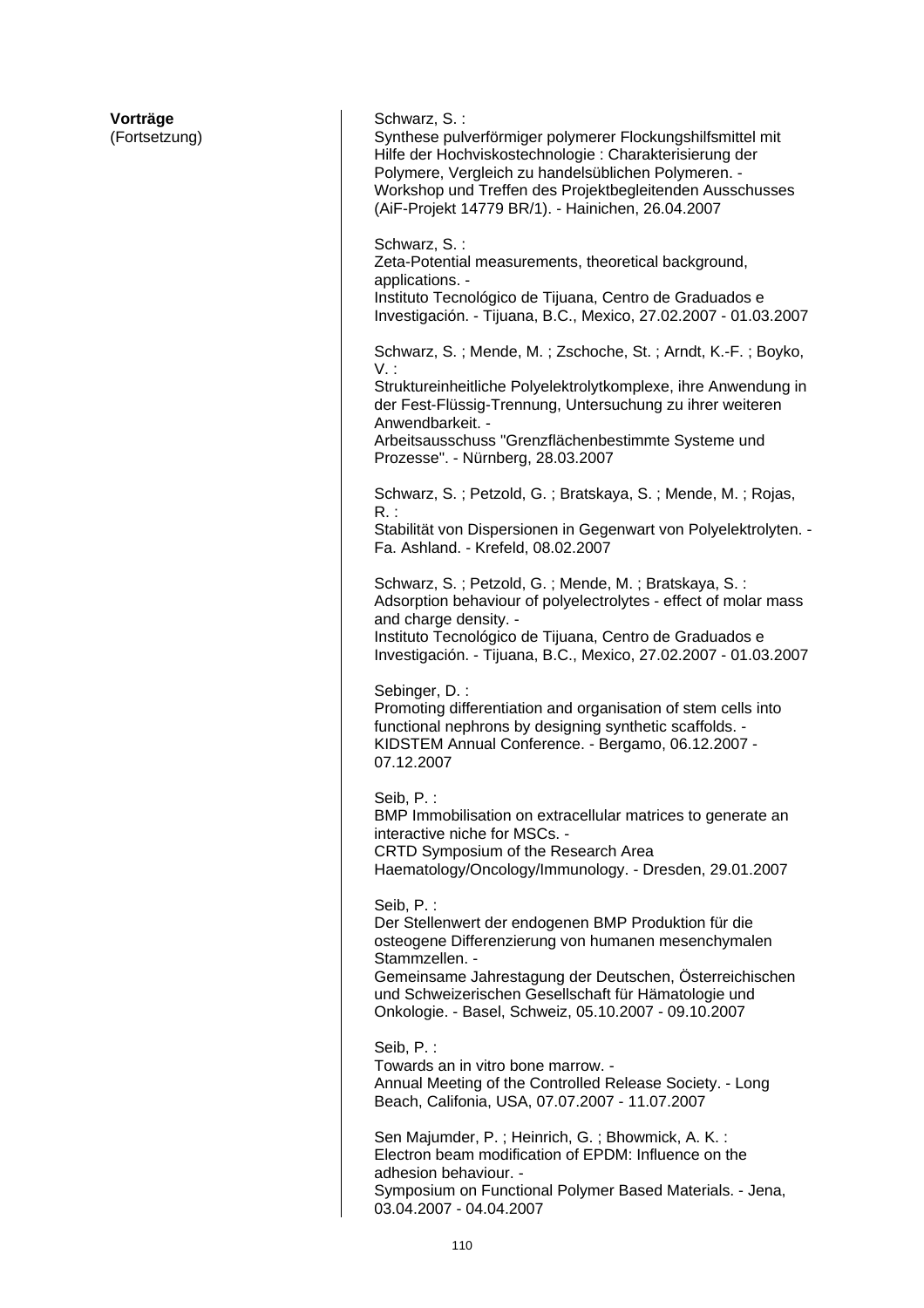**Vorträge**  (Fortsetzung) Schwarz, S.: Synthese pulverförmiger polymerer Flockungshilfsmittel mit Hilfe der Hochviskostechnologie : Charakterisierung der Polymere, Vergleich zu handelsüblichen Polymeren. - Workshop und Treffen des Projektbegleitenden Ausschusses (AiF-Projekt 14779 BR/1). - Hainichen, 26.04.2007 Schwarz, S. : Zeta-Potential measurements, theoretical background, applications. - Instituto Tecnológico de Tijuana, Centro de Graduados e Investigación. - Tijuana, B.C., Mexico, 27.02.2007 - 01.03.2007 Schwarz, S. ; Mende, M. ; Zschoche, St. ; Arndt, K.-F. ; Boyko, V. : Struktureinheitliche Polyelektrolytkomplexe, ihre Anwendung in der Fest-Flüssig-Trennung, Untersuchung zu ihrer weiteren Anwendbarkeit. - Arbeitsausschuss "Grenzflächenbestimmte Systeme und Prozesse". - Nürnberg, 28.03.2007 Schwarz, S. ; Petzold, G. ; Bratskaya, S. ; Mende, M. ; Rojas, R. : Stabilität von Dispersionen in Gegenwart von Polyelektrolyten. - Fa. Ashland. - Krefeld, 08.02.2007 Schwarz, S. ; Petzold, G. ; Mende, M. ; Bratskaya, S. : Adsorption behaviour of polyelectrolytes - effect of molar mass and charge density. -Instituto Tecnológico de Tijuana, Centro de Graduados e Investigación. - Tijuana, B.C., Mexico, 27.02.2007 - 01.03.2007 Sebinger, D. : Promoting differentiation and organisation of stem cells into functional nephrons by designing synthetic scaffolds. - KIDSTEM Annual Conference. - Bergamo, 06.12.2007 - 07.12.2007 Seib, P. : BMP Immobilisation on extracellular matrices to generate an interactive niche for MSCs. - CRTD Symposium of the Research Area Haematology/Oncology/Immunology. - Dresden, 29.01.2007 Seib, P. : Der Stellenwert der endogenen BMP Produktion für die osteogene Differenzierung von humanen mesenchymalen Stammzellen. - Gemeinsame Jahrestagung der Deutschen, Österreichischen und Schweizerischen Gesellschaft für Hämatologie und Onkologie. - Basel, Schweiz, 05.10.2007 - 09.10.2007 Seib, P. : Towards an in vitro bone marrow. - Annual Meeting of the Controlled Release Society. - Long Beach, Califonia, USA, 07.07.2007 - 11.07.2007 Sen Majumder, P. ; Heinrich, G. ; Bhowmick, A. K. : Electron beam modification of EPDM: Influence on the adhesion behaviour. - Symposium on Functional Polymer Based Materials. - Jena,

03.04.2007 - 04.04.2007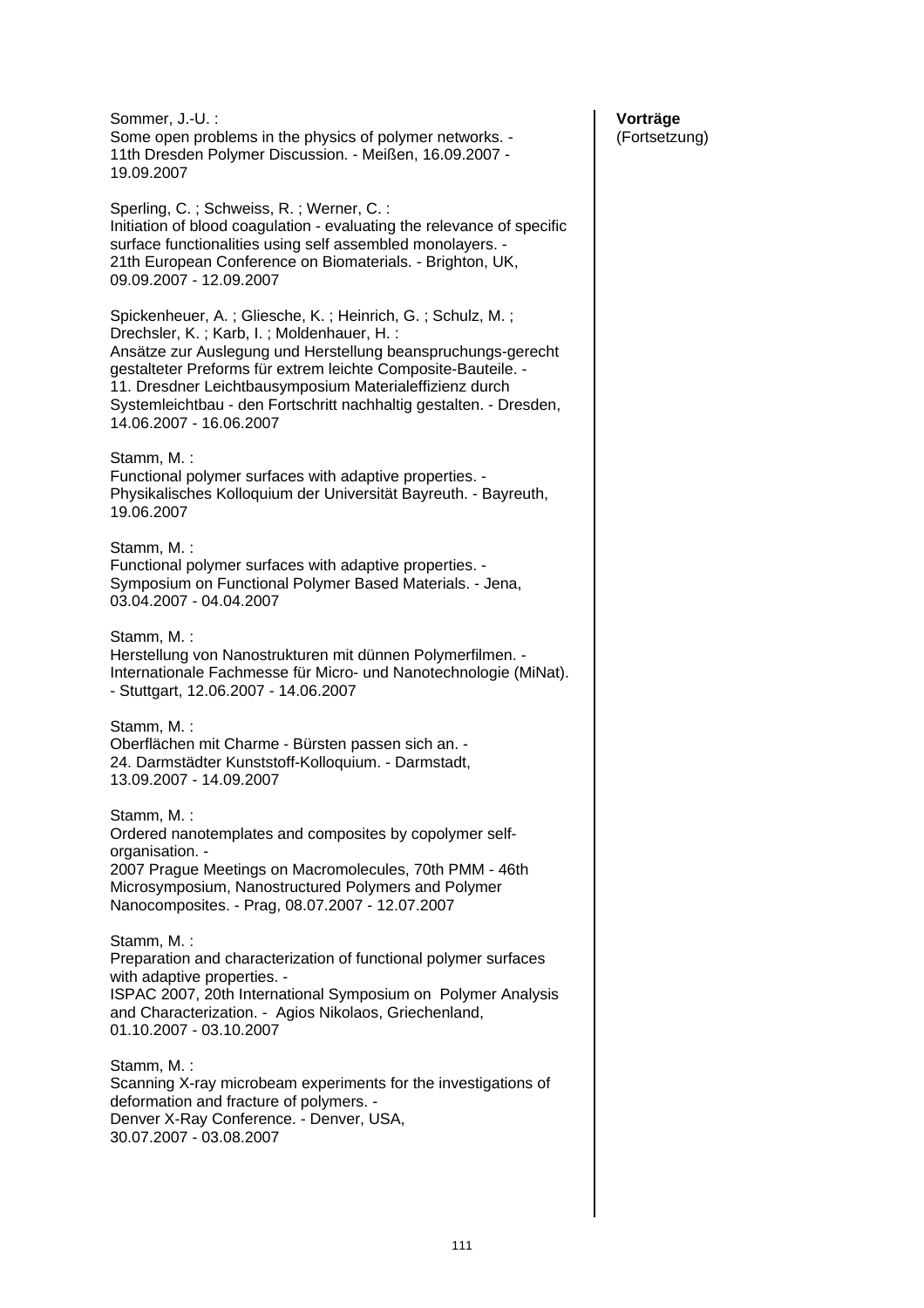Sommer, J.-U. : Some open problems in the physics of polymer networks. - 11th Dresden Polymer Discussion. - Meißen, 16.09.2007 - 19.09.2007 Sperling, C. ; Schweiss, R. ; Werner, C. : Initiation of blood coagulation - evaluating the relevance of specific surface functionalities using self assembled monolayers. - 21th European Conference on Biomaterials. - Brighton, UK, 09.09.2007 - 12.09.2007 Spickenheuer, A. ; Gliesche, K. ; Heinrich, G. ; Schulz, M. ; Drechsler, K. ; Karb, I. ; Moldenhauer, H. : Ansätze zur Auslegung und Herstellung beanspruchungs-gerecht gestalteter Preforms für extrem leichte Composite-Bauteile. - 11. Dresdner Leichtbausymposium Materialeffizienz durch Systemleichtbau - den Fortschritt nachhaltig gestalten. - Dresden, 14.06.2007 - 16.06.2007 Stamm, M. : Functional polymer surfaces with adaptive properties. - Physikalisches Kolloquium der Universität Bayreuth. - Bayreuth, 19.06.2007 Stamm, M. : Functional polymer surfaces with adaptive properties. - Symposium on Functional Polymer Based Materials. - Jena, 03.04.2007 - 04.04.2007 Stamm, M. : Herstellung von Nanostrukturen mit dünnen Polymerfilmen. - Internationale Fachmesse für Micro- und Nanotechnologie (MiNat). - Stuttgart, 12.06.2007 - 14.06.2007 Stamm, M. : Oberflächen mit Charme - Bürsten passen sich an. - 24. Darmstädter Kunststoff-Kolloquium. - Darmstadt, 13.09.2007 - 14.09.2007 Stamm, M. : Ordered nanotemplates and composites by copolymer selforganisation. - 2007 Prague Meetings on Macromolecules, 70th PMM - 46th Microsymposium, Nanostructured Polymers and Polymer Nanocomposites. - Prag, 08.07.2007 - 12.07.2007 Stamm, M. : Preparation and characterization of functional polymer surfaces with adaptive properties. - ISPAC 2007, 20th International Symposium on Polymer Analysis and Characterization. - Agios Nikolaos, Griechenland, 01.10.2007 - 03.10.2007 Stamm, M. : Scanning X-ray microbeam experiments for the investigations of deformation and fracture of polymers. - Denver X-Ray Conference. - Denver, USA, 30.07.2007 - 03.08.2007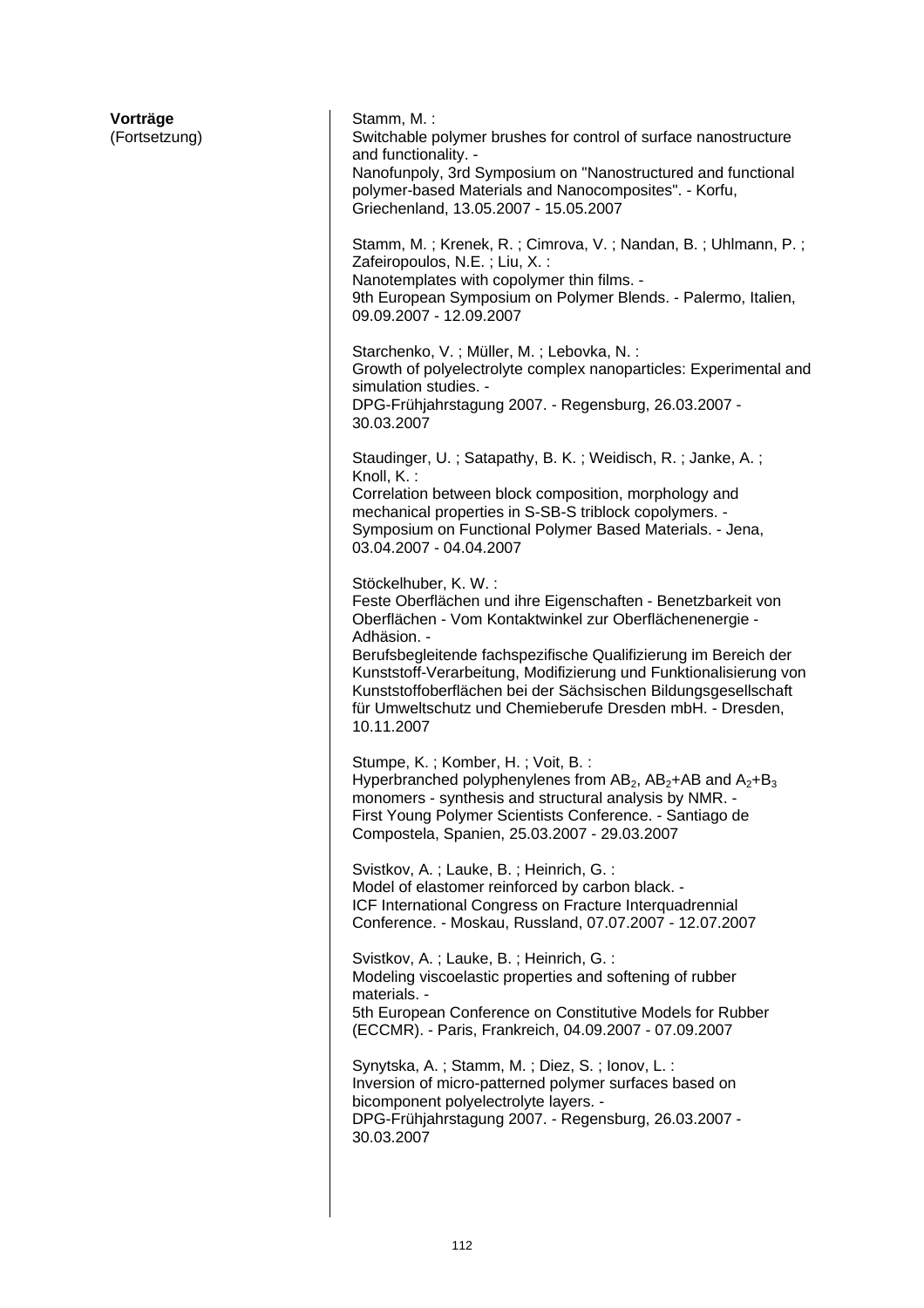| Vorträge<br>(Fortsetzung) | Stamm, M.:<br>Switchable polymer brushes for control of surface nanostructure<br>and functionality. -<br>Nanofunpoly, 3rd Symposium on "Nanostructured and functional<br>polymer-based Materials and Nanocomposites". - Korfu,<br>Griechenland, 13.05.2007 - 15.05.2007                                                                                                                                                                              |
|---------------------------|------------------------------------------------------------------------------------------------------------------------------------------------------------------------------------------------------------------------------------------------------------------------------------------------------------------------------------------------------------------------------------------------------------------------------------------------------|
|                           | Stamm, M.; Krenek, R.; Cimrova, V.; Nandan, B.; Uhlmann, P.;<br>Zafeiropoulos, N.E.; Liu, X.:<br>Nanotemplates with copolymer thin films. -<br>9th European Symposium on Polymer Blends. - Palermo, Italien,<br>09.09.2007 - 12.09.2007                                                                                                                                                                                                              |
|                           | Starchenko, V.; Müller, M.; Lebovka, N.:<br>Growth of polyelectrolyte complex nanoparticles: Experimental and<br>simulation studies. -<br>DPG-Frühjahrstagung 2007. - Regensburg, 26.03.2007 -<br>30.03.2007                                                                                                                                                                                                                                         |
|                           | Staudinger, U.; Satapathy, B. K.; Weidisch, R.; Janke, A.;<br>Knoll, K.:<br>Correlation between block composition, morphology and<br>mechanical properties in S-SB-S triblock copolymers. -<br>Symposium on Functional Polymer Based Materials. - Jena,<br>03.04.2007 - 04.04.2007                                                                                                                                                                   |
|                           | Stöckelhuber, K. W.:<br>Feste Oberflächen und ihre Eigenschaften - Benetzbarkeit von<br>Oberflächen - Vom Kontaktwinkel zur Oberflächenenergie -<br>Adhäsion. -<br>Berufsbegleitende fachspezifische Qualifizierung im Bereich der<br>Kunststoff-Verarbeitung, Modifizierung und Funktionalisierung von<br>Kunststoffoberflächen bei der Sächsischen Bildungsgesellschaft<br>für Umweltschutz und Chemieberufe Dresden mbH. - Dresden,<br>10.11.2007 |
|                           | Stumpe, K.; Komber, H.; Voit, B.:<br>Hyperbranched polyphenylenes from $AB_2$ , $AB_2+AB$ and $A_2+B_3$<br>monomers - synthesis and structural analysis by NMR. -<br>First Young Polymer Scientists Conference. - Santiago de<br>Compostela, Spanien, 25.03.2007 - 29.03.2007                                                                                                                                                                        |
|                           | Svistkov, A.; Lauke, B.; Heinrich, G.:<br>Model of elastomer reinforced by carbon black. -<br>ICF International Congress on Fracture Interquadrennial<br>Conference. - Moskau, Russland, 07.07.2007 - 12.07.2007                                                                                                                                                                                                                                     |
|                           | Svistkov, A.; Lauke, B.; Heinrich, G.:<br>Modeling viscoelastic properties and softening of rubber<br>materials. -<br>5th European Conference on Constitutive Models for Rubber<br>(ECCMR). - Paris, Frankreich, 04.09.2007 - 07.09.2007                                                                                                                                                                                                             |
|                           | Synytska, A.; Stamm, M.; Diez, S.; Ionov, L.:<br>Inversion of micro-patterned polymer surfaces based on<br>bicomponent polyelectrolyte layers. -<br>DPG-Frühjahrstagung 2007. - Regensburg, 26.03.2007 -<br>30.03.2007                                                                                                                                                                                                                               |
|                           |                                                                                                                                                                                                                                                                                                                                                                                                                                                      |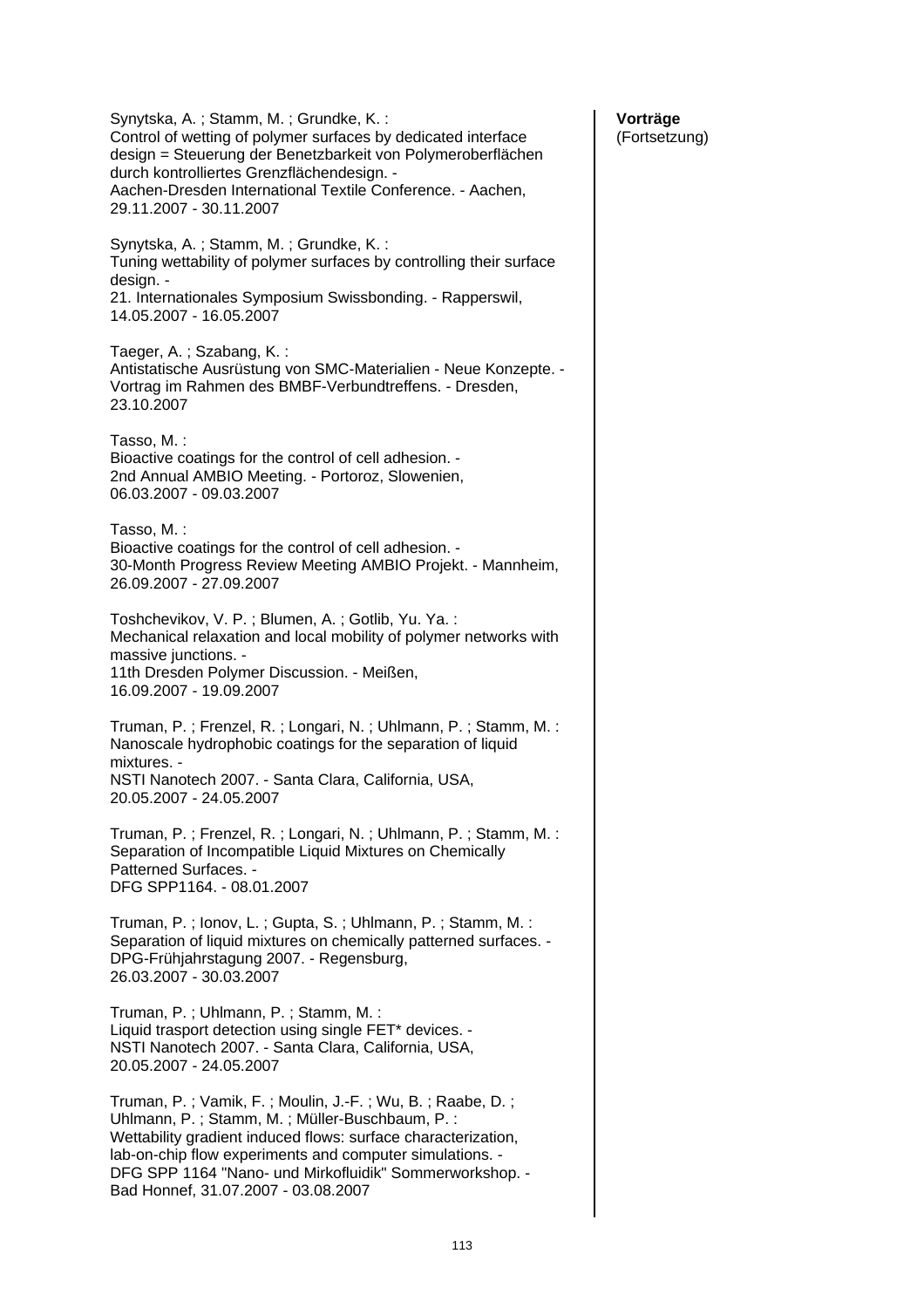Synytska, A. ; Stamm, M. ; Grundke, K. : Control of wetting of polymer surfaces by dedicated interface design = Steuerung der Benetzbarkeit von Polymeroberflächen durch kontrolliertes Grenzflächendesign. - Aachen-Dresden International Textile Conference. - Aachen, 29.11.2007 - 30.11.2007 Synytska, A. ; Stamm, M. ; Grundke, K. : Tuning wettability of polymer surfaces by controlling their surface design. -21. Internationales Symposium Swissbonding. - Rapperswil, 14.05.2007 - 16.05.2007 Taeger, A. ; Szabang, K. : Antistatische Ausrüstung von SMC-Materialien - Neue Konzepte. - Vortrag im Rahmen des BMBF-Verbundtreffens. - Dresden, 23.10.2007 Tasso, M. : Bioactive coatings for the control of cell adhesion. - 2nd Annual AMBIO Meeting. - Portoroz, Slowenien, 06.03.2007 - 09.03.2007 Tasso, M. : Bioactive coatings for the control of cell adhesion. - 30-Month Progress Review Meeting AMBIO Projekt. - Mannheim, 26.09.2007 - 27.09.2007 Toshchevikov, V. P. ; Blumen, A. ; Gotlib, Yu. Ya. : Mechanical relaxation and local mobility of polymer networks with massive junctions. - 11th Dresden Polymer Discussion. - Meißen, 16.09.2007 - 19.09.2007 Truman, P. ; Frenzel, R. ; Longari, N. ; Uhlmann, P. ; Stamm, M. : Nanoscale hydrophobic coatings for the separation of liquid mixtures. - NSTI Nanotech 2007. - Santa Clara, California, USA, 20.05.2007 - 24.05.2007 Truman, P. ; Frenzel, R. ; Longari, N. ; Uhlmann, P. ; Stamm, M. : Separation of Incompatible Liquid Mixtures on Chemically Patterned Surfaces. - DFG SPP1164. - 08.01.2007 Truman, P. ; Ionov, L. ; Gupta, S. ; Uhlmann, P. ; Stamm, M. : Separation of liquid mixtures on chemically patterned surfaces. - DPG-Frühjahrstagung 2007. - Regensburg, 26.03.2007 - 30.03.2007 Truman, P. ; Uhlmann, P. ; Stamm, M. : Liquid trasport detection using single FET\* devices. - NSTI Nanotech 2007. - Santa Clara, California, USA, 20.05.2007 - 24.05.2007 Truman, P. ; Vamik, F. ; Moulin, J.-F. ; Wu, B. ; Raabe, D. ; Uhlmann, P. ; Stamm, M. ; Müller-Buschbaum, P. : Wettability gradient induced flows: surface characterization, lab-on-chip flow experiments and computer simulations. - DFG SPP 1164 "Nano- und Mirkofluidik" Sommerworkshop. - Bad Honnef, 31.07.2007 - 03.08.2007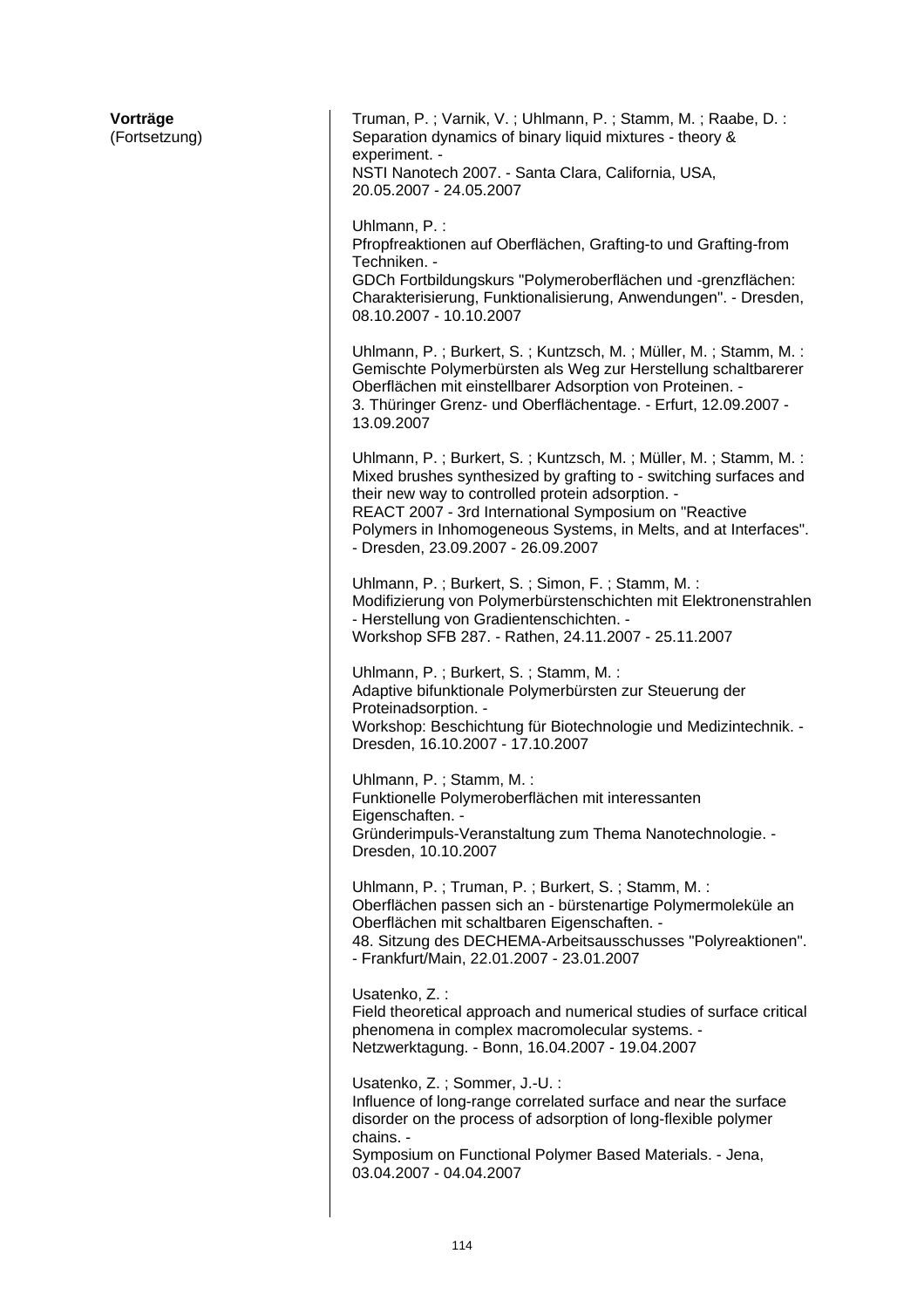| Vorträge<br>(Fortsetzung) | Truman, P.; Varnik, V.; Uhlmann, P.; Stamm, M.; Raabe, D.:<br>Separation dynamics of binary liquid mixtures - theory &<br>experiment. -<br>NSTI Nanotech 2007. - Santa Clara, California, USA,<br>20.05.2007 - 24.05.2007                                                                                                                                   |
|---------------------------|-------------------------------------------------------------------------------------------------------------------------------------------------------------------------------------------------------------------------------------------------------------------------------------------------------------------------------------------------------------|
|                           | Uhlmann, P.:<br>Pfropfreaktionen auf Oberflächen, Grafting-to und Grafting-from<br>Techniken. -<br>GDCh Fortbildungskurs "Polymeroberflächen und -grenzflächen:<br>Charakterisierung, Funktionalisierung, Anwendungen". - Dresden,<br>08.10.2007 - 10.10.2007                                                                                               |
|                           | Uhlmann, P.; Burkert, S.; Kuntzsch, M.; Müller, M.; Stamm, M.:<br>Gemischte Polymerbürsten als Weg zur Herstellung schaltbarerer<br>Oberflächen mit einstellbarer Adsorption von Proteinen. -<br>3. Thüringer Grenz- und Oberflächentage. - Erfurt, 12.09.2007 -<br>13.09.2007                                                                              |
|                           | Uhlmann, P.; Burkert, S.; Kuntzsch, M.; Müller, M.; Stamm, M.:<br>Mixed brushes synthesized by grafting to - switching surfaces and<br>their new way to controlled protein adsorption. -<br>REACT 2007 - 3rd International Symposium on "Reactive<br>Polymers in Inhomogeneous Systems, in Melts, and at Interfaces".<br>- Dresden, 23.09.2007 - 26.09.2007 |
|                           | Uhlmann, P.; Burkert, S.; Simon, F.; Stamm, M.:<br>Modifizierung von Polymerbürstenschichten mit Elektronenstrahlen<br>- Herstellung von Gradientenschichten. -<br>Workshop SFB 287. - Rathen, 24.11.2007 - 25.11.2007                                                                                                                                      |
|                           | Uhlmann, P.; Burkert, S.; Stamm, M.:<br>Adaptive bifunktionale Polymerbürsten zur Steuerung der<br>Proteinadsorption. -<br>Workshop: Beschichtung für Biotechnologie und Medizintechnik. -<br>Dresden, 16.10.2007 - 17.10.2007                                                                                                                              |
|                           | Uhlmann, P.; Stamm, M.:<br>Funktionelle Polymeroberflächen mit interessanten<br>Eigenschaften. -<br>Gründerimpuls-Veranstaltung zum Thema Nanotechnologie. -<br>Dresden, 10.10.2007                                                                                                                                                                         |
|                           | Uhlmann, P.; Truman, P.; Burkert, S.; Stamm, M.:<br>Oberflächen passen sich an - bürstenartige Polymermoleküle an<br>Oberflächen mit schaltbaren Eigenschaften. -<br>48. Sitzung des DECHEMA-Arbeitsausschusses "Polyreaktionen".<br>- Frankfurt/Main, 22.01.2007 - 23.01.2007                                                                              |
|                           | Usatenko, Z.:<br>Field theoretical approach and numerical studies of surface critical<br>phenomena in complex macromolecular systems. -<br>Netzwerktagung. - Bonn, 16.04.2007 - 19.04.2007                                                                                                                                                                  |
|                           | Usatenko, Z.; Sommer, J.-U.:<br>Influence of long-range correlated surface and near the surface<br>disorder on the process of adsorption of long-flexible polymer<br>chains. -<br>Symposium on Functional Polymer Based Materials. - Jena,<br>03.04.2007 - 04.04.2007                                                                                       |
|                           |                                                                                                                                                                                                                                                                                                                                                             |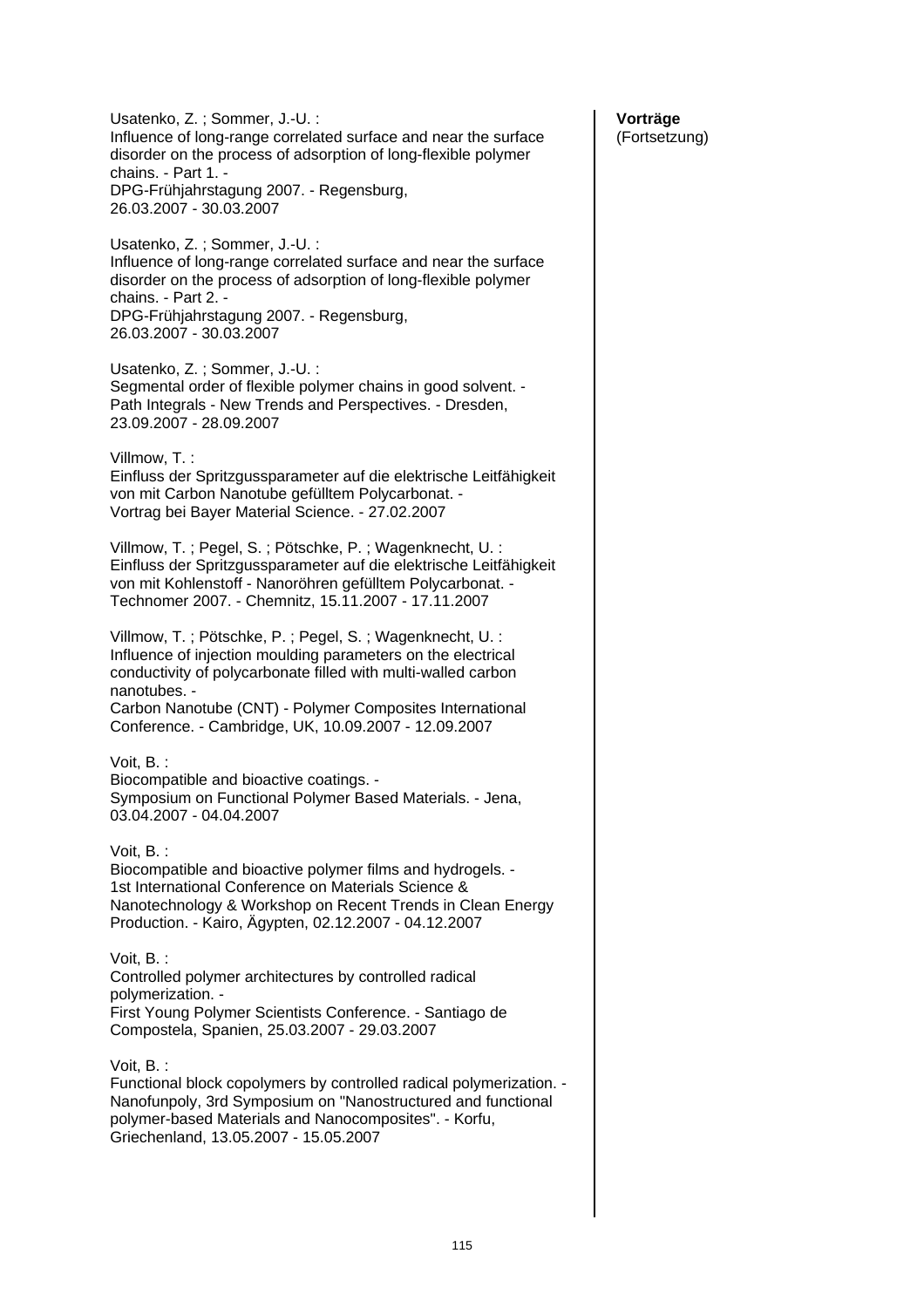Usatenko, Z. ; Sommer, J.-U. : Influence of long-range correlated surface and near the surface disorder on the process of adsorption of long-flexible polymer chains. - Part 1. - DPG-Frühjahrstagung 2007. - Regensburg, 26.03.2007 - 30.03.2007 Usatenko, Z. ; Sommer, J.-U. : Influence of long-range correlated surface and near the surface disorder on the process of adsorption of long-flexible polymer chains. - Part 2. - DPG-Frühjahrstagung 2007. - Regensburg, 26.03.2007 - 30.03.2007 Usatenko, Z. ; Sommer, J.-U. : Segmental order of flexible polymer chains in good solvent. - Path Integrals - New Trends and Perspectives. - Dresden, 23.09.2007 - 28.09.2007 Villmow, T. : Einfluss der Spritzgussparameter auf die elektrische Leitfähigkeit von mit Carbon Nanotube gefülltem Polycarbonat. - Vortrag bei Bayer Material Science. - 27.02.2007 Villmow, T. ; Pegel, S. ; Pötschke, P. ; Wagenknecht, U. : Einfluss der Spritzgussparameter auf die elektrische Leitfähigkeit von mit Kohlenstoff - Nanoröhren gefülltem Polycarbonat. - Technomer 2007. - Chemnitz, 15.11.2007 - 17.11.2007 Villmow, T. ; Pötschke, P. ; Pegel, S. ; Wagenknecht, U. : Influence of injection moulding parameters on the electrical conductivity of polycarbonate filled with multi-walled carbon nanotubes. - Carbon Nanotube (CNT) - Polymer Composites International Conference. - Cambridge, UK, 10.09.2007 - 12.09.2007 Voit, B. : Biocompatible and bioactive coatings. - Symposium on Functional Polymer Based Materials. - Jena, 03.04.2007 - 04.04.2007 Voit, B. : Biocompatible and bioactive polymer films and hydrogels. - 1st International Conference on Materials Science & Nanotechnology & Workshop on Recent Trends in Clean Energy Production. - Kairo, Ägypten, 02.12.2007 - 04.12.2007 Voit, B. : Controlled polymer architectures by controlled radical polymerization. - First Young Polymer Scientists Conference. - Santiago de Compostela, Spanien, 25.03.2007 - 29.03.2007 Voit, B. : Functional block copolymers by controlled radical polymerization. - Nanofunpoly, 3rd Symposium on "Nanostructured and functional polymer-based Materials and Nanocomposites". - Korfu, Griechenland, 13.05.2007 - 15.05.2007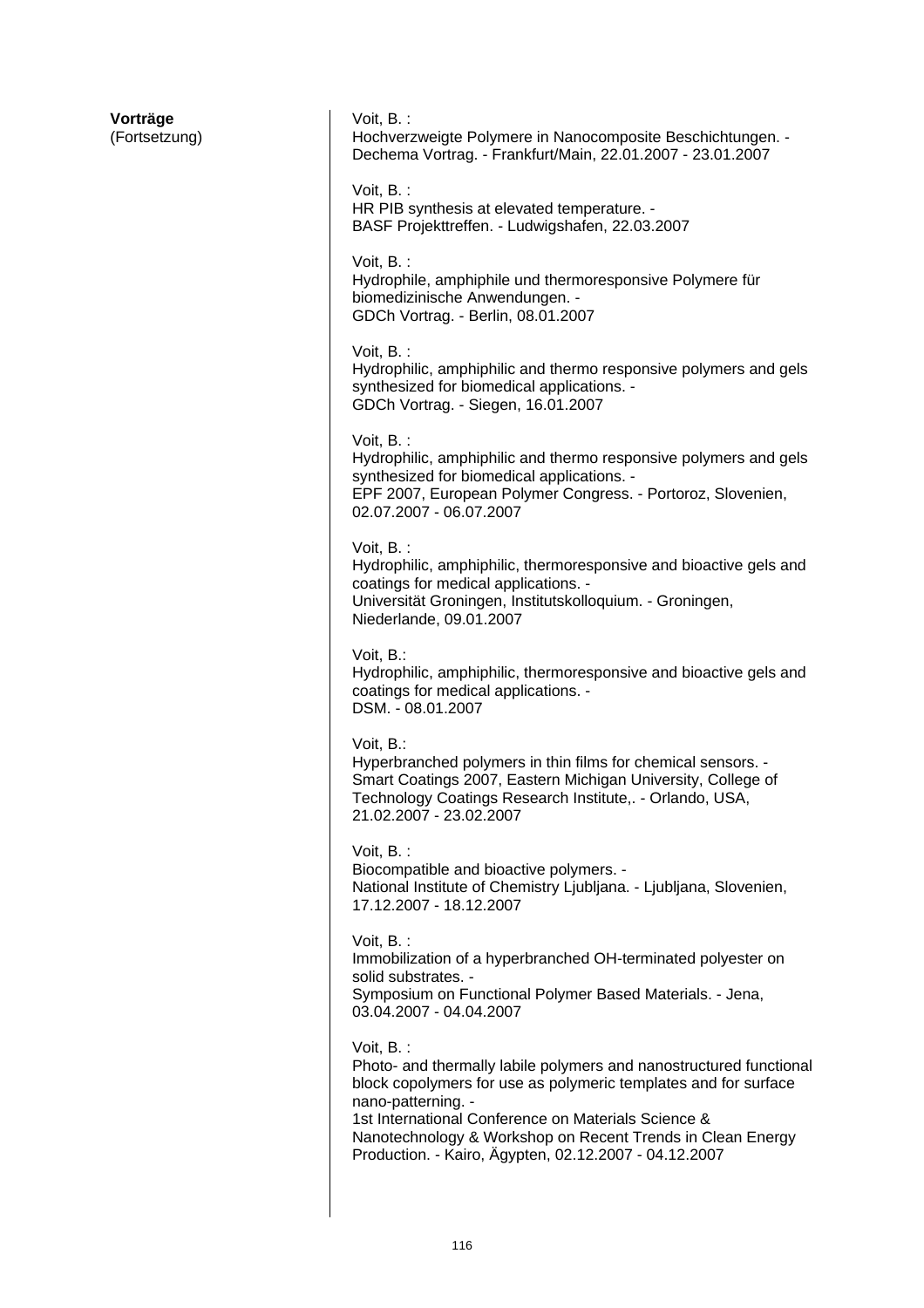| Vorträge<br>(Fortsetzung) | Voit, B.:<br>Hochverzweigte Polymere in Nanocomposite Beschichtungen. -<br>Dechema Vortrag. - Frankfurt/Main, 22.01.2007 - 23.01.2007                                                                                                                                                                                                                  |
|---------------------------|--------------------------------------------------------------------------------------------------------------------------------------------------------------------------------------------------------------------------------------------------------------------------------------------------------------------------------------------------------|
|                           | Voit, $B.$ :<br>HR PIB synthesis at elevated temperature. -<br>BASF Projekttreffen. - Ludwigshafen, 22.03.2007                                                                                                                                                                                                                                         |
|                           | Voit, B.:<br>Hydrophile, amphiphile und thermoresponsive Polymere für<br>biomedizinische Anwendungen. -<br>GDCh Vortrag. - Berlin, 08.01.2007                                                                                                                                                                                                          |
|                           | Voit, B.:<br>Hydrophilic, amphiphilic and thermo responsive polymers and gels<br>synthesized for biomedical applications. -<br>GDCh Vortrag. - Siegen, 16.01.2007                                                                                                                                                                                      |
|                           | Voit, B.:<br>Hydrophilic, amphiphilic and thermo responsive polymers and gels<br>synthesized for biomedical applications. -<br>EPF 2007, European Polymer Congress. - Portoroz, Slovenien,<br>02.07.2007 - 06.07.2007                                                                                                                                  |
|                           | Voit, B.:<br>Hydrophilic, amphiphilic, thermoresponsive and bioactive gels and<br>coatings for medical applications. -<br>Universität Groningen, Institutskolloquium. - Groningen,<br>Niederlande, 09.01.2007                                                                                                                                          |
|                           | Voit, B.:<br>Hydrophilic, amphiphilic, thermoresponsive and bioactive gels and<br>coatings for medical applications. -<br>DSM. - 08.01.2007                                                                                                                                                                                                            |
|                           | Voit, B.:<br>Hyperbranched polymers in thin films for chemical sensors. -<br>Smart Coatings 2007, Eastern Michigan University, College of<br>Technology Coatings Research Institute,. - Orlando, USA,<br>21.02.2007 - 23.02.2007                                                                                                                       |
|                           | Voit, B.:<br>Biocompatible and bioactive polymers. -<br>National Institute of Chemistry Ljubljana. - Ljubljana, Slovenien,<br>17.12.2007 - 18.12.2007                                                                                                                                                                                                  |
|                           | Voit, B.:<br>Immobilization of a hyperbranched OH-terminated polyester on<br>solid substrates. -<br>Symposium on Functional Polymer Based Materials. - Jena,<br>03.04.2007 - 04.04.2007                                                                                                                                                                |
|                           | Voit, B.:<br>Photo- and thermally labile polymers and nanostructured functional<br>block copolymers for use as polymeric templates and for surface<br>nano-patterning. -<br>1st International Conference on Materials Science &<br>Nanotechnology & Workshop on Recent Trends in Clean Energy<br>Production. - Kairo, Ägypten, 02.12.2007 - 04.12.2007 |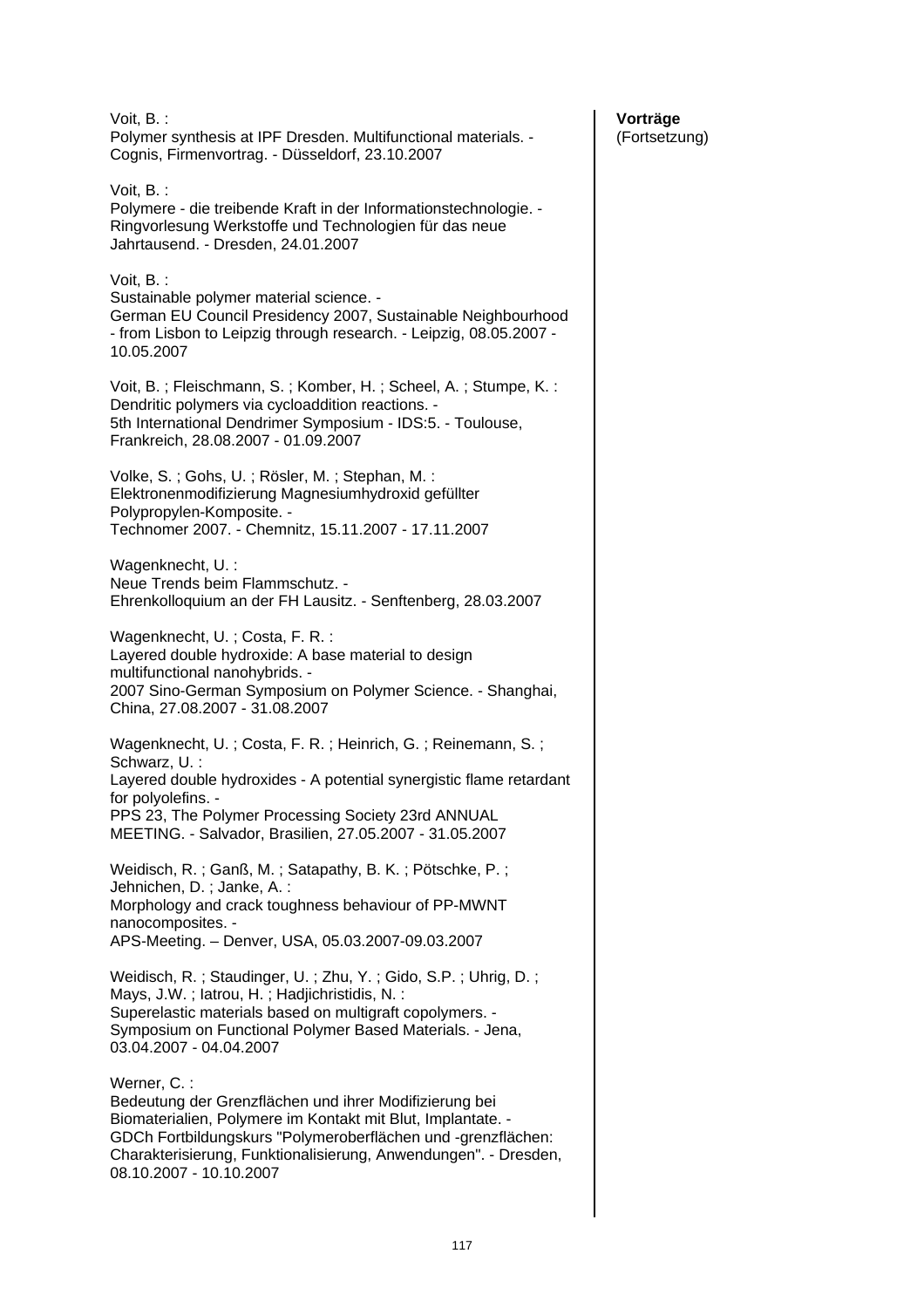| Voit, B.:<br>Polymer synthesis at IPF Dresden. Multifunctional materials. -<br>Cognis, Firmenvortrag. - Düsseldorf, 23.10.2007                                                                                                                                                                     |
|----------------------------------------------------------------------------------------------------------------------------------------------------------------------------------------------------------------------------------------------------------------------------------------------------|
| Voit, B. :<br>Polymere - die treibende Kraft in der Informationstechnologie. -<br>Ringvorlesung Werkstoffe und Technologien für das neue<br>Jahrtausend. - Dresden, 24.01.2007                                                                                                                     |
| Voit, B.:<br>Sustainable polymer material science. -<br>German EU Council Presidency 2007, Sustainable Neighbourhood<br>- from Lisbon to Leipzig through research. - Leipzig, 08.05.2007 -<br>10.05.2007                                                                                           |
| Voit, B.; Fleischmann, S.; Komber, H.; Scheel, A.; Stumpe, K.:<br>Dendritic polymers via cycloaddition reactions. -<br>5th International Dendrimer Symposium - IDS:5. - Toulouse,<br>Frankreich, 28.08.2007 - 01.09.2007                                                                           |
| Volke, S.; Gohs, U.; Rösler, M.; Stephan, M.:<br>Elektronenmodifizierung Magnesiumhydroxid gefüllter<br>Polypropylen-Komposite. -<br>Technomer 2007. - Chemnitz, 15.11.2007 - 17.11.2007                                                                                                           |
| Wagenknecht, U.:<br>Neue Trends beim Flammschutz. -<br>Ehrenkolloquium an der FH Lausitz. - Senftenberg, 28.03.2007                                                                                                                                                                                |
| Wagenknecht, U.; Costa, F. R.:<br>Layered double hydroxide: A base material to design<br>multifunctional nanohybrids. -<br>2007 Sino-German Symposium on Polymer Science. - Shanghai,<br>China, 27.08.2007 - 31.08.2007                                                                            |
| Wagenknecht, U.; Costa, F. R.; Heinrich, G.; Reinemann, S.;<br>Schwarz, U.:<br>Layered double hydroxides - A potential synergistic flame retardant<br>for polyolefins. -<br>PPS 23, The Polymer Processing Society 23rd ANNUAL<br>MEETING. - Salvador, Brasilien, 27.05.2007 - 31.05.2007          |
| Weidisch, R.; Ganß, M.; Satapathy, B. K.; Pötschke, P.;<br>Jehnichen, D.; Janke, A.:<br>Morphology and crack toughness behaviour of PP-MWNT<br>nanocomposites. -<br>APS-Meeting. - Denver, USA, 05.03.2007-09.03.2007                                                                              |
| Weidisch, R.; Staudinger, U.; Zhu, Y.; Gido, S.P.; Uhrig, D.;<br>Mays, J.W.; latrou, H.; Hadjichristidis, N.:<br>Superelastic materials based on multigraft copolymers. -<br>Symposium on Functional Polymer Based Materials. - Jena,<br>03.04.2007 - 04.04.2007                                   |
| Werner, C.:<br>Bedeutung der Grenzflächen und ihrer Modifizierung bei<br>Biomaterialien, Polymere im Kontakt mit Blut, Implantate. -<br>GDCh Fortbildungskurs "Polymeroberflächen und -grenzflächen:<br>Charakterisierung, Funktionalisierung, Anwendungen". - Dresden,<br>08.10.2007 - 10.10.2007 |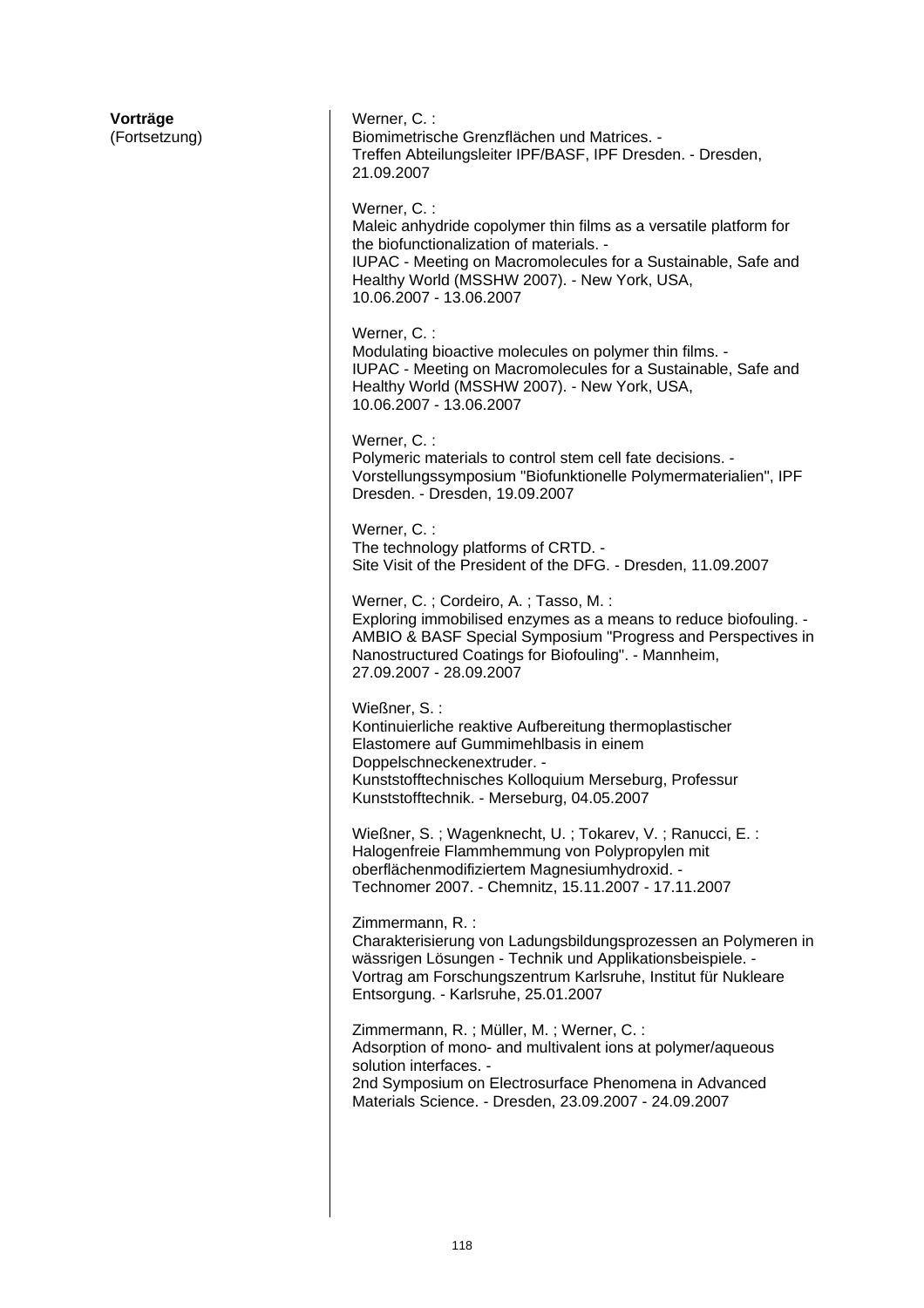**Vorträge**  (Fortsetzung) Werner, C. : Biomimetrische Grenzflächen und Matrices. - Treffen Abteilungsleiter IPF/BASF, IPF Dresden. - Dresden, 21.09.2007 Werner, C. : Maleic anhydride copolymer thin films as a versatile platform for the biofunctionalization of materials. - IUPAC - Meeting on Macromolecules for a Sustainable, Safe and Healthy World (MSSHW 2007). - New York, USA, 10.06.2007 - 13.06.2007 Werner, C. : Modulating bioactive molecules on polymer thin films. - IUPAC - Meeting on Macromolecules for a Sustainable, Safe and Healthy World (MSSHW 2007). - New York, USA, 10.06.2007 - 13.06.2007 Werner, C. : Polymeric materials to control stem cell fate decisions. - Vorstellungssymposium "Biofunktionelle Polymermaterialien", IPF Dresden. - Dresden, 19.09.2007 Werner, C. : The technology platforms of CRTD. - Site Visit of the President of the DFG. - Dresden, 11.09.2007 Werner, C. ; Cordeiro, A. ; Tasso, M. : Exploring immobilised enzymes as a means to reduce biofouling. - AMBIO & BASF Special Symposium "Progress and Perspectives in Nanostructured Coatings for Biofouling". - Mannheim, 27.09.2007 - 28.09.2007 Wießner, S. : Kontinuierliche reaktive Aufbereitung thermoplastischer Elastomere auf Gummimehlbasis in einem Doppelschneckenextruder. - Kunststofftechnisches Kolloquium Merseburg, Professur Kunststofftechnik. - Merseburg, 04.05.2007 Wießner, S. ; Wagenknecht, U. ; Tokarev, V. ; Ranucci, E. : Halogenfreie Flammhemmung von Polypropylen mit oberflächenmodifiziertem Magnesiumhydroxid. - Technomer 2007. - Chemnitz, 15.11.2007 - 17.11.2007 Zimmermann, R. : Charakterisierung von Ladungsbildungsprozessen an Polymeren in wässrigen Lösungen - Technik und Applikationsbeispiele. - Vortrag am Forschungszentrum Karlsruhe, Institut für Nukleare Entsorgung. - Karlsruhe, 25.01.2007 Zimmermann, R. ; Müller, M. ; Werner, C. : Adsorption of mono- and multivalent ions at polymer/aqueous solution interfaces. - 2nd Symposium on Electrosurface Phenomena in Advanced Materials Science. - Dresden, 23.09.2007 - 24.09.2007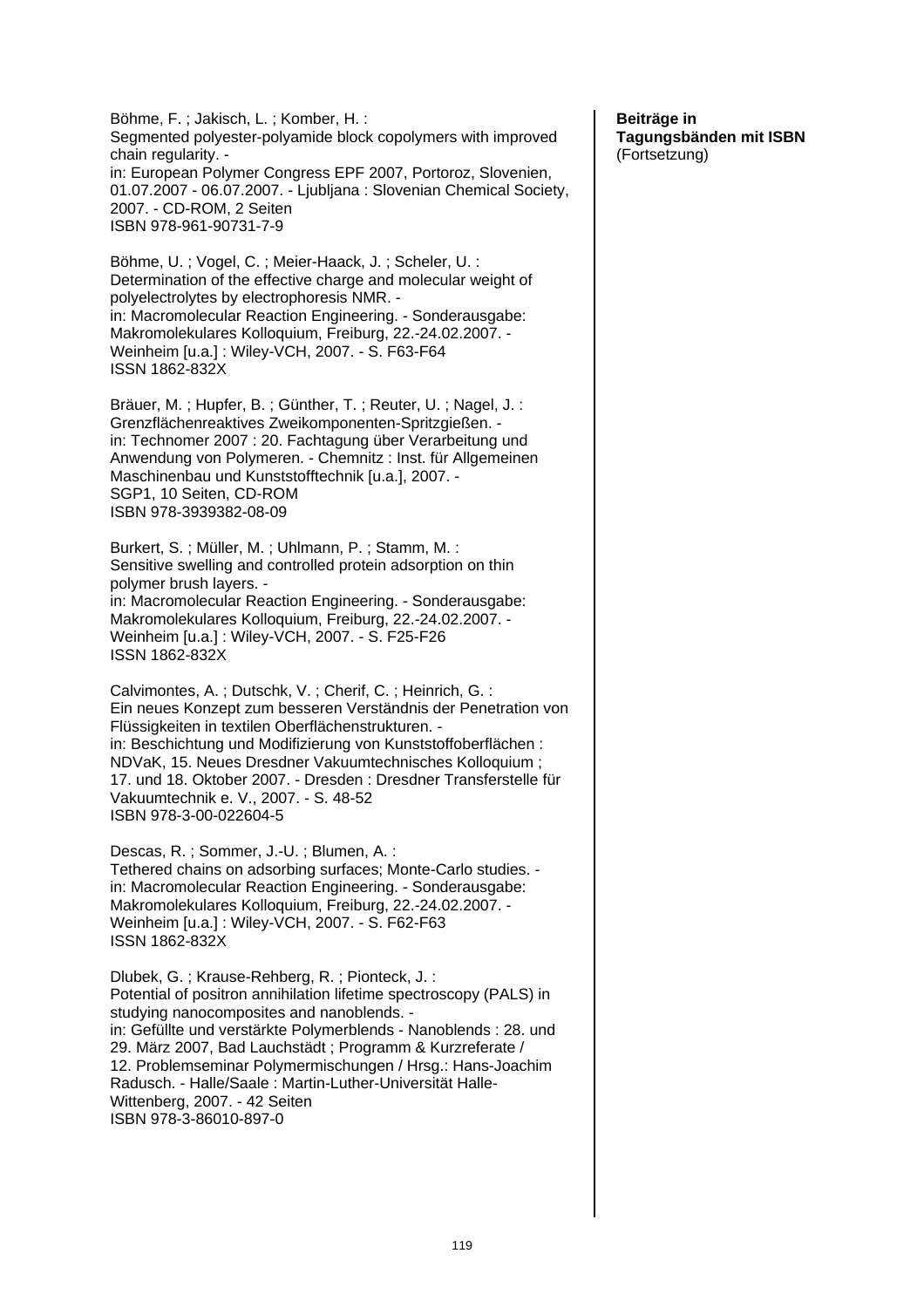Böhme, F. ; Jakisch, L. ; Komber, H. : Segmented polyester-polyamide block copolymers with improved chain regularity. in: European Polymer Congress EPF 2007, Portoroz, Slovenien, 01.07.2007 - 06.07.2007. - Ljubljana : Slovenian Chemical Society, 2007. - CD-ROM, 2 Seiten ISBN 978-961-90731-7-9 Böhme, U. ; Vogel, C. ; Meier-Haack, J. ; Scheler, U. : Determination of the effective charge and molecular weight of polyelectrolytes by electrophoresis NMR. in: Macromolecular Reaction Engineering. - Sonderausgabe: Makromolekulares Kolloquium, Freiburg, 22.-24.02.2007. - Weinheim [u.a.] : Wiley-VCH, 2007. - S. F63-F64 ISSN 1862-832X Bräuer, M. ; Hupfer, B. ; Günther, T. ; Reuter, U. ; Nagel, J. : Grenzflächenreaktives Zweikomponenten-Spritzgießen. in: Technomer 2007 : 20. Fachtagung über Verarbeitung und Anwendung von Polymeren. - Chemnitz : Inst. für Allgemeinen Maschinenbau und Kunststofftechnik [u.a.], 2007. - SGP1, 10 Seiten, CD-ROM ISBN 978-3939382-08-09 Burkert, S. ; Müller, M. ; Uhlmann, P. ; Stamm, M. : Sensitive swelling and controlled protein adsorption on thin polymer brush layers. in: Macromolecular Reaction Engineering. - Sonderausgabe: Makromolekulares Kolloquium, Freiburg, 22.-24.02.2007. - Weinheim [u.a.] : Wiley-VCH, 2007. - S. F25-F26 ISSN 1862-832X Calvimontes, A. ; Dutschk, V. ; Cherif, C. ; Heinrich, G. : Ein neues Konzept zum besseren Verständnis der Penetration von Flüssigkeiten in textilen Oberflächenstrukturen. in: Beschichtung und Modifizierung von Kunststoffoberflächen : NDVaK, 15. Neues Dresdner Vakuumtechnisches Kolloquium ; 17. und 18. Oktober 2007. - Dresden : Dresdner Transferstelle für Vakuumtechnik e. V., 2007. - S. 48-52 ISBN 978-3-00-022604-5 Descas, R. ; Sommer, J.-U. ; Blumen, A. : Tethered chains on adsorbing surfaces; Monte-Carlo studies. in: Macromolecular Reaction Engineering. - Sonderausgabe: Makromolekulares Kolloquium, Freiburg, 22.-24.02.2007. - Weinheim [u.a.] : Wiley-VCH, 2007. - S. F62-F63 ISSN 1862-832X Dlubek, G. ; Krause-Rehberg, R. ; Pionteck, J. : Potential of positron annihilation lifetime spectroscopy (PALS) in studying nanocomposites and nanoblends. in: Gefüllte und verstärkte Polymerblends - Nanoblends : 28. und 29. März 2007, Bad Lauchstädt ; Programm & Kurzreferate / 12. Problemseminar Polymermischungen / Hrsg.: Hans-Joachim Radusch. - Halle/Saale : Martin-Luther-Universität Halle-Wittenberg, 2007. - 42 Seiten ISBN 978-3-86010-897-0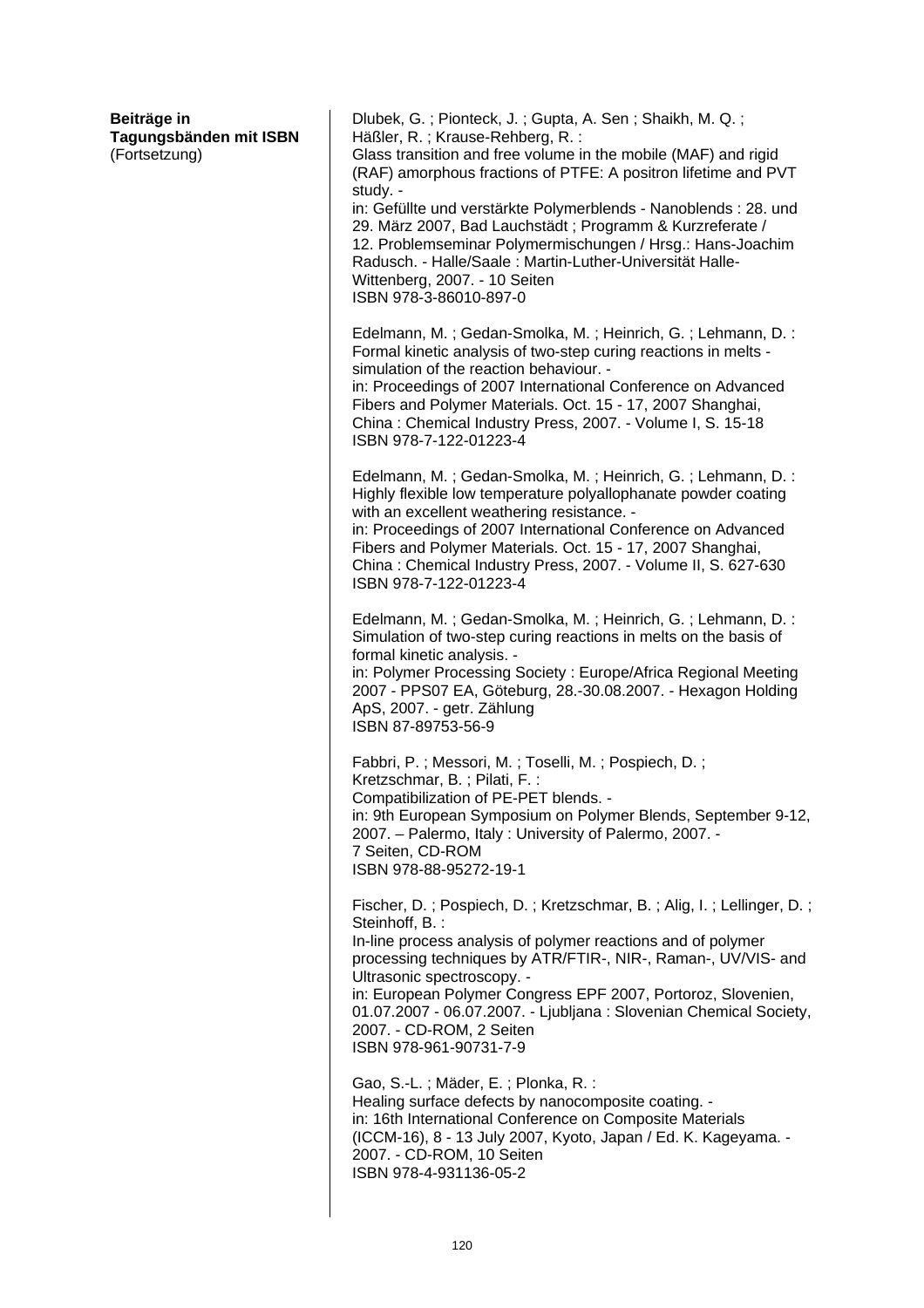| Beiträge in<br>Tagungsbänden mit ISBN<br>(Fortsetzung) | Dlubek, G.; Pionteck, J.; Gupta, A. Sen; Shaikh, M. Q.;<br>Häßler, R.; Krause-Rehberg, R.:<br>Glass transition and free volume in the mobile (MAF) and rigid<br>(RAF) amorphous fractions of PTFE: A positron lifetime and PVT<br>study. -<br>in: Gefüllte und verstärkte Polymerblends - Nanoblends : 28. und<br>29. März 2007, Bad Lauchstädt; Programm & Kurzreferate /<br>12. Problemseminar Polymermischungen / Hrsg.: Hans-Joachim<br>Radusch. - Halle/Saale: Martin-Luther-Universität Halle-<br>Wittenberg, 2007. - 10 Seiten<br>ISBN 978-3-86010-897-0 |
|--------------------------------------------------------|-----------------------------------------------------------------------------------------------------------------------------------------------------------------------------------------------------------------------------------------------------------------------------------------------------------------------------------------------------------------------------------------------------------------------------------------------------------------------------------------------------------------------------------------------------------------|
|                                                        | Edelmann, M.; Gedan-Smolka, M.; Heinrich, G.; Lehmann, D.:<br>Formal kinetic analysis of two-step curing reactions in melts -<br>simulation of the reaction behaviour. -<br>in: Proceedings of 2007 International Conference on Advanced<br>Fibers and Polymer Materials. Oct. 15 - 17, 2007 Shanghai,<br>China: Chemical Industry Press, 2007. - Volume I, S. 15-18<br>ISBN 978-7-122-01223-4                                                                                                                                                                  |
|                                                        | Edelmann, M.; Gedan-Smolka, M.; Heinrich, G.; Lehmann, D.:<br>Highly flexible low temperature polyallophanate powder coating<br>with an excellent weathering resistance. -<br>in: Proceedings of 2007 International Conference on Advanced<br>Fibers and Polymer Materials. Oct. 15 - 17, 2007 Shanghai,<br>China: Chemical Industry Press, 2007. - Volume II, S. 627-630<br>ISBN 978-7-122-01223-4                                                                                                                                                             |
|                                                        | Edelmann, M.; Gedan-Smolka, M.; Heinrich, G.; Lehmann, D.:<br>Simulation of two-step curing reactions in melts on the basis of<br>formal kinetic analysis. -<br>in: Polymer Processing Society: Europe/Africa Regional Meeting<br>2007 - PPS07 EA, Göteburg, 28.-30.08.2007. - Hexagon Holding<br>ApS, 2007. - getr. Zählung<br>ISBN 87-89753-56-9                                                                                                                                                                                                              |
|                                                        | Fabbri, P.; Messori, M.; Toselli, M.; Pospiech, D.;<br>Kretzschmar, B.; Pilati, F.:<br>Compatibilization of PE-PET blends. -<br>in: 9th European Symposium on Polymer Blends, September 9-12,<br>2007. - Palermo, Italy: University of Palermo, 2007. -<br>7 Seiten, CD-ROM<br>ISBN 978-88-95272-19-1                                                                                                                                                                                                                                                           |
|                                                        | Fischer, D.; Pospiech, D.; Kretzschmar, B.; Alig, I.; Lellinger, D.;<br>Steinhoff, B. :<br>In-line process analysis of polymer reactions and of polymer<br>processing techniques by ATR/FTIR-, NIR-, Raman-, UV/VIS- and<br>Ultrasonic spectroscopy. -<br>in: European Polymer Congress EPF 2007, Portoroz, Slovenien,<br>01.07.2007 - 06.07.2007. - Ljubljana: Slovenian Chemical Society,<br>2007. - CD-ROM, 2 Seiten<br>ISBN 978-961-90731-7-9                                                                                                               |
|                                                        | Gao, S.-L.; Mäder, E.; Plonka, R.:<br>Healing surface defects by nanocomposite coating. -<br>in: 16th International Conference on Composite Materials<br>(ICCM-16), 8 - 13 July 2007, Kyoto, Japan / Ed. K. Kageyama. -<br>2007. - CD-ROM, 10 Seiten<br>ISBN 978-4-931136-05-2                                                                                                                                                                                                                                                                                  |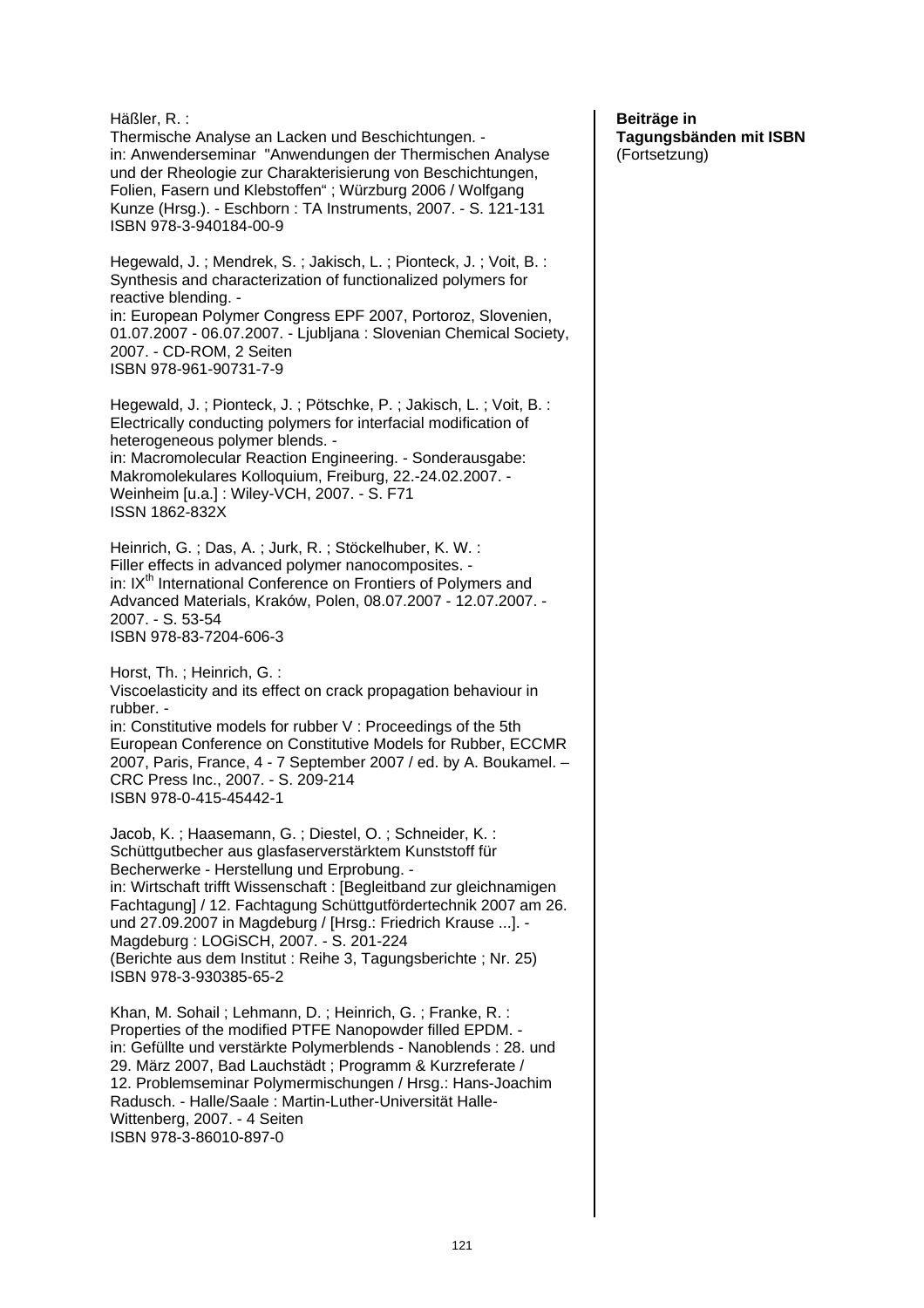Häßler, R. : Thermische Analyse an Lacken und Beschichtungen. in: Anwenderseminar "Anwendungen der Thermischen Analyse und der Rheologie zur Charakterisierung von Beschichtungen, Folien, Fasern und Klebstoffen" ; Würzburg 2006 / Wolfgang Kunze (Hrsg.). - Eschborn : TA Instruments, 2007. - S. 121-131 ISBN 978-3-940184-00-9 Hegewald, J. ; Mendrek, S. ; Jakisch, L. ; Pionteck, J. ; Voit, B. : Synthesis and characterization of functionalized polymers for reactive blending. in: European Polymer Congress EPF 2007, Portoroz, Slovenien, 01.07.2007 - 06.07.2007. - Ljubljana : Slovenian Chemical Society, 2007. - CD-ROM, 2 Seiten ISBN 978-961-90731-7-9 Hegewald, J. ; Pionteck, J. ; Pötschke, P. ; Jakisch, L. ; Voit, B. : Electrically conducting polymers for interfacial modification of heterogeneous polymer blends. in: Macromolecular Reaction Engineering. - Sonderausgabe: Makromolekulares Kolloquium, Freiburg, 22.-24.02.2007. - Weinheim [u.a.] : Wiley-VCH, 2007. - S. F71 ISSN 1862-832X Heinrich, G. ; Das, A. ; Jurk, R. ; Stöckelhuber, K. W. : Filler effects in advanced polymer nanocomposites. in: IX<sup>th</sup> International Conference on Frontiers of Polymers and Advanced Materials, Kraków, Polen, 08.07.2007 - 12.07.2007. - 2007. - S. 53-54 ISBN 978-83-7204-606-3 Horst, Th. ; Heinrich, G. : Viscoelasticity and its effect on crack propagation behaviour in rubber. in: Constitutive models for rubber V : Proceedings of the 5th European Conference on Constitutive Models for Rubber, ECCMR 2007, Paris, France, 4 - 7 September 2007 / ed. by A. Boukamel. – CRC Press Inc., 2007. - S. 209-214 ISBN 978-0-415-45442-1 Jacob, K. ; Haasemann, G. ; Diestel, O. ; Schneider, K. : Schüttgutbecher aus glasfaserverstärktem Kunststoff für Becherwerke - Herstellung und Erprobung. in: Wirtschaft trifft Wissenschaft : [Begleitband zur gleichnamigen Fachtagung] / 12. Fachtagung Schüttgutfördertechnik 2007 am 26. und 27.09.2007 in Magdeburg / [Hrsg.: Friedrich Krause ...]. - Magdeburg : LOGiSCH, 2007. - S. 201-224 (Berichte aus dem Institut : Reihe 3, Tagungsberichte ; Nr. 25) ISBN 978-3-930385-65-2 Khan, M. Sohail ; Lehmann, D. ; Heinrich, G. ; Franke, R. : Properties of the modified PTFE Nanopowder filled EPDM. in: Gefüllte und verstärkte Polymerblends - Nanoblends : 28. und 29. März 2007, Bad Lauchstädt ; Programm & Kurzreferate / 12. Problemseminar Polymermischungen / Hrsg.: Hans-Joachim Radusch. - Halle/Saale : Martin-Luther-Universität Halle-Wittenberg, 2007. - 4 Seiten ISBN 978-3-86010-897-0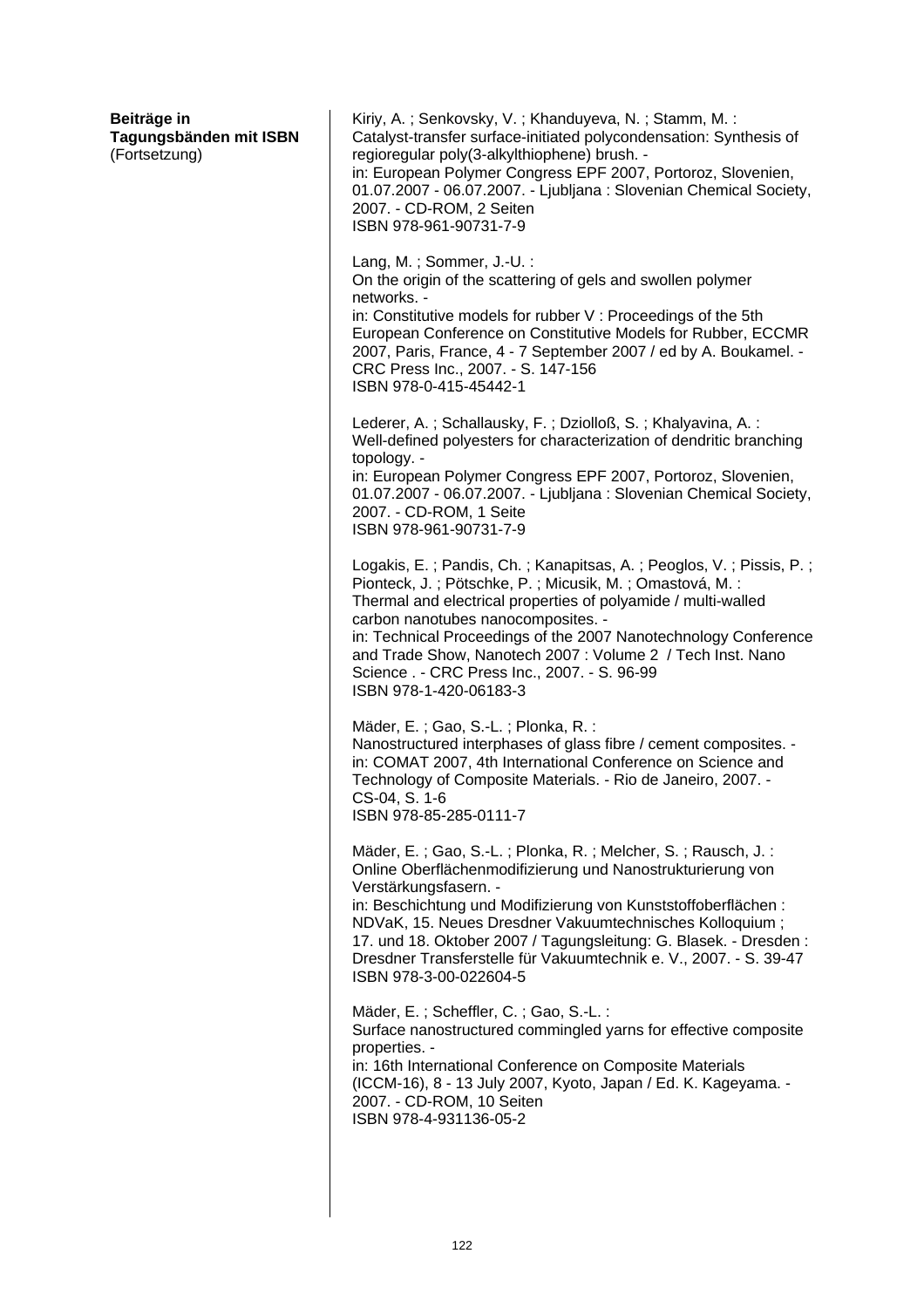| Beiträge in<br>Tagungsbänden mit ISBN<br>(Fortsetzung) | Kiriy, A.; Senkovsky, V.; Khanduyeva, N.; Stamm, M.:<br>Catalyst-transfer surface-initiated polycondensation: Synthesis of<br>regioregular poly(3-alkylthiophene) brush. -<br>in: European Polymer Congress EPF 2007, Portoroz, Slovenien,<br>01.07.2007 - 06.07.2007. - Ljubljana: Slovenian Chemical Society,<br>2007. - CD-ROM, 2 Seiten<br>ISBN 978-961-90731-7-9                                                                             |
|--------------------------------------------------------|---------------------------------------------------------------------------------------------------------------------------------------------------------------------------------------------------------------------------------------------------------------------------------------------------------------------------------------------------------------------------------------------------------------------------------------------------|
|                                                        | Lang, M.; Sommer, J.-U.:<br>On the origin of the scattering of gels and swollen polymer<br>networks. -<br>in: Constitutive models for rubber V: Proceedings of the 5th<br>European Conference on Constitutive Models for Rubber, ECCMR<br>2007, Paris, France, 4 - 7 September 2007 / ed by A. Boukamel. -<br>CRC Press Inc., 2007. - S. 147-156<br>ISBN 978-0-415-45442-1                                                                        |
|                                                        | Lederer, A.; Schallausky, F.; Dziolloß, S.; Khalyavina, A.:<br>Well-defined polyesters for characterization of dendritic branching<br>topology. -<br>in: European Polymer Congress EPF 2007, Portoroz, Slovenien,<br>01.07.2007 - 06.07.2007. - Ljubljana: Slovenian Chemical Society,<br>2007. - CD-ROM, 1 Seite<br>ISBN 978-961-90731-7-9                                                                                                       |
|                                                        | Logakis, E.; Pandis, Ch.; Kanapitsas, A.; Peoglos, V.; Pissis, P.;<br>Pionteck, J.; Pötschke, P.; Micusik, M.; Omastová, M.:<br>Thermal and electrical properties of polyamide / multi-walled<br>carbon nanotubes nanocomposites. -<br>in: Technical Proceedings of the 2007 Nanotechnology Conference<br>and Trade Show, Nanotech 2007: Volume 2 / Tech Inst. Nano<br>Science . - CRC Press Inc., 2007. - S. 96-99<br>ISBN 978-1-420-06183-3     |
|                                                        | Mäder, E.; Gao, S.-L.; Plonka, R.:<br>Nanostructured interphases of glass fibre / cement composites. -<br>in: COMAT 2007, 4th International Conference on Science and<br>Technology of Composite Materials. - Rio de Janeiro, 2007. -<br>CS-04, S. 1-6<br>ISBN 978-85-285-0111-7                                                                                                                                                                  |
|                                                        | Mäder, E.; Gao, S.-L.; Plonka, R.; Melcher, S.; Rausch, J.:<br>Online Oberflächenmodifizierung und Nanostrukturierung von<br>Verstärkungsfasern. -<br>in: Beschichtung und Modifizierung von Kunststoffoberflächen:<br>NDVaK, 15. Neues Dresdner Vakuumtechnisches Kolloquium;<br>17. und 18. Oktober 2007 / Tagungsleitung: G. Blasek. - Dresden:<br>Dresdner Transferstelle für Vakuumtechnik e. V., 2007. - S. 39-47<br>ISBN 978-3-00-022604-5 |
|                                                        | Mäder, E.; Scheffler, C.; Gao, S.-L.:<br>Surface nanostructured commingled yarns for effective composite<br>properties. -<br>in: 16th International Conference on Composite Materials<br>(ICCM-16), 8 - 13 July 2007, Kyoto, Japan / Ed. K. Kageyama. -<br>2007. - CD-ROM, 10 Seiten<br>ISBN 978-4-931136-05-2                                                                                                                                    |
|                                                        |                                                                                                                                                                                                                                                                                                                                                                                                                                                   |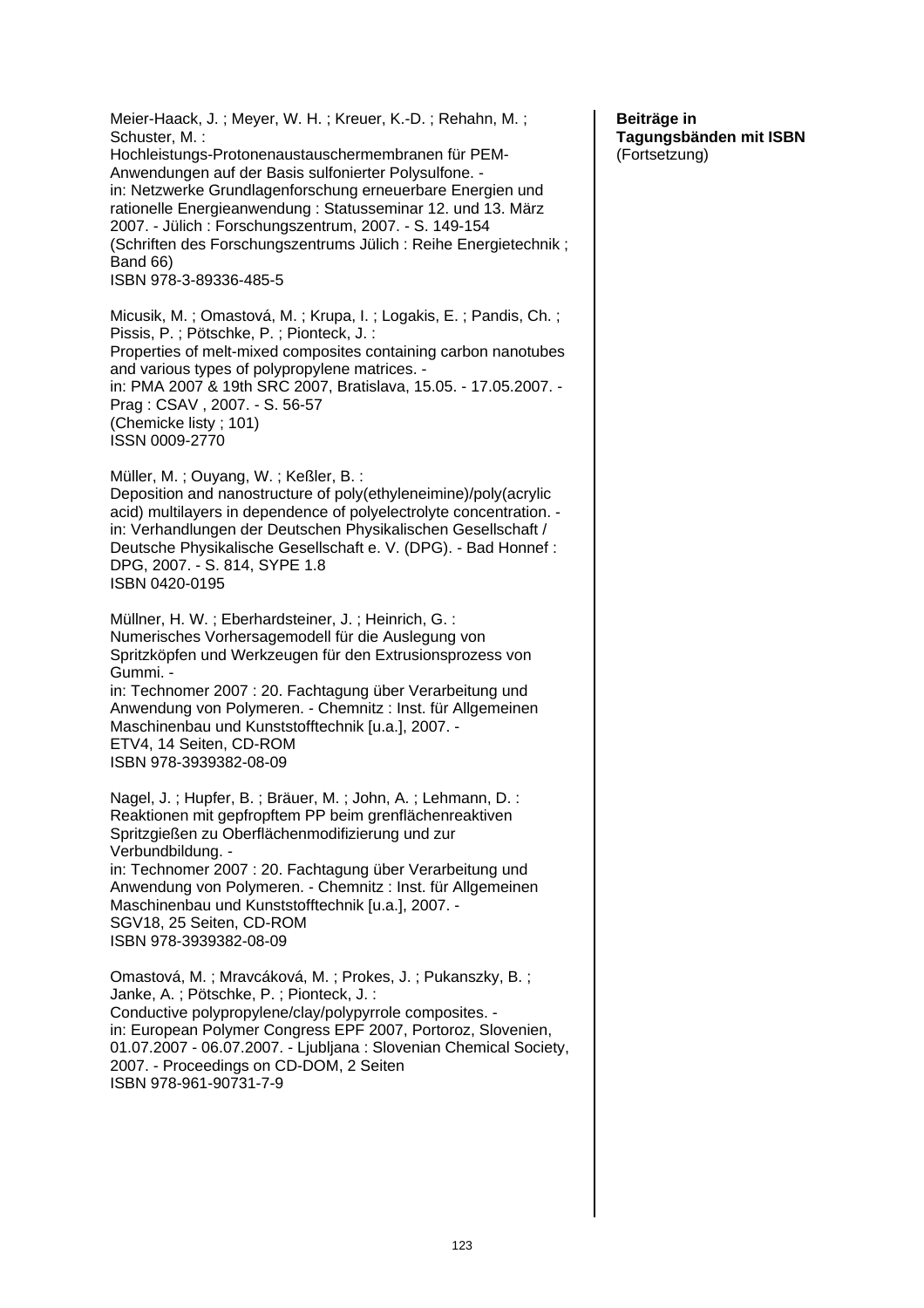Meier-Haack, J. ; Meyer, W. H. ; Kreuer, K.-D. ; Rehahn, M. ; Schuster, M. : Hochleistungs-Protonenaustauschermembranen für PEM-Anwendungen auf der Basis sulfonierter Polysulfone. in: Netzwerke Grundlagenforschung erneuerbare Energien und rationelle Energieanwendung : Statusseminar 12. und 13. März 2007. - Jülich : Forschungszentrum, 2007. - S. 149-154 (Schriften des Forschungszentrums Jülich : Reihe Energietechnik ; Band 66) ISBN 978-3-89336-485-5 Micusik, M. ; Omastová, M. ; Krupa, I. ; Logakis, E. ; Pandis, Ch. ; Pissis, P. ; Pötschke, P. ; Pionteck, J. : Properties of melt-mixed composites containing carbon nanotubes and various types of polypropylene matrices. in: PMA 2007 & 19th SRC 2007, Bratislava, 15.05. - 17.05.2007. - Prag : CSAV , 2007. - S. 56-57 (Chemicke listy ; 101) ISSN 0009-2770 Müller, M. ; Ouyang, W. ; Keßler, B. : Deposition and nanostructure of poly(ethyleneimine)/poly(acrylic acid) multilayers in dependence of polyelectrolyte concentration. in: Verhandlungen der Deutschen Physikalischen Gesellschaft / Deutsche Physikalische Gesellschaft e. V. (DPG). - Bad Honnef : DPG, 2007. - S. 814, SYPE 1.8 ISBN 0420-0195 Müllner, H. W. ; Eberhardsteiner, J. ; Heinrich, G. : Numerisches Vorhersagemodell für die Auslegung von Spritzköpfen und Werkzeugen für den Extrusionsprozess von Gummi. in: Technomer 2007 : 20. Fachtagung über Verarbeitung und Anwendung von Polymeren. - Chemnitz : Inst. für Allgemeinen Maschinenbau und Kunststofftechnik [u.a.], 2007. - ETV4, 14 Seiten, CD-ROM ISBN 978-3939382-08-09 Nagel, J. ; Hupfer, B. ; Bräuer, M. ; John, A. ; Lehmann, D. : Reaktionen mit gepfropftem PP beim grenflächenreaktiven Spritzgießen zu Oberflächenmodifizierung und zur Verbundbildung. in: Technomer 2007 : 20. Fachtagung über Verarbeitung und Anwendung von Polymeren. - Chemnitz : Inst. für Allgemeinen Maschinenbau und Kunststofftechnik [u.a.], 2007. - SGV18, 25 Seiten, CD-ROM ISBN 978-3939382-08-09 Omastová, M. ; Mravcáková, M. ; Prokes, J. ; Pukanszky, B. ; Janke, A. ; Pötschke, P. ; Pionteck, J. : Conductive polypropylene/clay/polypyrrole composites. in: European Polymer Congress EPF 2007, Portoroz, Slovenien, 01.07.2007 - 06.07.2007. - Ljubljana : Slovenian Chemical Society, 2007. - Proceedings on CD-DOM, 2 Seiten ISBN 978-961-90731-7-9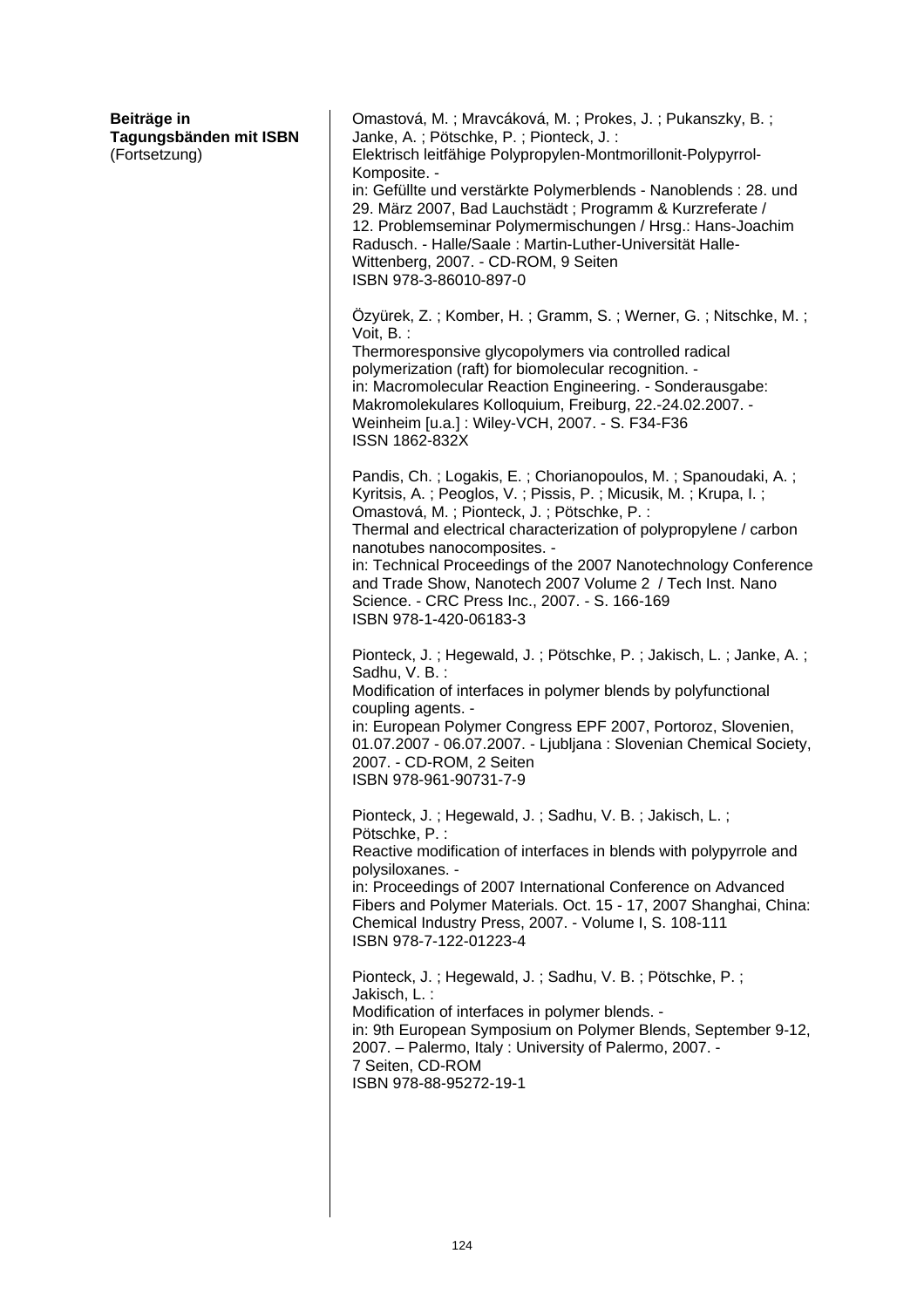| Beiträge in<br>Tagungsbänden mit ISBN<br>(Fortsetzung) | Omastová, M.; Mravcáková, M.; Prokes, J.; Pukanszky, B.;<br>Janke, A.; Pötschke, P.; Pionteck, J.:<br>Elektrisch leitfähige Polypropylen-Montmorillonit-Polypyrrol-<br>Komposite. -<br>in: Gefüllte und verstärkte Polymerblends - Nanoblends : 28. und<br>29. März 2007, Bad Lauchstädt; Programm & Kurzreferate /<br>12. Problemseminar Polymermischungen / Hrsg.: Hans-Joachim<br>Radusch. - Halle/Saale: Martin-Luther-Universität Halle-<br>Wittenberg, 2007. - CD-ROM, 9 Seiten<br>ISBN 978-3-86010-897-0 |
|--------------------------------------------------------|-----------------------------------------------------------------------------------------------------------------------------------------------------------------------------------------------------------------------------------------------------------------------------------------------------------------------------------------------------------------------------------------------------------------------------------------------------------------------------------------------------------------|
|                                                        | Özyürek, Z.; Komber, H.; Gramm, S.; Werner, G.; Nitschke, M.;<br>Voit, B.:<br>Thermoresponsive glycopolymers via controlled radical<br>polymerization (raft) for biomolecular recognition. -<br>in: Macromolecular Reaction Engineering. - Sonderausgabe:<br>Makromolekulares Kolloquium, Freiburg, 22.-24.02.2007. -<br>Weinheim [u.a.] : Wiley-VCH, 2007. - S. F34-F36<br><b>ISSN 1862-832X</b>                                                                                                               |
|                                                        | Pandis, Ch.; Logakis, E.; Chorianopoulos, M.; Spanoudaki, A.;<br>Kyritsis, A.; Peoglos, V.; Pissis, P.; Micusik, M.; Krupa, I.;<br>Omastová, M.; Pionteck, J.; Pötschke, P.:<br>Thermal and electrical characterization of polypropylene / carbon<br>nanotubes nanocomposites. -<br>in: Technical Proceedings of the 2007 Nanotechnology Conference<br>and Trade Show, Nanotech 2007 Volume 2 / Tech Inst. Nano<br>Science. - CRC Press Inc., 2007. - S. 166-169<br>ISBN 978-1-420-06183-3                      |
|                                                        | Pionteck, J.; Hegewald, J.; Pötschke, P.; Jakisch, L.; Janke, A.;<br>Sadhu, V. B.:<br>Modification of interfaces in polymer blends by polyfunctional<br>coupling agents. -<br>in: European Polymer Congress EPF 2007, Portoroz, Slovenien,<br>01.07.2007 - 06.07.2007. - Ljubljana: Slovenian Chemical Society,<br>2007. - CD-ROM, 2 Seiten<br>ISBN 978-961-90731-7-9                                                                                                                                           |
|                                                        | Pionteck, J.; Hegewald, J.; Sadhu, V. B.; Jakisch, L.;<br>Pötschke, P.:<br>Reactive modification of interfaces in blends with polypyrrole and<br>polysiloxanes. -<br>in: Proceedings of 2007 International Conference on Advanced<br>Fibers and Polymer Materials. Oct. 15 - 17, 2007 Shanghai, China:<br>Chemical Industry Press, 2007. - Volume I, S. 108-111<br>ISBN 978-7-122-01223-4                                                                                                                       |
|                                                        | Pionteck, J.; Hegewald, J.; Sadhu, V. B.; Pötschke, P.;<br>Jakisch, L.:<br>Modification of interfaces in polymer blends. -<br>in: 9th European Symposium on Polymer Blends, September 9-12,<br>2007. - Palermo, Italy: University of Palermo, 2007. -<br>7 Seiten, CD-ROM<br>ISBN 978-88-95272-19-1                                                                                                                                                                                                             |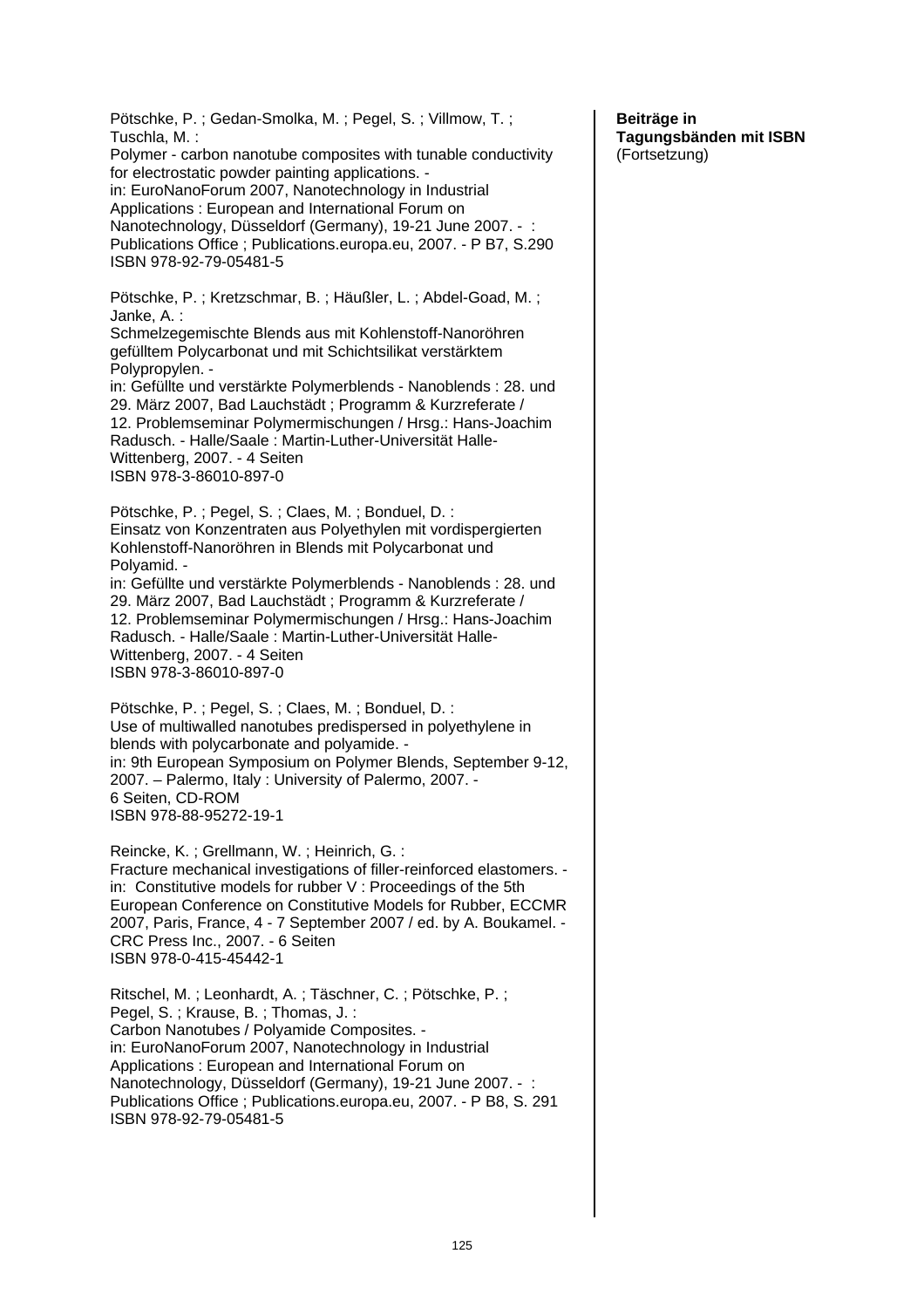Pötschke, P. ; Gedan-Smolka, M. ; Pegel, S. ; Villmow, T. ; Tuschla, M. : Polymer - carbon nanotube composites with tunable conductivity for electrostatic powder painting applications. in: EuroNanoForum 2007, Nanotechnology in Industrial Applications : European and International Forum on Nanotechnology, Düsseldorf (Germany), 19-21 June 2007. - : Publications Office ; Publications.europa.eu, 2007. - P B7, S.290 ISBN 978-92-79-05481-5 Pötschke, P. ; Kretzschmar, B. ; Häußler, L. ; Abdel-Goad, M. ; Janke, A. : Schmelzegemischte Blends aus mit Kohlenstoff-Nanoröhren gefülltem Polycarbonat und mit Schichtsilikat verstärktem Polypropylen. in: Gefüllte und verstärkte Polymerblends - Nanoblends : 28. und 29. März 2007, Bad Lauchstädt ; Programm & Kurzreferate / 12. Problemseminar Polymermischungen / Hrsg.: Hans-Joachim Radusch. - Halle/Saale : Martin-Luther-Universität Halle-Wittenberg, 2007. - 4 Seiten ISBN 978-3-86010-897-0 Pötschke, P. ; Pegel, S. ; Claes, M. ; Bonduel, D. : Einsatz von Konzentraten aus Polyethylen mit vordispergierten Kohlenstoff-Nanoröhren in Blends mit Polycarbonat und Polyamid. in: Gefüllte und verstärkte Polymerblends - Nanoblends : 28. und 29. März 2007, Bad Lauchstädt ; Programm & Kurzreferate / 12. Problemseminar Polymermischungen / Hrsg.: Hans-Joachim Radusch. - Halle/Saale : Martin-Luther-Universität Halle-Wittenberg, 2007. - 4 Seiten ISBN 978-3-86010-897-0 Pötschke, P. ; Pegel, S. ; Claes, M. ; Bonduel, D. : Use of multiwalled nanotubes predispersed in polyethylene in blends with polycarbonate and polyamide. in: 9th European Symposium on Polymer Blends, September 9-12, 2007. – Palermo, Italy : University of Palermo, 2007. - 6 Seiten, CD-ROM ISBN 978-88-95272-19-1 Reincke, K. ; Grellmann, W. ; Heinrich, G. : Fracture mechanical investigations of filler-reinforced elastomers. in: Constitutive models for rubber V : Proceedings of the 5th European Conference on Constitutive Models for Rubber, ECCMR 2007, Paris, France, 4 - 7 September 2007 / ed. by A. Boukamel. - CRC Press Inc., 2007. - 6 Seiten ISBN 978-0-415-45442-1 Ritschel, M. ; Leonhardt, A. ; Täschner, C. ; Pötschke, P. ; Pegel, S. ; Krause, B. ; Thomas, J. : Carbon Nanotubes / Polyamide Composites. in: EuroNanoForum 2007, Nanotechnology in Industrial Applications : European and International Forum on Nanotechnology, Düsseldorf (Germany), 19-21 June 2007. - : Publications Office ; Publications.europa.eu, 2007. - P B8, S. 291 ISBN 978-92-79-05481-5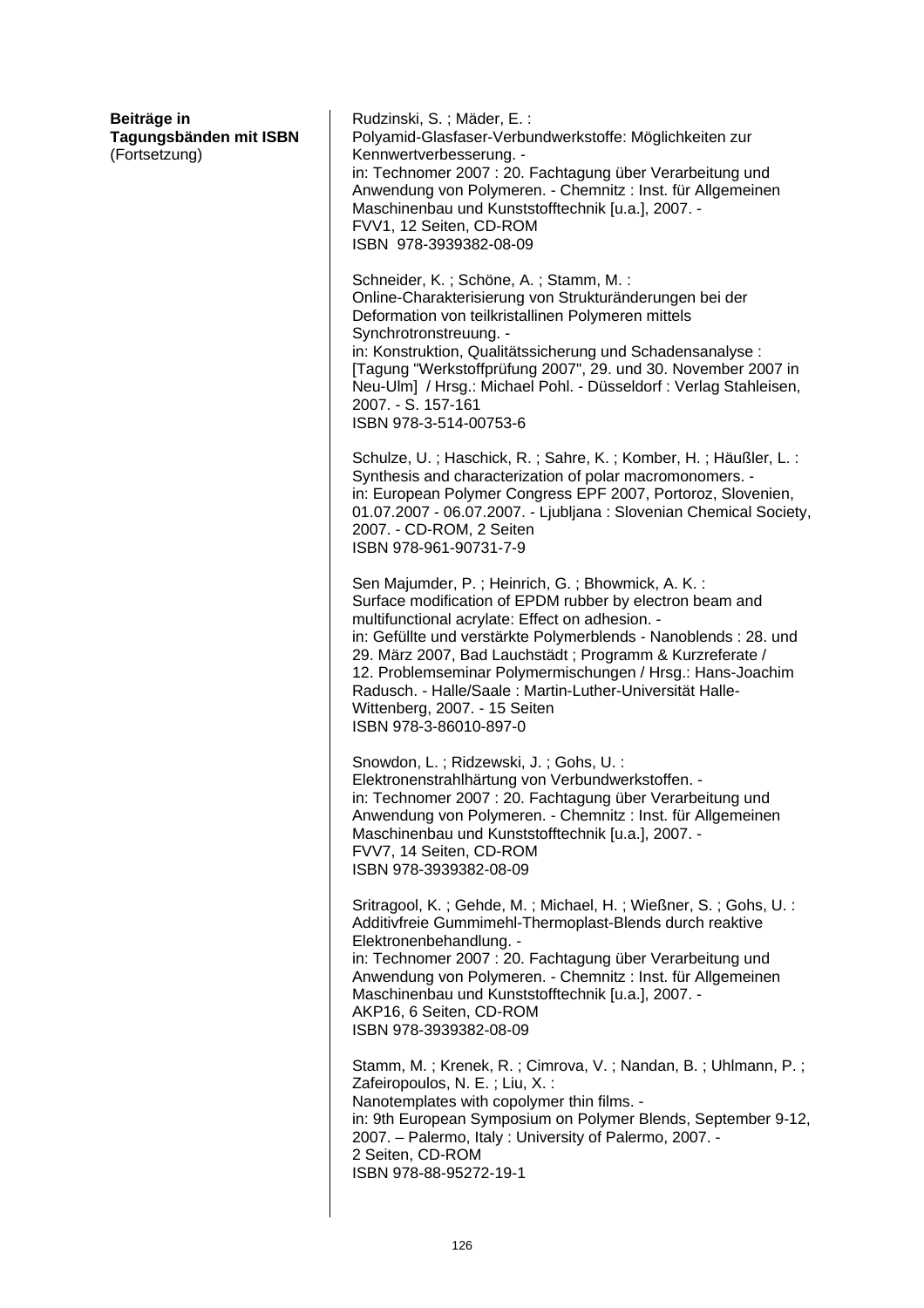| Rudzinski, S.; Mäder, E.:<br>Polyamid-Glasfaser-Verbundwerkstoffe: Möglichkeiten zur<br>Kennwertverbesserung. -<br>in: Technomer 2007 : 20. Fachtagung über Verarbeitung und<br>Anwendung von Polymeren. - Chemnitz: Inst. für Allgemeinen<br>Maschinenbau und Kunststofftechnik [u.a.], 2007. -<br>FVV1, 12 Seiten, CD-ROM<br>ISBN 978-3939382-08-09                                                                                                                                |
|--------------------------------------------------------------------------------------------------------------------------------------------------------------------------------------------------------------------------------------------------------------------------------------------------------------------------------------------------------------------------------------------------------------------------------------------------------------------------------------|
| Schneider, K.; Schöne, A.; Stamm, M.:<br>Online-Charakterisierung von Strukturänderungen bei der<br>Deformation von teilkristallinen Polymeren mittels<br>Synchrotronstreuung. -<br>in: Konstruktion, Qualitätssicherung und Schadensanalyse :<br>[Tagung "Werkstoffprüfung 2007", 29. und 30. November 2007 in<br>Neu-Ulm] / Hrsg.: Michael Pohl. - Düsseldorf : Verlag Stahleisen,<br>2007. - S. 157-161<br>ISBN 978-3-514-00753-6                                                 |
| Schulze, U.; Haschick, R.; Sahre, K.; Komber, H.; Häußler, L.:<br>Synthesis and characterization of polar macromonomers. -<br>in: European Polymer Congress EPF 2007, Portoroz, Slovenien,<br>01.07.2007 - 06.07.2007. - Ljubljana: Slovenian Chemical Society,<br>2007. - CD-ROM, 2 Seiten<br>ISBN 978-961-90731-7-9                                                                                                                                                                |
| Sen Majumder, P.; Heinrich, G.; Bhowmick, A. K.:<br>Surface modification of EPDM rubber by electron beam and<br>multifunctional acrylate: Effect on adhesion. -<br>in: Gefüllte und verstärkte Polymerblends - Nanoblends : 28. und<br>29. März 2007, Bad Lauchstädt; Programm & Kurzreferate /<br>12. Problemseminar Polymermischungen / Hrsg.: Hans-Joachim<br>Radusch. - Halle/Saale: Martin-Luther-Universität Halle-<br>Wittenberg, 2007. - 15 Seiten<br>ISBN 978-3-86010-897-0 |
| Snowdon, L.; Ridzewski, J.; Gohs, U.:<br>Elektronenstrahlhärtung von Verbundwerkstoffen. -<br>in: Technomer 2007 : 20. Fachtagung über Verarbeitung und<br>Anwendung von Polymeren. - Chemnitz: Inst. für Allgemeinen<br>Maschinenbau und Kunststofftechnik [u.a.], 2007. -<br>FVV7, 14 Seiten, CD-ROM<br>ISBN 978-3939382-08-09                                                                                                                                                     |
| Sritragool, K.; Gehde, M.; Michael, H.; Wießner, S.; Gohs, U.:<br>Additivfreie Gummimehl-Thermoplast-Blends durch reaktive<br>Elektronenbehandlung. -<br>in: Technomer 2007 : 20. Fachtagung über Verarbeitung und<br>Anwendung von Polymeren. - Chemnitz: Inst. für Allgemeinen<br>Maschinenbau und Kunststofftechnik [u.a.], 2007. -<br>AKP16, 6 Seiten, CD-ROM<br>ISBN 978-3939382-08-09                                                                                          |
| Stamm, M.; Krenek, R.; Cimrova, V.; Nandan, B.; Uhlmann, P.;<br>Zafeiropoulos, N. E.; Liu, X.:<br>Nanotemplates with copolymer thin films. -<br>in: 9th European Symposium on Polymer Blends, September 9-12,<br>2007. - Palermo, Italy: University of Palermo, 2007. -<br>2 Seiten, CD-ROM<br>ISBN 978-88-95272-19-1                                                                                                                                                                |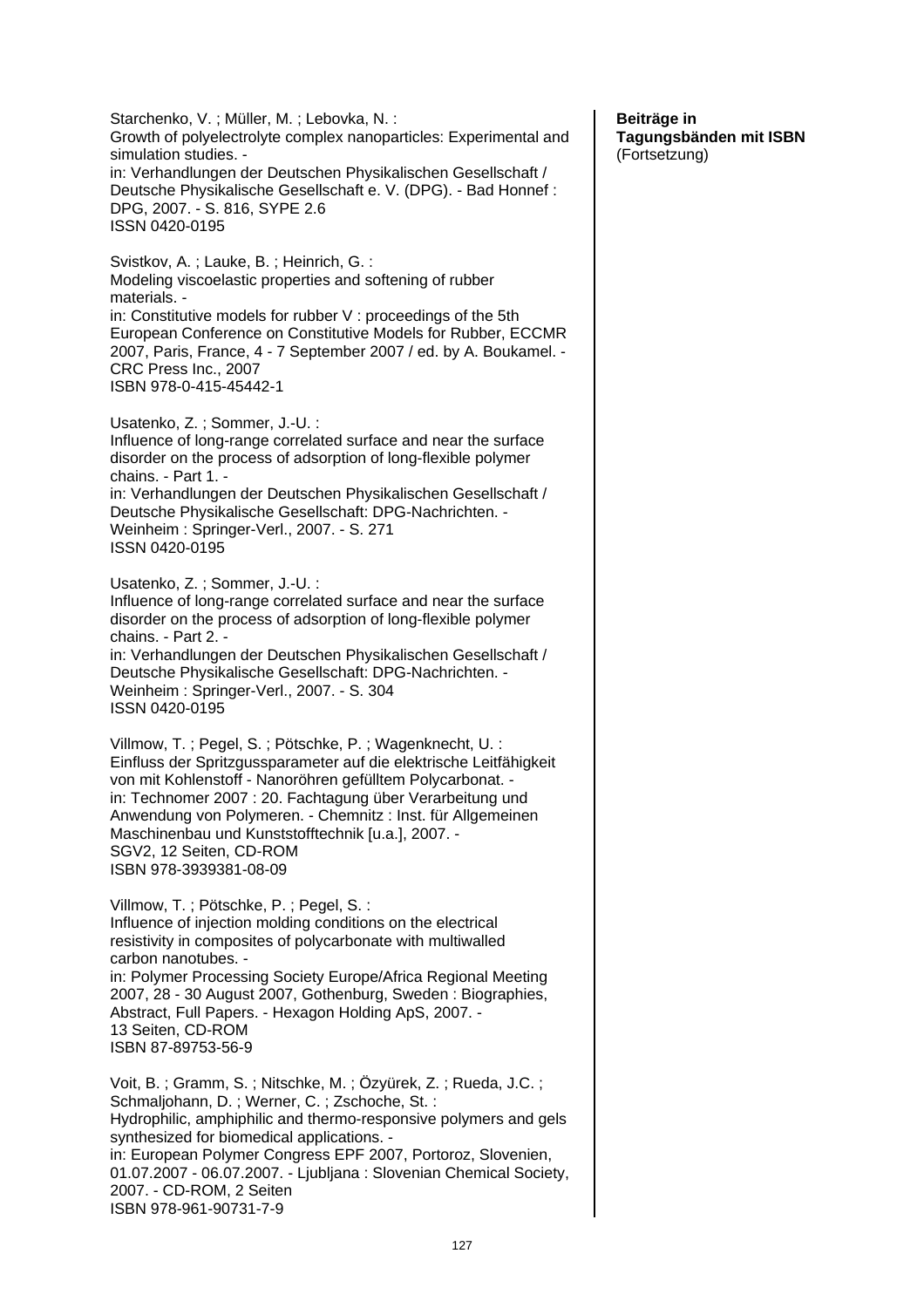Starchenko, V. ; Müller, M. ; Lebovka, N. : Growth of polyelectrolyte complex nanoparticles: Experimental and simulation studies. in: Verhandlungen der Deutschen Physikalischen Gesellschaft / Deutsche Physikalische Gesellschaft e. V. (DPG). - Bad Honnef : DPG, 2007. - S. 816, SYPE 2.6 ISSN 0420-0195 Svistkov, A. ; Lauke, B. ; Heinrich, G. : Modeling viscoelastic properties and softening of rubber materials. in: Constitutive models for rubber V : proceedings of the 5th European Conference on Constitutive Models for Rubber, ECCMR 2007, Paris, France, 4 - 7 September 2007 / ed. by A. Boukamel. - CRC Press Inc., 2007 ISBN 978-0-415-45442-1 Usatenko, Z. ; Sommer, J.-U. : Influence of long-range correlated surface and near the surface disorder on the process of adsorption of long-flexible polymer chains. - Part 1. in: Verhandlungen der Deutschen Physikalischen Gesellschaft / Deutsche Physikalische Gesellschaft: DPG-Nachrichten. - Weinheim : Springer-Verl., 2007. - S. 271 ISSN 0420-0195 Usatenko, Z. ; Sommer, J.-U. : Influence of long-range correlated surface and near the surface disorder on the process of adsorption of long-flexible polymer chains. - Part 2. in: Verhandlungen der Deutschen Physikalischen Gesellschaft / Deutsche Physikalische Gesellschaft: DPG-Nachrichten. - Weinheim : Springer-Verl., 2007. - S. 304 ISSN 0420-0195 Villmow, T. ; Pegel, S. ; Pötschke, P. ; Wagenknecht, U. : Einfluss der Spritzgussparameter auf die elektrische Leitfähigkeit von mit Kohlenstoff - Nanoröhren gefülltem Polycarbonat. in: Technomer 2007 : 20. Fachtagung über Verarbeitung und Anwendung von Polymeren. - Chemnitz : Inst. für Allgemeinen Maschinenbau und Kunststofftechnik [u.a.], 2007. -SGV2, 12 Seiten, CD-ROM ISBN 978-3939381-08-09 Villmow, T. ; Pötschke, P. ; Pegel, S. : Influence of injection molding conditions on the electrical resistivity in composites of polycarbonate with multiwalled carbon nanotubes. in: Polymer Processing Society Europe/Africa Regional Meeting 2007, 28 - 30 August 2007, Gothenburg, Sweden : Biographies, Abstract, Full Papers. - Hexagon Holding ApS, 2007. - 13 Seiten, CD-ROM ISBN 87-89753-56-9 Voit, B. ; Gramm, S. ; Nitschke, M. ; Özyürek, Z. ; Rueda, J.C. ; Schmaljohann, D. ; Werner, C. ; Zschoche, St. : Hydrophilic, amphiphilic and thermo-responsive polymers and gels synthesized for biomedical applications. in: European Polymer Congress EPF 2007, Portoroz, Slovenien, 01.07.2007 - 06.07.2007. - Ljubljana : Slovenian Chemical Society, 2007. - CD-ROM, 2 Seiten ISBN 978-961-90731-7-9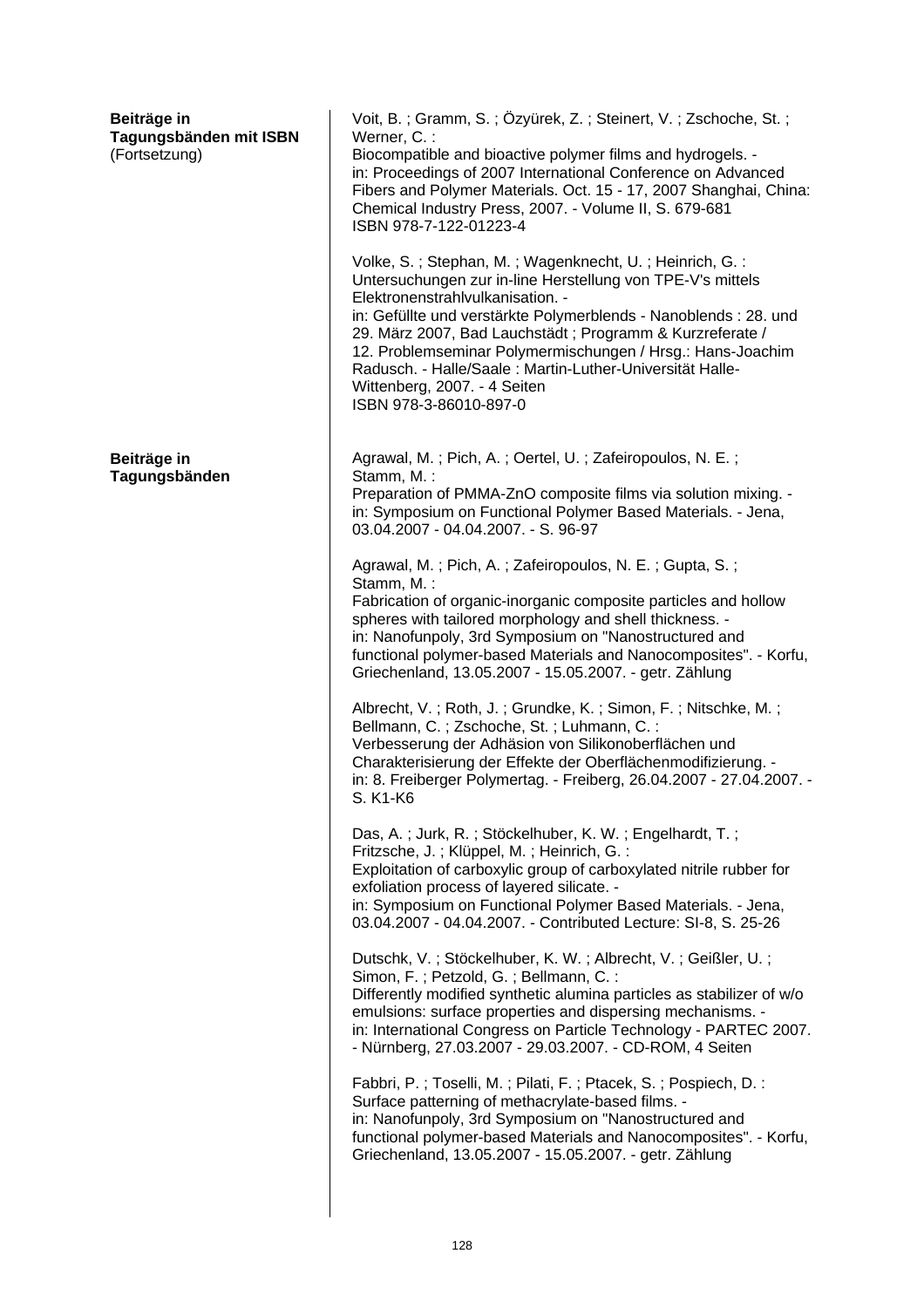| Beiträge in<br>Tagungsbänden mit ISBN<br>(Fortsetzung) | Voit, B.; Gramm, S.; Özyürek, Z.; Steinert, V.; Zschoche, St.;<br>Werner, C.:<br>Biocompatible and bioactive polymer films and hydrogels. -<br>in: Proceedings of 2007 International Conference on Advanced<br>Fibers and Polymer Materials. Oct. 15 - 17, 2007 Shanghai, China:<br>Chemical Industry Press, 2007. - Volume II, S. 679-681<br>ISBN 978-7-122-01223-4<br>Volke, S.; Stephan, M.; Wagenknecht, U.; Heinrich, G.:<br>Untersuchungen zur in-line Herstellung von TPE-V's mittels<br>Elektronenstrahlvulkanisation. -<br>in: Gefüllte und verstärkte Polymerblends - Nanoblends : 28. und<br>29. März 2007, Bad Lauchstädt; Programm & Kurzreferate /<br>12. Problemseminar Polymermischungen / Hrsg.: Hans-Joachim<br>Radusch. - Halle/Saale: Martin-Luther-Universität Halle-<br>Wittenberg, 2007. - 4 Seiten<br>ISBN 978-3-86010-897-0                                                                                                                                                                                                                                                                                                                                                                                                                                                                                                                                                                                                                                                                                                                                                                                                                                                                                                                                                                                                                                                                                                                                                                                 |
|--------------------------------------------------------|--------------------------------------------------------------------------------------------------------------------------------------------------------------------------------------------------------------------------------------------------------------------------------------------------------------------------------------------------------------------------------------------------------------------------------------------------------------------------------------------------------------------------------------------------------------------------------------------------------------------------------------------------------------------------------------------------------------------------------------------------------------------------------------------------------------------------------------------------------------------------------------------------------------------------------------------------------------------------------------------------------------------------------------------------------------------------------------------------------------------------------------------------------------------------------------------------------------------------------------------------------------------------------------------------------------------------------------------------------------------------------------------------------------------------------------------------------------------------------------------------------------------------------------------------------------------------------------------------------------------------------------------------------------------------------------------------------------------------------------------------------------------------------------------------------------------------------------------------------------------------------------------------------------------------------------------------------------------------------------------------------------------------------------|
| Beiträge in<br>Tagungsbänden                           | Agrawal, M.; Pich, A.; Oertel, U.; Zafeiropoulos, N. E.;<br>Stamm, M.:<br>Preparation of PMMA-ZnO composite films via solution mixing. -<br>in: Symposium on Functional Polymer Based Materials. - Jena,<br>03.04.2007 - 04.04.2007. - S. 96-97<br>Agrawal, M.; Pich, A.; Zafeiropoulos, N. E.; Gupta, S.;<br>Stamm, M.:<br>Fabrication of organic-inorganic composite particles and hollow<br>spheres with tailored morphology and shell thickness. -<br>in: Nanofunpoly, 3rd Symposium on "Nanostructured and<br>functional polymer-based Materials and Nanocomposites". - Korfu,<br>Griechenland, 13.05.2007 - 15.05.2007. - getr. Zählung<br>Albrecht, V.; Roth, J.; Grundke, K.; Simon, F.; Nitschke, M.;<br>Bellmann, C.; Zschoche, St.; Luhmann, C.:<br>Verbesserung der Adhäsion von Silikonoberflächen und<br>Charakterisierung der Effekte der Oberflächenmodifizierung. -<br>in: 8. Freiberger Polymertag. - Freiberg, 26.04.2007 - 27.04.2007. -<br>S. K1-K6<br>Das, A.; Jurk, R.; Stöckelhuber, K. W.; Engelhardt, T.;<br>Fritzsche, J.; Klüppel, M.; Heinrich, G.:<br>Exploitation of carboxylic group of carboxylated nitrile rubber for<br>exfoliation process of layered silicate. -<br>in: Symposium on Functional Polymer Based Materials. - Jena,<br>03.04.2007 - 04.04.2007. - Contributed Lecture: SI-8, S. 25-26<br>Dutschk, V.; Stöckelhuber, K. W.; Albrecht, V.; Geißler, U.;<br>Simon, F.; Petzold, G.; Bellmann, C.:<br>Differently modified synthetic alumina particles as stabilizer of w/o<br>emulsions: surface properties and dispersing mechanisms. -<br>in: International Congress on Particle Technology - PARTEC 2007.<br>- Nürnberg, 27.03.2007 - 29.03.2007. - CD-ROM, 4 Seiten<br>Fabbri, P.; Toselli, M.; Pilati, F.; Ptacek, S.; Pospiech, D.:<br>Surface patterning of methacrylate-based films. -<br>in: Nanofunpoly, 3rd Symposium on "Nanostructured and<br>functional polymer-based Materials and Nanocomposites". - Korfu,<br>Griechenland, 13.05.2007 - 15.05.2007. - getr. Zählung |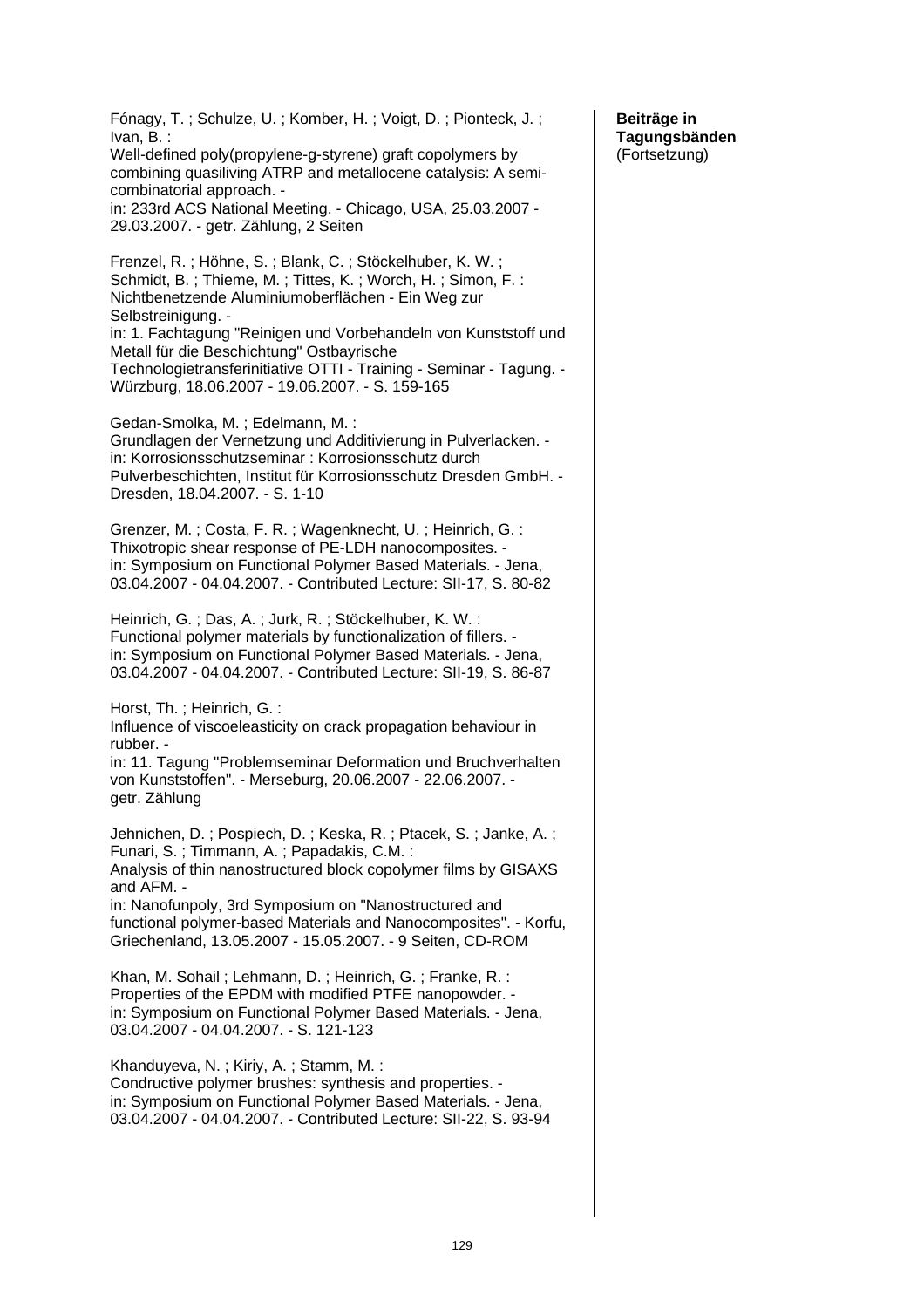Fónagy, T. ; Schulze, U. ; Komber, H. ; Voigt, D. ; Pionteck, J. ; Ivan, B. : Well-defined poly(propylene-g-styrene) graft copolymers by combining quasiliving ATRP and metallocene catalysis: A semicombinatorial approach. in: 233rd ACS National Meeting. - Chicago, USA, 25.03.2007 - 29.03.2007. - getr. Zählung, 2 Seiten Frenzel, R. ; Höhne, S. ; Blank, C. ; Stöckelhuber, K. W. ; Schmidt, B. ; Thieme, M. ; Tittes, K. ; Worch, H. ; Simon, F. : Nichtbenetzende Aluminiumoberflächen - Ein Weg zur Selbstreinigung. in: 1. Fachtagung "Reinigen und Vorbehandeln von Kunststoff und Metall für die Beschichtung" Ostbayrische Technologietransferinitiative OTTI - Training - Seminar - Tagung. - Würzburg, 18.06.2007 - 19.06.2007. - S. 159-165 Gedan-Smolka, M. ; Edelmann, M. : Grundlagen der Vernetzung und Additivierung in Pulverlacken. in: Korrosionsschutzseminar : Korrosionsschutz durch Pulverbeschichten, Institut für Korrosionsschutz Dresden GmbH. - Dresden, 18.04.2007. - S. 1-10 Grenzer, M. ; Costa, F. R. ; Wagenknecht, U. ; Heinrich, G. : Thixotropic shear response of PE-LDH nanocomposites. in: Symposium on Functional Polymer Based Materials. - Jena, 03.04.2007 - 04.04.2007. - Contributed Lecture: SII-17, S. 80-82 Heinrich, G. ; Das, A. ; Jurk, R. ; Stöckelhuber, K. W. : Functional polymer materials by functionalization of fillers. in: Symposium on Functional Polymer Based Materials. - Jena, 03.04.2007 - 04.04.2007. - Contributed Lecture: SII-19, S. 86-87 Horst, Th. ; Heinrich, G. : Influence of viscoeleasticity on crack propagation behaviour in rubber. in: 11. Tagung "Problemseminar Deformation und Bruchverhalten von Kunststoffen". - Merseburg, 20.06.2007 - 22.06.2007. getr. Zählung Jehnichen, D. ; Pospiech, D. ; Keska, R. ; Ptacek, S. ; Janke, A. ; Funari, S. ; Timmann, A. ; Papadakis, C.M. : Analysis of thin nanostructured block copolymer films by GISAXS and AFM. in: Nanofunpoly, 3rd Symposium on "Nanostructured and functional polymer-based Materials and Nanocomposites". - Korfu, Griechenland, 13.05.2007 - 15.05.2007. - 9 Seiten, CD-ROM Khan, M. Sohail ; Lehmann, D. ; Heinrich, G. ; Franke, R. : Properties of the EPDM with modified PTFE nanopowder. in: Symposium on Functional Polymer Based Materials. - Jena, 03.04.2007 - 04.04.2007. - S. 121-123 Khanduyeva, N. ; Kiriy, A. ; Stamm, M. : Condructive polymer brushes: synthesis and properties. in: Symposium on Functional Polymer Based Materials. - Jena, 03.04.2007 - 04.04.2007. - Contributed Lecture: SII-22, S. 93-94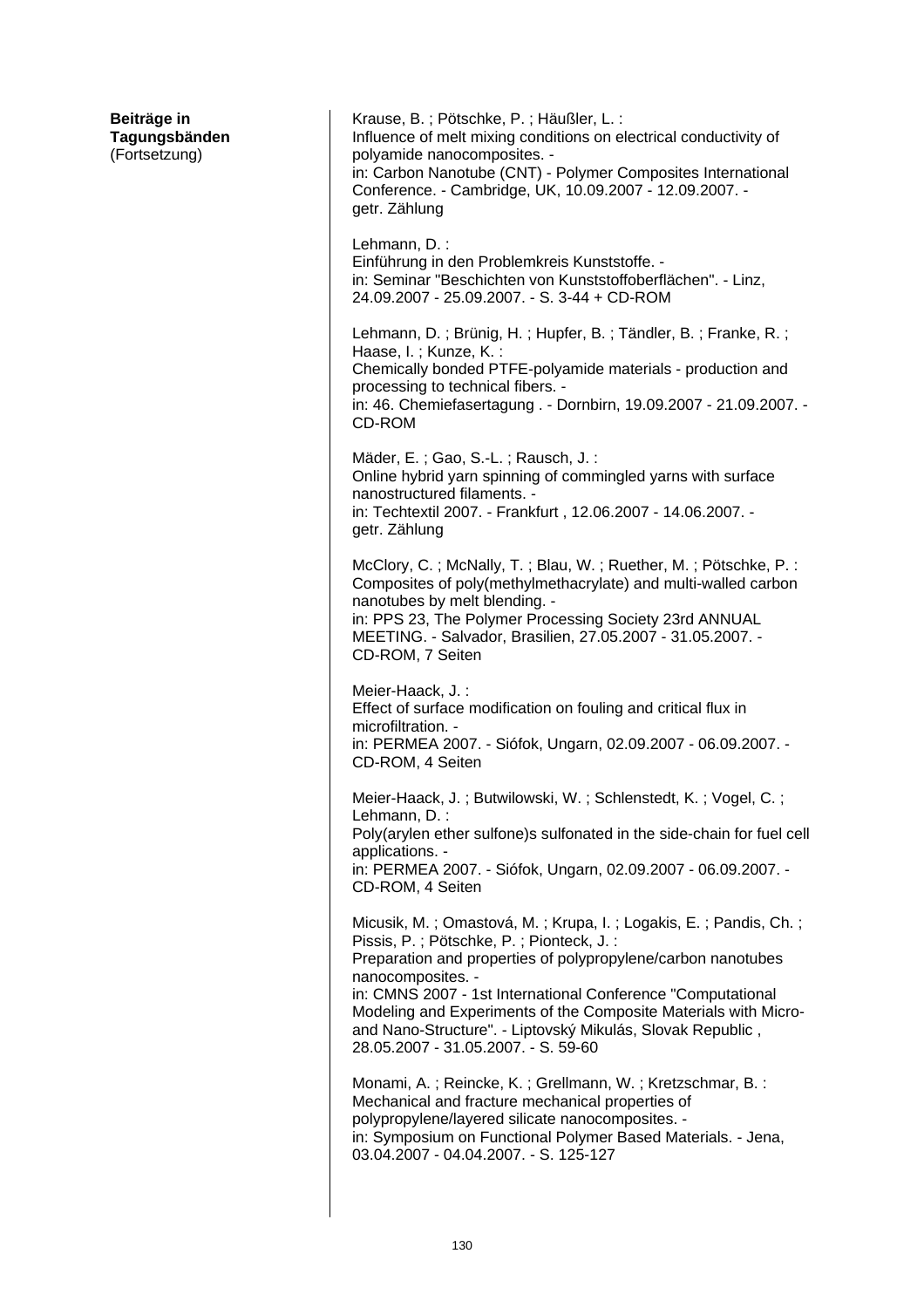**Beiträge in Tagungsbänden**  (Fortsetzung) Krause, B. ; Pötschke, P. ; Häußler, L. : Influence of melt mixing conditions on electrical conductivity of polyamide nanocomposites. in: Carbon Nanotube (CNT) - Polymer Composites International Conference. - Cambridge, UK, 10.09.2007 - 12.09.2007. getr. Zählung Lehmann, D. : Einführung in den Problemkreis Kunststoffe. in: Seminar "Beschichten von Kunststoffoberflächen". - Linz, 24.09.2007 - 25.09.2007. - S. 3-44 + CD-ROM Lehmann, D. ; Brünig, H. ; Hupfer, B. ; Tändler, B. ; Franke, R. ; Haase, I. ; Kunze, K. : Chemically bonded PTFE-polyamide materials - production and processing to technical fibers. in: 46. Chemiefasertagung . - Dornbirn, 19.09.2007 - 21.09.2007. - CD-ROM Mäder, E. ; Gao, S.-L. ; Rausch, J. : Online hybrid yarn spinning of commingled yarns with surface nanostructured filaments. in: Techtextil 2007. - Frankfurt , 12.06.2007 - 14.06.2007. getr. Zählung McClory, C. ; McNally, T. ; Blau, W. ; Ruether, M. ; Pötschke, P. : Composites of poly(methylmethacrylate) and multi-walled carbon nanotubes by melt blending. in: PPS 23, The Polymer Processing Society 23rd ANNUAL MEETING. - Salvador, Brasilien, 27.05.2007 - 31.05.2007. - CD-ROM, 7 Seiten Meier-Haack, J. : Effect of surface modification on fouling and critical flux in microfiltration. in: PERMEA 2007. - Siófok, Ungarn, 02.09.2007 - 06.09.2007. - CD-ROM, 4 Seiten Meier-Haack, J. ; Butwilowski, W. ; Schlenstedt, K. ; Vogel, C. ; Lehmann, D. : Poly(arylen ether sulfone)s sulfonated in the side-chain for fuel cell applications. in: PERMEA 2007. - Siófok, Ungarn, 02.09.2007 - 06.09.2007. - CD-ROM, 4 Seiten Micusik, M. ; Omastová, M. ; Krupa, I. ; Logakis, E. ; Pandis, Ch. ; Pissis, P. ; Pötschke, P. ; Pionteck, J. : Preparation and properties of polypropylene/carbon nanotubes nanocomposites. in: CMNS 2007 - 1st International Conference "Computational Modeling and Experiments of the Composite Materials with Microand Nano-Structure". - Liptovský Mikulás, Slovak Republic , 28.05.2007 - 31.05.2007. - S. 59-60 Monami, A. ; Reincke, K. ; Grellmann, W. ; Kretzschmar, B. : Mechanical and fracture mechanical properties of polypropylene/layered silicate nanocomposites. in: Symposium on Functional Polymer Based Materials. - Jena, 03.04.2007 - 04.04.2007. - S. 125-127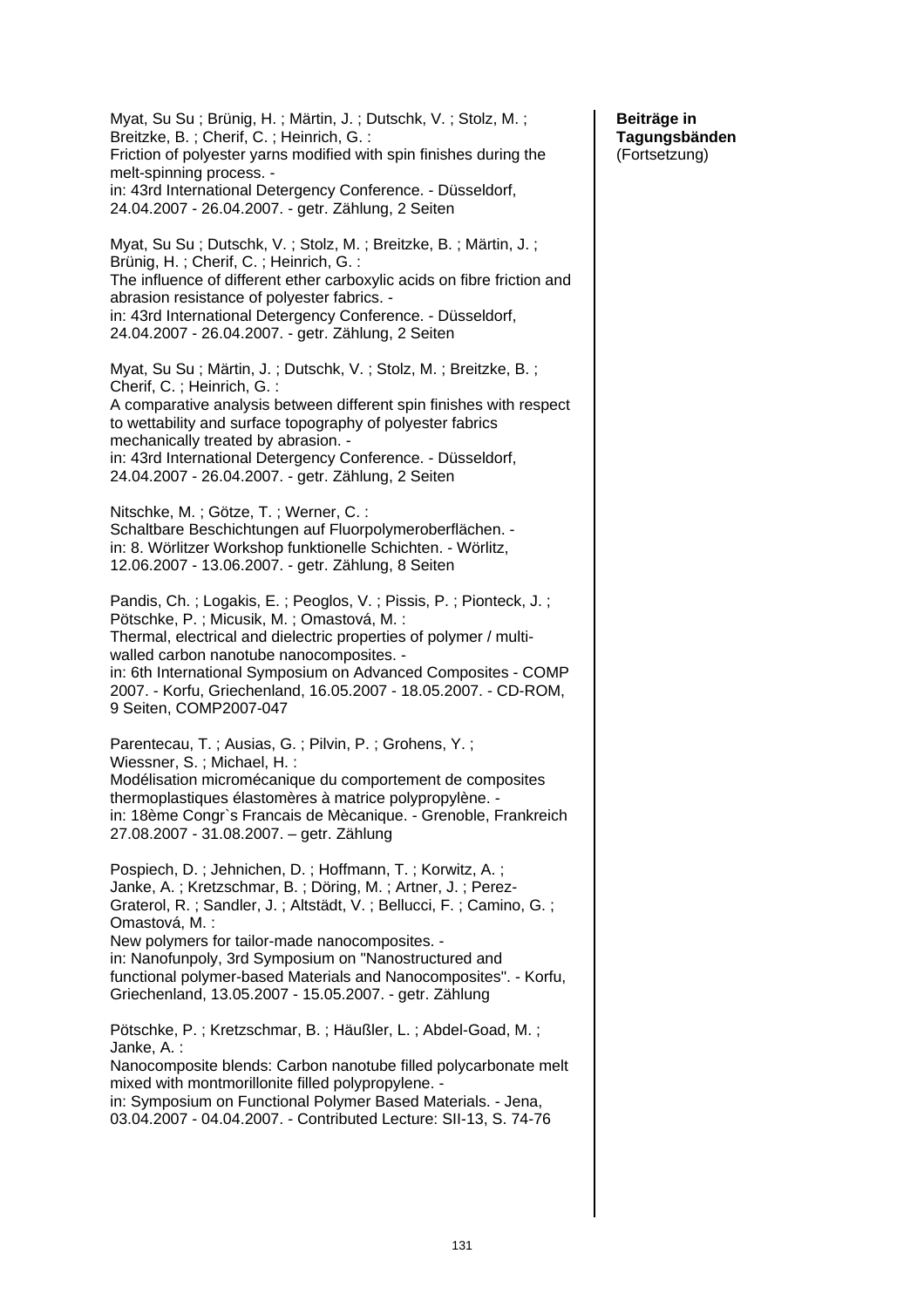Myat, Su Su ; Brünig, H. ; Märtin, J. ; Dutschk, V. ; Stolz, M. ; Breitzke, B. ; Cherif, C. ; Heinrich, G. : Friction of polyester yarns modified with spin finishes during the melt-spinning process. in: 43rd International Detergency Conference. - Düsseldorf, 24.04.2007 - 26.04.2007. - getr. Zählung, 2 Seiten Myat, Su Su ; Dutschk, V. ; Stolz, M. ; Breitzke, B. ; Märtin, J. ; Brünig, H. ; Cherif, C. ; Heinrich, G. : The influence of different ether carboxylic acids on fibre friction and abrasion resistance of polyester fabrics. in: 43rd International Detergency Conference. - Düsseldorf, 24.04.2007 - 26.04.2007. - getr. Zählung, 2 Seiten Myat, Su Su ; Märtin, J. ; Dutschk, V. ; Stolz, M. ; Breitzke, B. ; Cherif, C. ; Heinrich, G. : A comparative analysis between different spin finishes with respect to wettability and surface topography of polyester fabrics mechanically treated by abrasion. in: 43rd International Detergency Conference. - Düsseldorf, 24.04.2007 - 26.04.2007. - getr. Zählung, 2 Seiten Nitschke, M. ; Götze, T. ; Werner, C. : Schaltbare Beschichtungen auf Fluorpolymeroberflächen. in: 8. Wörlitzer Workshop funktionelle Schichten. - Wörlitz, 12.06.2007 - 13.06.2007. - getr. Zählung, 8 Seiten Pandis, Ch. ; Logakis, E. ; Peoglos, V. ; Pissis, P. ; Pionteck, J. ; Pötschke, P. ; Micusik, M. ; Omastová, M. : Thermal, electrical and dielectric properties of polymer / multiwalled carbon nanotube nanocomposites. in: 6th International Symposium on Advanced Composites - COMP 2007. - Korfu, Griechenland, 16.05.2007 - 18.05.2007. - CD-ROM, 9 Seiten, COMP2007-047 Parentecau, T. ; Ausias, G. ; Pilvin, P. ; Grohens, Y. ; Wiessner, S. ; Michael, H. : Modélisation micromécanique du comportement de composites thermoplastiques élastomères à matrice polypropylène. in: 18ème Congr`s Francais de Mècanique. - Grenoble, Frankreich 27.08.2007 - 31.08.2007. – getr. Zählung Pospiech, D. ; Jehnichen, D. ; Hoffmann, T. ; Korwitz, A. ; Janke, A. ; Kretzschmar, B. ; Döring, M. ; Artner, J. ; Perez-Graterol, R. ; Sandler, J. ; Altstädt, V. ; Bellucci, F. ; Camino, G. ; Omastová, M. : New polymers for tailor-made nanocomposites. in: Nanofunpoly, 3rd Symposium on "Nanostructured and functional polymer-based Materials and Nanocomposites". - Korfu, Griechenland, 13.05.2007 - 15.05.2007. - getr. Zählung Pötschke, P. ; Kretzschmar, B. ; Häußler, L. ; Abdel-Goad, M. ; Janke, A. : Nanocomposite blends: Carbon nanotube filled polycarbonate melt mixed with montmorillonite filled polypropylene. in: Symposium on Functional Polymer Based Materials. - Jena, 03.04.2007 - 04.04.2007. - Contributed Lecture: SII-13, S. 74-76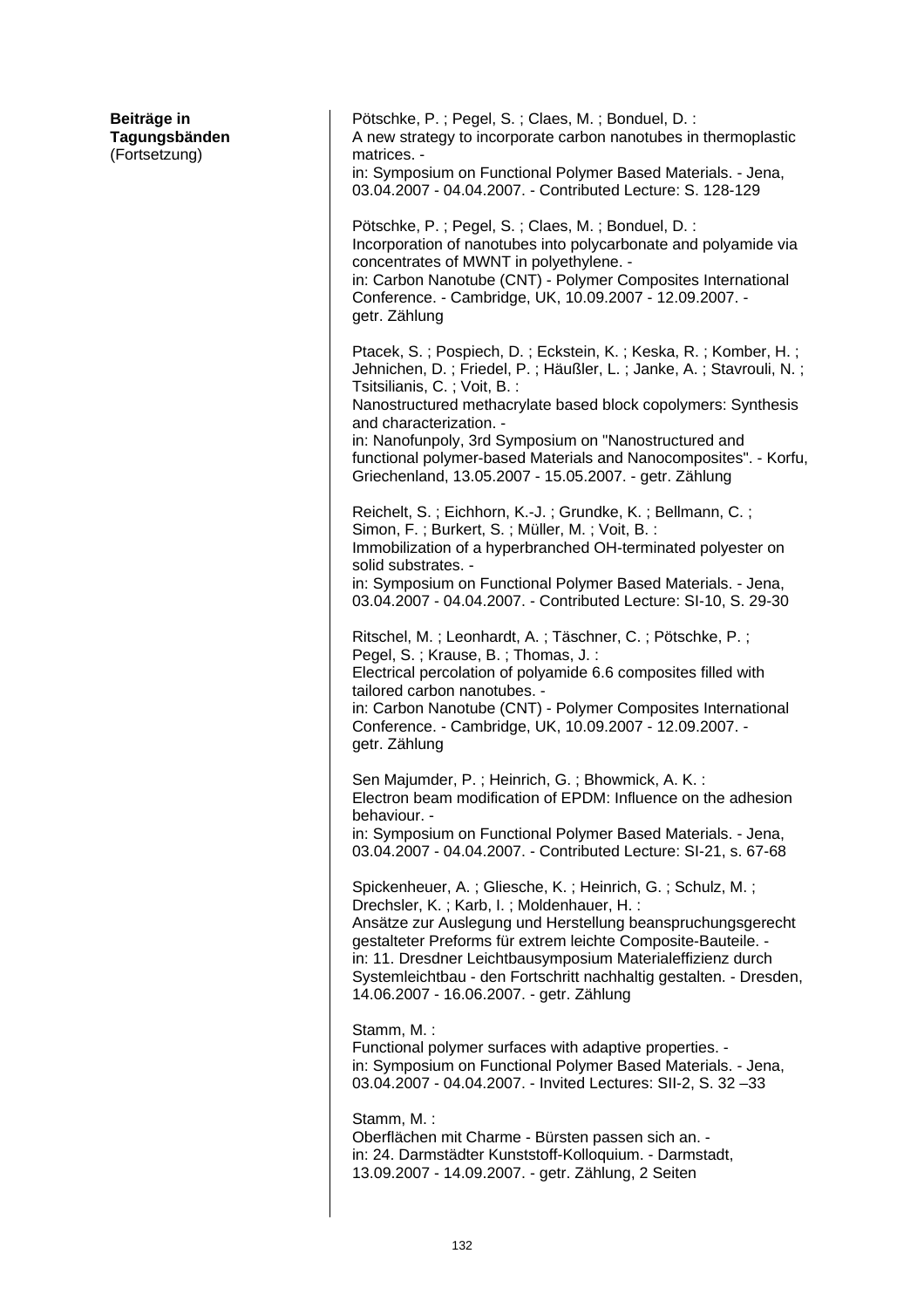| Pötschke, P.; Pegel, S.; Claes, M.; Bonduel, D.:<br>A new strategy to incorporate carbon nanotubes in thermoplastic<br>matrices. -                                                                                                                                                                                                                                                                                      |
|-------------------------------------------------------------------------------------------------------------------------------------------------------------------------------------------------------------------------------------------------------------------------------------------------------------------------------------------------------------------------------------------------------------------------|
| in: Symposium on Functional Polymer Based Materials. - Jena,<br>03.04.2007 - 04.04.2007. - Contributed Lecture: S. 128-129                                                                                                                                                                                                                                                                                              |
| Pötschke, P.; Pegel, S.; Claes, M.; Bonduel, D.:<br>Incorporation of nanotubes into polycarbonate and polyamide via<br>concentrates of MWNT in polyethylene. -<br>in: Carbon Nanotube (CNT) - Polymer Composites International<br>Conference. - Cambridge, UK, 10.09.2007 - 12.09.2007. -<br>getr. Zählung                                                                                                              |
| Ptacek, S.; Pospiech, D.; Eckstein, K.; Keska, R.; Komber, H.;<br>Jehnichen, D.; Friedel, P.; Häußler, L.; Janke, A.; Stavrouli, N.;<br>Tsitsilianis, C.; Voit, B.:                                                                                                                                                                                                                                                     |
| Nanostructured methacrylate based block copolymers: Synthesis<br>and characterization. -<br>in: Nanofunpoly, 3rd Symposium on "Nanostructured and<br>functional polymer-based Materials and Nanocomposites". - Korfu,<br>Griechenland, 13.05.2007 - 15.05.2007. - getr. Zählung                                                                                                                                         |
| Reichelt, S.; Eichhorn, K.-J.; Grundke, K.; Bellmann, C.;<br>Simon, F.; Burkert, S.; Müller, M.; Voit, B.:<br>Immobilization of a hyperbranched OH-terminated polyester on<br>solid substrates. -                                                                                                                                                                                                                       |
| in: Symposium on Functional Polymer Based Materials. - Jena,<br>03.04.2007 - 04.04.2007. - Contributed Lecture: SI-10, S. 29-30                                                                                                                                                                                                                                                                                         |
| Ritschel, M.; Leonhardt, A.; Täschner, C.; Pötschke, P.;<br>Pegel, S.; Krause, B.; Thomas, J.:<br>Electrical percolation of polyamide 6.6 composites filled with<br>tailored carbon nanotubes. -<br>in: Carbon Nanotube (CNT) - Polymer Composites International<br>Conference. - Cambridge, UK, 10.09.2007 - 12.09.2007. -<br>getr. Zählung                                                                            |
| Sen Majumder, P.; Heinrich, G.; Bhowmick, A. K.:<br>Electron beam modification of EPDM: Influence on the adhesion<br>behaviour. -                                                                                                                                                                                                                                                                                       |
| in: Symposium on Functional Polymer Based Materials. - Jena,<br>03.04.2007 - 04.04.2007. - Contributed Lecture: SI-21, s. 67-68                                                                                                                                                                                                                                                                                         |
| Spickenheuer, A.; Gliesche, K.; Heinrich, G.; Schulz, M.;<br>Drechsler, K.; Karb, I.; Moldenhauer, H.:<br>Ansätze zur Auslegung und Herstellung beanspruchungsgerecht<br>gestalteter Preforms für extrem leichte Composite-Bauteile. -<br>in: 11. Dresdner Leichtbausymposium Materialeffizienz durch<br>Systemleichtbau - den Fortschritt nachhaltig gestalten. - Dresden,<br>14.06.2007 - 16.06.2007. - getr. Zählung |
| Stamm, M.:<br>Functional polymer surfaces with adaptive properties. -<br>in: Symposium on Functional Polymer Based Materials. - Jena,<br>03.04.2007 - 04.04.2007. - Invited Lectures: SII-2, S. 32-33                                                                                                                                                                                                                   |
| Stamm, M.:<br>Oberflächen mit Charme - Bürsten passen sich an. -<br>in: 24. Darmstädter Kunststoff-Kolloquium. - Darmstadt,<br>13.09.2007 - 14.09.2007. - getr. Zählung, 2 Seiten                                                                                                                                                                                                                                       |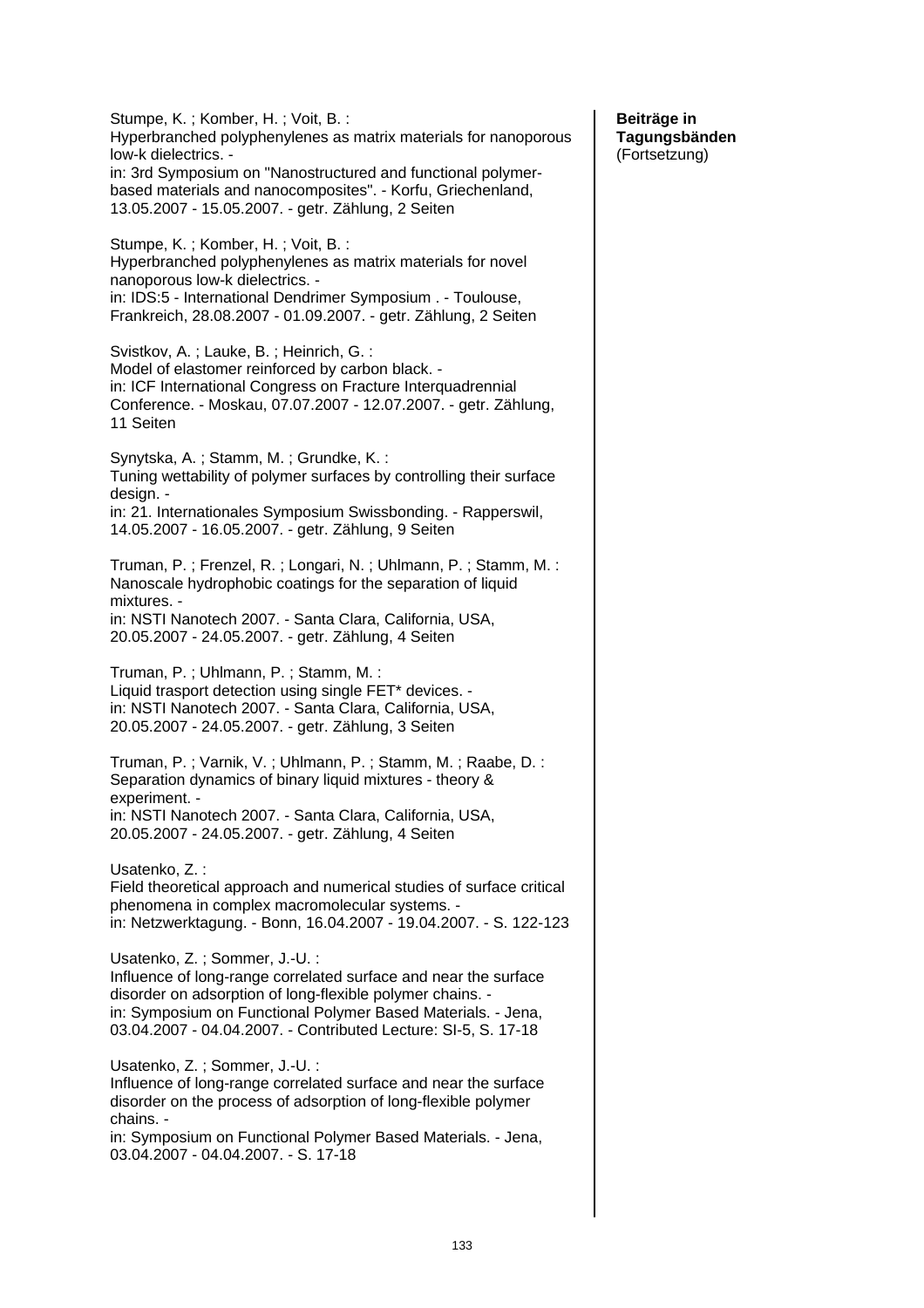Stumpe, K. ; Komber, H. ; Voit, B. : Hyperbranched polyphenylenes as matrix materials for nanoporous low-k dielectrics. in: 3rd Symposium on "Nanostructured and functional polymerbased materials and nanocomposites". - Korfu, Griechenland, 13.05.2007 - 15.05.2007. - getr. Zählung, 2 Seiten Stumpe, K. ; Komber, H. ; Voit, B. : Hyperbranched polyphenylenes as matrix materials for novel nanoporous low-k dielectrics. in: IDS:5 - International Dendrimer Symposium . - Toulouse, Frankreich, 28.08.2007 - 01.09.2007. - getr. Zählung, 2 Seiten Svistkov, A. ; Lauke, B. ; Heinrich, G. : Model of elastomer reinforced by carbon black. in: ICF International Congress on Fracture Interquadrennial Conference. - Moskau, 07.07.2007 - 12.07.2007. - getr. Zählung, 11 Seiten Synytska, A. ; Stamm, M. ; Grundke, K. : Tuning wettability of polymer surfaces by controlling their surface design. in: 21. Internationales Symposium Swissbonding. - Rapperswil, 14.05.2007 - 16.05.2007. - getr. Zählung, 9 Seiten Truman, P. ; Frenzel, R. ; Longari, N. ; Uhlmann, P. ; Stamm, M. : Nanoscale hydrophobic coatings for the separation of liquid mixtures. in: NSTI Nanotech 2007. - Santa Clara, California, USA, 20.05.2007 - 24.05.2007. - getr. Zählung, 4 Seiten Truman, P. ; Uhlmann, P. ; Stamm, M. : Liquid trasport detection using single FET\* devices. in: NSTI Nanotech 2007. - Santa Clara, California, USA, 20.05.2007 - 24.05.2007. - getr. Zählung, 3 Seiten Truman, P. ; Varnik, V. ; Uhlmann, P. ; Stamm, M. ; Raabe, D. : Separation dynamics of binary liquid mixtures - theory & experiment. in: NSTI Nanotech 2007. - Santa Clara, California, USA, 20.05.2007 - 24.05.2007. - getr. Zählung, 4 Seiten Usatenko, Z. : Field theoretical approach and numerical studies of surface critical phenomena in complex macromolecular systems. in: Netzwerktagung. - Bonn, 16.04.2007 - 19.04.2007. - S. 122-123 Usatenko, Z. ; Sommer, J.-U. : Influence of long-range correlated surface and near the surface disorder on adsorption of long-flexible polymer chains. in: Symposium on Functional Polymer Based Materials. - Jena, 03.04.2007 - 04.04.2007. - Contributed Lecture: SI-5, S. 17-18 Usatenko, Z. ; Sommer, J.-U. : Influence of long-range correlated surface and near the surface disorder on the process of adsorption of long-flexible polymer chains. in: Symposium on Functional Polymer Based Materials. - Jena, 03.04.2007 - 04.04.2007. - S. 17-18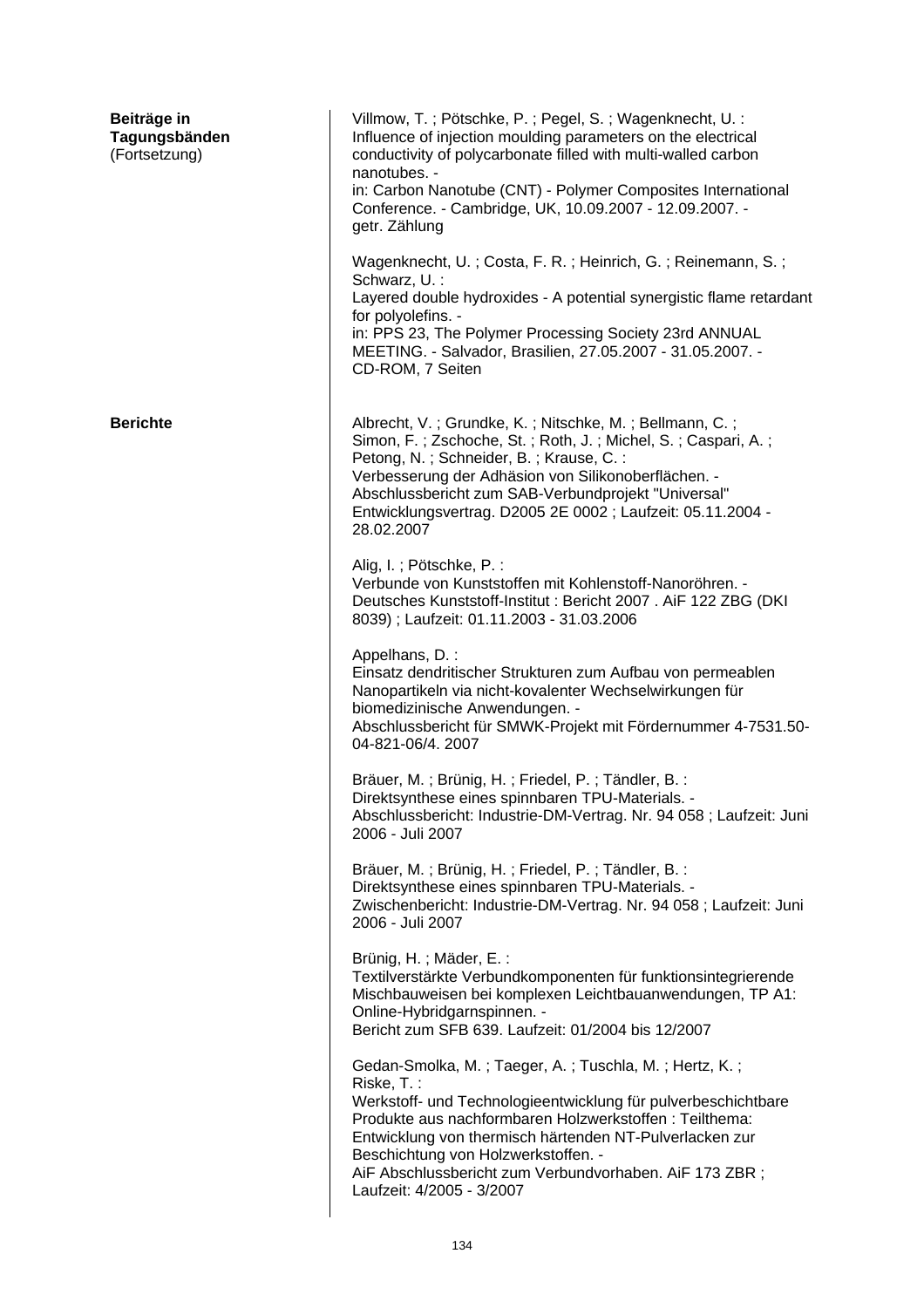| Beiträge in<br>Tagungsbänden<br>(Fortsetzung) | Villmow, T.; Pötschke, P.; Pegel, S.; Wagenknecht, U.:<br>Influence of injection moulding parameters on the electrical<br>conductivity of polycarbonate filled with multi-walled carbon<br>nanotubes. -<br>in: Carbon Nanotube (CNT) - Polymer Composites International<br>Conference. - Cambridge, UK, 10.09.2007 - 12.09.2007. -<br>getr. Zählung                                      |
|-----------------------------------------------|------------------------------------------------------------------------------------------------------------------------------------------------------------------------------------------------------------------------------------------------------------------------------------------------------------------------------------------------------------------------------------------|
|                                               | Wagenknecht, U.; Costa, F. R.; Heinrich, G.; Reinemann, S.;<br>Schwarz, U. :<br>Layered double hydroxides - A potential synergistic flame retardant<br>for polyolefins. -<br>in: PPS 23, The Polymer Processing Society 23rd ANNUAL<br>MEETING. - Salvador, Brasilien, 27.05.2007 - 31.05.2007. -<br>CD-ROM, 7 Seiten                                                                    |
| <b>Berichte</b>                               | Albrecht, V.; Grundke, K.; Nitschke, M.; Bellmann, C.;<br>Simon, F.; Zschoche, St.; Roth, J.; Michel, S.; Caspari, A.;<br>Petong, N.; Schneider, B.; Krause, C.:<br>Verbesserung der Adhäsion von Silikonoberflächen. -<br>Abschlussbericht zum SAB-Verbundprojekt "Universal"<br>Entwicklungsvertrag. D2005 2E 0002 ; Laufzeit: 05.11.2004 -<br>28.02.2007                              |
|                                               | Alig, I.; Pötschke, P.:<br>Verbunde von Kunststoffen mit Kohlenstoff-Nanoröhren. -<br>Deutsches Kunststoff-Institut: Bericht 2007. AiF 122 ZBG (DKI<br>8039); Laufzeit: 01.11.2003 - 31.03.2006                                                                                                                                                                                          |
|                                               | Appelhans, D.:<br>Einsatz dendritischer Strukturen zum Aufbau von permeablen<br>Nanopartikeln via nicht-kovalenter Wechselwirkungen für<br>biomedizinische Anwendungen. -<br>Abschlussbericht für SMWK-Projekt mit Fördernummer 4-7531.50-<br>04-821-06/4.2007                                                                                                                           |
|                                               | Bräuer, M.; Brünig, H.; Friedel, P.; Tändler, B.:<br>Direktsynthese eines spinnbaren TPU-Materials. -<br>Abschlussbericht: Industrie-DM-Vertrag. Nr. 94 058; Laufzeit: Juni<br>2006 - Juli 2007                                                                                                                                                                                          |
|                                               | Bräuer, M.; Brünig, H.; Friedel, P.; Tändler, B.:<br>Direktsynthese eines spinnbaren TPU-Materials. -<br>Zwischenbericht: Industrie-DM-Vertrag. Nr. 94 058 ; Laufzeit: Juni<br>2006 - Juli 2007                                                                                                                                                                                          |
|                                               | Brünig, H.; Mäder, E.:<br>Textilverstärkte Verbundkomponenten für funktionsintegrierende<br>Mischbauweisen bei komplexen Leichtbauanwendungen, TP A1:<br>Online-Hybridgarnspinnen. -<br>Bericht zum SFB 639. Laufzeit: 01/2004 bis 12/2007                                                                                                                                               |
|                                               | Gedan-Smolka, M.; Taeger, A.; Tuschla, M.; Hertz, K.;<br>Riske, T.:<br>Werkstoff- und Technologieentwicklung für pulverbeschichtbare<br>Produkte aus nachformbaren Holzwerkstoffen : Teilthema:<br>Entwicklung von thermisch härtenden NT-Pulverlacken zur<br>Beschichtung von Holzwerkstoffen. -<br>AiF Abschlussbericht zum Verbundvorhaben. AiF 173 ZBR;<br>Laufzeit: 4/2005 - 3/2007 |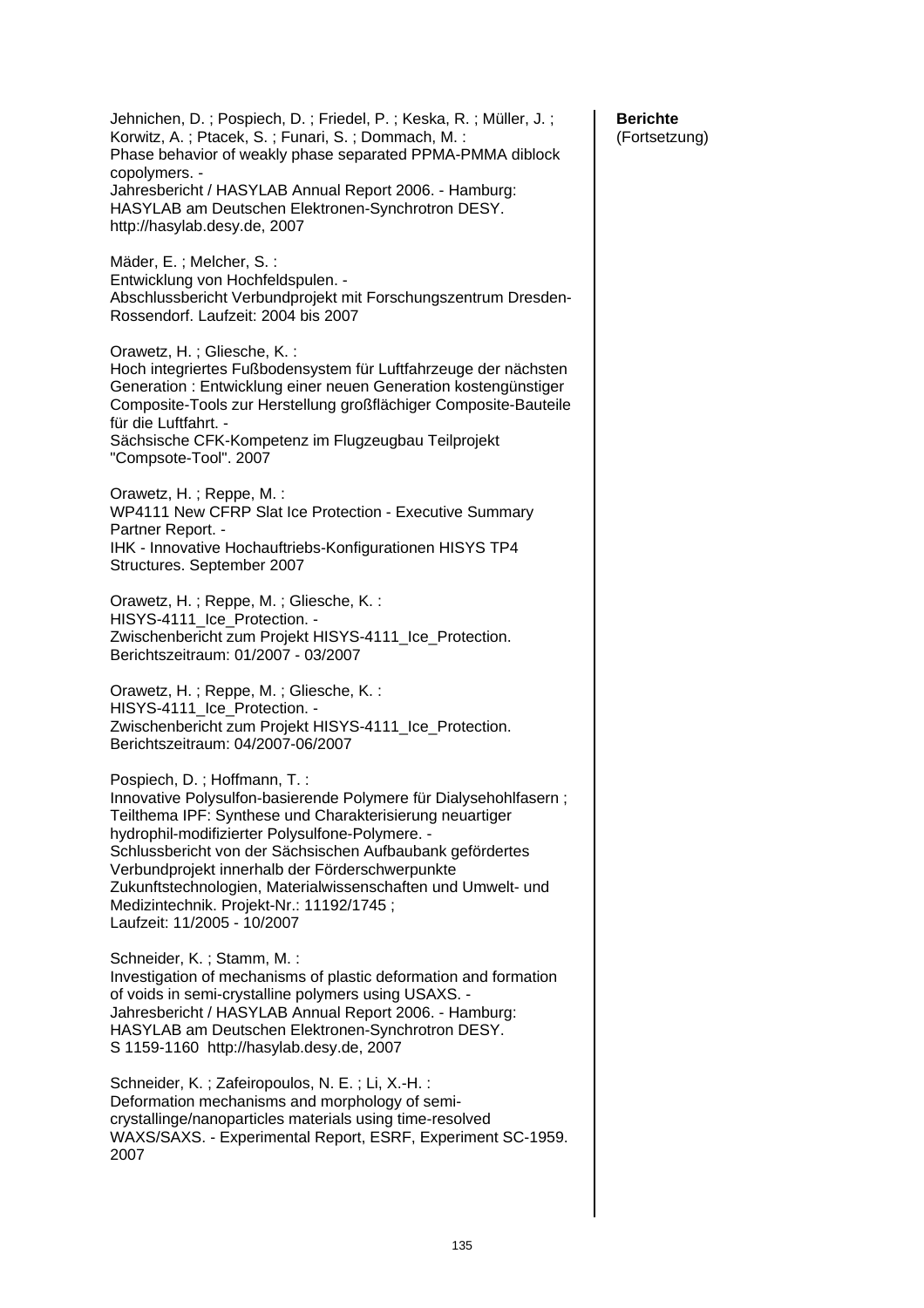Jehnichen, D. ; Pospiech, D. ; Friedel, P. ; Keska, R. ; Müller, J. ; Korwitz, A. ; Ptacek, S. ; Funari, S. ; Dommach, M. : Phase behavior of weakly phase separated PPMA-PMMA diblock copolymers. - Jahresbericht / HASYLAB Annual Report 2006. - Hamburg: HASYLAB am Deutschen Elektronen-Synchrotron DESY. http://hasylab.desy.de, 2007 Mäder, E. ; Melcher, S. : Entwicklung von Hochfeldspulen. - Abschlussbericht Verbundprojekt mit Forschungszentrum Dresden-Rossendorf. Laufzeit: 2004 bis 2007 Orawetz, H. ; Gliesche, K. : Hoch integriertes Fußbodensystem für Luftfahrzeuge der nächsten Generation : Entwicklung einer neuen Generation kostengünstiger Composite-Tools zur Herstellung großflächiger Composite-Bauteile für die Luftfahrt. - Sächsische CFK-Kompetenz im Flugzeugbau Teilprojekt "Compsote-Tool". 2007 Orawetz, H. ; Reppe, M. : WP4111 New CFRP Slat Ice Protection - Executive Summary Partner Report. - IHK - Innovative Hochauftriebs-Konfigurationen HISYS TP4 Structures. September 2007 Orawetz, H. ; Reppe, M. ; Gliesche, K. : HISYS-4111\_Ice\_Protection. -Zwischenbericht zum Projekt HISYS-4111\_Ice\_Protection. Berichtszeitraum: 01/2007 - 03/2007 Orawetz, H. ; Reppe, M. ; Gliesche, K. : HISYS-4111\_Ice\_Protection. -Zwischenbericht zum Projekt HISYS-4111\_Ice\_Protection. Berichtszeitraum: 04/2007-06/2007 Pospiech, D. ; Hoffmann, T. : Innovative Polysulfon-basierende Polymere für Dialysehohlfasern ; Teilthema IPF: Synthese und Charakterisierung neuartiger hydrophil-modifizierter Polysulfone-Polymere. - Schlussbericht von der Sächsischen Aufbaubank gefördertes Verbundprojekt innerhalb der Förderschwerpunkte Zukunftstechnologien, Materialwissenschaften und Umwelt- und Medizintechnik. Projekt-Nr.: 11192/1745 ; Laufzeit: 11/2005 - 10/2007 Schneider, K. ; Stamm, M. : Investigation of mechanisms of plastic deformation and formation of voids in semi-crystalline polymers using USAXS. - Jahresbericht / HASYLAB Annual Report 2006. - Hamburg: HASYLAB am Deutschen Elektronen-Synchrotron DESY. S 1159-1160 http://hasylab.desy.de, 2007 Schneider, K. ; Zafeiropoulos, N. E. ; Li, X.-H. : Deformation mechanisms and morphology of semicrystallinge/nanoparticles materials using time-resolved WAXS/SAXS. - Experimental Report, ESRF, Experiment SC-1959. 2007

**Berichte**  (Fortsetzung)